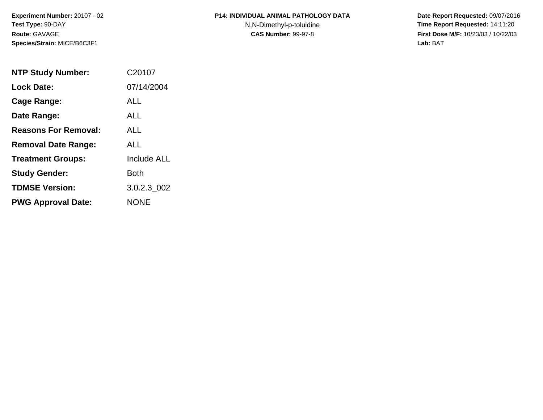**Experiment Number:** 20107 - 02**Test Type:** 90-DAY**Route:** GAVAGE**Species/Strain:** MICE/B6C3F1

## **P14: INDIVIDUAL ANIMAL PATHOLOGY DATA**N,N-Dimethyl-p-toluidine

 **Date Report Requested:** 09/07/2016 **Time Report Requested:** 14:11:20 **First Dose M/F:** 10/23/03 / 10/22/03<br>Lab: BAT **Lab:** BAT

| <b>NTP Study Number:</b>    | C <sub>20107</sub> |
|-----------------------------|--------------------|
| <b>Lock Date:</b>           | 07/14/2004         |
| Cage Range:                 | <b>ALL</b>         |
| Date Range:                 | <b>ALL</b>         |
| <b>Reasons For Removal:</b> | <b>ALL</b>         |
| <b>Removal Date Range:</b>  | ALL                |
| <b>Treatment Groups:</b>    | <b>Include ALL</b> |
| <b>Study Gender:</b>        | Both               |
| <b>TDMSE Version:</b>       | 3.0.2.3 002        |
| <b>PWG Approval Date:</b>   | <b>NONE</b>        |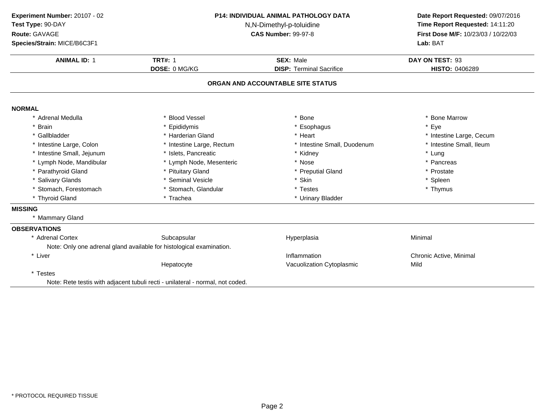**ANIMAL ID:** <sup>1</sup> **TRT#:** <sup>1</sup> **SEX:** Male **DAY ON TEST:** <sup>93</sup> **DOSE:** 0 MG/KG**DISP:** Terminal Sacrifice **HISTO:** 0406289 **ORGAN AND ACCOUNTABLE SITE STATUSNORMAL** \* Adrenal Medullaa the set of the Second Vessel that the set of the set of the set of the set of the set of the Marrow  $\ast$  Bone Marrow \* Brain \* Epididymis \* Esophagus \* Eye \* Gallbladder \* Harderian Gland \* Heart \* Intestine Large, Cecum \* Intestine Small, Ileum \* Intestine Large, Colon\* Intestine Large, Rectum<br>\* Islets, Pancreatic \* Intestine Small, Duodenum \* \* Intest<br>\* Kidney \* \* Lung \* Intestine Small, Jejunumm \* Islets, Pancreatic \* Kidney \* Lung \* Lymph Node, Mandibular \* Lymph Node, Mesenteric \* Nose\* Nose  $*$  Pancreas \* Pancreas \* Presential Gland \* Parathyroid Glandd **All 2018** \* Pituitary Gland **All 2018** \* Preputial Gland **\*** Prostate \* Prostate \* Salivary Glands \* Seminal Vesicle \* Skin \* Spleen \* Stomach, Forestomach \* Stomach, Glandular \* Testes \* Thymus \* Thyroid Gland\* Urinary Bladder **MISSING** \* Mammary Gland**OBSERVATIONS** \* Adrenal CortexSubcapsular Hyperplasia Minimal Note: Only one adrenal gland available for histological examination.\* Liver \* Liver **Inflammation Inflammation** Inflammation Chronic Active, Minimal<br>Vacuolization Cytoplasmic Chronic Mild HepatocyteVacuolization Cytoplasmic \* Testes Note: Rete testis with adjacent tubuli recti - unilateral - normal, not coded.**Experiment Number:** 20107 - 02 **P14: INDIVIDUAL ANIMAL PATHOLOGY DATA Date Report Requested:** 09/07/2016 **Test Type:** 90-DAY N,N-Dimethyl-p-toluidine **Time Report Requested:** 14:11:20 **Route:** GAVAGE**First Dose M/F:** 10/23/03 / 10/22/03<br>**Lab:** BAT **Species/Strain:** MICE/B6C3F1**Lab:** BAT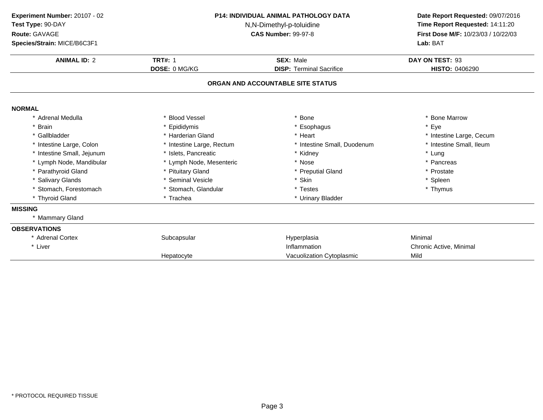| Experiment Number: 20107 - 02                 |                           | <b>P14: INDIVIDUAL ANIMAL PATHOLOGY DATA</b> | Date Report Requested: 09/07/2016   |
|-----------------------------------------------|---------------------------|----------------------------------------------|-------------------------------------|
| Test Type: 90-DAY<br>N,N-Dimethyl-p-toluidine |                           |                                              | Time Report Requested: 14:11:20     |
| Route: GAVAGE                                 |                           | <b>CAS Number: 99-97-8</b>                   | First Dose M/F: 10/23/03 / 10/22/03 |
| Species/Strain: MICE/B6C3F1                   |                           |                                              | Lab: BAT                            |
| <b>ANIMAL ID: 2</b>                           | <b>TRT#: 1</b>            | <b>SEX: Male</b>                             | DAY ON TEST: 93                     |
|                                               | DOSE: 0 MG/KG             | <b>DISP: Terminal Sacrifice</b>              | HISTO: 0406290                      |
|                                               |                           | ORGAN AND ACCOUNTABLE SITE STATUS            |                                     |
| <b>NORMAL</b>                                 |                           |                                              |                                     |
| * Adrenal Medulla                             | * Blood Vessel            | * Bone                                       | * Bone Marrow                       |
| * Brain                                       | Epididymis                | * Esophagus                                  | * Eye                               |
| * Gallbladder                                 | * Harderian Gland         | * Heart                                      | * Intestine Large, Cecum            |
| * Intestine Large, Colon                      | * Intestine Large, Rectum | * Intestine Small, Duodenum                  | * Intestine Small, Ileum            |
| * Intestine Small, Jejunum                    | * Islets, Pancreatic      | * Kidney                                     | * Lung                              |
| * Lymph Node, Mandibular                      | * Lymph Node, Mesenteric  | * Nose                                       | * Pancreas                          |
| * Parathyroid Gland                           | * Pituitary Gland         | * Preputial Gland                            | * Prostate                          |
| * Salivary Glands                             | * Seminal Vesicle         | * Skin                                       | * Spleen                            |
| * Stomach, Forestomach                        | * Stomach, Glandular      | * Testes                                     | * Thymus                            |
| * Thyroid Gland                               | * Trachea                 | * Urinary Bladder                            |                                     |
| <b>MISSING</b>                                |                           |                                              |                                     |
| * Mammary Gland                               |                           |                                              |                                     |
| <b>OBSERVATIONS</b>                           |                           |                                              |                                     |
| * Adrenal Cortex                              | Subcapsular               | Hyperplasia                                  | Minimal                             |
| * Liver                                       |                           | Inflammation                                 | Chronic Active, Minimal             |
|                                               | Hepatocyte                | Vacuolization Cytoplasmic                    | Mild                                |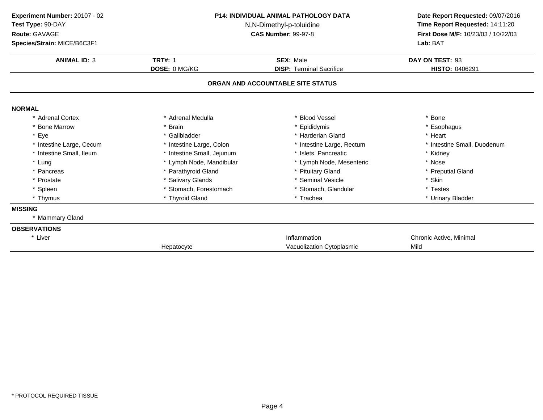**ANIMAL ID:** <sup>3</sup> **TRT#:** <sup>1</sup> **SEX:** Male **DAY ON TEST:** <sup>93</sup> **DOSE:** 0 MG/KG**DISP:** Terminal Sacrifice **HISTO:** 0406291 **ORGAN AND ACCOUNTABLE SITE STATUSNORMAL** \* Adrenal Cortex\* Adrenal Medulla<br>\* Brain a the set of the set of the set of the set of the set of the set of the set of the set of the set of the set o<br>Set of the set of the set of the set of the set of the set of the set of the set of the set of the set of the s \* Bone Marrow \* Brain \* Epididymis \* Esophagus \* Eyee the second of the set of the set of the set of the set of the set of the set of the set of the set of the set of the set of the set of the set of the set of the set of the set of the set of the set of the set of the set \* Intestine Large, Cecumm and the state of the state of the state of the state of the state of the state of the state of the state of the state of the state of the state of the state of the state of the state of the state of the state of the stat \* Intestine Small, Ileum\* Intestine Small, Jejunum \* \* 1918 \* 1918, Pancreatic \* The small was a strategies \* Kidney \* Lymph Node, Mesenteric \* Nose \* Lung\* Lymph Node, Mandibular \* 1990 \* Lymph Node, Mesenteric \* \* Nose \* Nose \* Nose \* Preputial Gland \* Preputial Gland \* Pancreas\* Parathyroid Gland<br>\* Salivary Glands \* Pituitary Gland \* Preputial \* Preputial \* Preputial \* Preputial \* Preputial \* Skin \* Prostate \* Salivary Glands \* Seminal Vesicle \* Skin \* Spleen\* Stomach, Forestomach \* \* Stomach, Glandular \* Testes \* Testes \* Testes \* Thyroid Gland<br>\* Thyroid Gland \* \* Trachea \* Trachea \* Trachea \* Urinary \* Thymus \* Thyroid Gland\* Urinary Bladder **MISSING** \* Mammary Gland**OBSERVATIONS**\* Liver \* Liver **Inflammation Inflammation** Inflammation<br>
Vacuolization Cvtoplasmic<br>
Vacuolization Cvtoplasmic<br>
Vacuolization Cvtoplasmic<br>
Vacuolization Cvtoplasmic HepatocyteVacuolization Cytoplasmic **Experiment Number:** 20107 - 02 **P14: INDIVIDUAL ANIMAL PATHOLOGY DATA Date Report Requested:** 09/07/2016 **Test Type:** 90-DAY N,N-Dimethyl-p-toluidine **Time Report Requested:** 14:11:20 **Route:** GAVAGE**First Dose M/F:** 10/23/03 / 10/22/03<br>**Lab:** BAT **Species/Strain:** MICE/B6C3F1**Lab:** BAT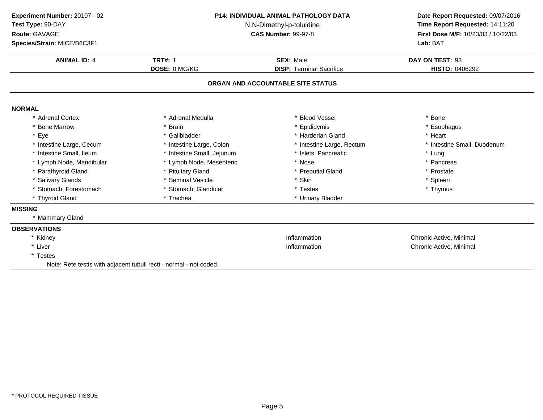| Experiment Number: 20107 - 02<br>Test Type: 90-DAY<br>Route: GAVAGE<br>Species/Strain: MICE/B6C3F1 |                                                                    | <b>P14: INDIVIDUAL ANIMAL PATHOLOGY DATA</b><br>N,N-Dimethyl-p-toluidine<br><b>CAS Number: 99-97-8</b> | Date Report Requested: 09/07/2016<br>Time Report Requested: 14:11:20<br>First Dose M/F: 10/23/03 / 10/22/03<br>Lab: BAT |
|----------------------------------------------------------------------------------------------------|--------------------------------------------------------------------|--------------------------------------------------------------------------------------------------------|-------------------------------------------------------------------------------------------------------------------------|
| <b>ANIMAL ID: 4</b>                                                                                | <b>TRT#: 1</b>                                                     | <b>SEX: Male</b>                                                                                       | DAY ON TEST: 93                                                                                                         |
|                                                                                                    | DOSE: 0 MG/KG                                                      | <b>DISP: Terminal Sacrifice</b>                                                                        | HISTO: 0406292                                                                                                          |
|                                                                                                    |                                                                    | ORGAN AND ACCOUNTABLE SITE STATUS                                                                      |                                                                                                                         |
| <b>NORMAL</b>                                                                                      |                                                                    |                                                                                                        |                                                                                                                         |
| <b>Adrenal Cortex</b>                                                                              | Adrenal Medulla                                                    | <b>Blood Vessel</b>                                                                                    | * Bone                                                                                                                  |
| <b>Bone Marrow</b>                                                                                 | <b>Brain</b>                                                       | Epididymis                                                                                             | * Esophagus                                                                                                             |
| Eye                                                                                                | * Gallbladder                                                      | * Harderian Gland                                                                                      | * Heart                                                                                                                 |
| * Intestine Large, Cecum                                                                           | * Intestine Large, Colon                                           | * Intestine Large, Rectum                                                                              | * Intestine Small, Duodenum                                                                                             |
| * Intestine Small, Ileum                                                                           | * Intestine Small, Jejunum                                         | * Islets, Pancreatic                                                                                   | * Lung                                                                                                                  |
| Lymph Node, Mandibular                                                                             | * Lymph Node, Mesenteric                                           | * Nose                                                                                                 | * Pancreas                                                                                                              |
| Parathyroid Gland                                                                                  | * Pituitary Gland                                                  | * Preputial Gland                                                                                      | * Prostate                                                                                                              |
| <b>Salivary Glands</b>                                                                             | * Seminal Vesicle                                                  | * Skin                                                                                                 | * Spleen                                                                                                                |
| * Stomach, Forestomach                                                                             | * Stomach, Glandular                                               | * Testes                                                                                               | * Thymus                                                                                                                |
| * Thyroid Gland                                                                                    | * Trachea                                                          | * Urinary Bladder                                                                                      |                                                                                                                         |
| <b>MISSING</b>                                                                                     |                                                                    |                                                                                                        |                                                                                                                         |
| * Mammary Gland                                                                                    |                                                                    |                                                                                                        |                                                                                                                         |
| <b>OBSERVATIONS</b>                                                                                |                                                                    |                                                                                                        |                                                                                                                         |
| * Kidney                                                                                           |                                                                    | Inflammation                                                                                           | Chronic Active, Minimal                                                                                                 |
| * Liver                                                                                            |                                                                    | Inflammation                                                                                           | Chronic Active, Minimal                                                                                                 |
| * Testes                                                                                           |                                                                    |                                                                                                        |                                                                                                                         |
|                                                                                                    | Note: Rete testis with adjacent tubuli recti - normal - not coded. |                                                                                                        |                                                                                                                         |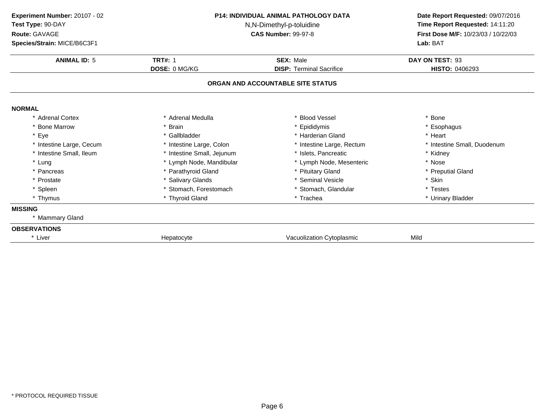**ANIMAL ID:** <sup>5</sup> **TRT#:** <sup>1</sup> **SEX:** Male **DAY ON TEST:** <sup>93</sup> **DOSE:** 0 MG/KG**DISP:** Terminal Sacrifice **HISTO:** 0406293 **ORGAN AND ACCOUNTABLE SITE STATUSNORMAL** \* Adrenal Cortex\* Adrenal Medulla<br>\* Brain a the set of the set of the set of the set of the set of the set of the set of the set of the set of the set o<br>Set of the set of the set of the set of the set of the set of the set of the set of the set of the set of the s \* Bone Marrow \* Brain \* Epididymis \* Esophagus \* Eyee the second of the set of the set of the set of the set of the set of the set of the set of the set of the set of the set of the set of the set of the set of the set of the set of the set of the set of the set of the set \* Intestine Large, Cecumm and the state of the state of the state of the state of the state of the state of the state of the state of the state of the state of the state of the state of the state of the state of the state of the state of the stat \* Intestine Small, Ileum\* Intestine Small, Jejunum \* \* 1918 \* 1918, Pancreatic \* The small was a strategies \* Kidney \* Lymph Node, Mesenteric \* Nose \* Lung\* Lymph Node, Mandibular \* 1990 \* Lymph Node, Mesenteric \* \* Nose \* Nose \* Nose \* Preputial Gland \* Preputial Gland \* Pancreas\* Parathyroid Gland<br>\* Salivary Glands \* Pituitary Gland \* Preputial \* Preputial \* Preputial \* Preputial \* Preputial \* Skin \* Prostate \* Salivary Glands \* Seminal Vesicle \* Skin \* Spleen\* Stomach, Forestomach \* \* Stomach, Glandular \* Testes \* Testes \* Testes \* Thyroid Gland<br>\* Thyroid Gland \* \* Trachea \* Trachea \* Trachea \* Urinary \* Thymus \* Thyroid Gland\* Urinary Bladder **MISSING** \* Mammary Gland**OBSERVATIONS**\* Liver Hepatocyte Vacuolization Cytoplasmic **Mild Experiment Number:** 20107 - 02 **P14: INDIVIDUAL ANIMAL PATHOLOGY DATA Date Report Requested:** 09/07/2016 **Test Type:** 90-DAY N,N-Dimethyl-p-toluidine **Time Report Requested:** 14:11:20 **Route:** GAVAGE**First Dose M/F:** 10/23/03 / 10/22/03<br>**Lab:** BAT **Species/Strain:** MICE/B6C3F1**Lab:** BAT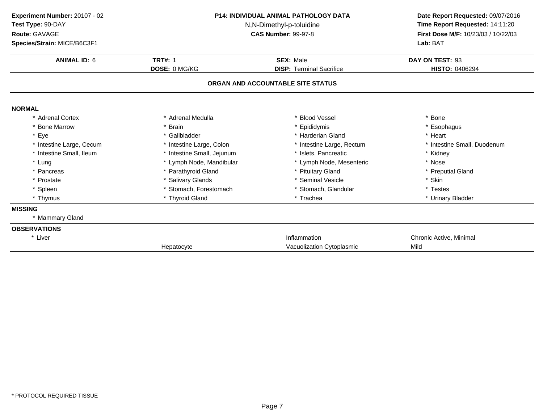**ANIMAL ID:** <sup>6</sup> **TRT#:** <sup>1</sup> **SEX:** Male **DAY ON TEST:** <sup>93</sup> **DOSE:** 0 MG/KG**DISP:** Terminal Sacrifice **HISTO:** 0406294 **ORGAN AND ACCOUNTABLE SITE STATUSNORMAL** \* Adrenal Cortex\* Adrenal Medulla<br>\* Brain a the set of the set of the set of the set of the set of the set of the set of the set of the set of the set o<br>Set of the set of the set of the set of the set of the set of the set of the set of the set of the set of the s \* Bone Marrow \* Brain \* Epididymis \* Esophagus \* Eyee the second of the set of the set of the set of the set of the set of the set of the set of the set of the set of the set of the set of the set of the set of the set of the set of the set of the set of the set of the set \* Intestine Large, Cecumm and the state of the state of the state of the state of the state of the state of the state of the state of the state of the state of the state of the state of the state of the state of the state of the state of the stat \* Intestine Small, Ileum\* Intestine Small, Jejunum \* \* 1918 \* 1918, Pancreatic \* The small was a strategies \* Kidney \* Lymph Node, Mesenteric \* Nose \* Lung\* Lymph Node, Mandibular \* 1990 \* Lymph Node, Mesenteric \* \* Nose \* Nose \* Nose \* Preputial Gland \* Preputial Gland \* Pancreas\* Parathyroid Gland<br>\* Salivary Glands \* Pituitary Gland \* Preputial \* Preputial \* Preputial \* Preputial \* Preputial \* Skin \* Prostate \* Salivary Glands \* Seminal Vesicle \* Skin \* Spleen\* Stomach, Forestomach \* \* Stomach, Glandular \* Testes \* Testes \* Testes \* Thyroid Gland<br>\* Thyroid Gland \* \* Trachea \* Trachea \* Trachea \* Urinary \* Thymus \* Thyroid Gland\* Urinary Bladder **MISSING** \* Mammary Gland**OBSERVATIONS**\* Liver \* Liver **Inflammation Inflammation** Inflammation<br>
Vacuolization Cvtoplasmic<br>
Vacuolization Cvtoplasmic<br>
Vacuolization Cvtoplasmic<br>
Vacuolization Cvtoplasmic HepatocyteVacuolization Cytoplasmic **Experiment Number:** 20107 - 02 **P14: INDIVIDUAL ANIMAL PATHOLOGY DATA Date Report Requested:** 09/07/2016 **Test Type:** 90-DAY N,N-Dimethyl-p-toluidine **Time Report Requested:** 14:11:20 **Route:** GAVAGE**First Dose M/F:** 10/23/03 / 10/22/03<br>**Lab:** BAT **Species/Strain:** MICE/B6C3F1**Lab:** BAT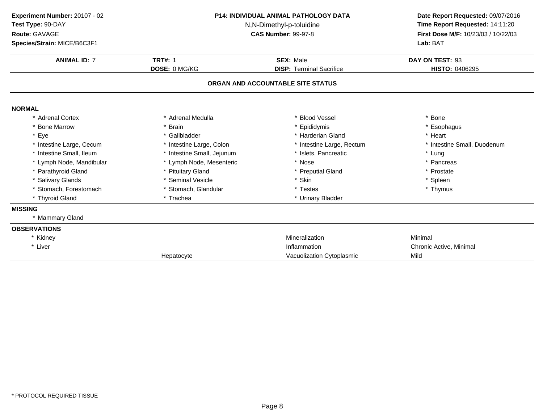| Experiment Number: 20107 - 02 |                            | <b>P14: INDIVIDUAL ANIMAL PATHOLOGY DATA</b> |                                                                      |
|-------------------------------|----------------------------|----------------------------------------------|----------------------------------------------------------------------|
| Test Type: 90-DAY             |                            | N,N-Dimethyl-p-toluidine                     | Date Report Requested: 09/07/2016<br>Time Report Requested: 14:11:20 |
| Route: GAVAGE                 |                            | <b>CAS Number: 99-97-8</b>                   | First Dose M/F: 10/23/03 / 10/22/03                                  |
| Species/Strain: MICE/B6C3F1   |                            |                                              | Lab: BAT                                                             |
| <b>ANIMAL ID: 7</b>           | <b>TRT#: 1</b>             | <b>SEX: Male</b>                             | DAY ON TEST: 93                                                      |
|                               | <b>DOSE: 0 MG/KG</b>       | <b>DISP: Terminal Sacrifice</b>              | HISTO: 0406295                                                       |
|                               |                            | ORGAN AND ACCOUNTABLE SITE STATUS            |                                                                      |
| <b>NORMAL</b>                 |                            |                                              |                                                                      |
| * Adrenal Cortex              | * Adrenal Medulla          | * Blood Vessel                               | * Bone                                                               |
| * Bone Marrow                 | * Brain                    | Epididymis                                   | * Esophagus                                                          |
| * Eye                         | * Gallbladder              | * Harderian Gland                            | * Heart                                                              |
| * Intestine Large, Cecum      | * Intestine Large, Colon   | Intestine Large, Rectum                      | * Intestine Small, Duodenum                                          |
| * Intestine Small, Ileum      | * Intestine Small, Jejunum | Islets, Pancreatic                           | * Lung                                                               |
| * Lymph Node, Mandibular      | * Lymph Node, Mesenteric   | * Nose                                       | * Pancreas                                                           |
| * Parathyroid Gland           | * Pituitary Gland          | * Preputial Gland                            | * Prostate                                                           |
| * Salivary Glands             | * Seminal Vesicle          | * Skin                                       | * Spleen                                                             |
| * Stomach, Forestomach        | * Stomach, Glandular       | * Testes                                     | * Thymus                                                             |
| * Thyroid Gland               | * Trachea                  | * Urinary Bladder                            |                                                                      |
| <b>MISSING</b>                |                            |                                              |                                                                      |
| * Mammary Gland               |                            |                                              |                                                                      |
| <b>OBSERVATIONS</b>           |                            |                                              |                                                                      |
| * Kidney                      |                            | Mineralization                               | Minimal                                                              |
| * Liver                       |                            | Inflammation                                 | Chronic Active, Minimal                                              |
|                               | Hepatocyte                 | Vacuolization Cytoplasmic                    | Mild                                                                 |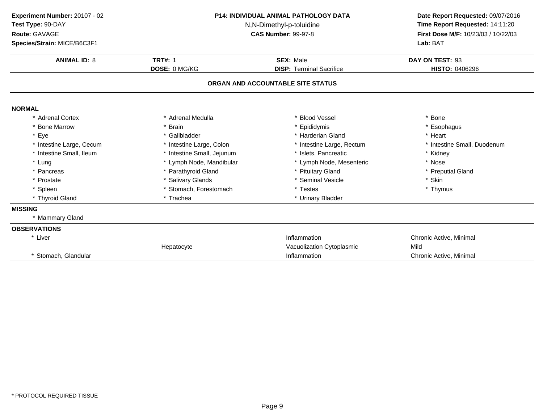**ANIMAL ID:** <sup>8</sup> **TRT#:** <sup>1</sup> **SEX:** Male **DAY ON TEST:** <sup>93</sup> **DOSE:** 0 MG/KG**DISP:** Terminal Sacrifice **HISTO:** 0406296 **ORGAN AND ACCOUNTABLE SITE STATUSNORMAL** \* Adrenal Cortex\* Adrenal Medulla<br>\* Brain a the set of the set of the set of the set of the set of the set of the set of the set of the set of the set o<br>Set of the set of the set of the set of the set of the set of the set of the set of the set of the set of the s \* Bone Marrow \* Brain \* Epididymis \* Esophagus \* Eyee the second of the set of the set of the set of the set of the set of the set of the set of the set of the set of the set of the set of the set of the set of the set of the set of the set of the set of the set of the set \* Intestine Large, Cecumm and the state of the state of the state of the state of the state of the state of the state of the state of the state of the state of the state of the state of the state of the state of the state of the state of the stat \* Intestine Small, Ileum\* Intestine Small, Jejunum \* \* 1918 \* 1918, Pancreatic \* The small was a strategies \* Kidney \* Lymph Node, Mesenteric \* Nose \* Lung\* Lymph Node, Mandibular \* 1990 \* Lymph Node, Mesenteric \* \* Nose \* Nose \* Nose \* Preputial Gland \* Preputial Gland \* Pancreas\* Parathyroid Gland<br>\* Salivary Glands \* Pituitary Gland \* Preputial \* Preputial \* Preputial \* Preputial \* Skin \* Skin \* Skin \* Skin \* Skin \* Skin \* Skin \* Skin \* Skin \* Skin \* Skin \* Skin \* Skin \* Skin \* Skin \* Skin \* Skin \* Skin \* Skin \* Skin \* Skin \* Skin \* \* Prostate \* Salivary Glands \* Seminal Vesicle \* Skin \* Spleen\* Stomach, Forestomach \* \* Testes \* Testes \* Trachea \* Thymus \* Trachea \* Thymus \* Thymus \* Thymus \* Thymus \* Thymus \* Thymus \* Thymus \* Thymus \* Thymus \* Thymus \* Thymus \* Thymus \* Thymus \* Thymus \* Thymus \* Thymus \* Thym \* Thyroid Gland\* Urinary Bladder **MISSING** \* Mammary Gland**OBSERVATIONS**\* Liver \* Liver **Inflammation Inflammation** Inflammation<br>
Vacuolization Cvtoplasmic<br>
Vacuolization Cvtoplasmic<br>
Vacuolization Cvtoplasmic<br>
Vacuolization Cvtoplasmic HepatocyteVacuolization Cytoplasmic<br>Inflammation \* Stomach, Glandular Inflammation **Inflammation** Inflammation Chronic Active, Minimal **Experiment Number:** 20107 - 02 **P14: INDIVIDUAL ANIMAL PATHOLOGY DATA Date Report Requested:** 09/07/2016 **Test Type:** 90-DAY N,N-Dimethyl-p-toluidine **Time Report Requested:** 14:11:20 **Route:** GAVAGE**First Dose M/F:** 10/23/03 / 10/22/03<br>**Lab:** BAT **Species/Strain:** MICE/B6C3F1**Lab:** BAT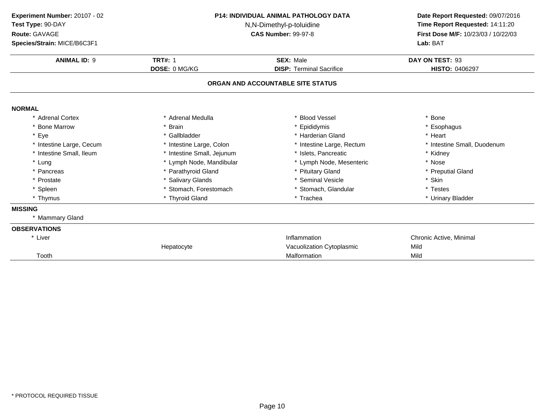**ANIMAL ID:** <sup>9</sup> **TRT#:** <sup>1</sup> **SEX:** Male **DAY ON TEST:** <sup>93</sup> **DOSE:** 0 MG/KG**DISP:** Terminal Sacrifice **HISTO:** 0406297 **ORGAN AND ACCOUNTABLE SITE STATUSNORMAL** \* Adrenal Cortex\* Adrenal Medulla<br>\* Brain a the set of the set of the set of the set of the set of the set of the set of the set of the set of the set o<br>Set of the set of the set of the set of the set of the set of the set of the set of the set of the set of the s \* Bone Marrow \* Brain \* Epididymis \* Esophagus \* Eyee the second of the set of the set of the set of the set of the set of the set of the set of the set of the set of the set of the set of the set of the set of the set of the set of the set of the set of the set of the set \* Intestine Large, Cecumm and the state of the state of the state of the state of the state of the state of the state of the state of the state of the state of the state of the state of the state of the state of the state of the state of the stat \* Intestine Small, Ileum\* Intestine Small, Jejunum \* \* 1918 \* 1918, Pancreatic \* The small was a strategies \* Kidney \* Lymph Node, Mesenteric \* Nose \* Lung\* Lymph Node, Mandibular \* 1990 \* Lymph Node, Mesenteric \* \* Nose \* Nose \* Nose \* Preputial Gland \* Preputial Gland \* Pancreas\* Parathyroid Gland<br>\* Salivary Glands \* Pituitary Gland \* Preputial \* Preputial \* Preputial \* Preputial \* Preputial \* Skin \* Prostate \* Salivary Glands \* Seminal Vesicle \* Skin \* Spleen\* Stomach, Forestomach \* \* Stomach, Glandular \* Testes \* Testes \* Testes \* Thyroid Gland<br>\* Thyroid Gland \* \* Trachea \* Trachea \* Trachea \* Urinary \* Thymus \* Thyroid Gland\* Urinary Bladder **MISSING** \* Mammary Gland**OBSERVATIONS**\* Liver \* Liver **Inflammation Inflammation** Inflammation<br>
Vacuolization Cvtoplasmic<br>
Vacuolization Cvtoplasmic<br>
Vacuolization Cvtoplasmic<br>
Vacuolization Cvtoplasmic HepatocyteVacuolization Cytoplasmic<br>
Mild Malformation Mild Tooth Malformation Mild **Experiment Number:** 20107 - 02 **P14: INDIVIDUAL ANIMAL PATHOLOGY DATA Date Report Requested:** 09/07/2016 **Test Type:** 90-DAY N,N-Dimethyl-p-toluidine **Time Report Requested:** 14:11:20 **Route:** GAVAGE**First Dose M/F:** 10/23/03 / 10/22/03<br>**Lab:** BAT **Species/Strain:** MICE/B6C3F1**Lab:** BAT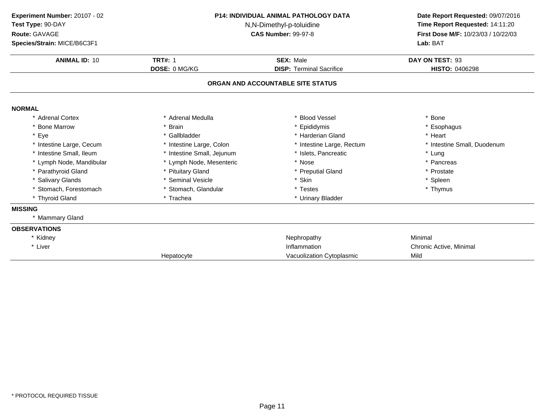| Experiment Number: 20107 - 02                 |                            | <b>P14: INDIVIDUAL ANIMAL PATHOLOGY DATA</b> |                                                                      |
|-----------------------------------------------|----------------------------|----------------------------------------------|----------------------------------------------------------------------|
| Test Type: 90-DAY<br>N,N-Dimethyl-p-toluidine |                            |                                              | Date Report Requested: 09/07/2016<br>Time Report Requested: 14:11:20 |
| Route: GAVAGE                                 |                            | <b>CAS Number: 99-97-8</b>                   | First Dose M/F: 10/23/03 / 10/22/03                                  |
| Species/Strain: MICE/B6C3F1                   |                            |                                              | Lab: BAT                                                             |
| <b>ANIMAL ID: 10</b>                          | <b>TRT#: 1</b>             | <b>SEX: Male</b>                             | DAY ON TEST: 93                                                      |
|                                               | DOSE: 0 MG/KG              | <b>DISP: Terminal Sacrifice</b>              | HISTO: 0406298                                                       |
|                                               |                            | ORGAN AND ACCOUNTABLE SITE STATUS            |                                                                      |
| <b>NORMAL</b>                                 |                            |                                              |                                                                      |
| * Adrenal Cortex                              | * Adrenal Medulla          | * Blood Vessel                               | * Bone                                                               |
| * Bone Marrow                                 | * Brain                    | * Epididymis                                 | * Esophagus                                                          |
| * Eye                                         | * Gallbladder              | * Harderian Gland                            | * Heart                                                              |
| * Intestine Large, Cecum                      | * Intestine Large, Colon   | * Intestine Large, Rectum                    | * Intestine Small, Duodenum                                          |
| * Intestine Small, Ileum                      | * Intestine Small, Jejunum | * Islets, Pancreatic                         | * Lung                                                               |
| * Lymph Node, Mandibular                      | * Lymph Node, Mesenteric   | * Nose                                       | * Pancreas                                                           |
| * Parathyroid Gland                           | * Pituitary Gland          | * Preputial Gland                            | * Prostate                                                           |
| * Salivary Glands                             | * Seminal Vesicle          | * Skin                                       | * Spleen                                                             |
| * Stomach, Forestomach                        | * Stomach, Glandular       | * Testes                                     | * Thymus                                                             |
| * Thyroid Gland                               | * Trachea                  | * Urinary Bladder                            |                                                                      |
| <b>MISSING</b>                                |                            |                                              |                                                                      |
| * Mammary Gland                               |                            |                                              |                                                                      |
| <b>OBSERVATIONS</b>                           |                            |                                              |                                                                      |
| * Kidney                                      |                            | Nephropathy                                  | Minimal                                                              |
| * Liver                                       |                            | Inflammation                                 | Chronic Active, Minimal                                              |
|                                               | Hepatocyte                 | Vacuolization Cytoplasmic                    | Mild                                                                 |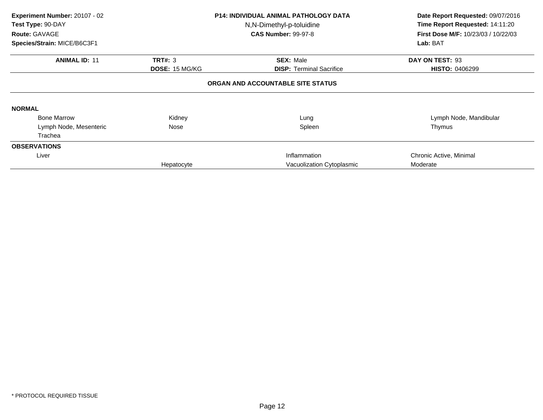| Experiment Number: 20107 - 02<br>Test Type: 90-DAY<br><b>Route: GAVAGE</b><br>Species/Strain: MICE/B6C3F1 |                                         | <b>P14: INDIVIDUAL ANIMAL PATHOLOGY DATA</b><br>N,N-Dimethyl-p-toluidine<br><b>CAS Number: 99-97-8</b> | Date Report Requested: 09/07/2016<br>Time Report Requested: 14:11:20<br>First Dose M/F: 10/23/03 / 10/22/03<br>Lab: BAT |
|-----------------------------------------------------------------------------------------------------------|-----------------------------------------|--------------------------------------------------------------------------------------------------------|-------------------------------------------------------------------------------------------------------------------------|
| <b>ANIMAL ID: 11</b>                                                                                      | <b>TRT#: 3</b><br><b>DOSE: 15 MG/KG</b> | <b>SEX: Male</b><br><b>DISP: Terminal Sacrifice</b>                                                    | DAY ON TEST: 93<br><b>HISTO: 0406299</b>                                                                                |
|                                                                                                           |                                         | ORGAN AND ACCOUNTABLE SITE STATUS                                                                      |                                                                                                                         |
| <b>NORMAL</b>                                                                                             |                                         |                                                                                                        |                                                                                                                         |
| <b>Bone Marrow</b>                                                                                        | Kidney                                  | Lung                                                                                                   | Lymph Node, Mandibular                                                                                                  |
| Lymph Node, Mesenteric                                                                                    | Nose                                    | Spleen                                                                                                 | Thymus                                                                                                                  |
| Trachea                                                                                                   |                                         |                                                                                                        |                                                                                                                         |
| <b>OBSERVATIONS</b>                                                                                       |                                         |                                                                                                        |                                                                                                                         |
| Liver                                                                                                     |                                         | Inflammation                                                                                           | Chronic Active, Minimal                                                                                                 |
|                                                                                                           | Hepatocyte                              | Vacuolization Cytoplasmic                                                                              | Moderate                                                                                                                |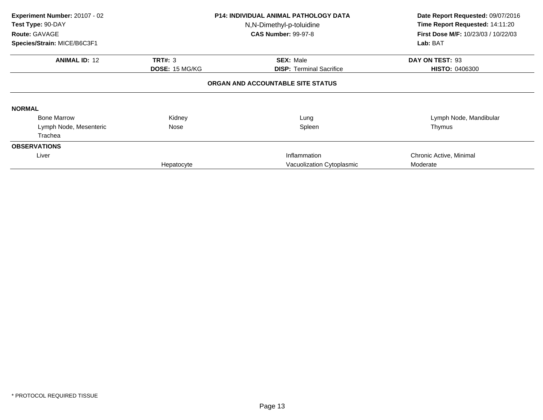| Experiment Number: 20107 - 02<br>Test Type: 90-DAY<br><b>Route: GAVAGE</b><br>Species/Strain: MICE/B6C3F1 |                                         | <b>P14: INDIVIDUAL ANIMAL PATHOLOGY DATA</b><br>N,N-Dimethyl-p-toluidine<br><b>CAS Number: 99-97-8</b> | Date Report Requested: 09/07/2016<br>Time Report Requested: 14:11:20<br>First Dose M/F: 10/23/03 / 10/22/03<br>Lab: BAT |
|-----------------------------------------------------------------------------------------------------------|-----------------------------------------|--------------------------------------------------------------------------------------------------------|-------------------------------------------------------------------------------------------------------------------------|
| <b>ANIMAL ID: 12</b>                                                                                      | <b>TRT#: 3</b><br><b>DOSE: 15 MG/KG</b> | <b>SEX: Male</b><br><b>DISP: Terminal Sacrifice</b>                                                    | DAY ON TEST: 93<br><b>HISTO: 0406300</b>                                                                                |
|                                                                                                           |                                         | ORGAN AND ACCOUNTABLE SITE STATUS                                                                      |                                                                                                                         |
| <b>NORMAL</b>                                                                                             |                                         |                                                                                                        |                                                                                                                         |
| <b>Bone Marrow</b>                                                                                        | Kidney                                  | Lung                                                                                                   | Lymph Node, Mandibular                                                                                                  |
| Lymph Node, Mesenteric                                                                                    | Nose                                    | Spleen                                                                                                 | Thymus                                                                                                                  |
| Trachea                                                                                                   |                                         |                                                                                                        |                                                                                                                         |
| <b>OBSERVATIONS</b>                                                                                       |                                         |                                                                                                        |                                                                                                                         |
| Liver                                                                                                     |                                         | Inflammation                                                                                           | Chronic Active, Minimal                                                                                                 |
|                                                                                                           | Hepatocyte                              | Vacuolization Cytoplasmic                                                                              | Moderate                                                                                                                |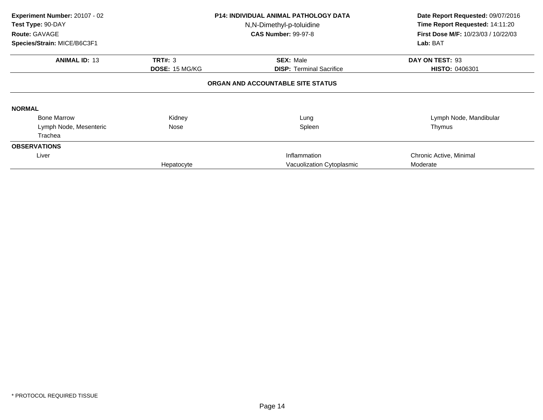| Experiment Number: 20107 - 02<br>Test Type: 90-DAY<br><b>Route: GAVAGE</b><br>Species/Strain: MICE/B6C3F1 |                                         | <b>P14: INDIVIDUAL ANIMAL PATHOLOGY DATA</b><br>N,N-Dimethyl-p-toluidine<br><b>CAS Number: 99-97-8</b> | Date Report Requested: 09/07/2016<br>Time Report Requested: 14:11:20<br><b>First Dose M/F: 10/23/03 / 10/22/03</b><br>Lab: BAT |
|-----------------------------------------------------------------------------------------------------------|-----------------------------------------|--------------------------------------------------------------------------------------------------------|--------------------------------------------------------------------------------------------------------------------------------|
| <b>ANIMAL ID: 13</b>                                                                                      | <b>TRT#: 3</b><br><b>DOSE: 15 MG/KG</b> | <b>SEX: Male</b><br><b>DISP: Terminal Sacrifice</b>                                                    | DAY ON TEST: 93<br><b>HISTO: 0406301</b>                                                                                       |
|                                                                                                           |                                         | ORGAN AND ACCOUNTABLE SITE STATUS                                                                      |                                                                                                                                |
| <b>NORMAL</b>                                                                                             |                                         |                                                                                                        |                                                                                                                                |
| <b>Bone Marrow</b>                                                                                        | Kidney                                  | Lung                                                                                                   | Lymph Node, Mandibular                                                                                                         |
| Lymph Node, Mesenteric                                                                                    | Nose                                    | Spleen                                                                                                 | Thymus                                                                                                                         |
| Trachea                                                                                                   |                                         |                                                                                                        |                                                                                                                                |
| <b>OBSERVATIONS</b>                                                                                       |                                         |                                                                                                        |                                                                                                                                |
| Liver                                                                                                     |                                         | Inflammation                                                                                           | Chronic Active, Minimal                                                                                                        |
|                                                                                                           | Hepatocyte                              | Vacuolization Cytoplasmic                                                                              | Moderate                                                                                                                       |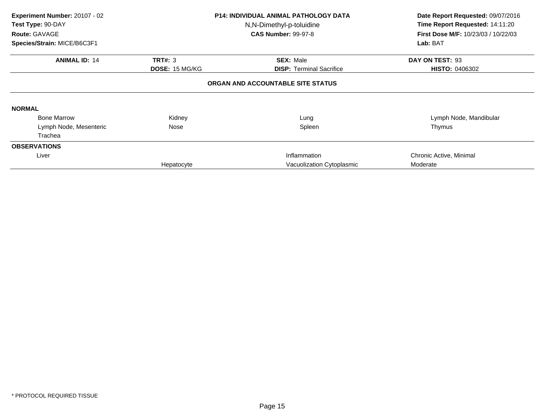| Experiment Number: 20107 - 02<br>Test Type: 90-DAY<br><b>Route: GAVAGE</b> |                | <b>P14: INDIVIDUAL ANIMAL PATHOLOGY DATA</b><br>N,N-Dimethyl-p-toluidine<br><b>CAS Number: 99-97-8</b> | Date Report Requested: 09/07/2016<br>Time Report Requested: 14:11:20<br><b>First Dose M/F: 10/23/03 / 10/22/03</b> |
|----------------------------------------------------------------------------|----------------|--------------------------------------------------------------------------------------------------------|--------------------------------------------------------------------------------------------------------------------|
| Species/Strain: MICE/B6C3F1                                                |                |                                                                                                        | Lab: BAT                                                                                                           |
| <b>ANIMAL ID: 14</b>                                                       | <b>TRT#: 3</b> | <b>SEX: Male</b>                                                                                       | DAY ON TEST: 93                                                                                                    |
|                                                                            | DOSE: 15 MG/KG | <b>DISP:</b> Terminal Sacrifice                                                                        | <b>HISTO: 0406302</b>                                                                                              |
|                                                                            |                | ORGAN AND ACCOUNTABLE SITE STATUS                                                                      |                                                                                                                    |
| <b>NORMAL</b>                                                              |                |                                                                                                        |                                                                                                                    |
| <b>Bone Marrow</b>                                                         | Kidney         | Lung                                                                                                   | Lymph Node, Mandibular                                                                                             |
| Lymph Node, Mesenteric                                                     | Nose           | Spleen                                                                                                 | Thymus                                                                                                             |
| Trachea                                                                    |                |                                                                                                        |                                                                                                                    |
| <b>OBSERVATIONS</b>                                                        |                |                                                                                                        |                                                                                                                    |
| Liver                                                                      |                | Inflammation                                                                                           | Chronic Active, Minimal                                                                                            |
|                                                                            | Hepatocyte     | Vacuolization Cytoplasmic                                                                              | Moderate                                                                                                           |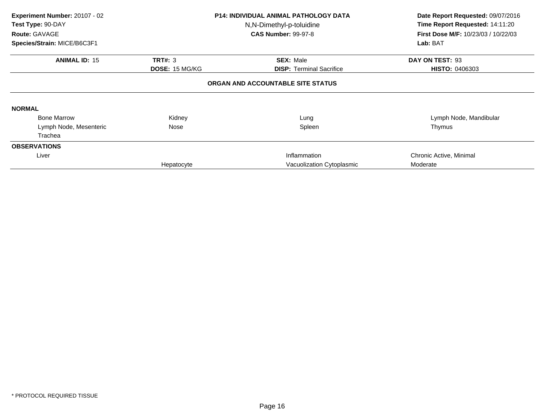| Experiment Number: 20107 - 02<br>Test Type: 90-DAY<br><b>Route: GAVAGE</b><br>Species/Strain: MICE/B6C3F1 |                                         | <b>P14: INDIVIDUAL ANIMAL PATHOLOGY DATA</b><br>N,N-Dimethyl-p-toluidine<br><b>CAS Number: 99-97-8</b> | Date Report Requested: 09/07/2016<br>Time Report Requested: 14:11:20<br>First Dose M/F: 10/23/03 / 10/22/03<br>Lab: BAT |
|-----------------------------------------------------------------------------------------------------------|-----------------------------------------|--------------------------------------------------------------------------------------------------------|-------------------------------------------------------------------------------------------------------------------------|
| <b>ANIMAL ID: 15</b>                                                                                      | <b>TRT#: 3</b><br><b>DOSE: 15 MG/KG</b> | <b>SEX: Male</b><br><b>DISP: Terminal Sacrifice</b>                                                    | DAY ON TEST: 93<br><b>HISTO: 0406303</b>                                                                                |
|                                                                                                           |                                         | ORGAN AND ACCOUNTABLE SITE STATUS                                                                      |                                                                                                                         |
| <b>NORMAL</b>                                                                                             |                                         |                                                                                                        |                                                                                                                         |
| <b>Bone Marrow</b>                                                                                        | Kidney                                  | Lung                                                                                                   | Lymph Node, Mandibular                                                                                                  |
| Lymph Node, Mesenteric                                                                                    | Nose                                    | Spleen                                                                                                 | Thymus                                                                                                                  |
| Trachea                                                                                                   |                                         |                                                                                                        |                                                                                                                         |
| <b>OBSERVATIONS</b>                                                                                       |                                         |                                                                                                        |                                                                                                                         |
| Liver                                                                                                     |                                         | Inflammation                                                                                           | Chronic Active, Minimal                                                                                                 |
|                                                                                                           | Hepatocyte                              | Vacuolization Cytoplasmic                                                                              | Moderate                                                                                                                |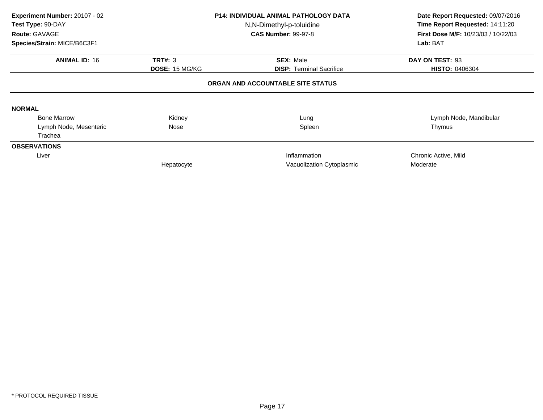| Experiment Number: 20107 - 02<br>Test Type: 90-DAY<br><b>Route: GAVAGE</b><br>Species/Strain: MICE/B6C3F1 |                                         | <b>P14: INDIVIDUAL ANIMAL PATHOLOGY DATA</b><br>N,N-Dimethyl-p-toluidine<br><b>CAS Number: 99-97-8</b> | Date Report Requested: 09/07/2016<br>Time Report Requested: 14:11:20<br><b>First Dose M/F: 10/23/03 / 10/22/03</b><br>Lab: BAT |
|-----------------------------------------------------------------------------------------------------------|-----------------------------------------|--------------------------------------------------------------------------------------------------------|--------------------------------------------------------------------------------------------------------------------------------|
| <b>ANIMAL ID: 16</b>                                                                                      | <b>TRT#: 3</b><br><b>DOSE: 15 MG/KG</b> | <b>SEX: Male</b><br><b>DISP: Terminal Sacrifice</b>                                                    | DAY ON TEST: 93<br><b>HISTO: 0406304</b>                                                                                       |
|                                                                                                           |                                         | ORGAN AND ACCOUNTABLE SITE STATUS                                                                      |                                                                                                                                |
| <b>NORMAL</b>                                                                                             |                                         |                                                                                                        |                                                                                                                                |
| <b>Bone Marrow</b>                                                                                        | Kidney                                  | Lung                                                                                                   | Lymph Node, Mandibular                                                                                                         |
| Lymph Node, Mesenteric                                                                                    | Nose                                    | Spleen                                                                                                 | Thymus                                                                                                                         |
| Trachea                                                                                                   |                                         |                                                                                                        |                                                                                                                                |
| <b>OBSERVATIONS</b>                                                                                       |                                         |                                                                                                        |                                                                                                                                |
| Liver                                                                                                     |                                         | Inflammation                                                                                           | Chronic Active, Mild                                                                                                           |
|                                                                                                           | Hepatocyte                              | Vacuolization Cytoplasmic                                                                              | Moderate                                                                                                                       |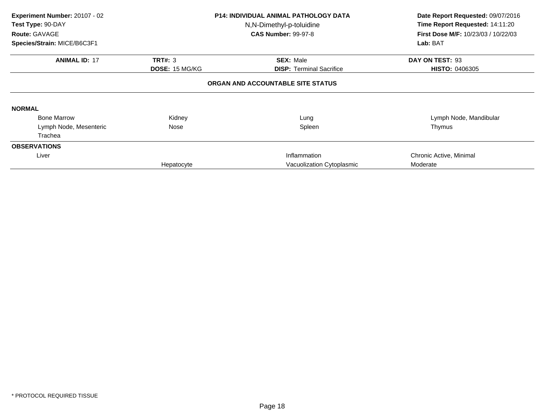| Experiment Number: 20107 - 02<br>Test Type: 90-DAY<br><b>Route: GAVAGE</b><br>Species/Strain: MICE/B6C3F1 |                                         | <b>P14: INDIVIDUAL ANIMAL PATHOLOGY DATA</b><br>N,N-Dimethyl-p-toluidine<br><b>CAS Number: 99-97-8</b> | Date Report Requested: 09/07/2016<br>Time Report Requested: 14:11:20<br><b>First Dose M/F: 10/23/03 / 10/22/03</b><br>Lab: BAT |
|-----------------------------------------------------------------------------------------------------------|-----------------------------------------|--------------------------------------------------------------------------------------------------------|--------------------------------------------------------------------------------------------------------------------------------|
| <b>ANIMAL ID: 17</b>                                                                                      | <b>TRT#: 3</b><br><b>DOSE: 15 MG/KG</b> | <b>SEX: Male</b><br><b>DISP: Terminal Sacrifice</b>                                                    | DAY ON TEST: 93<br><b>HISTO: 0406305</b>                                                                                       |
|                                                                                                           |                                         | ORGAN AND ACCOUNTABLE SITE STATUS                                                                      |                                                                                                                                |
| <b>NORMAL</b>                                                                                             |                                         |                                                                                                        |                                                                                                                                |
| <b>Bone Marrow</b>                                                                                        | Kidney                                  | Lung                                                                                                   | Lymph Node, Mandibular                                                                                                         |
| Lymph Node, Mesenteric                                                                                    | Nose                                    | Spleen                                                                                                 | Thymus                                                                                                                         |
| Trachea                                                                                                   |                                         |                                                                                                        |                                                                                                                                |
| <b>OBSERVATIONS</b>                                                                                       |                                         |                                                                                                        |                                                                                                                                |
| Liver                                                                                                     |                                         | Inflammation                                                                                           | Chronic Active, Minimal                                                                                                        |
|                                                                                                           | Hepatocyte                              | Vacuolization Cytoplasmic                                                                              | Moderate                                                                                                                       |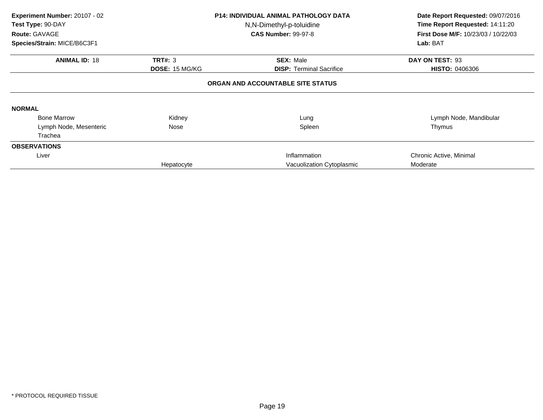| Experiment Number: 20107 - 02<br>Test Type: 90-DAY<br><b>Route: GAVAGE</b> | <b>P14: INDIVIDUAL ANIMAL PATHOLOGY DATA</b><br>N,N-Dimethyl-p-toluidine<br><b>CAS Number: 99-97-8</b> |                                   | Date Report Requested: 09/07/2016<br>Time Report Requested: 14:11:20<br><b>First Dose M/F: 10/23/03 / 10/22/03</b> |  |
|----------------------------------------------------------------------------|--------------------------------------------------------------------------------------------------------|-----------------------------------|--------------------------------------------------------------------------------------------------------------------|--|
| Species/Strain: MICE/B6C3F1                                                |                                                                                                        |                                   | Lab: BAT                                                                                                           |  |
| <b>ANIMAL ID: 18</b>                                                       | <b>TRT#: 3</b>                                                                                         | <b>SEX: Male</b>                  | DAY ON TEST: 93                                                                                                    |  |
|                                                                            | DOSE: 15 MG/KG                                                                                         | <b>DISP:</b> Terminal Sacrifice   | <b>HISTO: 0406306</b>                                                                                              |  |
|                                                                            |                                                                                                        | ORGAN AND ACCOUNTABLE SITE STATUS |                                                                                                                    |  |
| <b>NORMAL</b>                                                              |                                                                                                        |                                   |                                                                                                                    |  |
| <b>Bone Marrow</b>                                                         | Kidney                                                                                                 | Lung                              | Lymph Node, Mandibular                                                                                             |  |
| Lymph Node, Mesenteric                                                     | Nose                                                                                                   | Spleen                            | Thymus                                                                                                             |  |
| Trachea                                                                    |                                                                                                        |                                   |                                                                                                                    |  |
| <b>OBSERVATIONS</b>                                                        |                                                                                                        |                                   |                                                                                                                    |  |
| Liver                                                                      |                                                                                                        | Inflammation                      | Chronic Active, Minimal                                                                                            |  |
|                                                                            | Hepatocyte                                                                                             | Vacuolization Cytoplasmic         | Moderate                                                                                                           |  |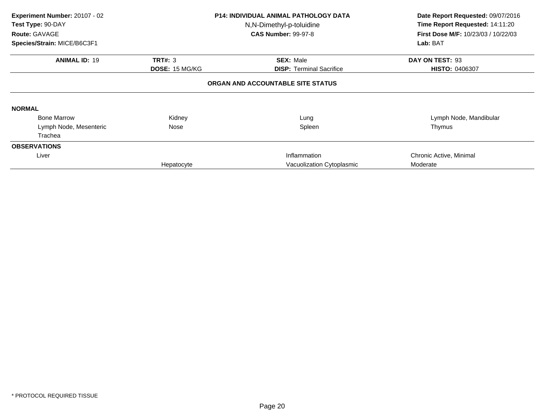| Experiment Number: 20107 - 02<br>Test Type: 90-DAY<br><b>Route: GAVAGE</b><br>Species/Strain: MICE/B6C3F1 |                                         | <b>P14: INDIVIDUAL ANIMAL PATHOLOGY DATA</b><br>N,N-Dimethyl-p-toluidine<br><b>CAS Number: 99-97-8</b> | Date Report Requested: 09/07/2016<br>Time Report Requested: 14:11:20<br><b>First Dose M/F: 10/23/03 / 10/22/03</b><br>Lab: BAT |
|-----------------------------------------------------------------------------------------------------------|-----------------------------------------|--------------------------------------------------------------------------------------------------------|--------------------------------------------------------------------------------------------------------------------------------|
| <b>ANIMAL ID: 19</b>                                                                                      | <b>TRT#: 3</b><br><b>DOSE: 15 MG/KG</b> | <b>SEX: Male</b><br><b>DISP: Terminal Sacrifice</b>                                                    | DAY ON TEST: 93<br>HISTO: 0406307                                                                                              |
|                                                                                                           |                                         | ORGAN AND ACCOUNTABLE SITE STATUS                                                                      |                                                                                                                                |
| <b>NORMAL</b>                                                                                             |                                         |                                                                                                        |                                                                                                                                |
| <b>Bone Marrow</b>                                                                                        | Kidney                                  | Lung                                                                                                   | Lymph Node, Mandibular                                                                                                         |
| Lymph Node, Mesenteric                                                                                    | Nose                                    | Spleen                                                                                                 | Thymus                                                                                                                         |
| Trachea                                                                                                   |                                         |                                                                                                        |                                                                                                                                |
| <b>OBSERVATIONS</b>                                                                                       |                                         |                                                                                                        |                                                                                                                                |
| Liver                                                                                                     |                                         | Inflammation                                                                                           | Chronic Active, Minimal                                                                                                        |
|                                                                                                           | Hepatocyte                              | Vacuolization Cytoplasmic                                                                              | Moderate                                                                                                                       |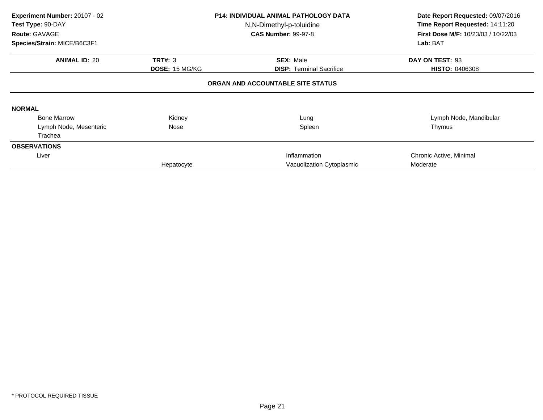| Experiment Number: 20107 - 02<br>Test Type: 90-DAY<br>Route: GAVAGE |                       | <b>P14: INDIVIDUAL ANIMAL PATHOLOGY DATA</b><br>N,N-Dimethyl-p-toluidine<br><b>CAS Number: 99-97-8</b> | Date Report Requested: 09/07/2016<br>Time Report Requested: 14:11:20<br><b>First Dose M/F: 10/23/03 / 10/22/03</b> |  |
|---------------------------------------------------------------------|-----------------------|--------------------------------------------------------------------------------------------------------|--------------------------------------------------------------------------------------------------------------------|--|
| Species/Strain: MICE/B6C3F1                                         |                       |                                                                                                        | Lab: BAT                                                                                                           |  |
| <b>ANIMAL ID: 20</b>                                                | <b>TRT#: 3</b>        | <b>SEX: Male</b>                                                                                       | DAY ON TEST: 93                                                                                                    |  |
|                                                                     | <b>DOSE: 15 MG/KG</b> | <b>DISP: Terminal Sacrifice</b>                                                                        | <b>HISTO: 0406308</b>                                                                                              |  |
|                                                                     |                       | ORGAN AND ACCOUNTABLE SITE STATUS                                                                      |                                                                                                                    |  |
| <b>NORMAL</b>                                                       |                       |                                                                                                        |                                                                                                                    |  |
| <b>Bone Marrow</b>                                                  | Kidney                | Lung                                                                                                   | Lymph Node, Mandibular                                                                                             |  |
| Lymph Node, Mesenteric                                              | Nose                  | Spleen                                                                                                 | Thymus                                                                                                             |  |
| Trachea                                                             |                       |                                                                                                        |                                                                                                                    |  |
| <b>OBSERVATIONS</b>                                                 |                       |                                                                                                        |                                                                                                                    |  |
| Liver                                                               |                       | Inflammation                                                                                           | Chronic Active, Minimal                                                                                            |  |
|                                                                     | Hepatocyte            | Vacuolization Cytoplasmic                                                                              | Moderate                                                                                                           |  |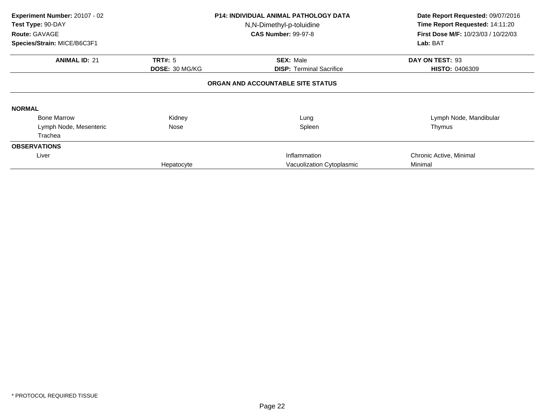| Experiment Number: 20107 - 02<br>Test Type: 90-DAY<br>Route: GAVAGE<br>Species/Strain: MICE/B6C3F1 |                                         | <b>P14: INDIVIDUAL ANIMAL PATHOLOGY DATA</b><br>N,N-Dimethyl-p-toluidine<br><b>CAS Number: 99-97-8</b> | Date Report Requested: 09/07/2016<br>Time Report Requested: 14:11:20<br>First Dose M/F: 10/23/03 / 10/22/03<br>Lab: BAT |
|----------------------------------------------------------------------------------------------------|-----------------------------------------|--------------------------------------------------------------------------------------------------------|-------------------------------------------------------------------------------------------------------------------------|
| <b>ANIMAL ID: 21</b>                                                                               | <b>TRT#: 5</b><br><b>DOSE: 30 MG/KG</b> | <b>SEX: Male</b><br><b>DISP: Terminal Sacrifice</b>                                                    | DAY ON TEST: 93<br><b>HISTO: 0406309</b>                                                                                |
|                                                                                                    |                                         | ORGAN AND ACCOUNTABLE SITE STATUS                                                                      |                                                                                                                         |
| <b>NORMAL</b>                                                                                      |                                         |                                                                                                        |                                                                                                                         |
| <b>Bone Marrow</b>                                                                                 | Kidney                                  | Lung                                                                                                   | Lymph Node, Mandibular                                                                                                  |
| Lymph Node, Mesenteric                                                                             | Nose                                    | Spleen                                                                                                 | Thymus                                                                                                                  |
| Trachea                                                                                            |                                         |                                                                                                        |                                                                                                                         |
| <b>OBSERVATIONS</b>                                                                                |                                         |                                                                                                        |                                                                                                                         |
| Liver                                                                                              |                                         | Inflammation                                                                                           | Chronic Active, Minimal                                                                                                 |
|                                                                                                    | Hepatocyte                              | Vacuolization Cytoplasmic                                                                              | Minimal                                                                                                                 |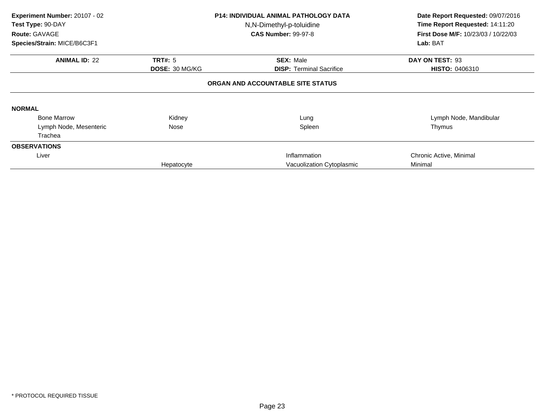| Experiment Number: 20107 - 02<br>Test Type: 90-DAY<br><b>Route: GAVAGE</b><br>Species/Strain: MICE/B6C3F1 |                       | <b>P14: INDIVIDUAL ANIMAL PATHOLOGY DATA</b><br>N,N-Dimethyl-p-toluidine<br><b>CAS Number: 99-97-8</b> | Date Report Requested: 09/07/2016<br>Time Report Requested: 14:11:20<br><b>First Dose M/F: 10/23/03 / 10/22/03</b><br>Lab: BAT |
|-----------------------------------------------------------------------------------------------------------|-----------------------|--------------------------------------------------------------------------------------------------------|--------------------------------------------------------------------------------------------------------------------------------|
| <b>ANIMAL ID: 22</b>                                                                                      | <b>TRT#: 5</b>        | <b>SEX: Male</b>                                                                                       | DAY ON TEST: 93                                                                                                                |
|                                                                                                           | <b>DOSE: 30 MG/KG</b> | <b>DISP: Terminal Sacrifice</b><br>ORGAN AND ACCOUNTABLE SITE STATUS                                   | <b>HISTO: 0406310</b>                                                                                                          |
| <b>NORMAL</b>                                                                                             |                       |                                                                                                        |                                                                                                                                |
| <b>Bone Marrow</b>                                                                                        | Kidney                | Lung                                                                                                   | Lymph Node, Mandibular                                                                                                         |
| Lymph Node, Mesenteric                                                                                    | Nose                  | Spleen                                                                                                 | Thymus                                                                                                                         |
| Trachea                                                                                                   |                       |                                                                                                        |                                                                                                                                |
| <b>OBSERVATIONS</b>                                                                                       |                       |                                                                                                        |                                                                                                                                |
| Liver                                                                                                     |                       | Inflammation                                                                                           | Chronic Active, Minimal                                                                                                        |
|                                                                                                           | Hepatocyte            | Vacuolization Cytoplasmic                                                                              | Minimal                                                                                                                        |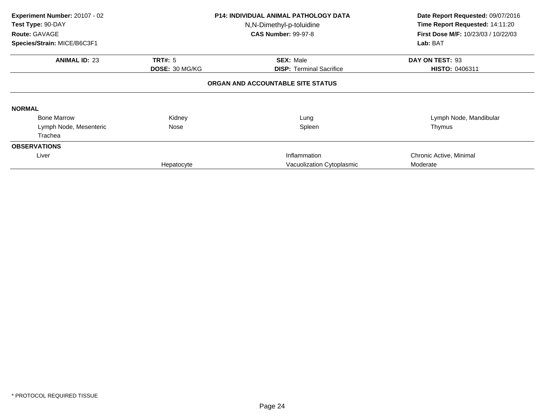| Experiment Number: 20107 - 02<br>Test Type: 90-DAY<br><b>Route: GAVAGE</b><br>Species/Strain: MICE/B6C3F1 |                                         | <b>P14: INDIVIDUAL ANIMAL PATHOLOGY DATA</b><br>N,N-Dimethyl-p-toluidine<br><b>CAS Number: 99-97-8</b> | Date Report Requested: 09/07/2016<br>Time Report Requested: 14:11:20<br>First Dose M/F: 10/23/03 / 10/22/03<br>Lab: BAT |
|-----------------------------------------------------------------------------------------------------------|-----------------------------------------|--------------------------------------------------------------------------------------------------------|-------------------------------------------------------------------------------------------------------------------------|
| <b>ANIMAL ID: 23</b>                                                                                      | <b>TRT#: 5</b><br><b>DOSE: 30 MG/KG</b> | <b>SEX: Male</b><br><b>DISP: Terminal Sacrifice</b>                                                    | DAY ON TEST: 93<br>HISTO: 0406311                                                                                       |
|                                                                                                           |                                         | ORGAN AND ACCOUNTABLE SITE STATUS                                                                      |                                                                                                                         |
| <b>NORMAL</b>                                                                                             |                                         |                                                                                                        |                                                                                                                         |
| <b>Bone Marrow</b>                                                                                        | Kidney                                  | Lung                                                                                                   | Lymph Node, Mandibular                                                                                                  |
| Lymph Node, Mesenteric                                                                                    | Nose                                    | Spleen                                                                                                 | Thymus                                                                                                                  |
| Trachea                                                                                                   |                                         |                                                                                                        |                                                                                                                         |
| <b>OBSERVATIONS</b>                                                                                       |                                         |                                                                                                        |                                                                                                                         |
| Liver                                                                                                     |                                         | Inflammation                                                                                           | Chronic Active, Minimal                                                                                                 |
|                                                                                                           | Hepatocyte                              | Vacuolization Cytoplasmic                                                                              | Moderate                                                                                                                |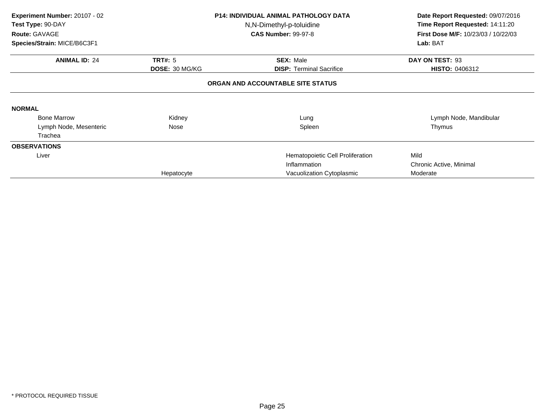| Experiment Number: 20107 - 02<br>Test Type: 90-DAY<br>Route: GAVAGE<br>Species/Strain: MICE/B6C3F1 |                                  | <b>P14: INDIVIDUAL ANIMAL PATHOLOGY DATA</b><br>N,N-Dimethyl-p-toluidine<br><b>CAS Number: 99-97-8</b> | Date Report Requested: 09/07/2016<br>Time Report Requested: 14:11:20<br>First Dose M/F: 10/23/03 / 10/22/03<br>Lab: BAT |
|----------------------------------------------------------------------------------------------------|----------------------------------|--------------------------------------------------------------------------------------------------------|-------------------------------------------------------------------------------------------------------------------------|
|                                                                                                    |                                  |                                                                                                        |                                                                                                                         |
| <b>ANIMAL ID: 24</b>                                                                               | <b>TRT#: 5</b><br>DOSE: 30 MG/KG | <b>SEX: Male</b><br><b>DISP:</b> Terminal Sacrifice                                                    | DAY ON TEST: 93<br><b>HISTO: 0406312</b>                                                                                |
|                                                                                                    |                                  | ORGAN AND ACCOUNTABLE SITE STATUS                                                                      |                                                                                                                         |
| <b>NORMAL</b>                                                                                      |                                  |                                                                                                        |                                                                                                                         |
| <b>Bone Marrow</b>                                                                                 | Kidney                           | Lung                                                                                                   | Lymph Node, Mandibular                                                                                                  |
| Lymph Node, Mesenteric                                                                             | Nose                             | Spleen                                                                                                 | Thymus                                                                                                                  |
| Trachea                                                                                            |                                  |                                                                                                        |                                                                                                                         |
| <b>OBSERVATIONS</b>                                                                                |                                  |                                                                                                        |                                                                                                                         |
| Liver                                                                                              |                                  | Hematopoietic Cell Proliferation                                                                       | Mild                                                                                                                    |
|                                                                                                    |                                  | Inflammation                                                                                           | Chronic Active, Minimal                                                                                                 |
|                                                                                                    | Hepatocyte                       | Vacuolization Cytoplasmic                                                                              | Moderate                                                                                                                |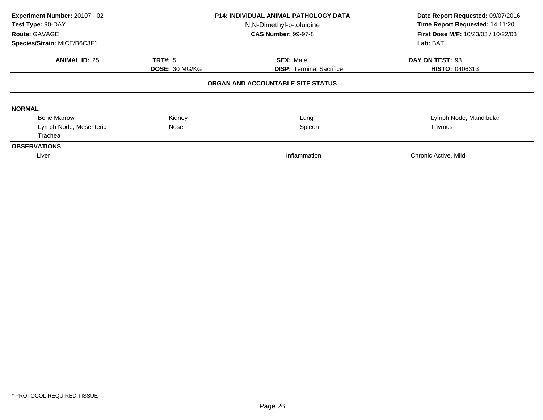| Experiment Number: 20107 - 02<br>Test Type: 90-DAY<br>Route: GAVAGE<br>Species/Strain: MICE/B6C3F1 |                | <b>P14: INDIVIDUAL ANIMAL PATHOLOGY DATA</b><br>N,N-Dimethyl-p-toluidine<br><b>CAS Number: 99-97-8</b> | Date Report Requested: 09/07/2016<br>Time Report Requested: 14:11:20<br><b>First Dose M/F: 10/23/03 / 10/22/03</b><br>Lab: BAT |
|----------------------------------------------------------------------------------------------------|----------------|--------------------------------------------------------------------------------------------------------|--------------------------------------------------------------------------------------------------------------------------------|
| <b>ANIMAL ID: 25</b>                                                                               | <b>TRT#: 5</b> | <b>SEX: Male</b>                                                                                       | DAY ON TEST: 93                                                                                                                |
|                                                                                                    | DOSE: 30 MG/KG | <b>DISP:</b> Terminal Sacrifice                                                                        | <b>HISTO: 0406313</b>                                                                                                          |
|                                                                                                    |                | ORGAN AND ACCOUNTABLE SITE STATUS                                                                      |                                                                                                                                |
| <b>NORMAL</b>                                                                                      |                |                                                                                                        |                                                                                                                                |
| <b>Bone Marrow</b>                                                                                 | Kidney         | Lung                                                                                                   | Lymph Node, Mandibular                                                                                                         |
| Lymph Node, Mesenteric                                                                             | Nose           | Spleen                                                                                                 | Thymus                                                                                                                         |
| Trachea                                                                                            |                |                                                                                                        |                                                                                                                                |
| <b>OBSERVATIONS</b>                                                                                |                |                                                                                                        |                                                                                                                                |
| Liver                                                                                              |                | Inflammation                                                                                           | Chronic Active, Mild                                                                                                           |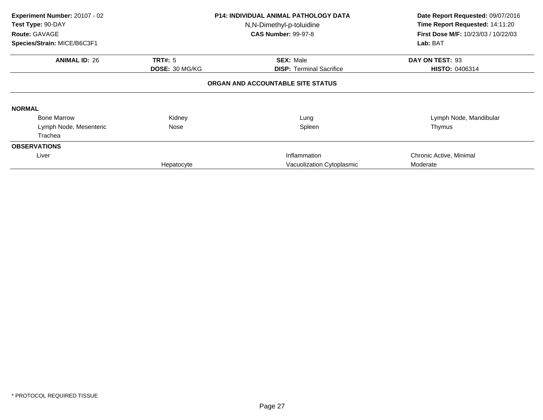| Experiment Number: 20107 - 02<br>Test Type: 90-DAY<br>Route: GAVAGE<br>Species/Strain: MICE/B6C3F1 |                       | <b>P14: INDIVIDUAL ANIMAL PATHOLOGY DATA</b><br>N,N-Dimethyl-p-toluidine<br><b>CAS Number: 99-97-8</b> | Date Report Requested: 09/07/2016<br>Time Report Requested: 14:11:20<br>First Dose M/F: 10/23/03 / 10/22/03<br>Lab: BAT |  |
|----------------------------------------------------------------------------------------------------|-----------------------|--------------------------------------------------------------------------------------------------------|-------------------------------------------------------------------------------------------------------------------------|--|
|                                                                                                    |                       |                                                                                                        |                                                                                                                         |  |
| <b>ANIMAL ID: 26</b>                                                                               | <b>TRT#: 5</b>        | <b>SEX: Male</b>                                                                                       | DAY ON TEST: 93                                                                                                         |  |
|                                                                                                    | <b>DOSE: 30 MG/KG</b> | <b>DISP: Terminal Sacrifice</b>                                                                        | <b>HISTO: 0406314</b>                                                                                                   |  |
|                                                                                                    |                       | ORGAN AND ACCOUNTABLE SITE STATUS                                                                      |                                                                                                                         |  |
| <b>NORMAL</b>                                                                                      |                       |                                                                                                        |                                                                                                                         |  |
| <b>Bone Marrow</b>                                                                                 | Kidney                | Lung                                                                                                   | Lymph Node, Mandibular                                                                                                  |  |
| Lymph Node, Mesenteric                                                                             | Nose                  | Spleen                                                                                                 | Thymus                                                                                                                  |  |
| Trachea                                                                                            |                       |                                                                                                        |                                                                                                                         |  |
| <b>OBSERVATIONS</b>                                                                                |                       |                                                                                                        |                                                                                                                         |  |
| Liver                                                                                              |                       | Inflammation                                                                                           | Chronic Active, Minimal                                                                                                 |  |
|                                                                                                    | Hepatocyte            | Vacuolization Cytoplasmic                                                                              | Moderate                                                                                                                |  |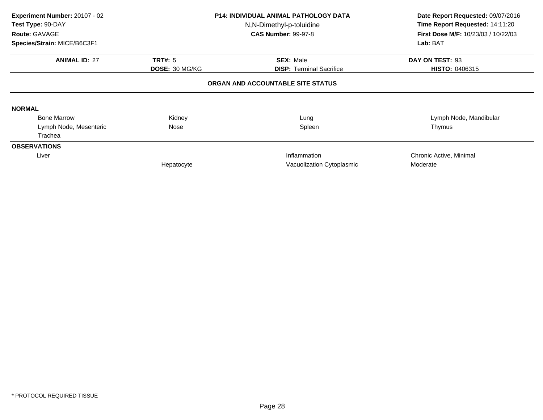| Experiment Number: 20107 - 02<br>Test Type: 90-DAY<br>Route: GAVAGE<br>Species/Strain: MICE/B6C3F1 |                                         | <b>P14: INDIVIDUAL ANIMAL PATHOLOGY DATA</b><br>N,N-Dimethyl-p-toluidine<br><b>CAS Number: 99-97-8</b> | Date Report Requested: 09/07/2016<br>Time Report Requested: 14:11:20<br><b>First Dose M/F: 10/23/03 / 10/22/03</b><br>Lab: BAT |
|----------------------------------------------------------------------------------------------------|-----------------------------------------|--------------------------------------------------------------------------------------------------------|--------------------------------------------------------------------------------------------------------------------------------|
| <b>ANIMAL ID: 27</b>                                                                               | <b>TRT#: 5</b><br><b>DOSE: 30 MG/KG</b> | <b>SEX: Male</b><br><b>DISP: Terminal Sacrifice</b>                                                    | DAY ON TEST: 93<br>HISTO: 0406315                                                                                              |
|                                                                                                    |                                         | ORGAN AND ACCOUNTABLE SITE STATUS                                                                      |                                                                                                                                |
| <b>NORMAL</b>                                                                                      |                                         |                                                                                                        |                                                                                                                                |
| <b>Bone Marrow</b>                                                                                 | Kidney                                  | Lung                                                                                                   | Lymph Node, Mandibular                                                                                                         |
| Lymph Node, Mesenteric                                                                             | Nose                                    | Spleen                                                                                                 | Thymus                                                                                                                         |
| Trachea                                                                                            |                                         |                                                                                                        |                                                                                                                                |
| <b>OBSERVATIONS</b>                                                                                |                                         |                                                                                                        |                                                                                                                                |
| Liver                                                                                              |                                         | Inflammation                                                                                           | Chronic Active, Minimal                                                                                                        |
|                                                                                                    | Hepatocyte                              | Vacuolization Cytoplasmic                                                                              | Moderate                                                                                                                       |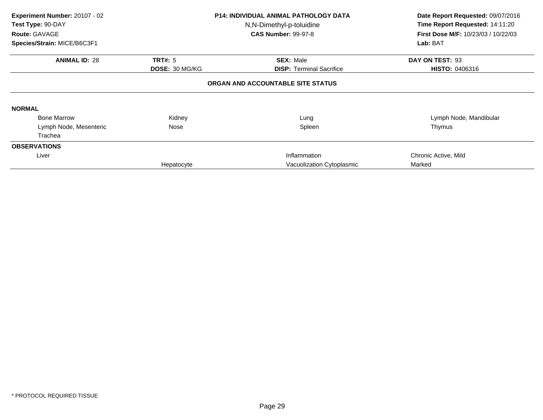| Experiment Number: 20107 - 02<br>Test Type: 90-DAY<br>Route: GAVAGE | <b>P14: INDIVIDUAL ANIMAL PATHOLOGY DATA</b><br>N,N-Dimethyl-p-toluidine<br><b>CAS Number: 99-97-8</b> |                                   | Date Report Requested: 09/07/2016<br>Time Report Requested: 14:11:20<br>First Dose M/F: 10/23/03 / 10/22/03 |  |
|---------------------------------------------------------------------|--------------------------------------------------------------------------------------------------------|-----------------------------------|-------------------------------------------------------------------------------------------------------------|--|
| Species/Strain: MICE/B6C3F1                                         |                                                                                                        |                                   | Lab: BAT                                                                                                    |  |
| <b>ANIMAL ID: 28</b>                                                | <b>TRT#: 5</b>                                                                                         | <b>SEX: Male</b>                  | DAY ON TEST: 93                                                                                             |  |
|                                                                     | <b>DOSE: 30 MG/KG</b>                                                                                  | <b>DISP:</b> Terminal Sacrifice   | <b>HISTO: 0406316</b>                                                                                       |  |
|                                                                     |                                                                                                        | ORGAN AND ACCOUNTABLE SITE STATUS |                                                                                                             |  |
| <b>NORMAL</b>                                                       |                                                                                                        |                                   |                                                                                                             |  |
| <b>Bone Marrow</b>                                                  | Kidney                                                                                                 | Lung                              | Lymph Node, Mandibular                                                                                      |  |
| Lymph Node, Mesenteric                                              | Nose                                                                                                   | Spleen                            | Thymus                                                                                                      |  |
| Trachea                                                             |                                                                                                        |                                   |                                                                                                             |  |
| <b>OBSERVATIONS</b>                                                 |                                                                                                        |                                   |                                                                                                             |  |
| Liver                                                               |                                                                                                        | Inflammation                      | Chronic Active, Mild                                                                                        |  |
|                                                                     | Hepatocyte                                                                                             | Vacuolization Cytoplasmic         | Marked                                                                                                      |  |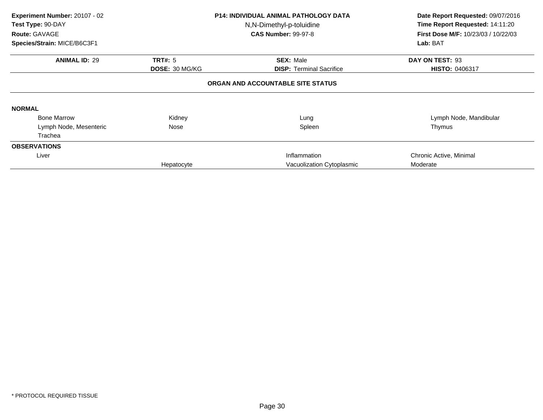| Experiment Number: 20107 - 02<br>Test Type: 90-DAY<br>Route: GAVAGE<br>Species/Strain: MICE/B6C3F1 |                                         | <b>P14: INDIVIDUAL ANIMAL PATHOLOGY DATA</b><br>N,N-Dimethyl-p-toluidine<br><b>CAS Number: 99-97-8</b> | Date Report Requested: 09/07/2016<br>Time Report Requested: 14:11:20<br><b>First Dose M/F: 10/23/03 / 10/22/03</b><br>Lab: BAT |
|----------------------------------------------------------------------------------------------------|-----------------------------------------|--------------------------------------------------------------------------------------------------------|--------------------------------------------------------------------------------------------------------------------------------|
| <b>ANIMAL ID: 29</b>                                                                               | <b>TRT#: 5</b><br><b>DOSE: 30 MG/KG</b> | <b>SEX: Male</b><br><b>DISP: Terminal Sacrifice</b>                                                    | DAY ON TEST: 93<br>HISTO: 0406317                                                                                              |
|                                                                                                    |                                         | ORGAN AND ACCOUNTABLE SITE STATUS                                                                      |                                                                                                                                |
| <b>NORMAL</b>                                                                                      |                                         |                                                                                                        |                                                                                                                                |
| <b>Bone Marrow</b>                                                                                 | Kidney                                  | Lung                                                                                                   | Lymph Node, Mandibular                                                                                                         |
| Lymph Node, Mesenteric                                                                             | Nose                                    | Spleen                                                                                                 | Thymus                                                                                                                         |
| Trachea                                                                                            |                                         |                                                                                                        |                                                                                                                                |
| <b>OBSERVATIONS</b>                                                                                |                                         |                                                                                                        |                                                                                                                                |
| Liver                                                                                              |                                         | Inflammation                                                                                           | Chronic Active, Minimal                                                                                                        |
|                                                                                                    | Hepatocyte                              | Vacuolization Cytoplasmic                                                                              | Moderate                                                                                                                       |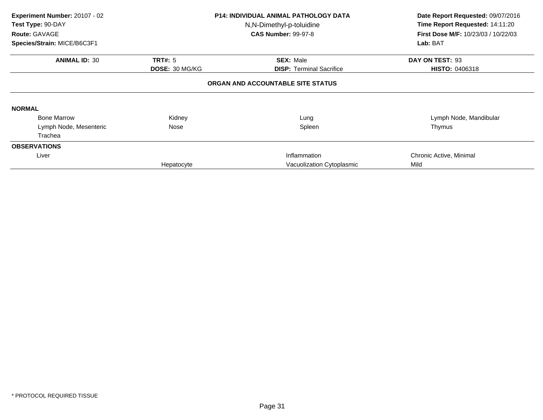| Experiment Number: 20107 - 02<br>Test Type: 90-DAY<br>Route: GAVAGE |                | <b>P14: INDIVIDUAL ANIMAL PATHOLOGY DATA</b><br>N,N-Dimethyl-p-toluidine<br><b>CAS Number: 99-97-8</b> | Date Report Requested: 09/07/2016<br>Time Report Requested: 14:11:20<br>First Dose M/F: 10/23/03 / 10/22/03 |  |
|---------------------------------------------------------------------|----------------|--------------------------------------------------------------------------------------------------------|-------------------------------------------------------------------------------------------------------------|--|
| Species/Strain: MICE/B6C3F1                                         |                |                                                                                                        | Lab: BAT                                                                                                    |  |
| <b>ANIMAL ID: 30</b>                                                | <b>TRT#: 5</b> | <b>SEX: Male</b>                                                                                       | DAY ON TEST: 93                                                                                             |  |
|                                                                     | DOSE: 30 MG/KG | <b>DISP:</b> Terminal Sacrifice                                                                        | <b>HISTO: 0406318</b>                                                                                       |  |
|                                                                     |                | ORGAN AND ACCOUNTABLE SITE STATUS                                                                      |                                                                                                             |  |
| <b>NORMAL</b>                                                       |                |                                                                                                        |                                                                                                             |  |
| <b>Bone Marrow</b>                                                  | Kidney         | Lung                                                                                                   | Lymph Node, Mandibular                                                                                      |  |
| Lymph Node, Mesenteric                                              | Nose           | Spleen                                                                                                 | Thymus                                                                                                      |  |
| Trachea                                                             |                |                                                                                                        |                                                                                                             |  |
| <b>OBSERVATIONS</b>                                                 |                |                                                                                                        |                                                                                                             |  |
| Liver                                                               |                | Inflammation                                                                                           | Chronic Active, Minimal                                                                                     |  |
|                                                                     | Hepatocyte     | Vacuolization Cytoplasmic                                                                              | Mild                                                                                                        |  |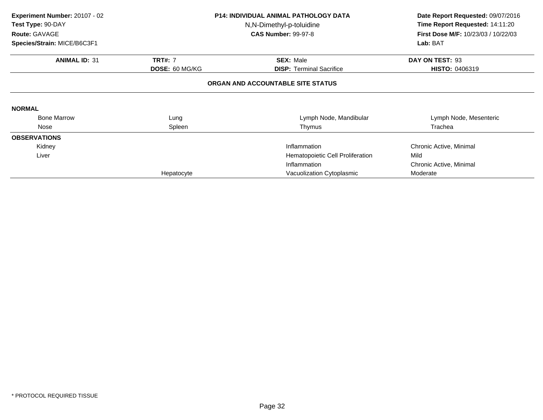| Experiment Number: 20107 - 02<br>Test Type: 90-DAY | <b>P14: INDIVIDUAL ANIMAL PATHOLOGY DATA</b><br>N,N-Dimethyl-p-toluidine |                                   | Date Report Requested: 09/07/2016<br>Time Report Requested: 14:11:20 |
|----------------------------------------------------|--------------------------------------------------------------------------|-----------------------------------|----------------------------------------------------------------------|
| Route: GAVAGE<br>Species/Strain: MICE/B6C3F1       |                                                                          | <b>CAS Number: 99-97-8</b>        | First Dose M/F: 10/23/03 / 10/22/03<br>Lab: BAT                      |
| <b>ANIMAL ID: 31</b>                               | <b>TRT#: 7</b>                                                           | <b>SEX: Male</b>                  | DAY ON TEST: 93                                                      |
|                                                    | DOSE: 60 MG/KG                                                           | <b>DISP: Terminal Sacrifice</b>   | <b>HISTO: 0406319</b>                                                |
|                                                    |                                                                          | ORGAN AND ACCOUNTABLE SITE STATUS |                                                                      |
| <b>NORMAL</b>                                      |                                                                          |                                   |                                                                      |
| <b>Bone Marrow</b>                                 | Lung                                                                     | Lymph Node, Mandibular            | Lymph Node, Mesenteric                                               |
| Nose                                               | Spleen                                                                   | Thymus                            | Trachea                                                              |
| <b>OBSERVATIONS</b>                                |                                                                          |                                   |                                                                      |
| Kidney                                             |                                                                          | Inflammation                      | Chronic Active, Minimal                                              |
| Liver                                              |                                                                          | Hematopoietic Cell Proliferation  | Mild                                                                 |
|                                                    |                                                                          | Inflammation                      | Chronic Active, Minimal                                              |
|                                                    | Hepatocyte                                                               | Vacuolization Cytoplasmic         | Moderate                                                             |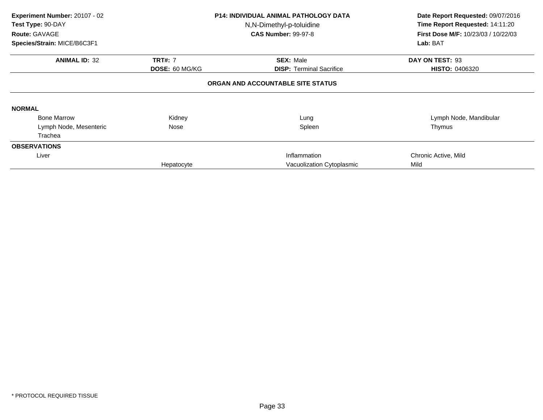| Experiment Number: 20107 - 02<br>Test Type: 90-DAY<br>Route: GAVAGE<br>Species/Strain: MICE/B6C3F1 |                       | <b>P14: INDIVIDUAL ANIMAL PATHOLOGY DATA</b><br>N,N-Dimethyl-p-toluidine<br><b>CAS Number: 99-97-8</b> | Date Report Requested: 09/07/2016<br>Time Report Requested: 14:11:20<br>First Dose M/F: 10/23/03 / 10/22/03<br>Lab: BAT |  |
|----------------------------------------------------------------------------------------------------|-----------------------|--------------------------------------------------------------------------------------------------------|-------------------------------------------------------------------------------------------------------------------------|--|
|                                                                                                    |                       |                                                                                                        |                                                                                                                         |  |
| <b>ANIMAL ID: 32</b>                                                                               | <b>TRT#: 7</b>        | <b>SEX: Male</b>                                                                                       | DAY ON TEST: 93                                                                                                         |  |
|                                                                                                    | <b>DOSE: 60 MG/KG</b> | <b>DISP:</b> Terminal Sacrifice                                                                        | <b>HISTO: 0406320</b>                                                                                                   |  |
| <b>NORMAL</b>                                                                                      |                       | ORGAN AND ACCOUNTABLE SITE STATUS                                                                      |                                                                                                                         |  |
| <b>Bone Marrow</b>                                                                                 | Kidney                | Lung                                                                                                   | Lymph Node, Mandibular                                                                                                  |  |
| Lymph Node, Mesenteric                                                                             | Nose                  | Spleen                                                                                                 | Thymus                                                                                                                  |  |
| Trachea                                                                                            |                       |                                                                                                        |                                                                                                                         |  |
| <b>OBSERVATIONS</b>                                                                                |                       |                                                                                                        |                                                                                                                         |  |
| Liver                                                                                              |                       | Inflammation                                                                                           | Chronic Active, Mild                                                                                                    |  |
|                                                                                                    | Hepatocyte            | Vacuolization Cytoplasmic                                                                              | Mild                                                                                                                    |  |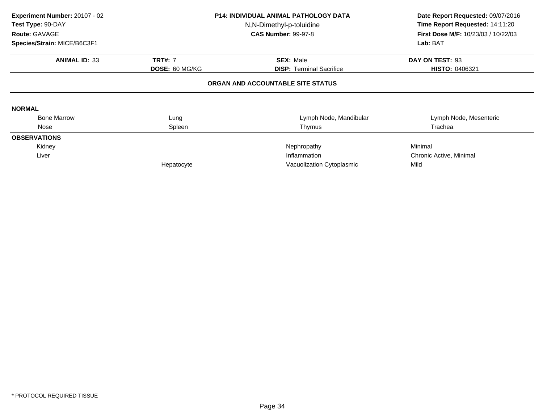| Experiment Number: 20107 - 02<br>Test Type: 90-DAY<br>Route: GAVAGE<br>Species/Strain: MICE/B6C3F1 |                | <b>P14: INDIVIDUAL ANIMAL PATHOLOGY DATA</b><br>N,N-Dimethyl-p-toluidine<br><b>CAS Number: 99-97-8</b> | Date Report Requested: 09/07/2016<br>Time Report Requested: 14:11:20<br>First Dose M/F: 10/23/03 / 10/22/03<br>Lab: BAT |
|----------------------------------------------------------------------------------------------------|----------------|--------------------------------------------------------------------------------------------------------|-------------------------------------------------------------------------------------------------------------------------|
|                                                                                                    |                |                                                                                                        |                                                                                                                         |
| <b>ANIMAL ID: 33</b>                                                                               | <b>TRT#: 7</b> | <b>SEX: Male</b>                                                                                       | DAY ON TEST: 93                                                                                                         |
|                                                                                                    | DOSE: 60 MG/KG | <b>DISP: Terminal Sacrifice</b>                                                                        | <b>HISTO: 0406321</b>                                                                                                   |
|                                                                                                    |                | ORGAN AND ACCOUNTABLE SITE STATUS                                                                      |                                                                                                                         |
| <b>NORMAL</b>                                                                                      |                |                                                                                                        |                                                                                                                         |
| <b>Bone Marrow</b>                                                                                 | Lung           | Lymph Node, Mandibular                                                                                 | Lymph Node, Mesenteric                                                                                                  |
| Nose                                                                                               | Spleen         | Thymus                                                                                                 | Trachea                                                                                                                 |
| <b>OBSERVATIONS</b>                                                                                |                |                                                                                                        |                                                                                                                         |
| Kidney                                                                                             |                | Nephropathy                                                                                            | Minimal                                                                                                                 |
| Liver                                                                                              |                | Inflammation                                                                                           | Chronic Active, Minimal                                                                                                 |
|                                                                                                    | Hepatocyte     | Vacuolization Cytoplasmic                                                                              | Mild                                                                                                                    |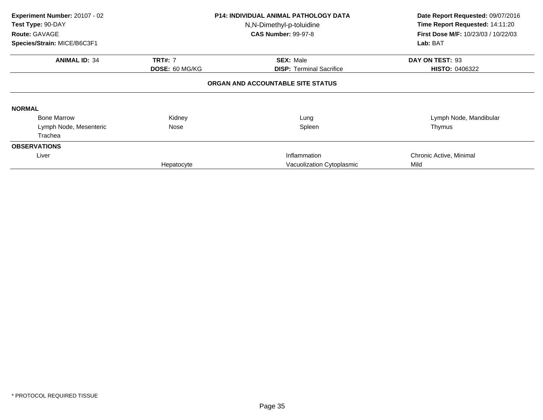| Experiment Number: 20107 - 02<br>Test Type: 90-DAY<br>Route: GAVAGE |                       | <b>P14: INDIVIDUAL ANIMAL PATHOLOGY DATA</b><br>N,N-Dimethyl-p-toluidine<br><b>CAS Number: 99-97-8</b> | Date Report Requested: 09/07/2016<br>Time Report Requested: 14:11:20<br>First Dose M/F: 10/23/03 / 10/22/03 |  |
|---------------------------------------------------------------------|-----------------------|--------------------------------------------------------------------------------------------------------|-------------------------------------------------------------------------------------------------------------|--|
| Species/Strain: MICE/B6C3F1                                         |                       |                                                                                                        | Lab: BAT                                                                                                    |  |
| <b>ANIMAL ID: 34</b>                                                | <b>TRT#: 7</b>        | <b>SEX: Male</b>                                                                                       | DAY ON TEST: 93                                                                                             |  |
|                                                                     | <b>DOSE: 60 MG/KG</b> | <b>DISP:</b> Terminal Sacrifice                                                                        | <b>HISTO: 0406322</b>                                                                                       |  |
|                                                                     |                       | ORGAN AND ACCOUNTABLE SITE STATUS                                                                      |                                                                                                             |  |
| <b>NORMAL</b>                                                       |                       |                                                                                                        |                                                                                                             |  |
| <b>Bone Marrow</b>                                                  | Kidney                | Lung                                                                                                   | Lymph Node, Mandibular                                                                                      |  |
| Lymph Node, Mesenteric                                              | Nose                  | Spleen                                                                                                 | Thymus                                                                                                      |  |
| Trachea                                                             |                       |                                                                                                        |                                                                                                             |  |
| <b>OBSERVATIONS</b>                                                 |                       |                                                                                                        |                                                                                                             |  |
| Liver                                                               |                       | Inflammation                                                                                           | Chronic Active, Minimal                                                                                     |  |
|                                                                     | Hepatocyte            | Vacuolization Cytoplasmic                                                                              | Mild                                                                                                        |  |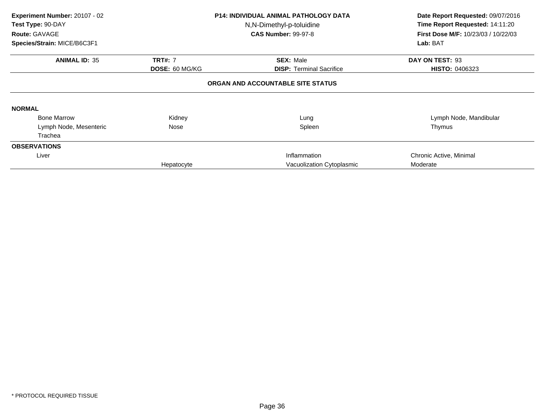| Experiment Number: 20107 - 02<br>Test Type: 90-DAY<br>Route: GAVAGE<br>Species/Strain: MICE/B6C3F1 |                                         | <b>P14: INDIVIDUAL ANIMAL PATHOLOGY DATA</b><br>N,N-Dimethyl-p-toluidine<br><b>CAS Number: 99-97-8</b> | Date Report Requested: 09/07/2016<br>Time Report Requested: 14:11:20<br>First Dose M/F: 10/23/03 / 10/22/03<br>Lab: BAT |
|----------------------------------------------------------------------------------------------------|-----------------------------------------|--------------------------------------------------------------------------------------------------------|-------------------------------------------------------------------------------------------------------------------------|
| <b>ANIMAL ID: 35</b>                                                                               | <b>TRT#: 7</b><br><b>DOSE: 60 MG/KG</b> | <b>SEX: Male</b><br><b>DISP: Terminal Sacrifice</b>                                                    | DAY ON TEST: 93<br><b>HISTO: 0406323</b>                                                                                |
|                                                                                                    |                                         | ORGAN AND ACCOUNTABLE SITE STATUS                                                                      |                                                                                                                         |
| <b>NORMAL</b>                                                                                      |                                         |                                                                                                        |                                                                                                                         |
| <b>Bone Marrow</b>                                                                                 | Kidney                                  | Lung                                                                                                   | Lymph Node, Mandibular                                                                                                  |
| Lymph Node, Mesenteric                                                                             | Nose                                    | Spleen                                                                                                 | Thymus                                                                                                                  |
| Trachea                                                                                            |                                         |                                                                                                        |                                                                                                                         |
| <b>OBSERVATIONS</b>                                                                                |                                         |                                                                                                        |                                                                                                                         |
| Liver                                                                                              |                                         | Inflammation                                                                                           | Chronic Active, Minimal                                                                                                 |
|                                                                                                    | Hepatocyte                              | Vacuolization Cytoplasmic                                                                              | Moderate                                                                                                                |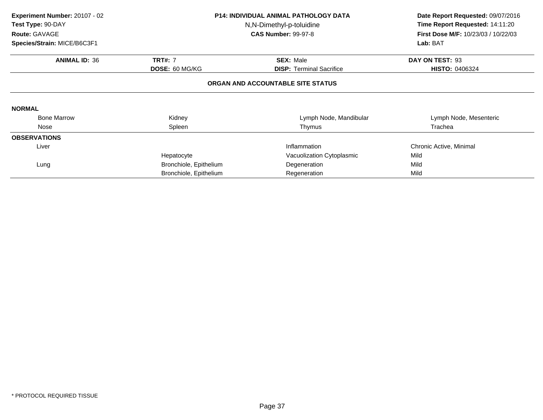| Experiment Number: 20107 - 02<br>Test Type: 90-DAY<br>Route: GAVAGE<br>Species/Strain: MICE/B6C3F1 |                                   | <b>P14: INDIVIDUAL ANIMAL PATHOLOGY DATA</b><br>N,N-Dimethyl-p-toluidine<br><b>CAS Number: 99-97-8</b> | Date Report Requested: 09/07/2016<br>Time Report Requested: 14:11:20<br>First Dose M/F: 10/23/03 / 10/22/03<br>Lab: BAT |  |  |  |
|----------------------------------------------------------------------------------------------------|-----------------------------------|--------------------------------------------------------------------------------------------------------|-------------------------------------------------------------------------------------------------------------------------|--|--|--|
| <b>ANIMAL ID: 36</b>                                                                               | <b>TRT#: 7</b><br>DOSE: 60 MG/KG  | <b>SEX: Male</b><br><b>DISP:</b> Terminal Sacrifice                                                    | DAY ON TEST: 93<br><b>HISTO: 0406324</b>                                                                                |  |  |  |
|                                                                                                    | ORGAN AND ACCOUNTABLE SITE STATUS |                                                                                                        |                                                                                                                         |  |  |  |
| <b>NORMAL</b>                                                                                      |                                   |                                                                                                        |                                                                                                                         |  |  |  |
| <b>Bone Marrow</b>                                                                                 | Kidney                            | Lymph Node, Mandibular                                                                                 | Lymph Node, Mesenteric                                                                                                  |  |  |  |
| Nose                                                                                               | Spleen                            | Thymus                                                                                                 | Trachea                                                                                                                 |  |  |  |
| <b>OBSERVATIONS</b>                                                                                |                                   |                                                                                                        |                                                                                                                         |  |  |  |
| Liver                                                                                              |                                   | Inflammation                                                                                           | Chronic Active, Minimal                                                                                                 |  |  |  |
|                                                                                                    | Hepatocyte                        | Vacuolization Cytoplasmic                                                                              | Mild                                                                                                                    |  |  |  |
| Lung                                                                                               | Bronchiole, Epithelium            | Degeneration                                                                                           | Mild                                                                                                                    |  |  |  |
|                                                                                                    | Bronchiole, Epithelium            | Regeneration                                                                                           | Mild                                                                                                                    |  |  |  |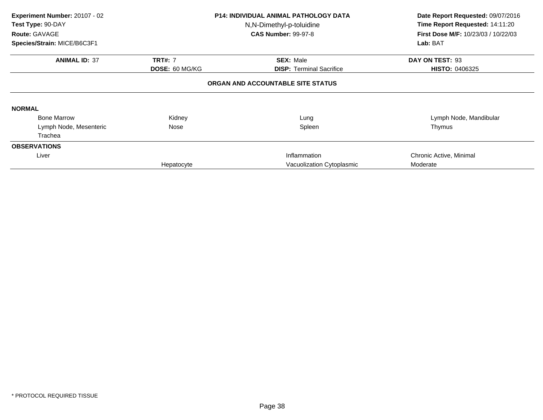| Experiment Number: 20107 - 02<br>Test Type: 90-DAY<br>Route: GAVAGE<br>Species/Strain: MICE/B6C3F1 |                                         | <b>P14: INDIVIDUAL ANIMAL PATHOLOGY DATA</b><br>N,N-Dimethyl-p-toluidine<br><b>CAS Number: 99-97-8</b> | Date Report Requested: 09/07/2016<br>Time Report Requested: 14:11:20<br>First Dose M/F: 10/23/03 / 10/22/03<br>Lab: BAT |  |  |  |
|----------------------------------------------------------------------------------------------------|-----------------------------------------|--------------------------------------------------------------------------------------------------------|-------------------------------------------------------------------------------------------------------------------------|--|--|--|
| <b>ANIMAL ID: 37</b>                                                                               | <b>TRT#: 7</b><br><b>DOSE: 60 MG/KG</b> | <b>SEX: Male</b><br><b>DISP:</b> Terminal Sacrifice                                                    | DAY ON TEST: 93<br><b>HISTO: 0406325</b>                                                                                |  |  |  |
|                                                                                                    | ORGAN AND ACCOUNTABLE SITE STATUS       |                                                                                                        |                                                                                                                         |  |  |  |
| <b>NORMAL</b>                                                                                      |                                         |                                                                                                        |                                                                                                                         |  |  |  |
| <b>Bone Marrow</b>                                                                                 | Kidney                                  | Lung                                                                                                   | Lymph Node, Mandibular                                                                                                  |  |  |  |
| Lymph Node, Mesenteric                                                                             | Nose                                    | Spleen                                                                                                 | Thymus                                                                                                                  |  |  |  |
| Trachea                                                                                            |                                         |                                                                                                        |                                                                                                                         |  |  |  |
| <b>OBSERVATIONS</b>                                                                                |                                         |                                                                                                        |                                                                                                                         |  |  |  |
| Liver                                                                                              |                                         | Inflammation                                                                                           | Chronic Active, Minimal                                                                                                 |  |  |  |
|                                                                                                    | Hepatocyte                              | Vacuolization Cytoplasmic                                                                              | Moderate                                                                                                                |  |  |  |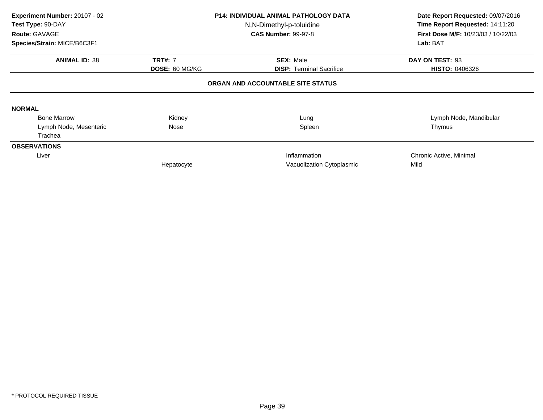| Experiment Number: 20107 - 02<br>Test Type: 90-DAY<br>Route: GAVAGE |                       | <b>P14: INDIVIDUAL ANIMAL PATHOLOGY DATA</b><br>N,N-Dimethyl-p-toluidine<br><b>CAS Number: 99-97-8</b> | Date Report Requested: 09/07/2016<br>Time Report Requested: 14:11:20<br>First Dose M/F: 10/23/03 / 10/22/03<br>Lab: BAT |  |
|---------------------------------------------------------------------|-----------------------|--------------------------------------------------------------------------------------------------------|-------------------------------------------------------------------------------------------------------------------------|--|
| Species/Strain: MICE/B6C3F1                                         |                       |                                                                                                        |                                                                                                                         |  |
| <b>ANIMAL ID: 38</b>                                                | <b>TRT#: 7</b>        | <b>SEX: Male</b>                                                                                       | DAY ON TEST: 93                                                                                                         |  |
|                                                                     | <b>DOSE: 60 MG/KG</b> | <b>DISP:</b> Terminal Sacrifice                                                                        | <b>HISTO: 0406326</b>                                                                                                   |  |
|                                                                     |                       | ORGAN AND ACCOUNTABLE SITE STATUS                                                                      |                                                                                                                         |  |
| <b>NORMAL</b>                                                       |                       |                                                                                                        |                                                                                                                         |  |
| <b>Bone Marrow</b>                                                  | Kidney                | Lung                                                                                                   | Lymph Node, Mandibular                                                                                                  |  |
| Lymph Node, Mesenteric                                              | Nose                  | Spleen                                                                                                 | Thymus                                                                                                                  |  |
| Trachea                                                             |                       |                                                                                                        |                                                                                                                         |  |
| <b>OBSERVATIONS</b>                                                 |                       |                                                                                                        |                                                                                                                         |  |
| Liver                                                               |                       | Inflammation                                                                                           | Chronic Active, Minimal                                                                                                 |  |
|                                                                     | Hepatocyte            | Vacuolization Cytoplasmic                                                                              | Mild                                                                                                                    |  |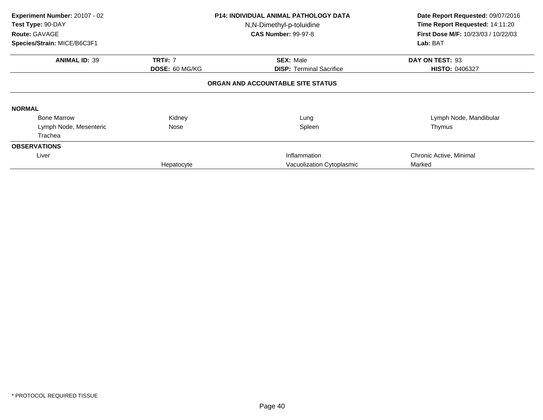| Experiment Number: 20107 - 02<br>Test Type: 90-DAY<br><b>Route: GAVAGE</b><br>Species/Strain: MICE/B6C3F1 |                                         | <b>P14: INDIVIDUAL ANIMAL PATHOLOGY DATA</b><br>N,N-Dimethyl-p-toluidine<br><b>CAS Number: 99-97-8</b> | Date Report Requested: 09/07/2016<br>Time Report Requested: 14:11:20<br><b>First Dose M/F: 10/23/03 / 10/22/03</b><br>Lab: BAT |  |  |  |  |
|-----------------------------------------------------------------------------------------------------------|-----------------------------------------|--------------------------------------------------------------------------------------------------------|--------------------------------------------------------------------------------------------------------------------------------|--|--|--|--|
| <b>ANIMAL ID: 39</b>                                                                                      | <b>TRT#: 7</b><br><b>DOSE: 60 MG/KG</b> | <b>SEX: Male</b><br><b>DISP:</b> Terminal Sacrifice                                                    | DAY ON TEST: 93<br>HISTO: 0406327                                                                                              |  |  |  |  |
|                                                                                                           | ORGAN AND ACCOUNTABLE SITE STATUS       |                                                                                                        |                                                                                                                                |  |  |  |  |
| <b>NORMAL</b>                                                                                             |                                         |                                                                                                        |                                                                                                                                |  |  |  |  |
| <b>Bone Marrow</b>                                                                                        | Kidney                                  | Lung                                                                                                   | Lymph Node, Mandibular                                                                                                         |  |  |  |  |
| Lymph Node, Mesenteric                                                                                    | Nose                                    | Spleen                                                                                                 | Thymus                                                                                                                         |  |  |  |  |
| Trachea                                                                                                   |                                         |                                                                                                        |                                                                                                                                |  |  |  |  |
| <b>OBSERVATIONS</b>                                                                                       |                                         |                                                                                                        |                                                                                                                                |  |  |  |  |
| Liver                                                                                                     |                                         | Inflammation                                                                                           | Chronic Active, Minimal                                                                                                        |  |  |  |  |
|                                                                                                           | Hepatocyte                              | Vacuolization Cytoplasmic                                                                              | Marked                                                                                                                         |  |  |  |  |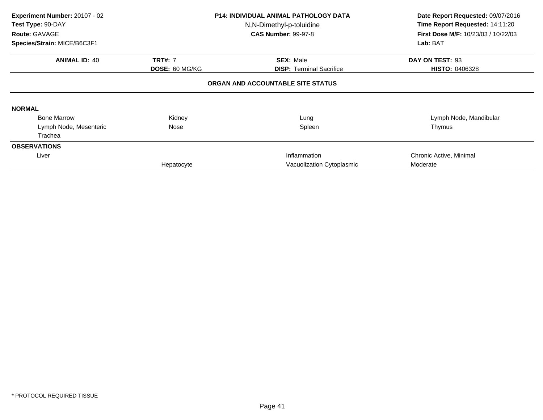| Experiment Number: 20107 - 02<br>Test Type: 90-DAY<br>Route: GAVAGE<br>Species/Strain: MICE/B6C3F1 |                                         | <b>P14: INDIVIDUAL ANIMAL PATHOLOGY DATA</b><br>N,N-Dimethyl-p-toluidine<br><b>CAS Number: 99-97-8</b> | Date Report Requested: 09/07/2016<br>Time Report Requested: 14:11:20<br>First Dose M/F: 10/23/03 / 10/22/03<br>Lab: BAT |
|----------------------------------------------------------------------------------------------------|-----------------------------------------|--------------------------------------------------------------------------------------------------------|-------------------------------------------------------------------------------------------------------------------------|
| <b>ANIMAL ID: 40</b>                                                                               | <b>TRT#: 7</b><br><b>DOSE: 60 MG/KG</b> | <b>SEX: Male</b><br><b>DISP:</b> Terminal Sacrifice                                                    | DAY ON TEST: 93<br><b>HISTO: 0406328</b>                                                                                |
|                                                                                                    |                                         | ORGAN AND ACCOUNTABLE SITE STATUS                                                                      |                                                                                                                         |
| <b>NORMAL</b>                                                                                      |                                         |                                                                                                        |                                                                                                                         |
| <b>Bone Marrow</b>                                                                                 | Kidney                                  | Lung                                                                                                   | Lymph Node, Mandibular                                                                                                  |
| Lymph Node, Mesenteric                                                                             | Nose                                    | Spleen                                                                                                 | Thymus                                                                                                                  |
| Trachea                                                                                            |                                         |                                                                                                        |                                                                                                                         |
| <b>OBSERVATIONS</b>                                                                                |                                         |                                                                                                        |                                                                                                                         |
| Liver                                                                                              |                                         | Inflammation                                                                                           | Chronic Active, Minimal                                                                                                 |
|                                                                                                    | Hepatocyte                              | Vacuolization Cytoplasmic                                                                              | Moderate                                                                                                                |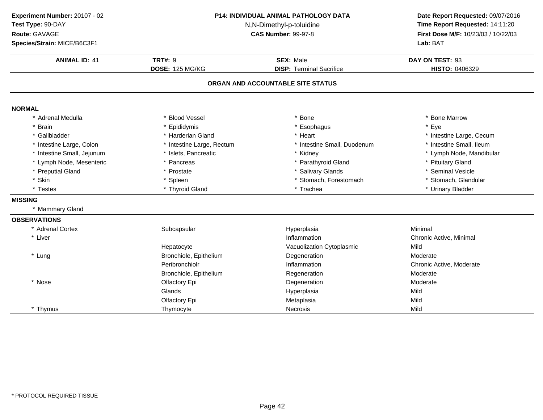| Experiment Number: 20107 - 02<br>Test Type: 90-DAY<br>Route: GAVAGE<br>Species/Strain: MICE/B6C3F1 | <b>P14: INDIVIDUAL ANIMAL PATHOLOGY DATA</b><br>N,N-Dimethyl-p-toluidine<br><b>CAS Number: 99-97-8</b><br><b>TRT#: 9</b><br><b>SEX: Male</b><br><b>DOSE: 125 MG/KG</b><br><b>DISP: Terminal Sacrifice</b> |                                   | Date Report Requested: 09/07/2016<br>Time Report Requested: 14:11:20<br>First Dose M/F: 10/23/03 / 10/22/03<br>Lab: BAT |
|----------------------------------------------------------------------------------------------------|-----------------------------------------------------------------------------------------------------------------------------------------------------------------------------------------------------------|-----------------------------------|-------------------------------------------------------------------------------------------------------------------------|
| <b>ANIMAL ID: 41</b>                                                                               |                                                                                                                                                                                                           |                                   | DAY ON TEST: 93<br>HISTO: 0406329                                                                                       |
|                                                                                                    |                                                                                                                                                                                                           | ORGAN AND ACCOUNTABLE SITE STATUS |                                                                                                                         |
| <b>NORMAL</b>                                                                                      |                                                                                                                                                                                                           |                                   |                                                                                                                         |
| * Adrenal Medulla                                                                                  | * Blood Vessel                                                                                                                                                                                            | * Bone                            | * Bone Marrow                                                                                                           |
| * Brain                                                                                            | * Epididymis                                                                                                                                                                                              | * Esophagus                       | * Eye                                                                                                                   |
| * Gallbladder                                                                                      | * Harderian Gland                                                                                                                                                                                         | * Heart                           | * Intestine Large, Cecum                                                                                                |
| * Intestine Large, Colon                                                                           | * Intestine Large, Rectum                                                                                                                                                                                 | * Intestine Small, Duodenum       | * Intestine Small, Ileum                                                                                                |
| * Intestine Small, Jejunum                                                                         | * Islets, Pancreatic                                                                                                                                                                                      | * Kidney                          | * Lymph Node, Mandibular                                                                                                |
| * Lymph Node, Mesenteric                                                                           | * Pancreas                                                                                                                                                                                                | * Parathyroid Gland               | * Pituitary Gland                                                                                                       |
| * Preputial Gland                                                                                  | * Prostate                                                                                                                                                                                                | * Salivary Glands                 | * Seminal Vesicle                                                                                                       |
| * Skin                                                                                             | * Spleen                                                                                                                                                                                                  | * Stomach, Forestomach            | * Stomach, Glandular                                                                                                    |
| * Testes                                                                                           | * Thyroid Gland                                                                                                                                                                                           | * Trachea                         | * Urinary Bladder                                                                                                       |
| <b>MISSING</b>                                                                                     |                                                                                                                                                                                                           |                                   |                                                                                                                         |
| * Mammary Gland                                                                                    |                                                                                                                                                                                                           |                                   |                                                                                                                         |
| <b>OBSERVATIONS</b>                                                                                |                                                                                                                                                                                                           |                                   |                                                                                                                         |
| * Adrenal Cortex                                                                                   | Subcapsular                                                                                                                                                                                               | Hyperplasia                       | Minimal                                                                                                                 |
| * Liver                                                                                            |                                                                                                                                                                                                           | Inflammation                      | Chronic Active, Minimal                                                                                                 |
|                                                                                                    | Hepatocyte                                                                                                                                                                                                | Vacuolization Cytoplasmic         | Mild                                                                                                                    |
| * Lung                                                                                             | Bronchiole, Epithelium                                                                                                                                                                                    | Degeneration                      | Moderate                                                                                                                |
|                                                                                                    | Peribronchiolr                                                                                                                                                                                            | Inflammation                      | Chronic Active, Moderate                                                                                                |
|                                                                                                    | Bronchiole, Epithelium                                                                                                                                                                                    | Regeneration                      | Moderate                                                                                                                |
| * Nose                                                                                             | Olfactory Epi                                                                                                                                                                                             | Degeneration                      | Moderate                                                                                                                |
|                                                                                                    | Glands                                                                                                                                                                                                    | Hyperplasia                       | Mild                                                                                                                    |
|                                                                                                    | Olfactory Epi                                                                                                                                                                                             | Metaplasia                        | Mild                                                                                                                    |
| * Thymus                                                                                           | Thymocyte                                                                                                                                                                                                 | Necrosis                          | Mild                                                                                                                    |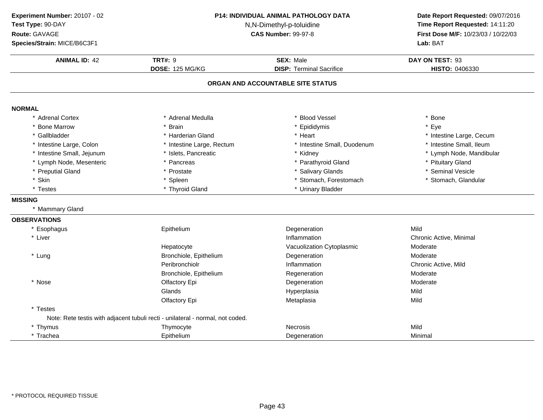| Experiment Number: 20107 - 02<br>Test Type: 90-DAY<br>Route: GAVAGE<br>Species/Strain: MICE/B6C3F1 | P14: INDIVIDUAL ANIMAL PATHOLOGY DATA<br>N,N-Dimethyl-p-toluidine<br><b>CAS Number: 99-97-8</b> |                                                     | Date Report Requested: 09/07/2016<br>Time Report Requested: 14:11:20<br>First Dose M/F: 10/23/03 / 10/22/03<br>Lab: BAT |
|----------------------------------------------------------------------------------------------------|-------------------------------------------------------------------------------------------------|-----------------------------------------------------|-------------------------------------------------------------------------------------------------------------------------|
| <b>ANIMAL ID: 42</b>                                                                               | <b>TRT#: 9</b><br>DOSE: 125 MG/KG                                                               | <b>SEX: Male</b><br><b>DISP: Terminal Sacrifice</b> | DAY ON TEST: 93<br>HISTO: 0406330                                                                                       |
|                                                                                                    |                                                                                                 | ORGAN AND ACCOUNTABLE SITE STATUS                   |                                                                                                                         |
| <b>NORMAL</b>                                                                                      |                                                                                                 |                                                     |                                                                                                                         |
| <b>Adrenal Cortex</b>                                                                              | * Adrenal Medulla                                                                               | * Blood Vessel                                      | * Bone                                                                                                                  |
| <b>Bone Marrow</b>                                                                                 | * Brain                                                                                         | * Epididymis                                        | * Eye                                                                                                                   |
| Gallbladder                                                                                        | * Harderian Gland                                                                               | * Heart                                             | * Intestine Large, Cecum                                                                                                |
| Intestine Large, Colon                                                                             | * Intestine Large, Rectum                                                                       | * Intestine Small, Duodenum                         | * Intestine Small, Ileum                                                                                                |
| Intestine Small, Jejunum                                                                           | * Islets, Pancreatic                                                                            | * Kidney                                            | * Lymph Node, Mandibular                                                                                                |
| * Lymph Node, Mesenteric                                                                           | * Pancreas                                                                                      | * Parathyroid Gland                                 | * Pituitary Gland                                                                                                       |
| * Preputial Gland                                                                                  | * Prostate                                                                                      | * Salivary Glands                                   | * Seminal Vesicle                                                                                                       |
| * Skin                                                                                             | * Spleen                                                                                        | * Stomach, Forestomach                              | * Stomach, Glandular                                                                                                    |
| * Testes                                                                                           | * Thyroid Gland                                                                                 | * Urinary Bladder                                   |                                                                                                                         |
| <b>MISSING</b>                                                                                     |                                                                                                 |                                                     |                                                                                                                         |
| * Mammary Gland                                                                                    |                                                                                                 |                                                     |                                                                                                                         |
| <b>OBSERVATIONS</b>                                                                                |                                                                                                 |                                                     |                                                                                                                         |
| * Esophagus                                                                                        | Epithelium                                                                                      | Degeneration                                        | Mild                                                                                                                    |
| * Liver                                                                                            |                                                                                                 | Inflammation                                        | Chronic Active, Minimal                                                                                                 |
|                                                                                                    | Hepatocyte                                                                                      | Vacuolization Cytoplasmic                           | Moderate                                                                                                                |
| * Lung                                                                                             | Bronchiole, Epithelium                                                                          | Degeneration                                        | Moderate                                                                                                                |
|                                                                                                    | Peribronchiolr                                                                                  | Inflammation                                        | Chronic Active, Mild                                                                                                    |
|                                                                                                    | Bronchiole, Epithelium                                                                          | Regeneration                                        | Moderate                                                                                                                |
| * Nose                                                                                             | Olfactory Epi                                                                                   | Degeneration                                        | Moderate                                                                                                                |
|                                                                                                    | Glands                                                                                          | Hyperplasia                                         | Mild                                                                                                                    |
|                                                                                                    | Olfactory Epi                                                                                   | Metaplasia                                          | Mild                                                                                                                    |
| * Testes                                                                                           |                                                                                                 |                                                     |                                                                                                                         |
|                                                                                                    | Note: Rete testis with adjacent tubuli recti - unilateral - normal, not coded.                  |                                                     |                                                                                                                         |
| * Thymus                                                                                           | Thymocyte                                                                                       | <b>Necrosis</b>                                     | Mild                                                                                                                    |
| * Trachea                                                                                          | Epithelium                                                                                      | Degeneration                                        | Minimal                                                                                                                 |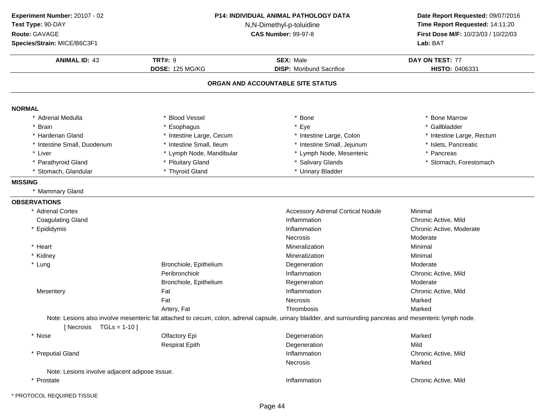**ANIMAL ID:** <sup>43</sup> **TRT#:** <sup>9</sup> **SEX:** Male **DAY ON TEST:** <sup>77</sup> **DOSE:** 125 MG/KG**DISP:** Moribund Sacrifice **HISTO:** 0406331 **ORGAN AND ACCOUNTABLE SITE STATUSNORMAL** \* Adrenal Medullaa the set of the Second Vessel that the set of the set of the set of the set of the set of the Marrow  $\ast$  Bone Marrow \* Gallbladder \* Brainn and the substitute of the substitute of the set of the set of the set of the set of the set of the set of the set of the set of the set of the set of the set of the set of the set of the set of the set of the set of the \* Harderian Gland \* Intestine Large, Cecum\* Intestine Large, Colon \* 11testine Large, Rectum<br>\* Intestine Small. Jeiunum \* \* Islets. Pancreatic \* Intestine Small, Duodenum\* Intestine Small, Ileum \* 117 \* Intestine Small, Jejunum<br>\* Lymph Node, Mandibular \* 1 \* Lymph Node, Mesenteric \* Liver \* Lymph Node, Mesenteric \* Pancreas \* Parathyroid Glandd **the contract of the Cland Contract of the Clands** the Salivary Glands **\*** Stomach, Forestomach \* Stomach, Forestomach \* Stomach, Glandular **\*** Thyroid Gland \* Thyroid Gland **All Accord 2018 \*** Urinary Bladder **MISSING** \* Mammary Gland**OBSERVATIONS** \* Adrenal Cortex Accessory Adrenal Cortical NoduleMinimal<br>Chronic Active, Mild Coagulating Glandd contract the contract of the inflammation contract the Chronic Active, Mild \* Epididymiss and the contract of the contract of the contract of the contract of the contract of the contract of the contract of the contract of the contract of the contract of the contract of the contract of the contract of the cont Chronic Active, Moderate NecrosisModerate<br>Minimal \* Heart \* Heart **Mineralization Mineralization Mineralization** n Minimal \* Kidney MineralizationMineralization Minimal<br>
Degeneration Moderate \* Lung Bronchiole, Epithelium Degeneration Moderate Peribronchiolr Inflammation Chronic Active, Mild Bronchiole, Epitheliumm Regeneration Research Moderate **Mesentery** y the contraction of the Fat the contraction of the contraction of the contraction of the contraction of the contraction of  $\Gamma$  Chronic Active, Mild Fat**Necrosis**  Markeds Marked Artery, Fat**Thrombosis**  Note: Lesions also involve mesenteric fat attached to cecum, colon, adrenal capsule, urinary bladder, and surrounding pancreas and mesenteric lymph node. $[$  Necrosis  $TGLs = 1-10$ ] \* Nosee and the Colfactory Epi and the Degeneration Colfactory Epi and the Degeneration of the Marked Respirat Epith Degeneration Mild \* Preputial Glandd chronic Active, Mild Necrosiss Marked Note: Lesions involve adjacent adipose tissue.\* Prostatee contraction contraction to the contraction of the chronic Active, Mild **Experiment Number:** 20107 - 02 **P14: INDIVIDUAL ANIMAL PATHOLOGY DATA Date Report Requested:** 09/07/2016 **Test Type:** 90-DAY N,N-Dimethyl-p-toluidine **Time Report Requested:** 14:11:20 **Route:** GAVAGE**First Dose M/F:** 10/23/03 / 10/22/03<br>**Lab:** BAT **Species/Strain:** MICE/B6C3F1**Lab:** BAT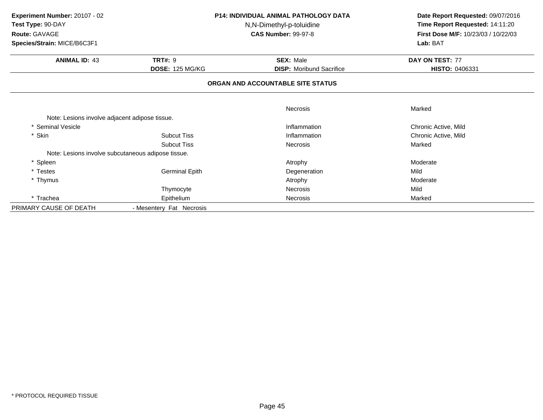| Experiment Number: 20107 - 02<br>Test Type: 90-DAY |                          | <b>P14: INDIVIDUAL ANIMAL PATHOLOGY DATA</b> | Date Report Requested: 09/07/2016<br>Time Report Requested: 14:11:20 |
|----------------------------------------------------|--------------------------|----------------------------------------------|----------------------------------------------------------------------|
|                                                    |                          | N,N-Dimethyl-p-toluidine                     |                                                                      |
| Route: GAVAGE                                      |                          | <b>CAS Number: 99-97-8</b>                   | First Dose M/F: 10/23/03 / 10/22/03                                  |
| Species/Strain: MICE/B6C3F1                        |                          |                                              | Lab: BAT                                                             |
| <b>ANIMAL ID: 43</b>                               | <b>TRT#: 9</b>           | <b>SEX: Male</b>                             | DAY ON TEST: 77                                                      |
|                                                    | <b>DOSE: 125 MG/KG</b>   | <b>DISP:</b> Moribund Sacrifice              | HISTO: 0406331                                                       |
|                                                    |                          | ORGAN AND ACCOUNTABLE SITE STATUS            |                                                                      |
|                                                    |                          | Necrosis                                     | Marked                                                               |
| Note: Lesions involve adjacent adipose tissue.     |                          |                                              |                                                                      |
| Seminal Vesicle                                    |                          | Inflammation                                 | Chronic Active, Mild                                                 |
| * Skin                                             | <b>Subcut Tiss</b>       | Inflammation                                 | Chronic Active, Mild                                                 |
|                                                    | <b>Subcut Tiss</b>       | <b>Necrosis</b>                              | Marked                                                               |
| Note: Lesions involve subcutaneous adipose tissue. |                          |                                              |                                                                      |
| * Spleen                                           |                          | Atrophy                                      | Moderate                                                             |
| * Testes                                           | <b>Germinal Epith</b>    | Degeneration                                 | Mild                                                                 |
| * Thymus                                           |                          | Atrophy                                      | Moderate                                                             |
|                                                    | Thymocyte                | <b>Necrosis</b>                              | Mild                                                                 |
| * Trachea                                          | Epithelium               | Necrosis                                     | Marked                                                               |
| PRIMARY CAUSE OF DEATH                             | - Mesentery Fat Necrosis |                                              |                                                                      |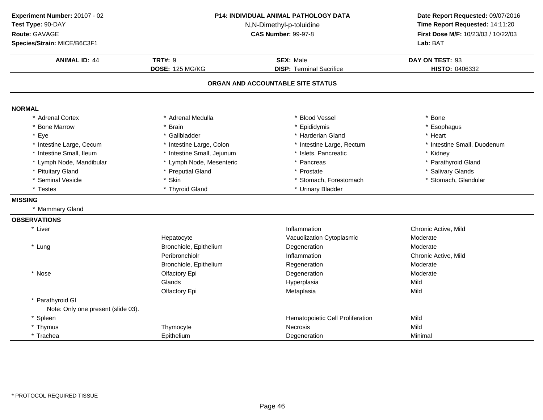| Experiment Number: 20107 - 02<br>Test Type: 90-DAY<br>Route: GAVAGE<br>Species/Strain: MICE/B6C3F1 | P14: INDIVIDUAL ANIMAL PATHOLOGY DATA<br>N,N-Dimethyl-p-toluidine<br><b>CAS Number: 99-97-8</b> |                                                     | Date Report Requested: 09/07/2016<br>Time Report Requested: 14:11:20<br>First Dose M/F: 10/23/03 / 10/22/03<br>Lab: BAT |
|----------------------------------------------------------------------------------------------------|-------------------------------------------------------------------------------------------------|-----------------------------------------------------|-------------------------------------------------------------------------------------------------------------------------|
| <b>ANIMAL ID: 44</b>                                                                               | <b>TRT#: 9</b><br><b>DOSE: 125 MG/KG</b>                                                        | <b>SEX: Male</b><br><b>DISP: Terminal Sacrifice</b> | DAY ON TEST: 93<br>HISTO: 0406332                                                                                       |
|                                                                                                    |                                                                                                 | ORGAN AND ACCOUNTABLE SITE STATUS                   |                                                                                                                         |
| <b>NORMAL</b>                                                                                      |                                                                                                 |                                                     |                                                                                                                         |
| * Adrenal Cortex                                                                                   | * Adrenal Medulla                                                                               | <b>Blood Vessel</b>                                 | * Bone                                                                                                                  |
| <b>Bone Marrow</b>                                                                                 | <b>Brain</b>                                                                                    | Epididymis                                          | * Esophagus                                                                                                             |
| Eye                                                                                                | * Gallbladder                                                                                   | * Harderian Gland                                   | * Heart                                                                                                                 |
| * Intestine Large, Cecum                                                                           | * Intestine Large, Colon                                                                        | * Intestine Large, Rectum                           | * Intestine Small, Duodenum                                                                                             |
| * Intestine Small, Ileum                                                                           | * Intestine Small, Jejunum                                                                      | * Islets, Pancreatic                                | * Kidney                                                                                                                |
| * Lymph Node, Mandibular                                                                           | * Lymph Node, Mesenteric                                                                        | * Pancreas                                          | * Parathyroid Gland                                                                                                     |
| * Pituitary Gland                                                                                  | * Preputial Gland                                                                               | * Prostate                                          | * Salivary Glands                                                                                                       |
| <b>Seminal Vesicle</b>                                                                             | * Skin                                                                                          | * Stomach, Forestomach                              | * Stomach, Glandular                                                                                                    |
| * Testes                                                                                           | * Thyroid Gland                                                                                 | * Urinary Bladder                                   |                                                                                                                         |
| <b>MISSING</b>                                                                                     |                                                                                                 |                                                     |                                                                                                                         |
| * Mammary Gland                                                                                    |                                                                                                 |                                                     |                                                                                                                         |
| <b>OBSERVATIONS</b>                                                                                |                                                                                                 |                                                     |                                                                                                                         |
| * Liver                                                                                            |                                                                                                 | Inflammation                                        | Chronic Active, Mild                                                                                                    |
|                                                                                                    | Hepatocyte                                                                                      | Vacuolization Cytoplasmic                           | Moderate                                                                                                                |
| * Lung                                                                                             | Bronchiole, Epithelium                                                                          | Degeneration                                        | Moderate                                                                                                                |
|                                                                                                    | Peribronchiolr                                                                                  | Inflammation                                        | Chronic Active, Mild                                                                                                    |
|                                                                                                    | Bronchiole, Epithelium                                                                          | Regeneration                                        | Moderate                                                                                                                |
| * Nose                                                                                             | Olfactory Epi                                                                                   | Degeneration                                        | Moderate                                                                                                                |
|                                                                                                    | Glands                                                                                          | Hyperplasia                                         | Mild                                                                                                                    |
|                                                                                                    | Olfactory Epi                                                                                   | Metaplasia                                          | Mild                                                                                                                    |
| * Parathyroid GI                                                                                   |                                                                                                 |                                                     |                                                                                                                         |
| Note: Only one present (slide 03).                                                                 |                                                                                                 |                                                     |                                                                                                                         |
| * Spleen                                                                                           |                                                                                                 | Hematopoietic Cell Proliferation                    | Mild                                                                                                                    |
| * Thymus                                                                                           | Thymocyte                                                                                       | <b>Necrosis</b>                                     | Mild                                                                                                                    |
| * Trachea                                                                                          | Epithelium                                                                                      | Degeneration                                        | Minimal                                                                                                                 |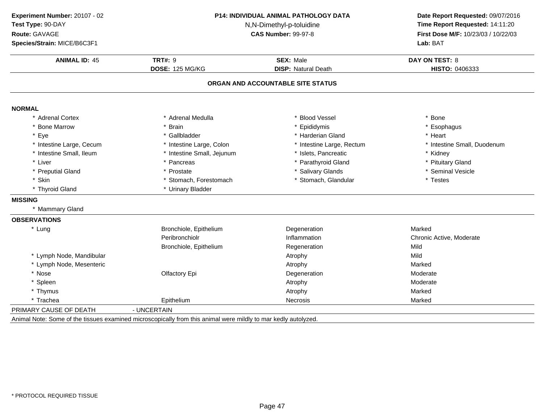| Experiment Number: 20107 - 02<br>Test Type: 90-DAY<br>Route: GAVAGE<br>Species/Strain: MICE/B6C3F1 | <b>P14: INDIVIDUAL ANIMAL PATHOLOGY DATA</b><br>N,N-Dimethyl-p-toluidine<br><b>CAS Number: 99-97-8</b><br><b>TRT#: 9</b><br><b>SEX: Male</b><br>DOSE: 125 MG/KG<br><b>DISP: Natural Death</b> |                                   | Date Report Requested: 09/07/2016<br>Time Report Requested: 14:11:20<br>First Dose M/F: 10/23/03 / 10/22/03<br>Lab: BAT |
|----------------------------------------------------------------------------------------------------|-----------------------------------------------------------------------------------------------------------------------------------------------------------------------------------------------|-----------------------------------|-------------------------------------------------------------------------------------------------------------------------|
| <b>ANIMAL ID: 45</b>                                                                               |                                                                                                                                                                                               |                                   | <b>DAY ON TEST: 8</b><br>HISTO: 0406333                                                                                 |
|                                                                                                    |                                                                                                                                                                                               | ORGAN AND ACCOUNTABLE SITE STATUS |                                                                                                                         |
| <b>NORMAL</b>                                                                                      |                                                                                                                                                                                               |                                   |                                                                                                                         |
| * Adrenal Cortex                                                                                   | * Adrenal Medulla                                                                                                                                                                             | * Blood Vessel                    | * Bone                                                                                                                  |
| * Bone Marrow                                                                                      | * Brain                                                                                                                                                                                       | * Epididymis                      | * Esophagus                                                                                                             |
| * Eye                                                                                              | * Gallbladder                                                                                                                                                                                 | * Harderian Gland                 | * Heart                                                                                                                 |
| * Intestine Large, Cecum                                                                           | * Intestine Large, Colon                                                                                                                                                                      | * Intestine Large, Rectum         | * Intestine Small, Duodenum                                                                                             |
| * Intestine Small, Ileum                                                                           | * Intestine Small, Jejunum                                                                                                                                                                    | * Islets, Pancreatic              | * Kidney                                                                                                                |
| * Liver                                                                                            | * Pancreas                                                                                                                                                                                    | * Parathyroid Gland               | * Pituitary Gland                                                                                                       |
| * Preputial Gland                                                                                  | * Prostate                                                                                                                                                                                    | * Salivary Glands                 | * Seminal Vesicle                                                                                                       |
| * Skin                                                                                             | * Stomach, Forestomach                                                                                                                                                                        | * Stomach, Glandular              | * Testes                                                                                                                |
| * Thyroid Gland                                                                                    | * Urinary Bladder                                                                                                                                                                             |                                   |                                                                                                                         |
| <b>MISSING</b>                                                                                     |                                                                                                                                                                                               |                                   |                                                                                                                         |
| * Mammary Gland                                                                                    |                                                                                                                                                                                               |                                   |                                                                                                                         |
| <b>OBSERVATIONS</b>                                                                                |                                                                                                                                                                                               |                                   |                                                                                                                         |
| * Lung                                                                                             | Bronchiole, Epithelium                                                                                                                                                                        | Degeneration                      | Marked                                                                                                                  |
|                                                                                                    | Peribronchiolr                                                                                                                                                                                | Inflammation                      | Chronic Active, Moderate                                                                                                |
|                                                                                                    | Bronchiole, Epithelium                                                                                                                                                                        | Regeneration                      | Mild                                                                                                                    |
| * Lymph Node, Mandibular                                                                           |                                                                                                                                                                                               | Atrophy                           | Mild                                                                                                                    |
| * Lymph Node, Mesenteric                                                                           |                                                                                                                                                                                               | Atrophy                           | Marked                                                                                                                  |
| * Nose                                                                                             | Olfactory Epi                                                                                                                                                                                 | Degeneration                      | Moderate                                                                                                                |
| * Spleen                                                                                           |                                                                                                                                                                                               | Atrophy                           | Moderate                                                                                                                |
| * Thymus                                                                                           |                                                                                                                                                                                               | Atrophy                           | Marked                                                                                                                  |
| * Trachea                                                                                          | Epithelium                                                                                                                                                                                    | Necrosis                          | Marked                                                                                                                  |
| PRIMARY CAUSE OF DEATH                                                                             | - UNCERTAIN                                                                                                                                                                                   |                                   |                                                                                                                         |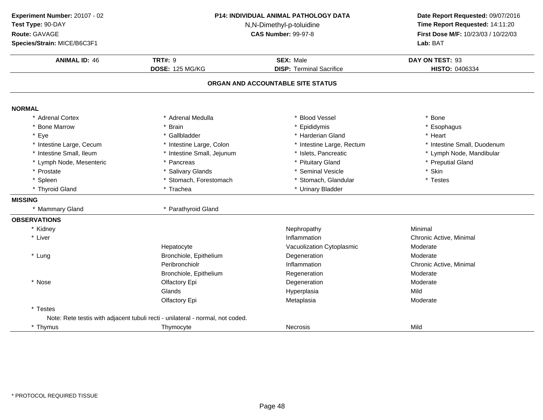| Experiment Number: 20107 - 02<br>Test Type: 90-DAY<br>Route: GAVAGE<br>Species/Strain: MICE/B6C3F1 | P14: INDIVIDUAL ANIMAL PATHOLOGY DATA<br>N,N-Dimethyl-p-toluidine<br><b>CAS Number: 99-97-8</b><br><b>TRT#: 9</b><br><b>SEX: Male</b><br><b>DOSE: 125 MG/KG</b><br><b>DISP: Terminal Sacrifice</b> |                                   | Date Report Requested: 09/07/2016<br>Time Report Requested: 14:11:20<br>First Dose M/F: 10/23/03 / 10/22/03<br>Lab: BAT |  |
|----------------------------------------------------------------------------------------------------|----------------------------------------------------------------------------------------------------------------------------------------------------------------------------------------------------|-----------------------------------|-------------------------------------------------------------------------------------------------------------------------|--|
| <b>ANIMAL ID: 46</b>                                                                               |                                                                                                                                                                                                    |                                   | DAY ON TEST: 93<br>HISTO: 0406334                                                                                       |  |
|                                                                                                    |                                                                                                                                                                                                    | ORGAN AND ACCOUNTABLE SITE STATUS |                                                                                                                         |  |
| <b>NORMAL</b>                                                                                      |                                                                                                                                                                                                    |                                   |                                                                                                                         |  |
| * Adrenal Cortex                                                                                   | * Adrenal Medulla                                                                                                                                                                                  | * Blood Vessel                    | * Bone                                                                                                                  |  |
| * Bone Marrow                                                                                      | * Brain                                                                                                                                                                                            | * Epididymis                      | * Esophagus                                                                                                             |  |
| * Eye                                                                                              | * Gallbladder                                                                                                                                                                                      | * Harderian Gland                 | * Heart                                                                                                                 |  |
| * Intestine Large, Cecum                                                                           | * Intestine Large, Colon                                                                                                                                                                           | * Intestine Large, Rectum         | * Intestine Small, Duodenum                                                                                             |  |
| * Intestine Small, Ileum                                                                           | * Intestine Small, Jejunum                                                                                                                                                                         | * Islets, Pancreatic              | * Lymph Node, Mandibular                                                                                                |  |
| * Lymph Node, Mesenteric                                                                           | * Pancreas                                                                                                                                                                                         | * Pituitary Gland                 | * Preputial Gland                                                                                                       |  |
| * Prostate                                                                                         | * Salivary Glands                                                                                                                                                                                  | * Seminal Vesicle                 | * Skin                                                                                                                  |  |
| * Spleen                                                                                           | * Stomach, Forestomach                                                                                                                                                                             | * Stomach, Glandular              | * Testes                                                                                                                |  |
| * Thyroid Gland                                                                                    | * Trachea                                                                                                                                                                                          | * Urinary Bladder                 |                                                                                                                         |  |
| <b>MISSING</b>                                                                                     |                                                                                                                                                                                                    |                                   |                                                                                                                         |  |
| * Mammary Gland                                                                                    | * Parathyroid Gland                                                                                                                                                                                |                                   |                                                                                                                         |  |
| <b>OBSERVATIONS</b>                                                                                |                                                                                                                                                                                                    |                                   |                                                                                                                         |  |
| * Kidney                                                                                           |                                                                                                                                                                                                    | Nephropathy                       | Minimal                                                                                                                 |  |
| * Liver                                                                                            |                                                                                                                                                                                                    | Inflammation                      | Chronic Active, Minimal                                                                                                 |  |
|                                                                                                    | Hepatocyte                                                                                                                                                                                         | Vacuolization Cytoplasmic         | Moderate                                                                                                                |  |
| * Lung                                                                                             | Bronchiole, Epithelium                                                                                                                                                                             | Degeneration                      | Moderate                                                                                                                |  |
|                                                                                                    | Peribronchiolr                                                                                                                                                                                     | Inflammation                      | Chronic Active, Minimal                                                                                                 |  |
|                                                                                                    | Bronchiole, Epithelium                                                                                                                                                                             | Regeneration                      | Moderate                                                                                                                |  |
| * Nose                                                                                             | Olfactory Epi                                                                                                                                                                                      | Degeneration                      | Moderate                                                                                                                |  |
|                                                                                                    | Glands                                                                                                                                                                                             | Hyperplasia                       | Mild                                                                                                                    |  |
|                                                                                                    | Olfactory Epi                                                                                                                                                                                      | Metaplasia                        | Moderate                                                                                                                |  |
| * Testes                                                                                           |                                                                                                                                                                                                    |                                   |                                                                                                                         |  |
|                                                                                                    | Note: Rete testis with adjacent tubuli recti - unilateral - normal, not coded.                                                                                                                     |                                   |                                                                                                                         |  |
| * Thymus                                                                                           | Thymocyte                                                                                                                                                                                          | Necrosis                          | Mild                                                                                                                    |  |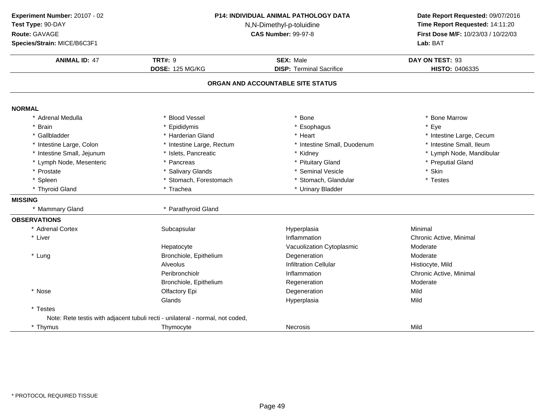| Experiment Number: 20107 - 02<br>Test Type: 90-DAY<br>Route: GAVAGE<br>Species/Strain: MICE/B6C3F1 | P14: INDIVIDUAL ANIMAL PATHOLOGY DATA<br>N,N-Dimethyl-p-toluidine<br><b>CAS Number: 99-97-8</b> |                                                     | Date Report Requested: 09/07/2016<br>Time Report Requested: 14:11:20<br>First Dose M/F: 10/23/03 / 10/22/03<br>Lab: BAT |
|----------------------------------------------------------------------------------------------------|-------------------------------------------------------------------------------------------------|-----------------------------------------------------|-------------------------------------------------------------------------------------------------------------------------|
| <b>ANIMAL ID: 47</b>                                                                               | <b>TRT#: 9</b><br><b>DOSE: 125 MG/KG</b>                                                        | <b>SEX: Male</b><br><b>DISP: Terminal Sacrifice</b> | DAY ON TEST: 93<br>HISTO: 0406335                                                                                       |
|                                                                                                    |                                                                                                 | ORGAN AND ACCOUNTABLE SITE STATUS                   |                                                                                                                         |
| <b>NORMAL</b>                                                                                      |                                                                                                 |                                                     |                                                                                                                         |
| Adrenal Medulla                                                                                    | * Blood Vessel                                                                                  | * Bone                                              | * Bone Marrow                                                                                                           |
| <b>Brain</b>                                                                                       | * Epididymis                                                                                    | * Esophagus                                         | * Eye                                                                                                                   |
| Gallbladder                                                                                        | * Harderian Gland                                                                               | * Heart                                             | * Intestine Large, Cecum                                                                                                |
| * Intestine Large, Colon                                                                           | * Intestine Large, Rectum                                                                       | * Intestine Small, Duodenum                         | * Intestine Small, Ileum                                                                                                |
| * Intestine Small, Jejunum                                                                         | * Islets, Pancreatic                                                                            | * Kidney                                            | * Lymph Node, Mandibular                                                                                                |
| * Lymph Node, Mesenteric                                                                           | * Pancreas                                                                                      | * Pituitary Gland                                   | * Preputial Gland                                                                                                       |
| * Prostate                                                                                         | * Salivary Glands                                                                               | * Seminal Vesicle                                   | * Skin                                                                                                                  |
| * Spleen                                                                                           | * Stomach, Forestomach                                                                          | * Stomach, Glandular                                | * Testes                                                                                                                |
| * Thyroid Gland                                                                                    | * Trachea                                                                                       | * Urinary Bladder                                   |                                                                                                                         |
| <b>MISSING</b>                                                                                     |                                                                                                 |                                                     |                                                                                                                         |
| * Mammary Gland                                                                                    | * Parathyroid Gland                                                                             |                                                     |                                                                                                                         |
| <b>OBSERVATIONS</b>                                                                                |                                                                                                 |                                                     |                                                                                                                         |
| * Adrenal Cortex                                                                                   | Subcapsular                                                                                     | Hyperplasia                                         | Minimal                                                                                                                 |
| * Liver                                                                                            |                                                                                                 | Inflammation                                        | Chronic Active, Minimal                                                                                                 |
|                                                                                                    | Hepatocyte                                                                                      | Vacuolization Cytoplasmic                           | Moderate                                                                                                                |
| * Lung                                                                                             | Bronchiole, Epithelium                                                                          | Degeneration                                        | Moderate                                                                                                                |
|                                                                                                    | Alveolus                                                                                        | <b>Infiltration Cellular</b>                        | Histiocyte, Mild                                                                                                        |
|                                                                                                    | Peribronchiolr                                                                                  | Inflammation                                        | Chronic Active, Minimal                                                                                                 |
|                                                                                                    | Bronchiole, Epithelium                                                                          | Regeneration                                        | Moderate                                                                                                                |
| * Nose                                                                                             | Olfactory Epi                                                                                   | Degeneration                                        | Mild                                                                                                                    |
|                                                                                                    | Glands                                                                                          | Hyperplasia                                         | Mild                                                                                                                    |
| * Testes                                                                                           |                                                                                                 |                                                     |                                                                                                                         |
|                                                                                                    | Note: Rete testis with adjacent tubuli recti - unilateral - normal, not coded,                  |                                                     |                                                                                                                         |
| * Thymus                                                                                           | Thymocyte                                                                                       | Necrosis                                            | Mild                                                                                                                    |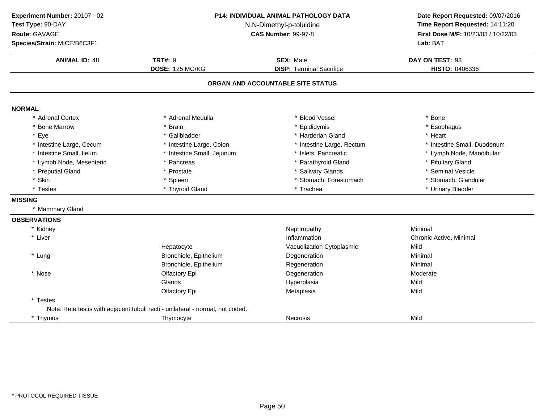**ANIMAL ID:** <sup>48</sup>**TRT#:** 9 **SEX:** Male **DAY ON TEST:** 93 **DOSE:** 125 MG/KG**DISP:** Terminal Sacrifice **HISTO:** 0406336 **ORGAN AND ACCOUNTABLE SITE STATUSNORMAL** \* Adrenal Cortex \* Adrenal Medullaa the set of the set of the set of the set of the set of the set of the set of the set of the set of the set o<br>Set of the set of the set of the set of the set of the set of the set of the set of the set of the set of the s \* Bone Marrow \* Brain \* Epididymis \* Esophagus \* Eyee the second of the set of the set of the set of the set of the set of the set of the set of the set of the set of the set of the set of the set of the set of the set of the set of the set of the set of the set of the set \* Intestine Large, Cecumm and the state of the state of the state of the state of the state of the state of the state of the state of the state of the state of the state of the state of the state of the state of the state of the state of the stat \* Intestine Small, Ileum \* Intestine Small, Jejunum \* Islets, Pancreatic \* Lymph Node, Mandibular \* Lymph Node, Mesenteric\* Pancreas \* Parathyroid Gland<br>
\* Prostate \* Prostate \* Salivary Glands \* Pituitary Gland \* Preputial Gland \* Prostate \* Salivary Glands \* Seminal Vesicle \* Skinn that is the set of the Spleen term in the store of the store of the store of the store of the store of the store of the store of the store of the store of the store of the store of the store of the store of the store of \* Testes \* Thyroid Gland\* Trachea \* \* Urinary Bladder **MISSING** \* Mammary Gland**OBSERVATIONS**\* Kidneyy the contract of the contract of the Mephropathy the Minimal Minimal Sepan $\sim$  Minimal Minimal Sepan $\sim$ \* Liver \* Liver **Inflammation Inflammation** Inflammation<br>
Vacuolization Cvtoplasmic<br>
Vacuolization Cvtoplasmic<br>
Vacuolization Cvtoplasmic HepatocyteVacuolization Cytoplasmic<br>
Degeneration Minimal \* Lung Bronchiole, Epitheliumm Degeneration **Minimal** Bronchiole, Epithelium Regeneration Minimal \* Nosee and the Olfactory Epi and the Degeneration Controller and Moderate Glands Hyperplasiaa Mild Olfactory Epi Metaplasiaa Mild \* Testes Note: Rete testis with adjacent tubuli recti - unilateral - normal, not coded.\* Thymus Thymocyte Necrosis Mild **Experiment Number:** 20107 - 02 **P14: INDIVIDUAL ANIMAL PATHOLOGY DATA Date Report Requested:** 09/07/2016 **Test Type:** 90-DAY N,N-Dimethyl-p-toluidine **Time Report Requested:** 14:11:20 **Route:** GAVAGE**First Dose M/F:** 10/23/03 / 10/22/03<br>**Lab:** BAT **Species/Strain:** MICE/B6C3F1**Lab:** BAT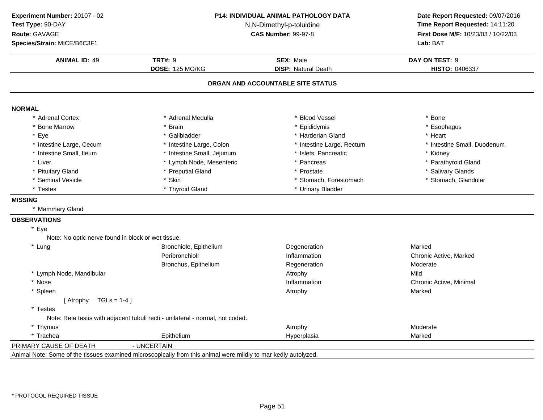**ANIMAL ID:** <sup>49</sup> **TRT#:** <sup>9</sup> **SEX:** Male **DAY ON TEST:** <sup>9</sup> **DOSE:** 125 MG/KG**DISP:** Natural Death **HISTO:** 0406337 **ORGAN AND ACCOUNTABLE SITE STATUSNORMAL** \* Adrenal Cortex \* Adrenal Medullaa the set of the set of the set of the set of the set of the set of the set of the set of the set of the set o<br>Set of the set of the set of the set of the set of the set of the set of the set of the set of the set of the s \* Bone Marrow \* Brain \* Epididymis \* Esophagus \* Eyee the second of the set of the set of the set of the set of the set of the set of the set of the set of the set of the set of the set of the set of the set of the set of the set of the set of the set of the set of the set \* Intestine Large, Cecumm and the state of the state of the state of the state of the state of the state of the state of the state of the state of the state of the state of the state of the state of the state of the state of the state of the stat \* Intestine Small, Ileum\* Intestine Small, Jejunum \* Islets, Pancreatic \* Kidney<br>\* Lymph Node. Mesenteric \* Pancreas \* Parathy \* Liver \* Lymph Node, Mesenteric \* Parathyroid Gland \* Pituitary Glandd **business of the Contract Contract Automobile 19 and 19 and 19 and 19 and 19 and 19 and 19 and 19 and 19 and 19 and 19 and 19 and 19 and 19 and 19 and 19 and 19 and 19 and 19 and 19 and 19 and 19 and 19 and 19 and 19 and** \* Seminal Vesiclee the solution of the Skin term of the stomach, Forestomach term of the stomach, Glandular term of the Stomach, Glandular term of the Stomach, Glandular term of the Stomach, Glandular term of the Stomach, Glandular term of \* Testes \* Thyroid Gland \* Urinary Bladder **MISSING** \* Mammary Gland**OBSERVATIONS**\* EyeNote: No optic nerve found in block or wet tissue.\* Lung Bronchiole, Epitheliumm Degeneration **Marked** Peribronchiolr Inflammation Chronic Active, Marked Bronchus, EpitheliumRegeneration Moderation<br>Atrophy Mild \* Lymph Node, Mandibular Atrophy and the control of the control of the control of the control of the control of  $\mathcal{A}$ trophy y Mild Chronic Active, Minimal \* Nosee and the state of the inflammation control of the chronic Active, Minimal entries are the chronic Active, Minimal \* Spleenn and the contract of the contract of the contract of the contract of the contract of the Marked of the Marked  $[$  Atrophy  $TGLs = 1-4]$ \* Testes Note: Rete testis with adjacent tubuli recti - unilateral - normal, not coded.\* Thymuss and the contract of the contract of the contract of the contract of the contract of the Moderate \* Trachea Epithelium Hyperplasia Marked PRIMARY CAUSE OF DEATH - UNCERTAIN Animal Note: Some of the tissues examined microscopically from this animal were mildly to mar kedly autolyzed.**Experiment Number:** 20107 - 02 **P14: INDIVIDUAL ANIMAL PATHOLOGY DATA Date Report Requested:** 09/07/2016 **Test Type:** 90-DAY N,N-Dimethyl-p-toluidine **Time Report Requested:** 14:11:20 **Route:** GAVAGE**First Dose M/F:** 10/23/03 / 10/22/03<br>**Lab:** BAT **Species/Strain:** MICE/B6C3F1**Lab:** BAT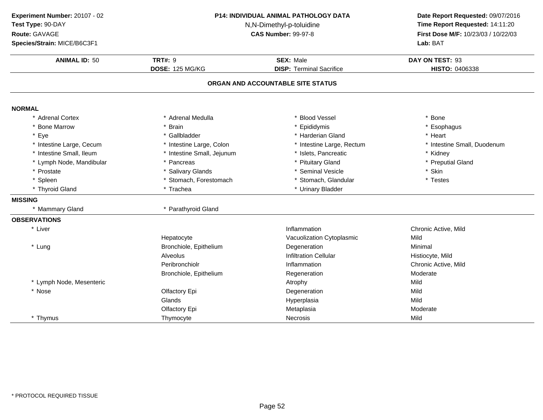| Experiment Number: 20107 - 02<br>Test Type: 90-DAY<br>Route: GAVAGE<br>Species/Strain: MICE/B6C3F1 | P14: INDIVIDUAL ANIMAL PATHOLOGY DATA<br>N,N-Dimethyl-p-toluidine<br><b>CAS Number: 99-97-8</b> |                                   | Date Report Requested: 09/07/2016<br>Time Report Requested: 14:11:20<br>First Dose M/F: 10/23/03 / 10/22/03<br>Lab: BAT |
|----------------------------------------------------------------------------------------------------|-------------------------------------------------------------------------------------------------|-----------------------------------|-------------------------------------------------------------------------------------------------------------------------|
| <b>ANIMAL ID: 50</b>                                                                               | <b>TRT#: 9</b>                                                                                  | <b>SEX: Male</b>                  | DAY ON TEST: 93                                                                                                         |
|                                                                                                    | <b>DOSE: 125 MG/KG</b>                                                                          | <b>DISP: Terminal Sacrifice</b>   | HISTO: 0406338                                                                                                          |
|                                                                                                    |                                                                                                 | ORGAN AND ACCOUNTABLE SITE STATUS |                                                                                                                         |
| <b>NORMAL</b>                                                                                      |                                                                                                 |                                   |                                                                                                                         |
| * Adrenal Cortex                                                                                   | * Adrenal Medulla                                                                               | <b>Blood Vessel</b>               | * Bone                                                                                                                  |
| * Bone Marrow                                                                                      | * Brain                                                                                         | * Epididymis                      | * Esophagus                                                                                                             |
| * Eye                                                                                              | * Gallbladder                                                                                   | * Harderian Gland                 | * Heart                                                                                                                 |
| * Intestine Large, Cecum                                                                           | * Intestine Large, Colon                                                                        | * Intestine Large, Rectum         | * Intestine Small, Duodenum                                                                                             |
| * Intestine Small, Ileum                                                                           | * Intestine Small, Jejunum                                                                      | * Islets, Pancreatic              | * Kidney                                                                                                                |
| * Lymph Node, Mandibular                                                                           | * Pancreas                                                                                      | * Pituitary Gland                 | * Preputial Gland                                                                                                       |
| * Prostate                                                                                         | * Salivary Glands                                                                               | * Seminal Vesicle                 | * Skin                                                                                                                  |
| * Spleen                                                                                           | * Stomach, Forestomach                                                                          | * Stomach, Glandular              | * Testes                                                                                                                |
| * Thyroid Gland                                                                                    | * Trachea                                                                                       | * Urinary Bladder                 |                                                                                                                         |
| <b>MISSING</b>                                                                                     |                                                                                                 |                                   |                                                                                                                         |
| * Mammary Gland                                                                                    | * Parathyroid Gland                                                                             |                                   |                                                                                                                         |
| <b>OBSERVATIONS</b>                                                                                |                                                                                                 |                                   |                                                                                                                         |
| * Liver                                                                                            |                                                                                                 | Inflammation                      | Chronic Active, Mild                                                                                                    |
|                                                                                                    | Hepatocyte                                                                                      | Vacuolization Cytoplasmic         | Mild                                                                                                                    |
| * Lung                                                                                             | Bronchiole, Epithelium                                                                          | Degeneration                      | Minimal                                                                                                                 |
|                                                                                                    | Alveolus                                                                                        | <b>Infiltration Cellular</b>      | Histiocyte, Mild                                                                                                        |
|                                                                                                    | Peribronchiolr                                                                                  | Inflammation                      | Chronic Active, Mild                                                                                                    |
|                                                                                                    | Bronchiole, Epithelium                                                                          | Regeneration                      | Moderate                                                                                                                |
| * Lymph Node, Mesenteric                                                                           |                                                                                                 | Atrophy                           | Mild                                                                                                                    |
| * Nose                                                                                             | Olfactory Epi                                                                                   | Degeneration                      | Mild                                                                                                                    |
|                                                                                                    | Glands                                                                                          | Hyperplasia                       | Mild                                                                                                                    |
|                                                                                                    | Olfactory Epi                                                                                   | Metaplasia                        | Moderate                                                                                                                |
| * Thymus                                                                                           | Thymocyte                                                                                       | <b>Necrosis</b>                   | Mild                                                                                                                    |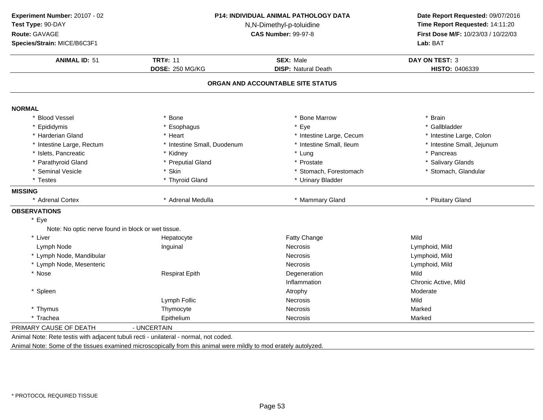| Experiment Number: 20107 - 02                      | P14: INDIVIDUAL ANIMAL PATHOLOGY DATA<br>N,N-Dimethyl-p-toluidine |                                   | Date Report Requested: 09/07/2016<br>Time Report Requested: 14:11:20 |
|----------------------------------------------------|-------------------------------------------------------------------|-----------------------------------|----------------------------------------------------------------------|
| Test Type: 90-DAY                                  |                                                                   |                                   |                                                                      |
| Route: GAVAGE                                      |                                                                   | <b>CAS Number: 99-97-8</b>        | First Dose M/F: 10/23/03 / 10/22/03                                  |
| Species/Strain: MICE/B6C3F1                        |                                                                   |                                   | Lab: BAT                                                             |
| <b>ANIMAL ID: 51</b>                               | <b>TRT#: 11</b>                                                   | <b>SEX: Male</b>                  | <b>DAY ON TEST: 3</b>                                                |
|                                                    | DOSE: 250 MG/KG                                                   | <b>DISP: Natural Death</b>        | HISTO: 0406339                                                       |
|                                                    |                                                                   | ORGAN AND ACCOUNTABLE SITE STATUS |                                                                      |
| <b>NORMAL</b>                                      |                                                                   |                                   |                                                                      |
| * Blood Vessel                                     | * Bone                                                            | * Bone Marrow                     | * Brain                                                              |
| * Epididymis                                       | * Esophagus                                                       | * Eye                             | * Gallbladder                                                        |
| * Harderian Gland                                  | * Heart                                                           | * Intestine Large, Cecum          | * Intestine Large, Colon                                             |
| * Intestine Large, Rectum                          | * Intestine Small, Duodenum                                       | * Intestine Small, Ileum          | * Intestine Small, Jejunum                                           |
| * Islets, Pancreatic                               | * Kidney                                                          | * Lung                            | * Pancreas                                                           |
| * Parathyroid Gland                                | * Preputial Gland                                                 | * Prostate                        | * Salivary Glands                                                    |
| * Seminal Vesicle                                  | * Skin                                                            | * Stomach, Forestomach            | * Stomach, Glandular                                                 |
| * Testes                                           | * Thyroid Gland                                                   | * Urinary Bladder                 |                                                                      |
| <b>MISSING</b>                                     |                                                                   |                                   |                                                                      |
| * Adrenal Cortex                                   | * Adrenal Medulla                                                 | * Mammary Gland                   | * Pituitary Gland                                                    |
| <b>OBSERVATIONS</b>                                |                                                                   |                                   |                                                                      |
| Eye                                                |                                                                   |                                   |                                                                      |
| Note: No optic nerve found in block or wet tissue. |                                                                   |                                   |                                                                      |
| * Liver                                            | Hepatocyte                                                        | Fatty Change                      | Mild                                                                 |
| Lymph Node                                         | Inguinal                                                          | Necrosis                          | Lymphoid, Mild                                                       |
| * Lymph Node, Mandibular                           |                                                                   | <b>Necrosis</b>                   | Lymphoid, Mild                                                       |
| * Lymph Node, Mesenteric                           |                                                                   | <b>Necrosis</b>                   | Lymphoid, Mild                                                       |
| * Nose                                             | <b>Respirat Epith</b>                                             | Degeneration                      | Mild                                                                 |
|                                                    |                                                                   | Inflammation                      | Chronic Active, Mild                                                 |
| * Spleen                                           |                                                                   | Atrophy                           | Moderate                                                             |
|                                                    | Lymph Follic                                                      | <b>Necrosis</b>                   | Mild                                                                 |
| * Thymus                                           | Thymocyte                                                         | Necrosis                          | Marked                                                               |
| * Trachea                                          | Epithelium                                                        | <b>Necrosis</b>                   | Marked                                                               |
| PRIMARY CAUSE OF DEATH                             | - UNCERTAIN                                                       |                                   |                                                                      |

Animal Note: Rete testis with adjacent tubuli recti - unilateral - normal, not coded.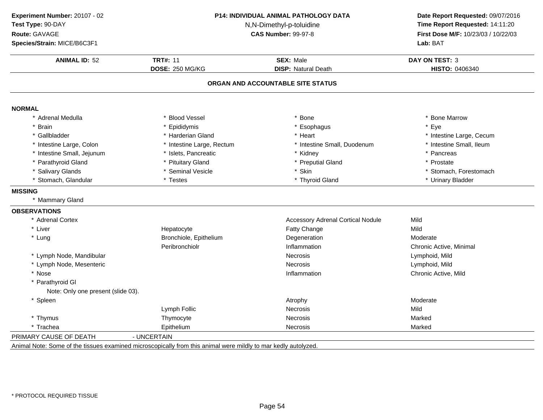| Experiment Number: 20107 - 02      |                           | P14: INDIVIDUAL ANIMAL PATHOLOGY DATA    | Date Report Requested: 09/07/2016   |  |
|------------------------------------|---------------------------|------------------------------------------|-------------------------------------|--|
| Test Type: 90-DAY                  | N,N-Dimethyl-p-toluidine  |                                          | Time Report Requested: 14:11:20     |  |
| Route: GAVAGE                      |                           | <b>CAS Number: 99-97-8</b>               | First Dose M/F: 10/23/03 / 10/22/03 |  |
| Species/Strain: MICE/B6C3F1        |                           |                                          | Lab: BAT                            |  |
| <b>ANIMAL ID: 52</b>               | <b>TRT#: 11</b>           | <b>SEX: Male</b>                         | <b>DAY ON TEST: 3</b>               |  |
|                                    | DOSE: 250 MG/KG           | <b>DISP: Natural Death</b>               | HISTO: 0406340                      |  |
|                                    |                           | ORGAN AND ACCOUNTABLE SITE STATUS        |                                     |  |
| <b>NORMAL</b>                      |                           |                                          |                                     |  |
| * Adrenal Medulla                  | * Blood Vessel            | * Bone                                   | * Bone Marrow                       |  |
| * Brain                            | * Epididymis              | * Esophagus                              | * Eye                               |  |
| * Gallbladder                      | * Harderian Gland         | * Heart                                  | * Intestine Large, Cecum            |  |
| * Intestine Large, Colon           | * Intestine Large, Rectum | * Intestine Small, Duodenum              | * Intestine Small, Ileum            |  |
| * Intestine Small, Jejunum         | * Islets, Pancreatic      | * Kidney                                 | * Pancreas                          |  |
| * Parathyroid Gland                | * Pituitary Gland         | * Preputial Gland                        | * Prostate                          |  |
| * Salivary Glands                  | * Seminal Vesicle         | * Skin                                   | * Stomach, Forestomach              |  |
| * Stomach, Glandular               | * Testes                  | * Thyroid Gland                          | * Urinary Bladder                   |  |
| <b>MISSING</b>                     |                           |                                          |                                     |  |
| * Mammary Gland                    |                           |                                          |                                     |  |
| <b>OBSERVATIONS</b>                |                           |                                          |                                     |  |
| * Adrenal Cortex                   |                           | <b>Accessory Adrenal Cortical Nodule</b> | Mild                                |  |
| * Liver                            | Hepatocyte                | Fatty Change                             | Mild                                |  |
| * Lung                             | Bronchiole, Epithelium    | Degeneration                             | Moderate                            |  |
|                                    | Peribronchiolr            | Inflammation                             | Chronic Active, Minimal             |  |
| * Lymph Node, Mandibular           |                           | <b>Necrosis</b>                          | Lymphoid, Mild                      |  |
| * Lymph Node, Mesenteric           |                           | <b>Necrosis</b>                          | Lymphoid, Mild                      |  |
| * Nose                             |                           | Inflammation                             | Chronic Active, Mild                |  |
| * Parathyroid GI                   |                           |                                          |                                     |  |
| Note: Only one present (slide 03). |                           |                                          |                                     |  |
| * Spleen                           |                           | Atrophy                                  | Moderate                            |  |
|                                    | Lymph Follic              | Necrosis                                 | Mild                                |  |
| * Thymus                           | Thymocyte                 | <b>Necrosis</b>                          | Marked                              |  |
| * Trachea                          | Epithelium                | Necrosis                                 | Marked                              |  |
| PRIMARY CAUSE OF DEATH             | - UNCERTAIN               |                                          |                                     |  |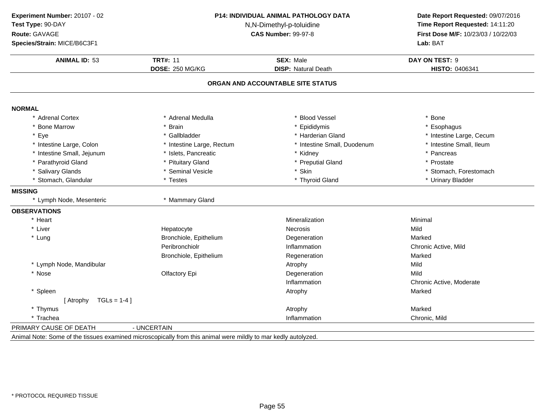| Experiment Number: 20107 - 02 | P14: INDIVIDUAL ANIMAL PATHOLOGY DATA<br>N,N-Dimethyl-p-toluidine |                                   | Date Report Requested: 09/07/2016   |  |
|-------------------------------|-------------------------------------------------------------------|-----------------------------------|-------------------------------------|--|
| Test Type: 90-DAY             |                                                                   |                                   | Time Report Requested: 14:11:20     |  |
| Route: GAVAGE                 |                                                                   | <b>CAS Number: 99-97-8</b>        | First Dose M/F: 10/23/03 / 10/22/03 |  |
| Species/Strain: MICE/B6C3F1   |                                                                   |                                   | Lab: BAT                            |  |
| <b>ANIMAL ID: 53</b>          | <b>TRT#: 11</b>                                                   | <b>SEX: Male</b>                  | DAY ON TEST: 9                      |  |
|                               | <b>DOSE: 250 MG/KG</b>                                            | <b>DISP: Natural Death</b>        | HISTO: 0406341                      |  |
|                               |                                                                   | ORGAN AND ACCOUNTABLE SITE STATUS |                                     |  |
| <b>NORMAL</b>                 |                                                                   |                                   |                                     |  |
| * Adrenal Cortex              | * Adrenal Medulla                                                 | * Blood Vessel                    | * Bone                              |  |
| <b>Bone Marrow</b>            | * Brain                                                           | * Epididymis                      | * Esophagus                         |  |
| Eye                           | * Gallbladder                                                     | * Harderian Gland                 | * Intestine Large, Cecum            |  |
| * Intestine Large, Colon      | * Intestine Large, Rectum                                         | * Intestine Small, Duodenum       | * Intestine Small, Ileum            |  |
| * Intestine Small, Jejunum    | * Islets, Pancreatic                                              | * Kidney                          | * Pancreas                          |  |
| * Parathyroid Gland           | * Pituitary Gland                                                 | * Preputial Gland                 | * Prostate                          |  |
| * Salivary Glands             | * Seminal Vesicle                                                 | * Skin                            | * Stomach, Forestomach              |  |
| * Stomach, Glandular          | * Testes                                                          | * Thyroid Gland                   | * Urinary Bladder                   |  |
| <b>MISSING</b>                |                                                                   |                                   |                                     |  |
| * Lymph Node, Mesenteric      | * Mammary Gland                                                   |                                   |                                     |  |
| <b>OBSERVATIONS</b>           |                                                                   |                                   |                                     |  |
| * Heart                       |                                                                   | Mineralization                    | Minimal                             |  |
| * Liver                       | Hepatocyte                                                        | <b>Necrosis</b>                   | Mild                                |  |
| * Lung                        | Bronchiole, Epithelium                                            | Degeneration                      | Marked                              |  |
|                               | Peribronchiolr                                                    | Inflammation                      | Chronic Active, Mild                |  |
|                               | Bronchiole, Epithelium                                            | Regeneration                      | Marked                              |  |
| * Lymph Node, Mandibular      |                                                                   | Atrophy                           | Mild                                |  |
| * Nose                        | Olfactory Epi                                                     | Degeneration                      | Mild                                |  |
|                               |                                                                   | Inflammation                      | Chronic Active, Moderate            |  |
| * Spleen                      |                                                                   | Atrophy                           | Marked                              |  |
| $TGLs = 1-4$<br>[ Atrophy     |                                                                   |                                   |                                     |  |
| * Thymus                      |                                                                   | Atrophy                           | Marked                              |  |
| * Trachea                     |                                                                   | Inflammation                      | Chronic, Mild                       |  |
| PRIMARY CAUSE OF DEATH        | - UNCERTAIN                                                       |                                   |                                     |  |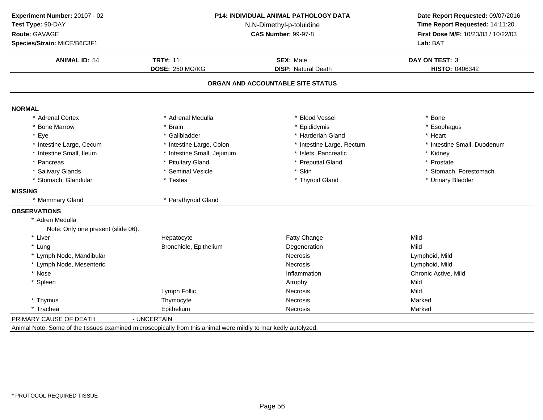| Experiment Number: 20107 - 02<br>Test Type: 90-DAY | <b>P14: INDIVIDUAL ANIMAL PATHOLOGY DATA</b><br>N,N-Dimethyl-p-toluidine<br><b>CAS Number: 99-97-8</b> |                                                | Date Report Requested: 09/07/2016<br>Time Report Requested: 14:11:20 |  |
|----------------------------------------------------|--------------------------------------------------------------------------------------------------------|------------------------------------------------|----------------------------------------------------------------------|--|
| Route: GAVAGE                                      |                                                                                                        |                                                | First Dose M/F: 10/23/03 / 10/22/03                                  |  |
| Species/Strain: MICE/B6C3F1                        |                                                                                                        |                                                | Lab: BAT                                                             |  |
|                                                    |                                                                                                        |                                                |                                                                      |  |
| <b>ANIMAL ID: 54</b>                               | <b>TRT#: 11</b><br><b>DOSE: 250 MG/KG</b>                                                              | <b>SEX: Male</b><br><b>DISP: Natural Death</b> | <b>DAY ON TEST: 3</b>                                                |  |
|                                                    |                                                                                                        |                                                | HISTO: 0406342                                                       |  |
|                                                    |                                                                                                        | ORGAN AND ACCOUNTABLE SITE STATUS              |                                                                      |  |
| <b>NORMAL</b>                                      |                                                                                                        |                                                |                                                                      |  |
| * Adrenal Cortex                                   | * Adrenal Medulla                                                                                      | <b>Blood Vessel</b>                            | * Bone                                                               |  |
| * Bone Marrow                                      | * Brain                                                                                                | * Epididymis                                   | * Esophagus                                                          |  |
| * Eye                                              | * Gallbladder                                                                                          | * Harderian Gland                              | * Heart                                                              |  |
| * Intestine Large, Cecum                           | * Intestine Large, Colon                                                                               | * Intestine Large, Rectum                      | * Intestine Small, Duodenum                                          |  |
| * Intestine Small, Ileum                           | * Intestine Small, Jejunum                                                                             | * Islets, Pancreatic                           | * Kidney                                                             |  |
| * Pancreas                                         | * Pituitary Gland                                                                                      | * Preputial Gland                              | * Prostate                                                           |  |
| * Salivary Glands                                  | * Seminal Vesicle                                                                                      | * Skin                                         | * Stomach, Forestomach                                               |  |
| * Stomach, Glandular                               | * Testes                                                                                               | * Thyroid Gland                                | * Urinary Bladder                                                    |  |
| <b>MISSING</b>                                     |                                                                                                        |                                                |                                                                      |  |
| * Mammary Gland                                    | * Parathyroid Gland                                                                                    |                                                |                                                                      |  |
| <b>OBSERVATIONS</b>                                |                                                                                                        |                                                |                                                                      |  |
| * Adren Medulla                                    |                                                                                                        |                                                |                                                                      |  |
| Note: Only one present (slide 06).                 |                                                                                                        |                                                |                                                                      |  |
| * Liver                                            | Hepatocyte                                                                                             | Fatty Change                                   | Mild                                                                 |  |
| * Lung                                             | Bronchiole, Epithelium                                                                                 | Degeneration                                   | Mild                                                                 |  |
| * Lymph Node, Mandibular                           |                                                                                                        | <b>Necrosis</b>                                | Lymphoid, Mild                                                       |  |
| * Lymph Node, Mesenteric                           |                                                                                                        | <b>Necrosis</b>                                | Lymphoid, Mild                                                       |  |
| * Nose                                             |                                                                                                        | Inflammation                                   | Chronic Active, Mild                                                 |  |
| * Spleen                                           |                                                                                                        | Atrophy                                        | Mild                                                                 |  |
|                                                    | Lymph Follic                                                                                           | Necrosis                                       | Mild                                                                 |  |
| * Thymus                                           | Thymocyte                                                                                              | <b>Necrosis</b>                                | Marked                                                               |  |
| * Trachea                                          | Epithelium                                                                                             | Necrosis                                       | Marked                                                               |  |
| PRIMARY CAUSE OF DEATH                             | - UNCERTAIN                                                                                            |                                                |                                                                      |  |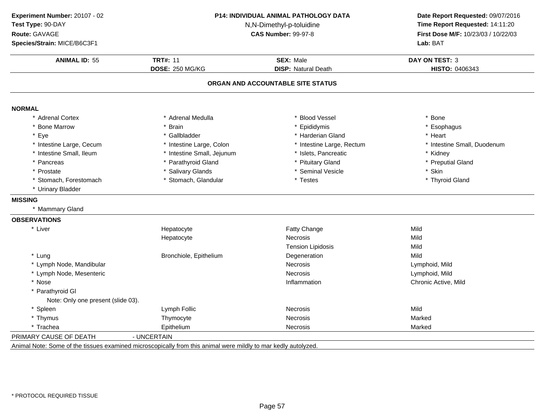| Experiment Number: 20107 - 02      | P14: INDIVIDUAL ANIMAL PATHOLOGY DATA<br>N,N-Dimethyl-p-toluidine |                                   | Date Report Requested: 09/07/2016   |  |
|------------------------------------|-------------------------------------------------------------------|-----------------------------------|-------------------------------------|--|
| Test Type: 90-DAY                  |                                                                   |                                   | Time Report Requested: 14:11:20     |  |
| Route: GAVAGE                      |                                                                   | <b>CAS Number: 99-97-8</b>        | First Dose M/F: 10/23/03 / 10/22/03 |  |
| Species/Strain: MICE/B6C3F1        |                                                                   |                                   | Lab: BAT                            |  |
| <b>ANIMAL ID: 55</b>               | <b>TRT#: 11</b>                                                   | <b>SEX: Male</b>                  | <b>DAY ON TEST: 3</b>               |  |
|                                    | <b>DOSE: 250 MG/KG</b>                                            | <b>DISP: Natural Death</b>        | HISTO: 0406343                      |  |
|                                    |                                                                   | ORGAN AND ACCOUNTABLE SITE STATUS |                                     |  |
| <b>NORMAL</b>                      |                                                                   |                                   |                                     |  |
| <b>Adrenal Cortex</b>              | * Adrenal Medulla                                                 | * Blood Vessel                    | * Bone                              |  |
| <b>Bone Marrow</b>                 | * Brain                                                           | * Epididymis                      | * Esophagus                         |  |
| Eye                                | * Gallbladder                                                     | * Harderian Gland                 | * Heart                             |  |
| * Intestine Large, Cecum           | * Intestine Large, Colon                                          | * Intestine Large, Rectum         | * Intestine Small, Duodenum         |  |
| * Intestine Small, Ileum           | * Intestine Small, Jejunum                                        | * Islets, Pancreatic              | * Kidney                            |  |
| Pancreas                           | * Parathyroid Gland                                               | * Pituitary Gland                 | * Preputial Gland                   |  |
| Prostate                           | * Salivary Glands                                                 | * Seminal Vesicle                 | * Skin                              |  |
| * Stomach, Forestomach             | * Stomach, Glandular                                              | * Testes                          | * Thyroid Gland                     |  |
| * Urinary Bladder                  |                                                                   |                                   |                                     |  |
| <b>MISSING</b>                     |                                                                   |                                   |                                     |  |
| * Mammary Gland                    |                                                                   |                                   |                                     |  |
| <b>OBSERVATIONS</b>                |                                                                   |                                   |                                     |  |
| * Liver                            | Hepatocyte                                                        | Fatty Change                      | Mild                                |  |
|                                    | Hepatocyte                                                        | Necrosis                          | Mild                                |  |
|                                    |                                                                   | <b>Tension Lipidosis</b>          | Mild                                |  |
| * Lung                             | Bronchiole, Epithelium                                            | Degeneration                      | Mild                                |  |
| * Lymph Node, Mandibular           |                                                                   | <b>Necrosis</b>                   | Lymphoid, Mild                      |  |
| * Lymph Node, Mesenteric           |                                                                   | <b>Necrosis</b>                   | Lymphoid, Mild                      |  |
| * Nose                             |                                                                   | Inflammation                      | Chronic Active, Mild                |  |
| * Parathyroid GI                   |                                                                   |                                   |                                     |  |
| Note: Only one present (slide 03). |                                                                   |                                   |                                     |  |
| * Spleen                           | Lymph Follic                                                      | <b>Necrosis</b>                   | Mild                                |  |
| * Thymus                           | Thymocyte                                                         | <b>Necrosis</b>                   | Marked                              |  |
| * Trachea                          | Epithelium                                                        | <b>Necrosis</b>                   | Marked                              |  |
| PRIMARY CAUSE OF DEATH             | - UNCERTAIN                                                       |                                   |                                     |  |
|                                    |                                                                   |                                   |                                     |  |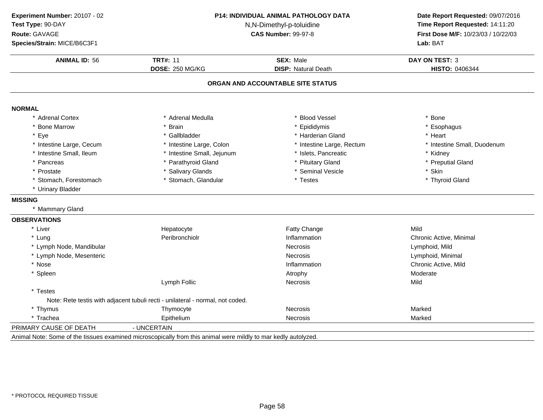| Experiment Number: 20107 - 02 |                                                                                | P14: INDIVIDUAL ANIMAL PATHOLOGY DATA | Date Report Requested: 09/07/2016<br>Time Report Requested: 14:11:20 |
|-------------------------------|--------------------------------------------------------------------------------|---------------------------------------|----------------------------------------------------------------------|
| Test Type: 90-DAY             |                                                                                | N,N-Dimethyl-p-toluidine              |                                                                      |
| Route: GAVAGE                 |                                                                                | <b>CAS Number: 99-97-8</b>            | First Dose M/F: 10/23/03 / 10/22/03                                  |
| Species/Strain: MICE/B6C3F1   |                                                                                |                                       | Lab: BAT                                                             |
| <b>ANIMAL ID: 56</b>          | <b>TRT#: 11</b>                                                                | <b>SEX: Male</b>                      | <b>DAY ON TEST: 3</b>                                                |
|                               | <b>DOSE: 250 MG/KG</b>                                                         | <b>DISP: Natural Death</b>            | HISTO: 0406344                                                       |
|                               |                                                                                | ORGAN AND ACCOUNTABLE SITE STATUS     |                                                                      |
| <b>NORMAL</b>                 |                                                                                |                                       |                                                                      |
| * Adrenal Cortex              | * Adrenal Medulla                                                              | <b>Blood Vessel</b>                   | * Bone                                                               |
| <b>Bone Marrow</b>            | * Brain                                                                        | Epididymis                            | * Esophagus                                                          |
| Eye                           | * Gallbladder                                                                  | * Harderian Gland                     | * Heart                                                              |
| * Intestine Large, Cecum      | * Intestine Large, Colon                                                       | * Intestine Large, Rectum             | * Intestine Small, Duodenum                                          |
| * Intestine Small, Ileum      | * Intestine Small, Jejunum                                                     | * Islets, Pancreatic                  | * Kidney                                                             |
| * Pancreas                    | * Parathyroid Gland                                                            | * Pituitary Gland                     | * Preputial Gland                                                    |
| * Prostate                    | * Salivary Glands                                                              | * Seminal Vesicle                     | * Skin                                                               |
| * Stomach, Forestomach        | * Stomach, Glandular                                                           | * Testes                              | * Thyroid Gland                                                      |
| * Urinary Bladder             |                                                                                |                                       |                                                                      |
| <b>MISSING</b>                |                                                                                |                                       |                                                                      |
| * Mammary Gland               |                                                                                |                                       |                                                                      |
| <b>OBSERVATIONS</b>           |                                                                                |                                       |                                                                      |
| * Liver                       | Hepatocyte                                                                     | <b>Fatty Change</b>                   | Mild                                                                 |
| * Lung                        | Peribronchiolr                                                                 | Inflammation                          | Chronic Active, Minimal                                              |
| * Lymph Node, Mandibular      |                                                                                | <b>Necrosis</b>                       | Lymphoid, Mild                                                       |
| * Lymph Node, Mesenteric      |                                                                                | <b>Necrosis</b>                       | Lymphoid, Minimal                                                    |
| * Nose                        |                                                                                | Inflammation                          | Chronic Active, Mild                                                 |
| * Spleen                      |                                                                                | Atrophy                               | Moderate                                                             |
|                               | Lymph Follic                                                                   | Necrosis                              | Mild                                                                 |
| * Testes                      |                                                                                |                                       |                                                                      |
|                               | Note: Rete testis with adjacent tubuli recti - unilateral - normal, not coded. |                                       |                                                                      |
| * Thymus                      | Thymocyte                                                                      | <b>Necrosis</b>                       | Marked                                                               |
| * Trachea                     | Epithelium                                                                     | <b>Necrosis</b>                       | Marked                                                               |
| PRIMARY CAUSE OF DEATH        | - UNCERTAIN                                                                    |                                       |                                                                      |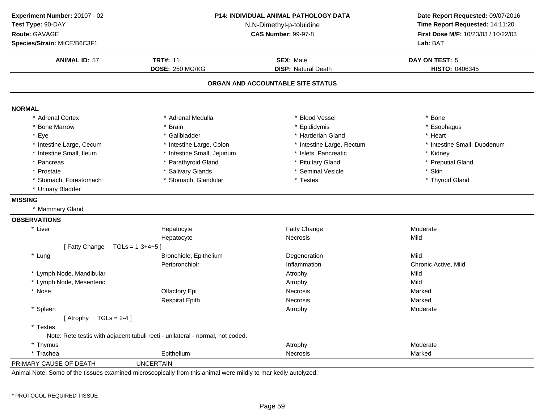| Experiment Number: 20107 - 02 |                                                                                                                | <b>P14: INDIVIDUAL ANIMAL PATHOLOGY DATA</b>   | Date Report Requested: 09/07/2016                                      |  |
|-------------------------------|----------------------------------------------------------------------------------------------------------------|------------------------------------------------|------------------------------------------------------------------------|--|
| Test Type: 90-DAY             | N,N-Dimethyl-p-toluidine<br><b>CAS Number: 99-97-8</b>                                                         |                                                | Time Report Requested: 14:11:20<br>First Dose M/F: 10/23/03 / 10/22/03 |  |
| Route: GAVAGE                 |                                                                                                                |                                                |                                                                        |  |
| Species/Strain: MICE/B6C3F1   |                                                                                                                |                                                | Lab: BAT                                                               |  |
| <b>ANIMAL ID: 57</b>          | <b>TRT#: 11</b><br><b>DOSE: 250 MG/KG</b>                                                                      | <b>SEX: Male</b><br><b>DISP: Natural Death</b> | <b>DAY ON TEST: 5</b><br>HISTO: 0406345                                |  |
|                               |                                                                                                                |                                                |                                                                        |  |
|                               |                                                                                                                | ORGAN AND ACCOUNTABLE SITE STATUS              |                                                                        |  |
| <b>NORMAL</b>                 |                                                                                                                |                                                |                                                                        |  |
| * Adrenal Cortex              | * Adrenal Medulla                                                                                              | * Blood Vessel                                 | * Bone                                                                 |  |
| * Bone Marrow                 | <b>Brain</b>                                                                                                   | * Epididymis                                   | * Esophagus                                                            |  |
| * Eye                         | * Gallbladder                                                                                                  | * Harderian Gland                              | * Heart                                                                |  |
| * Intestine Large, Cecum      | * Intestine Large, Colon                                                                                       | * Intestine Large, Rectum                      | * Intestine Small, Duodenum                                            |  |
| * Intestine Small, Ileum      | * Intestine Small, Jejunum                                                                                     | * Islets, Pancreatic                           | * Kidney                                                               |  |
| * Pancreas                    | * Parathyroid Gland                                                                                            | * Pituitary Gland                              | * Preputial Gland                                                      |  |
| * Prostate                    | <b>Salivary Glands</b>                                                                                         | * Seminal Vesicle                              | * Skin                                                                 |  |
| * Stomach, Forestomach        | * Stomach, Glandular                                                                                           | * Testes                                       | * Thyroid Gland                                                        |  |
| * Urinary Bladder             |                                                                                                                |                                                |                                                                        |  |
| <b>MISSING</b>                |                                                                                                                |                                                |                                                                        |  |
| * Mammary Gland               |                                                                                                                |                                                |                                                                        |  |
| <b>OBSERVATIONS</b>           |                                                                                                                |                                                |                                                                        |  |
| * Liver                       | Hepatocyte                                                                                                     | Fatty Change                                   | Moderate                                                               |  |
|                               | Hepatocyte                                                                                                     | <b>Necrosis</b>                                | Mild                                                                   |  |
| [Fatty Change                 | $TGLs = 1-3+4+5$                                                                                               |                                                |                                                                        |  |
| * Lung                        | Bronchiole, Epithelium                                                                                         | Degeneration                                   | Mild                                                                   |  |
|                               | Peribronchiolr                                                                                                 | Inflammation                                   | Chronic Active, Mild                                                   |  |
| * Lymph Node, Mandibular      |                                                                                                                | Atrophy                                        | Mild                                                                   |  |
| * Lymph Node, Mesenteric      |                                                                                                                | Atrophy                                        | Mild                                                                   |  |
| * Nose                        | Olfactory Epi                                                                                                  | <b>Necrosis</b>                                | Marked                                                                 |  |
|                               | <b>Respirat Epith</b>                                                                                          | Necrosis                                       | Marked                                                                 |  |
| * Spleen                      |                                                                                                                | Atrophy                                        | Moderate                                                               |  |
| [Atrophy $TGLs = 2-4$ ]       |                                                                                                                |                                                |                                                                        |  |
| * Testes                      |                                                                                                                |                                                |                                                                        |  |
|                               | Note: Rete testis with adjacent tubuli recti - unilateral - normal, not coded.                                 |                                                |                                                                        |  |
| * Thymus                      |                                                                                                                | Atrophy                                        | Moderate                                                               |  |
| * Trachea                     | Epithelium                                                                                                     | Necrosis                                       | Marked                                                                 |  |
| PRIMARY CAUSE OF DEATH        | - UNCERTAIN                                                                                                    |                                                |                                                                        |  |
|                               | Animal Note: Some of the tissues examined microscopically from this animal were mildly to mar kedly autolyzed. |                                                |                                                                        |  |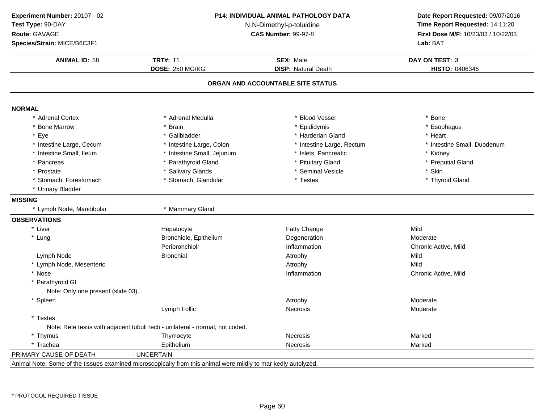| Experiment Number: 20107 - 02      | P14: INDIVIDUAL ANIMAL PATHOLOGY DATA                                                                          |                                   | Date Report Requested: 09/07/2016<br>Time Report Requested: 14:11:20 |
|------------------------------------|----------------------------------------------------------------------------------------------------------------|-----------------------------------|----------------------------------------------------------------------|
| Test Type: 90-DAY                  | N,N-Dimethyl-p-toluidine                                                                                       |                                   |                                                                      |
| Route: GAVAGE                      | <b>CAS Number: 99-97-8</b>                                                                                     |                                   | First Dose M/F: 10/23/03 / 10/22/03                                  |
| Species/Strain: MICE/B6C3F1        |                                                                                                                |                                   | Lab: BAT                                                             |
| <b>ANIMAL ID: 58</b>               | <b>TRT#: 11</b>                                                                                                | <b>SEX: Male</b>                  | <b>DAY ON TEST: 3</b>                                                |
|                                    | <b>DOSE: 250 MG/KG</b>                                                                                         | <b>DISP: Natural Death</b>        | HISTO: 0406346                                                       |
|                                    |                                                                                                                | ORGAN AND ACCOUNTABLE SITE STATUS |                                                                      |
|                                    |                                                                                                                |                                   |                                                                      |
| <b>NORMAL</b><br>* Adrenal Cortex  | * Adrenal Medulla                                                                                              | <b>Blood Vessel</b>               | * Bone                                                               |
| * Bone Marrow                      |                                                                                                                |                                   | * Esophagus                                                          |
| * Eye                              | * Brain<br>* Gallbladder                                                                                       | Epididymis<br>* Harderian Gland   | * Heart                                                              |
| * Intestine Large, Cecum           | * Intestine Large, Colon                                                                                       | * Intestine Large, Rectum         | * Intestine Small, Duodenum                                          |
| * Intestine Small, Ileum           | * Intestine Small, Jejunum                                                                                     | * Islets, Pancreatic              | * Kidney                                                             |
| * Pancreas                         | * Parathyroid Gland                                                                                            | * Pituitary Gland                 | * Preputial Gland                                                    |
| * Prostate                         | * Salivary Glands                                                                                              | * Seminal Vesicle                 | * Skin                                                               |
| * Stomach, Forestomach             | * Stomach, Glandular                                                                                           | * Testes                          | * Thyroid Gland                                                      |
| * Urinary Bladder                  |                                                                                                                |                                   |                                                                      |
|                                    |                                                                                                                |                                   |                                                                      |
| <b>MISSING</b>                     |                                                                                                                |                                   |                                                                      |
| * Lymph Node, Mandibular           | * Mammary Gland                                                                                                |                                   |                                                                      |
| <b>OBSERVATIONS</b>                |                                                                                                                |                                   |                                                                      |
| * Liver                            | Hepatocyte                                                                                                     | Fatty Change                      | Mild                                                                 |
| * Lung                             | Bronchiole, Epithelium                                                                                         | Degeneration                      | Moderate                                                             |
|                                    | Peribronchiolr                                                                                                 | Inflammation                      | Chronic Active, Mild                                                 |
| Lymph Node                         | <b>Bronchial</b>                                                                                               | Atrophy                           | Mild                                                                 |
| * Lymph Node, Mesenteric           |                                                                                                                | Atrophy                           | Mild                                                                 |
| * Nose                             |                                                                                                                | Inflammation                      | Chronic Active, Mild                                                 |
| * Parathyroid GI                   |                                                                                                                |                                   |                                                                      |
| Note: Only one present (slide 03). |                                                                                                                |                                   |                                                                      |
| * Spleen                           |                                                                                                                | Atrophy                           | Moderate                                                             |
|                                    | Lymph Follic                                                                                                   | <b>Necrosis</b>                   | Moderate                                                             |
| * Testes                           |                                                                                                                |                                   |                                                                      |
|                                    | Note: Rete testis with adjacent tubuli recti - unilateral - normal, not coded.                                 |                                   |                                                                      |
| * Thymus                           | Thymocyte                                                                                                      | <b>Necrosis</b>                   | Marked                                                               |
| * Trachea                          | Epithelium                                                                                                     | <b>Necrosis</b>                   | Marked                                                               |
| PRIMARY CAUSE OF DEATH             | - UNCERTAIN                                                                                                    |                                   |                                                                      |
|                                    | Animal Note: Some of the tissues examined microscopically from this animal were mildly to mar kedly autolyzed. |                                   |                                                                      |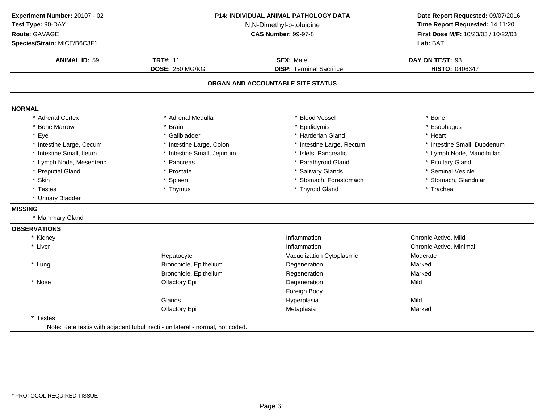| Experiment Number: 20107 - 02<br>Test Type: 90-DAY<br>Route: GAVAGE<br>Species/Strain: MICE/B6C3F1 | P14: INDIVIDUAL ANIMAL PATHOLOGY DATA<br>N,N-Dimethyl-p-toluidine<br><b>CAS Number: 99-97-8</b> |                                                     | Date Report Requested: 09/07/2016<br>Time Report Requested: 14:11:20<br>First Dose M/F: 10/23/03 / 10/22/03<br>Lab: BAT |
|----------------------------------------------------------------------------------------------------|-------------------------------------------------------------------------------------------------|-----------------------------------------------------|-------------------------------------------------------------------------------------------------------------------------|
| <b>ANIMAL ID: 59</b>                                                                               | <b>TRT#: 11</b><br><b>DOSE: 250 MG/KG</b>                                                       | <b>SEX: Male</b><br><b>DISP: Terminal Sacrifice</b> | DAY ON TEST: 93<br>HISTO: 0406347                                                                                       |
|                                                                                                    |                                                                                                 | ORGAN AND ACCOUNTABLE SITE STATUS                   |                                                                                                                         |
| <b>NORMAL</b>                                                                                      |                                                                                                 |                                                     |                                                                                                                         |
| * Adrenal Cortex                                                                                   | * Adrenal Medulla                                                                               | <b>Blood Vessel</b>                                 | * Bone                                                                                                                  |
| * Bone Marrow                                                                                      | * Brain                                                                                         | * Epididymis                                        | * Esophagus                                                                                                             |
| * Eye                                                                                              | * Gallbladder                                                                                   | * Harderian Gland                                   | * Heart                                                                                                                 |
| * Intestine Large, Cecum                                                                           | * Intestine Large, Colon                                                                        | * Intestine Large, Rectum                           | * Intestine Small, Duodenum                                                                                             |
| * Intestine Small, Ileum                                                                           | * Intestine Small, Jejunum                                                                      | * Islets, Pancreatic                                | * Lymph Node, Mandibular                                                                                                |
| * Lymph Node, Mesenteric                                                                           | * Pancreas                                                                                      | * Parathyroid Gland                                 | * Pituitary Gland                                                                                                       |
| * Preputial Gland                                                                                  | * Prostate                                                                                      | * Salivary Glands                                   | * Seminal Vesicle                                                                                                       |
| * Skin                                                                                             | * Spleen                                                                                        | * Stomach, Forestomach                              | * Stomach, Glandular                                                                                                    |
| * Testes                                                                                           | * Thymus                                                                                        | * Thyroid Gland                                     | * Trachea                                                                                                               |
| * Urinary Bladder                                                                                  |                                                                                                 |                                                     |                                                                                                                         |
| <b>MISSING</b>                                                                                     |                                                                                                 |                                                     |                                                                                                                         |
| * Mammary Gland                                                                                    |                                                                                                 |                                                     |                                                                                                                         |
| <b>OBSERVATIONS</b>                                                                                |                                                                                                 |                                                     |                                                                                                                         |
| * Kidney                                                                                           |                                                                                                 | Inflammation                                        | Chronic Active, Mild                                                                                                    |
| * Liver                                                                                            |                                                                                                 | Inflammation                                        | Chronic Active, Minimal                                                                                                 |
|                                                                                                    | Hepatocyte                                                                                      | Vacuolization Cytoplasmic                           | Moderate                                                                                                                |
| * Lung                                                                                             | Bronchiole, Epithelium                                                                          | Degeneration                                        | Marked                                                                                                                  |
|                                                                                                    | Bronchiole, Epithelium                                                                          | Regeneration                                        | Marked                                                                                                                  |
| * Nose                                                                                             | Olfactory Epi                                                                                   | Degeneration                                        | Mild                                                                                                                    |
|                                                                                                    |                                                                                                 | Foreign Body                                        |                                                                                                                         |
|                                                                                                    | Glands                                                                                          | Hyperplasia                                         | Mild                                                                                                                    |
|                                                                                                    | Olfactory Epi                                                                                   | Metaplasia                                          | Marked                                                                                                                  |
| * Testes                                                                                           |                                                                                                 |                                                     |                                                                                                                         |

Note: Rete testis with adjacent tubuli recti - unilateral - normal, not coded.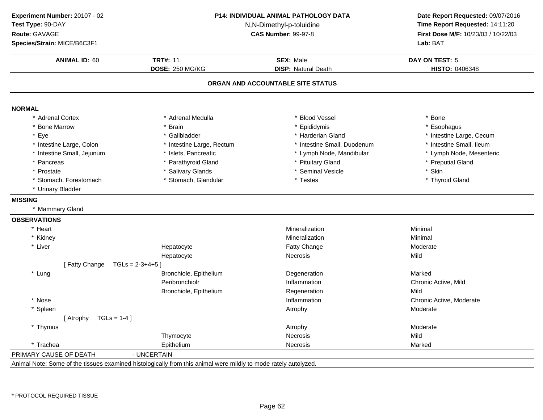| Experiment Number: 20107 - 02     |                                                                                                                 | <b>P14: INDIVIDUAL ANIMAL PATHOLOGY DATA</b> | Date Report Requested: 09/07/2016<br>Time Report Requested: 14:11:20 |
|-----------------------------------|-----------------------------------------------------------------------------------------------------------------|----------------------------------------------|----------------------------------------------------------------------|
| Test Type: 90-DAY                 |                                                                                                                 | N,N-Dimethyl-p-toluidine                     |                                                                      |
| Route: GAVAGE                     |                                                                                                                 | <b>CAS Number: 99-97-8</b>                   |                                                                      |
| Species/Strain: MICE/B6C3F1       |                                                                                                                 |                                              | First Dose M/F: 10/23/03 / 10/22/03<br>Lab: BAT                      |
| <b>ANIMAL ID: 60</b>              | <b>TRT#: 11</b>                                                                                                 | <b>SEX: Male</b>                             | <b>DAY ON TEST: 5</b>                                                |
|                                   | DOSE: 250 MG/KG                                                                                                 | <b>DISP: Natural Death</b>                   | HISTO: 0406348                                                       |
|                                   |                                                                                                                 | ORGAN AND ACCOUNTABLE SITE STATUS            |                                                                      |
|                                   |                                                                                                                 |                                              |                                                                      |
| <b>NORMAL</b><br>* Adrenal Cortex | * Adrenal Medulla                                                                                               | <b>Blood Vessel</b>                          | * Bone                                                               |
| * Bone Marrow                     | * Brain                                                                                                         | Epididymis                                   | * Esophagus                                                          |
| * Eye                             | * Gallbladder                                                                                                   | * Harderian Gland                            | * Intestine Large, Cecum                                             |
| * Intestine Large, Colon          | * Intestine Large, Rectum                                                                                       | * Intestine Small, Duodenum                  | * Intestine Small, Ileum                                             |
| * Intestine Small, Jejunum        | * Islets, Pancreatic                                                                                            | * Lymph Node, Mandibular                     | * Lymph Node, Mesenteric                                             |
| * Pancreas                        | * Parathyroid Gland                                                                                             | * Pituitary Gland                            | * Preputial Gland                                                    |
| * Prostate                        | * Salivary Glands                                                                                               | * Seminal Vesicle                            | * Skin                                                               |
| * Stomach, Forestomach            | * Stomach, Glandular                                                                                            | * Testes                                     | * Thyroid Gland                                                      |
| * Urinary Bladder                 |                                                                                                                 |                                              |                                                                      |
| <b>MISSING</b>                    |                                                                                                                 |                                              |                                                                      |
| * Mammary Gland                   |                                                                                                                 |                                              |                                                                      |
| <b>OBSERVATIONS</b>               |                                                                                                                 |                                              |                                                                      |
| * Heart                           |                                                                                                                 | Mineralization                               | Minimal                                                              |
| * Kidney                          |                                                                                                                 | Mineralization                               | Minimal                                                              |
| * Liver                           | Hepatocyte                                                                                                      | Fatty Change                                 | Moderate                                                             |
|                                   | Hepatocyte                                                                                                      | <b>Necrosis</b>                              | Mild                                                                 |
| [Fatty Change                     | $TGLS = 2-3+4+5$ ]                                                                                              |                                              |                                                                      |
| * Lung                            | Bronchiole, Epithelium                                                                                          | Degeneration                                 | Marked                                                               |
|                                   | Peribronchiolr                                                                                                  | Inflammation                                 | Chronic Active, Mild                                                 |
|                                   | Bronchiole, Epithelium                                                                                          | Regeneration                                 | Mild                                                                 |
| * Nose                            |                                                                                                                 | Inflammation                                 | Chronic Active, Moderate                                             |
| * Spleen                          |                                                                                                                 | Atrophy                                      | Moderate                                                             |
| $TGLs = 1-4$ ]<br>[ Atrophy       |                                                                                                                 |                                              |                                                                      |
| * Thymus                          |                                                                                                                 | Atrophy                                      | Moderate                                                             |
|                                   | Thymocyte                                                                                                       | Necrosis                                     | Mild                                                                 |
| * Trachea                         | Epithelium                                                                                                      | <b>Necrosis</b>                              | Marked                                                               |
| PRIMARY CAUSE OF DEATH            | - UNCERTAIN                                                                                                     |                                              |                                                                      |
|                                   | Animal Note: Some of the tissues examined histologically from this animal were mildly to mode rately autolyzed. |                                              |                                                                      |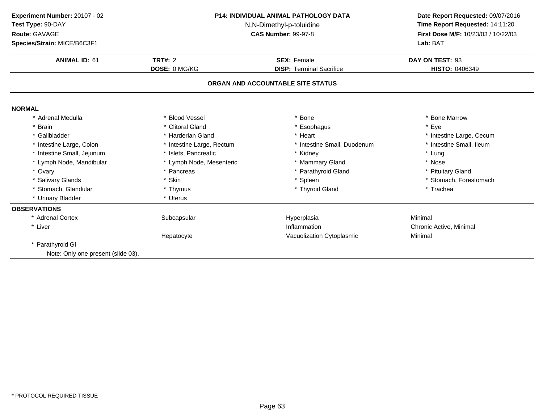| Experiment Number: 20107 - 02<br>Test Type: 90-DAY<br>Route: GAVAGE<br>Species/Strain: MICE/B6C3F1<br><b>ANIMAL ID: 61</b> | <b>P14: INDIVIDUAL ANIMAL PATHOLOGY DATA</b><br>N,N-Dimethyl-p-toluidine<br><b>CAS Number: 99-97-8</b><br>TRT#: $2$<br><b>SEX: Female</b> |                                   | Date Report Requested: 09/07/2016<br>Time Report Requested: 14:11:20<br>First Dose M/F: 10/23/03 / 10/22/03<br>Lab: BAT<br>DAY ON TEST: 93 |
|----------------------------------------------------------------------------------------------------------------------------|-------------------------------------------------------------------------------------------------------------------------------------------|-----------------------------------|--------------------------------------------------------------------------------------------------------------------------------------------|
|                                                                                                                            | DOSE: 0 MG/KG                                                                                                                             | <b>DISP: Terminal Sacrifice</b>   | <b>HISTO: 0406349</b>                                                                                                                      |
|                                                                                                                            |                                                                                                                                           | ORGAN AND ACCOUNTABLE SITE STATUS |                                                                                                                                            |
| <b>NORMAL</b>                                                                                                              |                                                                                                                                           |                                   |                                                                                                                                            |
| Adrenal Medulla                                                                                                            | <b>Blood Vessel</b>                                                                                                                       | Bone                              | * Bone Marrow                                                                                                                              |
| <b>Brain</b>                                                                                                               | * Clitoral Gland                                                                                                                          | * Esophagus                       | * Eye                                                                                                                                      |
| * Gallbladder                                                                                                              | * Harderian Gland                                                                                                                         | * Heart                           | * Intestine Large, Cecum                                                                                                                   |
| * Intestine Large, Colon                                                                                                   | * Intestine Large, Rectum                                                                                                                 | * Intestine Small, Duodenum       | * Intestine Small, Ileum                                                                                                                   |
| * Intestine Small, Jejunum                                                                                                 | * Islets, Pancreatic                                                                                                                      | * Kidney                          | * Lung                                                                                                                                     |
| * Lymph Node, Mandibular                                                                                                   | * Lymph Node, Mesenteric                                                                                                                  | * Mammary Gland                   | * Nose                                                                                                                                     |
| * Ovary                                                                                                                    | * Pancreas                                                                                                                                | * Parathyroid Gland               | * Pituitary Gland                                                                                                                          |
| * Salivary Glands                                                                                                          | * Skin                                                                                                                                    | * Spleen                          | * Stomach, Forestomach                                                                                                                     |
| * Stomach, Glandular                                                                                                       | * Thymus                                                                                                                                  | * Thyroid Gland                   | * Trachea                                                                                                                                  |
| * Urinary Bladder                                                                                                          | * Uterus                                                                                                                                  |                                   |                                                                                                                                            |
| <b>OBSERVATIONS</b>                                                                                                        |                                                                                                                                           |                                   |                                                                                                                                            |
| * Adrenal Cortex                                                                                                           | Subcapsular                                                                                                                               | Hyperplasia                       | Minimal                                                                                                                                    |
| * Liver                                                                                                                    |                                                                                                                                           | Inflammation                      | Chronic Active, Minimal                                                                                                                    |
|                                                                                                                            | Hepatocyte                                                                                                                                | Vacuolization Cytoplasmic         | Minimal                                                                                                                                    |
| * Parathyroid GI                                                                                                           |                                                                                                                                           |                                   |                                                                                                                                            |
| Note: Only one present (slide 03).                                                                                         |                                                                                                                                           |                                   |                                                                                                                                            |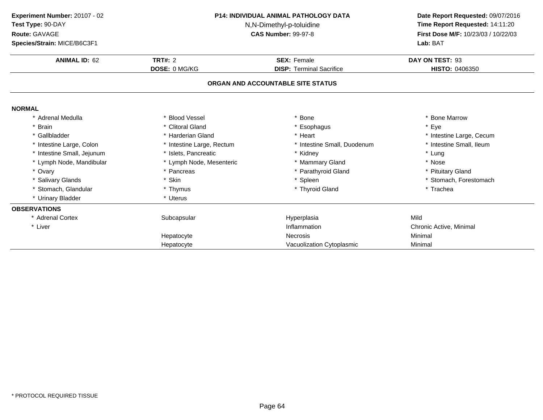| Experiment Number: 20107 - 02<br>Test Type: 90-DAY<br>Route: GAVAGE<br>Species/Strain: MICE/B6C3F1 | <b>P14: INDIVIDUAL ANIMAL PATHOLOGY DATA</b><br>N,N-Dimethyl-p-toluidine<br><b>CAS Number: 99-97-8</b> |                                   | Date Report Requested: 09/07/2016<br>Time Report Requested: 14:11:20<br>First Dose M/F: 10/23/03 / 10/22/03<br>Lab: BAT |  |
|----------------------------------------------------------------------------------------------------|--------------------------------------------------------------------------------------------------------|-----------------------------------|-------------------------------------------------------------------------------------------------------------------------|--|
| <b>ANIMAL ID: 62</b>                                                                               | <b>TRT#: 2</b>                                                                                         | <b>SEX: Female</b>                | DAY ON TEST: 93                                                                                                         |  |
|                                                                                                    | DOSE: 0 MG/KG                                                                                          | <b>DISP: Terminal Sacrifice</b>   | HISTO: 0406350                                                                                                          |  |
|                                                                                                    |                                                                                                        | ORGAN AND ACCOUNTABLE SITE STATUS |                                                                                                                         |  |
| <b>NORMAL</b>                                                                                      |                                                                                                        |                                   |                                                                                                                         |  |
| Adrenal Medulla                                                                                    | <b>Blood Vessel</b>                                                                                    | <b>Bone</b>                       | * Bone Marrow                                                                                                           |  |
| * Brain                                                                                            | * Clitoral Gland                                                                                       | Esophagus                         | * Eye                                                                                                                   |  |
| * Gallbladder                                                                                      | * Harderian Gland                                                                                      | * Heart                           | * Intestine Large, Cecum                                                                                                |  |
| * Intestine Large, Colon                                                                           | * Intestine Large, Rectum                                                                              | * Intestine Small, Duodenum       | * Intestine Small, Ileum                                                                                                |  |
| Intestine Small, Jejunum                                                                           | * Islets, Pancreatic                                                                                   | * Kidney                          | * Lung                                                                                                                  |  |
| * Lymph Node, Mandibular                                                                           | * Lymph Node, Mesenteric                                                                               | * Mammary Gland                   | * Nose                                                                                                                  |  |
| * Ovary                                                                                            | * Pancreas                                                                                             | * Parathyroid Gland               | * Pituitary Gland                                                                                                       |  |
| * Salivary Glands                                                                                  | * Skin                                                                                                 | * Spleen                          | * Stomach, Forestomach                                                                                                  |  |
| Stomach, Glandular                                                                                 | * Thymus                                                                                               | * Thyroid Gland                   | * Trachea                                                                                                               |  |
| * Urinary Bladder                                                                                  | * Uterus                                                                                               |                                   |                                                                                                                         |  |
| <b>OBSERVATIONS</b>                                                                                |                                                                                                        |                                   |                                                                                                                         |  |
| * Adrenal Cortex                                                                                   | Subcapsular                                                                                            | Hyperplasia                       | Mild                                                                                                                    |  |
| * Liver                                                                                            |                                                                                                        | Inflammation                      | Chronic Active, Minimal                                                                                                 |  |
|                                                                                                    | Hepatocyte                                                                                             | <b>Necrosis</b>                   | Minimal                                                                                                                 |  |
|                                                                                                    | Hepatocyte                                                                                             | Vacuolization Cytoplasmic         | Minimal                                                                                                                 |  |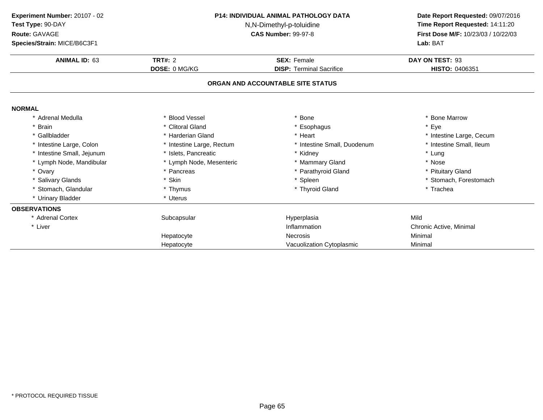| Experiment Number: 20107 - 02<br>Test Type: 90-DAY<br>Route: GAVAGE<br>Species/Strain: MICE/B6C3F1 | <b>P14: INDIVIDUAL ANIMAL PATHOLOGY DATA</b><br>N,N-Dimethyl-p-toluidine<br><b>CAS Number: 99-97-8</b> |                                   | Date Report Requested: 09/07/2016<br>Time Report Requested: 14:11:20<br>First Dose M/F: 10/23/03 / 10/22/03<br>Lab: BAT |
|----------------------------------------------------------------------------------------------------|--------------------------------------------------------------------------------------------------------|-----------------------------------|-------------------------------------------------------------------------------------------------------------------------|
| <b>ANIMAL ID: 63</b>                                                                               | <b>TRT#: 2</b>                                                                                         | <b>SEX: Female</b>                | DAY ON TEST: 93                                                                                                         |
|                                                                                                    | DOSE: 0 MG/KG                                                                                          | <b>DISP: Terminal Sacrifice</b>   | HISTO: 0406351                                                                                                          |
|                                                                                                    |                                                                                                        | ORGAN AND ACCOUNTABLE SITE STATUS |                                                                                                                         |
| <b>NORMAL</b>                                                                                      |                                                                                                        |                                   |                                                                                                                         |
| Adrenal Medulla                                                                                    | <b>Blood Vessel</b>                                                                                    | <b>Bone</b>                       | * Bone Marrow                                                                                                           |
| * Brain                                                                                            | * Clitoral Gland                                                                                       | Esophagus                         | * Eye                                                                                                                   |
| * Gallbladder                                                                                      | * Harderian Gland                                                                                      | * Heart                           | * Intestine Large, Cecum                                                                                                |
| * Intestine Large, Colon                                                                           | * Intestine Large, Rectum                                                                              | * Intestine Small, Duodenum       | * Intestine Small, Ileum                                                                                                |
| Intestine Small, Jejunum                                                                           | * Islets, Pancreatic                                                                                   | * Kidney                          | * Lung                                                                                                                  |
| * Lymph Node, Mandibular                                                                           | * Lymph Node, Mesenteric                                                                               | * Mammary Gland                   | * Nose                                                                                                                  |
| * Ovary                                                                                            | * Pancreas                                                                                             | * Parathyroid Gland               | * Pituitary Gland                                                                                                       |
| * Salivary Glands                                                                                  | * Skin                                                                                                 | * Spleen                          | * Stomach, Forestomach                                                                                                  |
| Stomach, Glandular                                                                                 | * Thymus                                                                                               | * Thyroid Gland                   | * Trachea                                                                                                               |
| * Urinary Bladder                                                                                  | * Uterus                                                                                               |                                   |                                                                                                                         |
| <b>OBSERVATIONS</b>                                                                                |                                                                                                        |                                   |                                                                                                                         |
| * Adrenal Cortex                                                                                   | Subcapsular                                                                                            | Hyperplasia                       | Mild                                                                                                                    |
| * Liver                                                                                            |                                                                                                        | Inflammation                      | Chronic Active, Minimal                                                                                                 |
|                                                                                                    | Hepatocyte                                                                                             | <b>Necrosis</b>                   | Minimal                                                                                                                 |
|                                                                                                    | Hepatocyte                                                                                             | Vacuolization Cytoplasmic         | Minimal                                                                                                                 |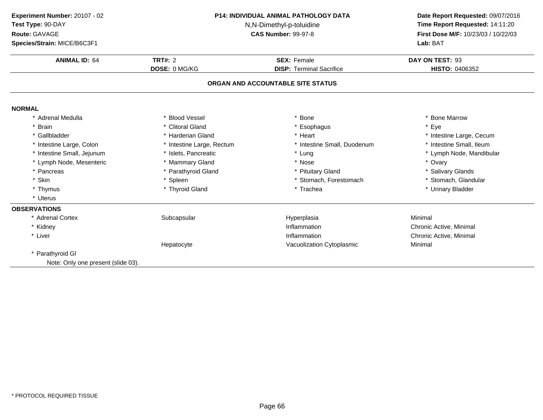| Experiment Number: 20107 - 02<br>Test Type: 90-DAY<br>Route: GAVAGE<br>Species/Strain: MICE/B6C3F1 | <b>P14: INDIVIDUAL ANIMAL PATHOLOGY DATA</b><br>N,N-Dimethyl-p-toluidine<br><b>CAS Number: 99-97-8</b><br>TRT#: $2$<br><b>SEX: Female</b> |                                   | Date Report Requested: 09/07/2016<br>Time Report Requested: 14:11:20<br>First Dose M/F: 10/23/03 / 10/22/03<br>Lab: BAT |  |
|----------------------------------------------------------------------------------------------------|-------------------------------------------------------------------------------------------------------------------------------------------|-----------------------------------|-------------------------------------------------------------------------------------------------------------------------|--|
| <b>ANIMAL ID: 64</b>                                                                               |                                                                                                                                           |                                   | DAY ON TEST: 93                                                                                                         |  |
|                                                                                                    | DOSE: 0 MG/KG                                                                                                                             | <b>DISP: Terminal Sacrifice</b>   | HISTO: 0406352                                                                                                          |  |
|                                                                                                    |                                                                                                                                           | ORGAN AND ACCOUNTABLE SITE STATUS |                                                                                                                         |  |
| <b>NORMAL</b>                                                                                      |                                                                                                                                           |                                   |                                                                                                                         |  |
| * Adrenal Medulla                                                                                  | * Blood Vessel                                                                                                                            | * Bone                            | <b>Bone Marrow</b>                                                                                                      |  |
| * Brain                                                                                            | * Clitoral Gland                                                                                                                          | * Esophagus                       | Eye                                                                                                                     |  |
| * Gallbladder                                                                                      | * Harderian Gland                                                                                                                         | * Heart                           | * Intestine Large, Cecum                                                                                                |  |
| * Intestine Large, Colon                                                                           | * Intestine Large, Rectum                                                                                                                 | * Intestine Small, Duodenum       | * Intestine Small, Ileum                                                                                                |  |
| * Intestine Small, Jejunum                                                                         | * Islets, Pancreatic                                                                                                                      | * Lung                            | * Lymph Node, Mandibular                                                                                                |  |
| * Lymph Node, Mesenteric                                                                           | * Mammary Gland                                                                                                                           | * Nose                            | * Ovary                                                                                                                 |  |
| * Pancreas                                                                                         | * Parathyroid Gland                                                                                                                       | * Pituitary Gland                 | * Salivary Glands                                                                                                       |  |
| * Skin                                                                                             | * Spleen                                                                                                                                  | * Stomach, Forestomach            | * Stomach, Glandular                                                                                                    |  |
| * Thymus                                                                                           | * Thyroid Gland                                                                                                                           | * Trachea                         | * Urinary Bladder                                                                                                       |  |
| * Uterus                                                                                           |                                                                                                                                           |                                   |                                                                                                                         |  |
| <b>OBSERVATIONS</b>                                                                                |                                                                                                                                           |                                   |                                                                                                                         |  |
| * Adrenal Cortex                                                                                   | Subcapsular                                                                                                                               | Hyperplasia                       | Minimal                                                                                                                 |  |
| * Kidney                                                                                           |                                                                                                                                           | Inflammation                      | Chronic Active, Minimal                                                                                                 |  |
| * Liver                                                                                            |                                                                                                                                           | Inflammation                      | Chronic Active, Minimal                                                                                                 |  |
|                                                                                                    | Hepatocyte                                                                                                                                | Vacuolization Cytoplasmic         | Minimal                                                                                                                 |  |
| Parathyroid GI                                                                                     |                                                                                                                                           |                                   |                                                                                                                         |  |
| Note: Only one present (slide 03).                                                                 |                                                                                                                                           |                                   |                                                                                                                         |  |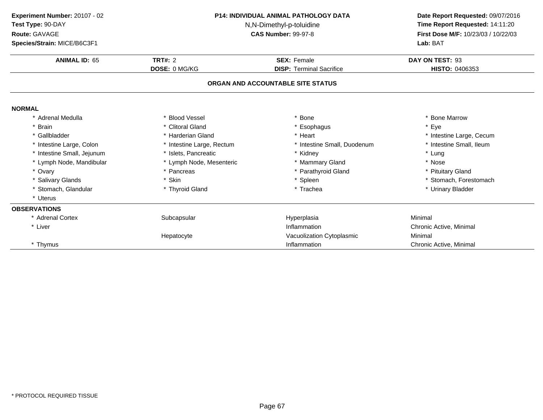| Experiment Number: 20107 - 02<br>Test Type: 90-DAY<br>Route: GAVAGE | <b>P14: INDIVIDUAL ANIMAL PATHOLOGY DATA</b><br>N,N-Dimethyl-p-toluidine<br><b>CAS Number: 99-97-8</b> |                                   | Date Report Requested: 09/07/2016<br>Time Report Requested: 14:11:20<br>First Dose M/F: 10/23/03 / 10/22/03 |  |
|---------------------------------------------------------------------|--------------------------------------------------------------------------------------------------------|-----------------------------------|-------------------------------------------------------------------------------------------------------------|--|
| Species/Strain: MICE/B6C3F1                                         |                                                                                                        |                                   | Lab: BAT                                                                                                    |  |
| <b>ANIMAL ID: 65</b>                                                | <b>TRT#: 2</b>                                                                                         | <b>SEX: Female</b>                | DAY ON TEST: 93                                                                                             |  |
|                                                                     | <b>DOSE: 0 MG/KG</b>                                                                                   | <b>DISP: Terminal Sacrifice</b>   | HISTO: 0406353                                                                                              |  |
|                                                                     |                                                                                                        | ORGAN AND ACCOUNTABLE SITE STATUS |                                                                                                             |  |
| <b>NORMAL</b>                                                       |                                                                                                        |                                   |                                                                                                             |  |
| * Adrenal Medulla                                                   | <b>Blood Vessel</b>                                                                                    | * Bone                            | * Bone Marrow                                                                                               |  |
| * Brain                                                             | * Clitoral Gland                                                                                       | * Esophagus                       | * Eye                                                                                                       |  |
| * Gallbladder                                                       | Harderian Gland                                                                                        | * Heart                           | * Intestine Large, Cecum                                                                                    |  |
| * Intestine Large, Colon                                            | * Intestine Large, Rectum                                                                              | * Intestine Small, Duodenum       | * Intestine Small, Ileum                                                                                    |  |
| * Intestine Small, Jejunum                                          | * Islets, Pancreatic                                                                                   | * Kidney                          | * Lung                                                                                                      |  |
| * Lymph Node, Mandibular                                            | * Lymph Node, Mesenteric                                                                               | * Mammary Gland                   | * Nose                                                                                                      |  |
| * Ovary                                                             | * Pancreas                                                                                             | * Parathyroid Gland               | * Pituitary Gland                                                                                           |  |
| * Salivary Glands                                                   | * Skin                                                                                                 | * Spleen                          | * Stomach, Forestomach                                                                                      |  |
| Stomach, Glandular                                                  | * Thyroid Gland                                                                                        | * Trachea                         | * Urinary Bladder                                                                                           |  |
| * Uterus                                                            |                                                                                                        |                                   |                                                                                                             |  |
| <b>OBSERVATIONS</b>                                                 |                                                                                                        |                                   |                                                                                                             |  |
| * Adrenal Cortex                                                    | Subcapsular                                                                                            | Hyperplasia                       | Minimal                                                                                                     |  |
| * Liver                                                             |                                                                                                        | Inflammation                      | Chronic Active, Minimal                                                                                     |  |
|                                                                     | Hepatocyte                                                                                             | Vacuolization Cytoplasmic         | Minimal                                                                                                     |  |
| * Thymus                                                            |                                                                                                        | Inflammation                      | Chronic Active, Minimal                                                                                     |  |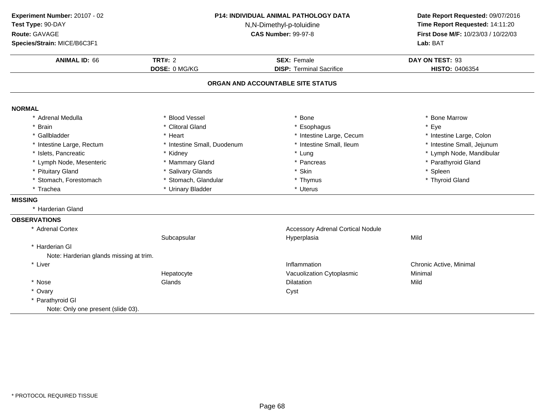| Experiment Number: 20107 - 02<br>Test Type: 90-DAY<br>Route: GAVAGE<br>Species/Strain: MICE/B6C3F1 | <b>P14: INDIVIDUAL ANIMAL PATHOLOGY DATA</b><br>N,N-Dimethyl-p-toluidine<br><b>CAS Number: 99-97-8</b> |                                          | Date Report Requested: 09/07/2016<br>Time Report Requested: 14:11:20<br>First Dose M/F: 10/23/03 / 10/22/03<br>Lab: BAT |  |
|----------------------------------------------------------------------------------------------------|--------------------------------------------------------------------------------------------------------|------------------------------------------|-------------------------------------------------------------------------------------------------------------------------|--|
| <b>ANIMAL ID: 66</b>                                                                               | <b>TRT#: 2</b>                                                                                         | <b>SEX: Female</b>                       | DAY ON TEST: 93                                                                                                         |  |
|                                                                                                    | DOSE: 0 MG/KG                                                                                          | <b>DISP: Terminal Sacrifice</b>          | HISTO: 0406354                                                                                                          |  |
|                                                                                                    |                                                                                                        | ORGAN AND ACCOUNTABLE SITE STATUS        |                                                                                                                         |  |
| <b>NORMAL</b>                                                                                      |                                                                                                        |                                          |                                                                                                                         |  |
| * Adrenal Medulla                                                                                  | * Blood Vessel                                                                                         | <b>Bone</b>                              | * Bone Marrow                                                                                                           |  |
| * Brain                                                                                            | * Clitoral Gland                                                                                       | Esophagus                                | * Eye                                                                                                                   |  |
| * Gallbladder                                                                                      | * Heart                                                                                                | * Intestine Large, Cecum                 | * Intestine Large, Colon                                                                                                |  |
| * Intestine Large, Rectum                                                                          | * Intestine Small, Duodenum                                                                            | * Intestine Small, Ileum                 | * Intestine Small, Jejunum                                                                                              |  |
| * Islets, Pancreatic                                                                               | * Kidney                                                                                               | * Lung                                   | * Lymph Node, Mandibular                                                                                                |  |
| * Lymph Node, Mesenteric                                                                           | * Mammary Gland                                                                                        | * Pancreas                               | * Parathyroid Gland                                                                                                     |  |
| * Pituitary Gland                                                                                  | * Salivary Glands                                                                                      | * Skin                                   | * Spleen                                                                                                                |  |
| * Stomach, Forestomach                                                                             | * Stomach, Glandular                                                                                   | * Thymus                                 | * Thyroid Gland                                                                                                         |  |
| * Trachea                                                                                          | * Urinary Bladder                                                                                      | * Uterus                                 |                                                                                                                         |  |
| <b>MISSING</b>                                                                                     |                                                                                                        |                                          |                                                                                                                         |  |
| * Harderian Gland                                                                                  |                                                                                                        |                                          |                                                                                                                         |  |
| <b>OBSERVATIONS</b>                                                                                |                                                                                                        |                                          |                                                                                                                         |  |
| * Adrenal Cortex                                                                                   |                                                                                                        | <b>Accessory Adrenal Cortical Nodule</b> |                                                                                                                         |  |
|                                                                                                    | Subcapsular                                                                                            | Hyperplasia                              | Mild                                                                                                                    |  |
| * Harderian Gl                                                                                     |                                                                                                        |                                          |                                                                                                                         |  |
| Note: Harderian glands missing at trim.                                                            |                                                                                                        |                                          |                                                                                                                         |  |
| * Liver                                                                                            |                                                                                                        | Inflammation                             | Chronic Active, Minimal                                                                                                 |  |
|                                                                                                    | Hepatocyte                                                                                             | Vacuolization Cytoplasmic                | Minimal                                                                                                                 |  |
| * Nose                                                                                             | Glands                                                                                                 | <b>Dilatation</b>                        | Mild                                                                                                                    |  |
| * Ovary                                                                                            |                                                                                                        | Cyst                                     |                                                                                                                         |  |
| * Parathyroid GI                                                                                   |                                                                                                        |                                          |                                                                                                                         |  |
| Note: Only one present (slide 03).                                                                 |                                                                                                        |                                          |                                                                                                                         |  |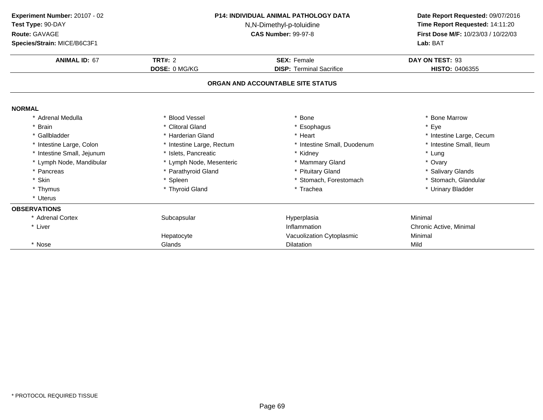| Experiment Number: 20107 - 02<br>Test Type: 90-DAY<br>Route: GAVAGE<br>Species/Strain: MICE/B6C3F1 |                           | <b>P14: INDIVIDUAL ANIMAL PATHOLOGY DATA</b><br>N,N-Dimethyl-p-toluidine<br><b>CAS Number: 99-97-8</b> |                          |
|----------------------------------------------------------------------------------------------------|---------------------------|--------------------------------------------------------------------------------------------------------|--------------------------|
| <b>ANIMAL ID: 67</b>                                                                               | TRT#: $2$                 | <b>SEX: Female</b>                                                                                     | DAY ON TEST: 93          |
|                                                                                                    | DOSE: 0 MG/KG             | <b>DISP: Terminal Sacrifice</b>                                                                        | HISTO: 0406355           |
|                                                                                                    |                           | ORGAN AND ACCOUNTABLE SITE STATUS                                                                      |                          |
| <b>NORMAL</b>                                                                                      |                           |                                                                                                        |                          |
| * Adrenal Medulla                                                                                  | <b>Blood Vessel</b>       | * Bone                                                                                                 | * Bone Marrow            |
| <b>Brain</b>                                                                                       | * Clitoral Gland          | * Esophagus                                                                                            | * Eye                    |
| * Gallbladder                                                                                      | * Harderian Gland         | * Heart                                                                                                | * Intestine Large, Cecum |
| * Intestine Large, Colon                                                                           | * Intestine Large, Rectum | * Intestine Small, Duodenum                                                                            | * Intestine Small, Ileum |
| * Intestine Small, Jejunum                                                                         | * Islets, Pancreatic      | * Kidney                                                                                               | * Lung                   |
| * Lymph Node, Mandibular                                                                           | * Lymph Node, Mesenteric  | * Mammary Gland                                                                                        | * Ovary                  |
| * Pancreas                                                                                         | * Parathyroid Gland       | * Pituitary Gland                                                                                      | * Salivary Glands        |
| * Skin                                                                                             | * Spleen                  | * Stomach, Forestomach                                                                                 | * Stomach, Glandular     |
| * Thymus                                                                                           | * Thyroid Gland           | * Trachea                                                                                              | * Urinary Bladder        |
| * Uterus                                                                                           |                           |                                                                                                        |                          |
| <b>OBSERVATIONS</b>                                                                                |                           |                                                                                                        |                          |
| * Adrenal Cortex                                                                                   | Subcapsular               | Hyperplasia                                                                                            | Minimal                  |
| * Liver                                                                                            |                           | Inflammation                                                                                           | Chronic Active, Minimal  |
|                                                                                                    | Hepatocyte                | Vacuolization Cytoplasmic                                                                              | Minimal                  |
| * Nose                                                                                             | Glands                    | <b>Dilatation</b>                                                                                      | Mild                     |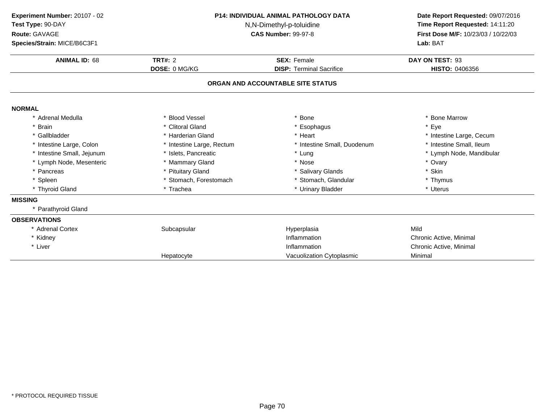| Experiment Number: 20107 - 02<br>Test Type: 90-DAY<br>Route: GAVAGE<br>Species/Strain: MICE/B6C3F1 | <b>P14: INDIVIDUAL ANIMAL PATHOLOGY DATA</b><br>N,N-Dimethyl-p-toluidine<br><b>CAS Number: 99-97-8</b> |                                   | Date Report Requested: 09/07/2016<br>Time Report Requested: 14:11:20<br>First Dose M/F: 10/23/03 / 10/22/03<br>Lab: BAT |  |
|----------------------------------------------------------------------------------------------------|--------------------------------------------------------------------------------------------------------|-----------------------------------|-------------------------------------------------------------------------------------------------------------------------|--|
| <b>ANIMAL ID: 68</b>                                                                               | TRT#: $2$                                                                                              | <b>SEX: Female</b>                | DAY ON TEST: 93                                                                                                         |  |
|                                                                                                    | DOSE: 0 MG/KG                                                                                          | <b>DISP: Terminal Sacrifice</b>   | HISTO: 0406356                                                                                                          |  |
|                                                                                                    |                                                                                                        | ORGAN AND ACCOUNTABLE SITE STATUS |                                                                                                                         |  |
| <b>NORMAL</b>                                                                                      |                                                                                                        |                                   |                                                                                                                         |  |
| * Adrenal Medulla                                                                                  | * Blood Vessel                                                                                         | <b>Bone</b>                       | * Bone Marrow                                                                                                           |  |
| <b>Brain</b>                                                                                       | * Clitoral Gland                                                                                       | Esophagus                         | * Eye                                                                                                                   |  |
| * Gallbladder                                                                                      | * Harderian Gland                                                                                      | * Heart                           | * Intestine Large, Cecum                                                                                                |  |
| * Intestine Large, Colon                                                                           | * Intestine Large, Rectum                                                                              | * Intestine Small, Duodenum       | * Intestine Small, Ileum                                                                                                |  |
| * Intestine Small, Jejunum                                                                         | * Islets, Pancreatic                                                                                   | * Lung                            | * Lymph Node, Mandibular                                                                                                |  |
| * Lymph Node, Mesenteric                                                                           | * Mammary Gland                                                                                        | * Nose                            | * Ovary                                                                                                                 |  |
| * Pancreas                                                                                         | * Pituitary Gland                                                                                      | * Salivary Glands                 | * Skin                                                                                                                  |  |
| * Spleen                                                                                           | * Stomach, Forestomach                                                                                 | Stomach, Glandular                | * Thymus                                                                                                                |  |
| * Thyroid Gland                                                                                    | * Trachea                                                                                              | * Urinary Bladder                 | * Uterus                                                                                                                |  |
| <b>MISSING</b>                                                                                     |                                                                                                        |                                   |                                                                                                                         |  |
| * Parathyroid Gland                                                                                |                                                                                                        |                                   |                                                                                                                         |  |
| <b>OBSERVATIONS</b>                                                                                |                                                                                                        |                                   |                                                                                                                         |  |
| * Adrenal Cortex                                                                                   | Subcapsular                                                                                            | Hyperplasia                       | Mild                                                                                                                    |  |
| * Kidney                                                                                           |                                                                                                        | Inflammation                      | Chronic Active, Minimal                                                                                                 |  |
| * Liver                                                                                            |                                                                                                        | Inflammation                      | Chronic Active, Minimal                                                                                                 |  |
|                                                                                                    | Hepatocyte                                                                                             | Vacuolization Cytoplasmic         | Minimal                                                                                                                 |  |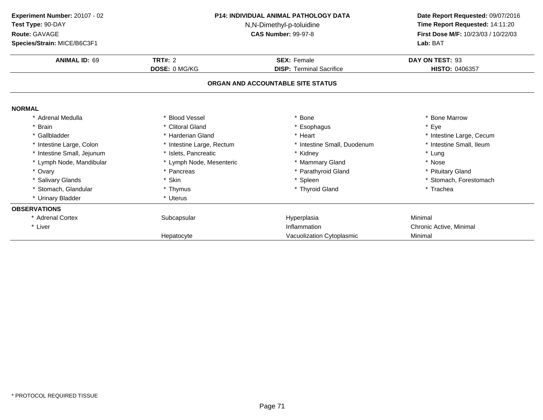| Experiment Number: 20107 - 02<br>Test Type: 90-DAY<br>Route: GAVAGE<br>Species/Strain: MICE/B6C3F1 | <b>P14: INDIVIDUAL ANIMAL PATHOLOGY DATA</b><br>N,N-Dimethyl-p-toluidine<br><b>CAS Number: 99-97-8</b> |                                   | Date Report Requested: 09/07/2016<br>Time Report Requested: 14:11:20<br>First Dose M/F: 10/23/03 / 10/22/03<br>Lab: BAT |  |
|----------------------------------------------------------------------------------------------------|--------------------------------------------------------------------------------------------------------|-----------------------------------|-------------------------------------------------------------------------------------------------------------------------|--|
| <b>ANIMAL ID: 69</b>                                                                               | <b>TRT#: 2</b>                                                                                         | <b>SEX: Female</b>                | DAY ON TEST: 93                                                                                                         |  |
|                                                                                                    | <b>DOSE: 0 MG/KG</b>                                                                                   | <b>DISP: Terminal Sacrifice</b>   | HISTO: 0406357                                                                                                          |  |
|                                                                                                    |                                                                                                        | ORGAN AND ACCOUNTABLE SITE STATUS |                                                                                                                         |  |
| <b>NORMAL</b>                                                                                      |                                                                                                        |                                   |                                                                                                                         |  |
| Adrenal Medulla                                                                                    | <b>Blood Vessel</b>                                                                                    | <b>Bone</b>                       | * Bone Marrow                                                                                                           |  |
| * Brain                                                                                            | * Clitoral Gland                                                                                       | Esophagus                         | * Eye                                                                                                                   |  |
| * Gallbladder                                                                                      | * Harderian Gland                                                                                      | * Heart                           | * Intestine Large, Cecum                                                                                                |  |
| * Intestine Large, Colon                                                                           | * Intestine Large, Rectum                                                                              | * Intestine Small, Duodenum       | * Intestine Small, Ileum                                                                                                |  |
| Intestine Small, Jejunum                                                                           | * Islets, Pancreatic                                                                                   | * Kidney                          | * Lung                                                                                                                  |  |
| * Lymph Node, Mandibular                                                                           | * Lymph Node, Mesenteric                                                                               | * Mammary Gland                   | * Nose                                                                                                                  |  |
| * Ovary                                                                                            | * Pancreas                                                                                             | * Parathyroid Gland               | * Pituitary Gland                                                                                                       |  |
| * Salivary Glands                                                                                  | * Skin                                                                                                 | * Spleen                          | * Stomach, Forestomach                                                                                                  |  |
| Stomach, Glandular                                                                                 | * Thymus                                                                                               | * Thyroid Gland                   | * Trachea                                                                                                               |  |
| * Urinary Bladder                                                                                  | * Uterus                                                                                               |                                   |                                                                                                                         |  |
| <b>OBSERVATIONS</b>                                                                                |                                                                                                        |                                   |                                                                                                                         |  |
| * Adrenal Cortex                                                                                   | Subcapsular                                                                                            | Hyperplasia                       | Minimal                                                                                                                 |  |
| * Liver                                                                                            |                                                                                                        | Inflammation                      | Chronic Active, Minimal                                                                                                 |  |
|                                                                                                    | Hepatocyte                                                                                             | Vacuolization Cytoplasmic         | Minimal                                                                                                                 |  |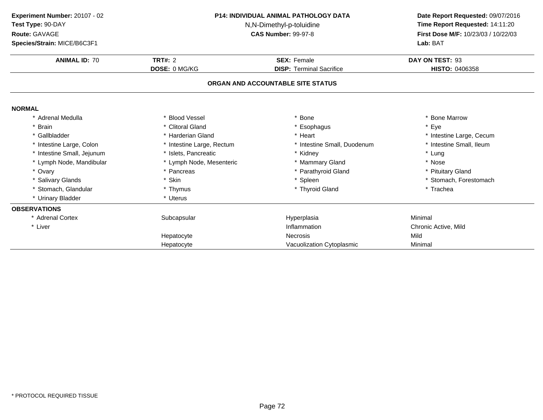| Experiment Number: 20107 - 02<br>Test Type: 90-DAY<br>Route: GAVAGE<br>Species/Strain: MICE/B6C3F1 | <b>P14: INDIVIDUAL ANIMAL PATHOLOGY DATA</b><br>N,N-Dimethyl-p-toluidine<br><b>CAS Number: 99-97-8</b> |                                   | Date Report Requested: 09/07/2016<br>Time Report Requested: 14:11:20<br>First Dose M/F: 10/23/03 / 10/22/03<br>Lab: BAT |
|----------------------------------------------------------------------------------------------------|--------------------------------------------------------------------------------------------------------|-----------------------------------|-------------------------------------------------------------------------------------------------------------------------|
| <b>ANIMAL ID: 70</b>                                                                               | <b>TRT#: 2</b>                                                                                         | <b>SEX: Female</b>                | DAY ON TEST: 93                                                                                                         |
|                                                                                                    | DOSE: 0 MG/KG                                                                                          | <b>DISP: Terminal Sacrifice</b>   | HISTO: 0406358                                                                                                          |
|                                                                                                    |                                                                                                        | ORGAN AND ACCOUNTABLE SITE STATUS |                                                                                                                         |
| <b>NORMAL</b>                                                                                      |                                                                                                        |                                   |                                                                                                                         |
| Adrenal Medulla                                                                                    | <b>Blood Vessel</b>                                                                                    | * Bone                            | * Bone Marrow                                                                                                           |
| * Brain                                                                                            | * Clitoral Gland                                                                                       | Esophagus                         | * Eye                                                                                                                   |
| * Gallbladder                                                                                      | * Harderian Gland                                                                                      | * Heart                           | * Intestine Large, Cecum                                                                                                |
| * Intestine Large, Colon                                                                           | * Intestine Large, Rectum                                                                              | * Intestine Small, Duodenum       | * Intestine Small, Ileum                                                                                                |
| * Intestine Small, Jejunum                                                                         | * Islets, Pancreatic                                                                                   | * Kidney                          | * Lung                                                                                                                  |
| * Lymph Node, Mandibular                                                                           | * Lymph Node, Mesenteric                                                                               | * Mammary Gland                   | * Nose                                                                                                                  |
| * Ovary                                                                                            | * Pancreas                                                                                             | * Parathyroid Gland               | * Pituitary Gland                                                                                                       |
| * Salivary Glands                                                                                  | * Skin                                                                                                 | * Spleen                          | * Stomach, Forestomach                                                                                                  |
| Stomach, Glandular                                                                                 | * Thymus                                                                                               | * Thyroid Gland                   | * Trachea                                                                                                               |
| * Urinary Bladder                                                                                  | * Uterus                                                                                               |                                   |                                                                                                                         |
| <b>OBSERVATIONS</b>                                                                                |                                                                                                        |                                   |                                                                                                                         |
| * Adrenal Cortex                                                                                   | Subcapsular                                                                                            | Hyperplasia                       | Minimal                                                                                                                 |
| * Liver                                                                                            |                                                                                                        | Inflammation                      | Chronic Active, Mild                                                                                                    |
|                                                                                                    | Hepatocyte                                                                                             | <b>Necrosis</b>                   | Mild                                                                                                                    |
|                                                                                                    | Hepatocyte                                                                                             | Vacuolization Cytoplasmic         | Minimal                                                                                                                 |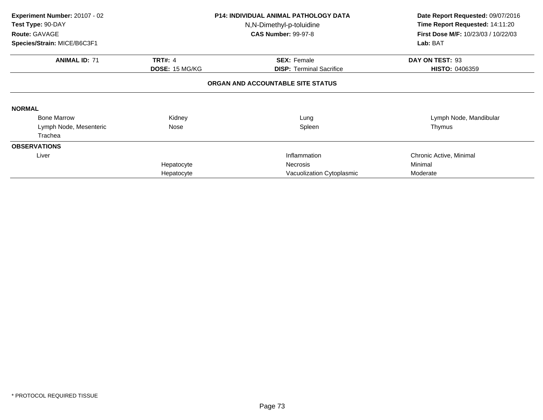| Experiment Number: 20107 - 02<br>Test Type: 90-DAY<br>Route: GAVAGE<br>Species/Strain: MICE/B6C3F1 |                | P14: INDIVIDUAL ANIMAL PATHOLOGY DATA<br>N,N-Dimethyl-p-toluidine<br><b>CAS Number: 99-97-8</b> | Date Report Requested: 09/07/2016<br>Time Report Requested: 14:11:20<br>First Dose M/F: 10/23/03 / 10/22/03<br>Lab: BAT |
|----------------------------------------------------------------------------------------------------|----------------|-------------------------------------------------------------------------------------------------|-------------------------------------------------------------------------------------------------------------------------|
| <b>ANIMAL ID: 71</b>                                                                               | <b>TRT#: 4</b> | <b>SEX: Female</b>                                                                              | DAY ON TEST: 93                                                                                                         |
|                                                                                                    | DOSE: 15 MG/KG | <b>DISP:</b> Terminal Sacrifice                                                                 | <b>HISTO: 0406359</b>                                                                                                   |
|                                                                                                    |                | ORGAN AND ACCOUNTABLE SITE STATUS                                                               |                                                                                                                         |
| <b>NORMAL</b>                                                                                      |                |                                                                                                 |                                                                                                                         |
| <b>Bone Marrow</b>                                                                                 | Kidney         | Lung                                                                                            | Lymph Node, Mandibular                                                                                                  |
| Lymph Node, Mesenteric                                                                             | Nose           | Spleen                                                                                          | Thymus                                                                                                                  |
| Trachea                                                                                            |                |                                                                                                 |                                                                                                                         |
| <b>OBSERVATIONS</b>                                                                                |                |                                                                                                 |                                                                                                                         |
| Liver                                                                                              |                | Inflammation                                                                                    | Chronic Active, Minimal                                                                                                 |
|                                                                                                    | Hepatocyte     | Necrosis                                                                                        | Minimal                                                                                                                 |
|                                                                                                    | Hepatocyte     | Vacuolization Cytoplasmic                                                                       | Moderate                                                                                                                |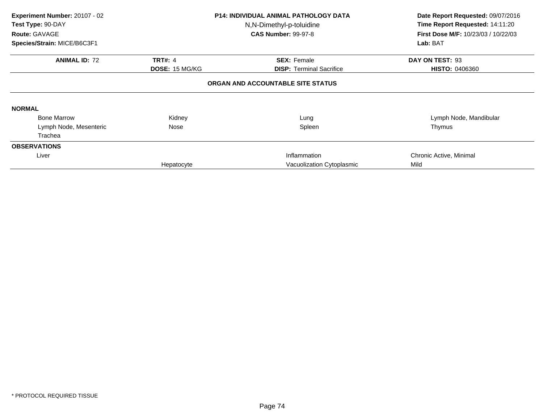| Experiment Number: 20107 - 02<br>Test Type: 90-DAY<br>Route: GAVAGE<br>Species/Strain: MICE/B6C3F1 |                       | <b>P14: INDIVIDUAL ANIMAL PATHOLOGY DATA</b><br>N,N-Dimethyl-p-toluidine<br><b>CAS Number: 99-97-8</b> | Date Report Requested: 09/07/2016<br>Time Report Requested: 14:11:20<br>First Dose M/F: 10/23/03 / 10/22/03<br>Lab: BAT |
|----------------------------------------------------------------------------------------------------|-----------------------|--------------------------------------------------------------------------------------------------------|-------------------------------------------------------------------------------------------------------------------------|
|                                                                                                    |                       |                                                                                                        |                                                                                                                         |
| <b>ANIMAL ID: 72</b>                                                                               | <b>TRT#: 4</b>        | <b>SEX: Female</b>                                                                                     | DAY ON TEST: 93                                                                                                         |
|                                                                                                    | <b>DOSE: 15 MG/KG</b> | <b>DISP: Terminal Sacrifice</b>                                                                        | <b>HISTO: 0406360</b>                                                                                                   |
|                                                                                                    |                       | ORGAN AND ACCOUNTABLE SITE STATUS                                                                      |                                                                                                                         |
| <b>NORMAL</b>                                                                                      |                       |                                                                                                        |                                                                                                                         |
| <b>Bone Marrow</b>                                                                                 | Kidney                | Lung                                                                                                   | Lymph Node, Mandibular                                                                                                  |
| Lymph Node, Mesenteric                                                                             | Nose                  | Spleen                                                                                                 | Thymus                                                                                                                  |
| Trachea                                                                                            |                       |                                                                                                        |                                                                                                                         |
| <b>OBSERVATIONS</b>                                                                                |                       |                                                                                                        |                                                                                                                         |
| Liver                                                                                              |                       | Inflammation                                                                                           | Chronic Active, Minimal                                                                                                 |
|                                                                                                    | Hepatocyte            | Vacuolization Cytoplasmic                                                                              | Mild                                                                                                                    |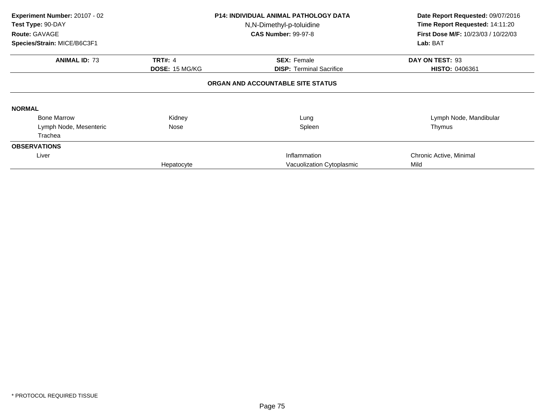| Experiment Number: 20107 - 02<br>Test Type: 90-DAY<br>Route: GAVAGE<br>Species/Strain: MICE/B6C3F1 |                                         | <b>P14: INDIVIDUAL ANIMAL PATHOLOGY DATA</b><br>N,N-Dimethyl-p-toluidine<br><b>CAS Number: 99-97-8</b> | Date Report Requested: 09/07/2016<br>Time Report Requested: 14:11:20<br><b>First Dose M/F: 10/23/03 / 10/22/03</b><br>Lab: BAT |
|----------------------------------------------------------------------------------------------------|-----------------------------------------|--------------------------------------------------------------------------------------------------------|--------------------------------------------------------------------------------------------------------------------------------|
| <b>ANIMAL ID: 73</b>                                                                               | <b>TRT#: 4</b><br><b>DOSE: 15 MG/KG</b> | <b>SEX: Female</b><br><b>DISP: Terminal Sacrifice</b>                                                  | DAY ON TEST: 93<br>HISTO: 0406361                                                                                              |
|                                                                                                    |                                         | ORGAN AND ACCOUNTABLE SITE STATUS                                                                      |                                                                                                                                |
| <b>NORMAL</b>                                                                                      |                                         |                                                                                                        |                                                                                                                                |
| <b>Bone Marrow</b>                                                                                 | Kidney                                  | Lung                                                                                                   | Lymph Node, Mandibular                                                                                                         |
| Lymph Node, Mesenteric                                                                             | Nose                                    | Spleen                                                                                                 | Thymus                                                                                                                         |
| Trachea                                                                                            |                                         |                                                                                                        |                                                                                                                                |
| <b>OBSERVATIONS</b>                                                                                |                                         |                                                                                                        |                                                                                                                                |
| Liver                                                                                              |                                         | Inflammation                                                                                           | Chronic Active, Minimal                                                                                                        |
|                                                                                                    | Hepatocyte                              | Vacuolization Cytoplasmic                                                                              | Mild                                                                                                                           |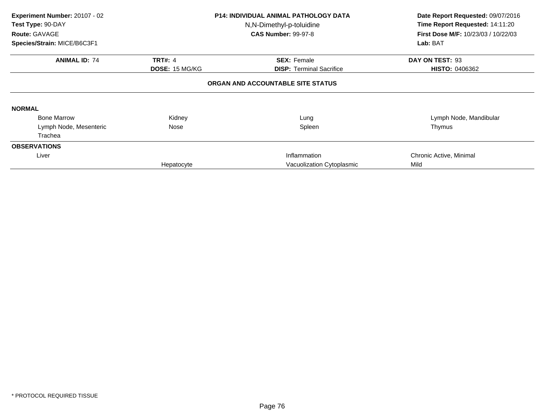| Experiment Number: 20107 - 02<br><b>P14: INDIVIDUAL ANIMAL PATHOLOGY DATA</b><br>Test Type: 90-DAY<br>N,N-Dimethyl-p-toluidine<br>Route: GAVAGE<br><b>CAS Number: 99-97-8</b> |                | Date Report Requested: 09/07/2016<br>Time Report Requested: 14:11:20<br>First Dose M/F: 10/23/03 / 10/22/03 |                         |
|-------------------------------------------------------------------------------------------------------------------------------------------------------------------------------|----------------|-------------------------------------------------------------------------------------------------------------|-------------------------|
| Species/Strain: MICE/B6C3F1                                                                                                                                                   |                |                                                                                                             | Lab: BAT                |
| <b>ANIMAL ID: 74</b>                                                                                                                                                          | <b>TRT#: 4</b> | <b>SEX: Female</b>                                                                                          | DAY ON TEST: 93         |
|                                                                                                                                                                               | DOSE: 15 MG/KG | <b>DISP:</b> Terminal Sacrifice                                                                             | <b>HISTO: 0406362</b>   |
|                                                                                                                                                                               |                | ORGAN AND ACCOUNTABLE SITE STATUS                                                                           |                         |
| <b>NORMAL</b>                                                                                                                                                                 |                |                                                                                                             |                         |
| <b>Bone Marrow</b>                                                                                                                                                            | Kidney         | Lung                                                                                                        | Lymph Node, Mandibular  |
| Lymph Node, Mesenteric                                                                                                                                                        | Nose           | Spleen                                                                                                      | Thymus                  |
| Trachea                                                                                                                                                                       |                |                                                                                                             |                         |
| <b>OBSERVATIONS</b>                                                                                                                                                           |                |                                                                                                             |                         |
| Liver                                                                                                                                                                         |                | Inflammation                                                                                                | Chronic Active, Minimal |
|                                                                                                                                                                               | Hepatocyte     | Vacuolization Cytoplasmic                                                                                   | Mild                    |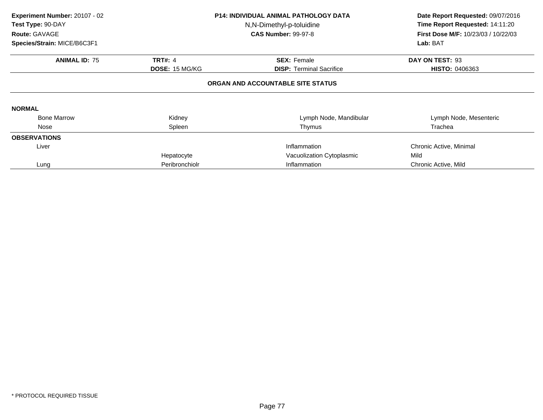| Experiment Number: 20107 - 02<br>Test Type: 90-DAY<br>Route: GAVAGE<br>Species/Strain: MICE/B6C3F1 |                       | <b>P14: INDIVIDUAL ANIMAL PATHOLOGY DATA</b><br>N,N-Dimethyl-p-toluidine<br><b>CAS Number: 99-97-8</b> | Date Report Requested: 09/07/2016<br>Time Report Requested: 14:11:20<br>First Dose M/F: 10/23/03 / 10/22/03<br>Lab: BAT |
|----------------------------------------------------------------------------------------------------|-----------------------|--------------------------------------------------------------------------------------------------------|-------------------------------------------------------------------------------------------------------------------------|
| <b>ANIMAL ID: 75</b>                                                                               | <b>TRT#: 4</b>        | <b>SEX: Female</b>                                                                                     | DAY ON TEST: 93                                                                                                         |
|                                                                                                    | <b>DOSE: 15 MG/KG</b> | <b>DISP: Terminal Sacrifice</b>                                                                        | <b>HISTO: 0406363</b>                                                                                                   |
|                                                                                                    |                       | ORGAN AND ACCOUNTABLE SITE STATUS                                                                      |                                                                                                                         |
| <b>NORMAL</b>                                                                                      |                       |                                                                                                        |                                                                                                                         |
| <b>Bone Marrow</b>                                                                                 | Kidney                | Lymph Node, Mandibular                                                                                 | Lymph Node, Mesenteric                                                                                                  |
| Nose                                                                                               | Spleen                | Thymus                                                                                                 | Trachea                                                                                                                 |
| <b>OBSERVATIONS</b>                                                                                |                       |                                                                                                        |                                                                                                                         |
| Liver                                                                                              |                       | Inflammation                                                                                           | Chronic Active, Minimal                                                                                                 |
|                                                                                                    | Hepatocyte            | Vacuolization Cytoplasmic                                                                              | Mild                                                                                                                    |
| Lung                                                                                               | Peribronchiolr        | Inflammation                                                                                           | Chronic Active, Mild                                                                                                    |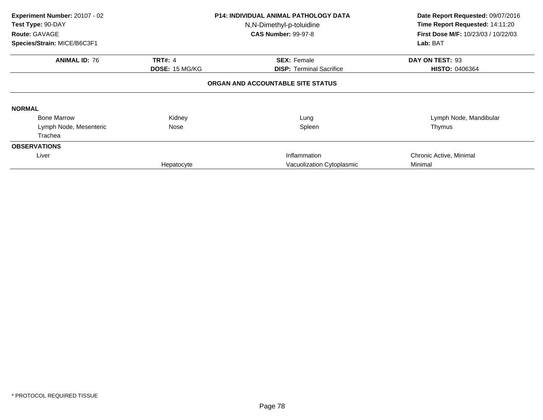| Experiment Number: 20107 - 02<br>Test Type: 90-DAY<br>Route: GAVAGE<br>Species/Strain: MICE/B6C3F1 |                                         | <b>P14: INDIVIDUAL ANIMAL PATHOLOGY DATA</b><br>N,N-Dimethyl-p-toluidine<br><b>CAS Number: 99-97-8</b> | Date Report Requested: 09/07/2016<br>Time Report Requested: 14:11:20<br><b>First Dose M/F: 10/23/03 / 10/22/03</b><br>Lab: BAT |
|----------------------------------------------------------------------------------------------------|-----------------------------------------|--------------------------------------------------------------------------------------------------------|--------------------------------------------------------------------------------------------------------------------------------|
| <b>ANIMAL ID: 76</b>                                                                               | <b>TRT#: 4</b><br><b>DOSE: 15 MG/KG</b> | <b>SEX: Female</b><br><b>DISP: Terminal Sacrifice</b>                                                  | DAY ON TEST: 93<br><b>HISTO: 0406364</b>                                                                                       |
|                                                                                                    |                                         | ORGAN AND ACCOUNTABLE SITE STATUS                                                                      |                                                                                                                                |
| <b>NORMAL</b>                                                                                      |                                         |                                                                                                        |                                                                                                                                |
| <b>Bone Marrow</b>                                                                                 | Kidney                                  | Lung                                                                                                   | Lymph Node, Mandibular                                                                                                         |
| Lymph Node, Mesenteric                                                                             | Nose                                    | Spleen                                                                                                 | Thymus                                                                                                                         |
| Trachea                                                                                            |                                         |                                                                                                        |                                                                                                                                |
| <b>OBSERVATIONS</b>                                                                                |                                         |                                                                                                        |                                                                                                                                |
| Liver                                                                                              |                                         | Inflammation                                                                                           | Chronic Active, Minimal                                                                                                        |
|                                                                                                    | Hepatocyte                              | Vacuolization Cytoplasmic                                                                              | Minimal                                                                                                                        |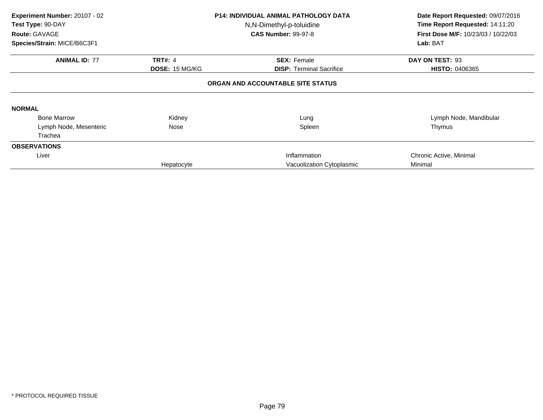| Experiment Number: 20107 - 02<br>Test Type: 90-DAY<br>Route: GAVAGE<br>Species/Strain: MICE/B6C3F1 |                       | <b>P14: INDIVIDUAL ANIMAL PATHOLOGY DATA</b><br>N,N-Dimethyl-p-toluidine<br><b>CAS Number: 99-97-8</b> | Date Report Requested: 09/07/2016<br>Time Report Requested: 14:11:20<br>First Dose M/F: 10/23/03 / 10/22/03<br>Lab: BAT |
|----------------------------------------------------------------------------------------------------|-----------------------|--------------------------------------------------------------------------------------------------------|-------------------------------------------------------------------------------------------------------------------------|
|                                                                                                    |                       |                                                                                                        |                                                                                                                         |
| <b>ANIMAL ID: 77</b>                                                                               | <b>TRT#: 4</b>        | <b>SEX: Female</b>                                                                                     | DAY ON TEST: 93                                                                                                         |
|                                                                                                    | <b>DOSE: 15 MG/KG</b> | <b>DISP: Terminal Sacrifice</b>                                                                        | <b>HISTO: 0406365</b>                                                                                                   |
| <b>NORMAL</b>                                                                                      |                       | ORGAN AND ACCOUNTABLE SITE STATUS                                                                      |                                                                                                                         |
| <b>Bone Marrow</b>                                                                                 | Kidney                | Lung                                                                                                   | Lymph Node, Mandibular                                                                                                  |
| Lymph Node, Mesenteric                                                                             | Nose                  | Spleen                                                                                                 | Thymus                                                                                                                  |
| Trachea                                                                                            |                       |                                                                                                        |                                                                                                                         |
| <b>OBSERVATIONS</b>                                                                                |                       |                                                                                                        |                                                                                                                         |
| Liver                                                                                              |                       | Inflammation                                                                                           | Chronic Active, Minimal                                                                                                 |
|                                                                                                    | Hepatocyte            | Vacuolization Cytoplasmic                                                                              | Minimal                                                                                                                 |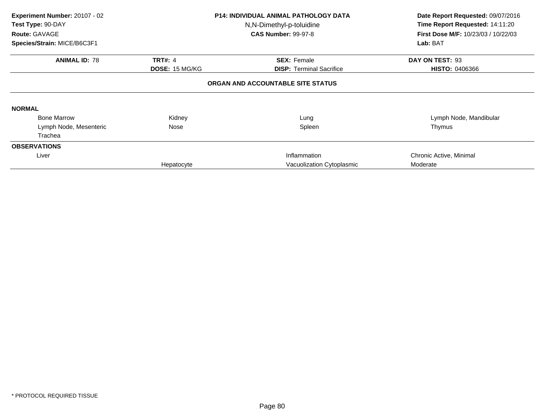| Experiment Number: 20107 - 02<br>Test Type: 90-DAY<br>Route: GAVAGE |                       | <b>P14: INDIVIDUAL ANIMAL PATHOLOGY DATA</b><br>N,N-Dimethyl-p-toluidine<br><b>CAS Number: 99-97-8</b> | Date Report Requested: 09/07/2016<br>Time Report Requested: 14:11:20<br><b>First Dose M/F: 10/23/03 / 10/22/03</b> |
|---------------------------------------------------------------------|-----------------------|--------------------------------------------------------------------------------------------------------|--------------------------------------------------------------------------------------------------------------------|
| Species/Strain: MICE/B6C3F1                                         |                       |                                                                                                        | Lab: BAT                                                                                                           |
| <b>ANIMAL ID: 78</b>                                                | <b>TRT#: 4</b>        | <b>SEX: Female</b>                                                                                     | DAY ON TEST: 93                                                                                                    |
|                                                                     | <b>DOSE: 15 MG/KG</b> | <b>DISP: Terminal Sacrifice</b>                                                                        | <b>HISTO: 0406366</b>                                                                                              |
|                                                                     |                       | ORGAN AND ACCOUNTABLE SITE STATUS                                                                      |                                                                                                                    |
| <b>NORMAL</b>                                                       |                       |                                                                                                        |                                                                                                                    |
| <b>Bone Marrow</b>                                                  | Kidney                | Lung                                                                                                   | Lymph Node, Mandibular                                                                                             |
| Lymph Node, Mesenteric                                              | Nose                  | Spleen                                                                                                 | Thymus                                                                                                             |
| Trachea                                                             |                       |                                                                                                        |                                                                                                                    |
| <b>OBSERVATIONS</b>                                                 |                       |                                                                                                        |                                                                                                                    |
| Liver                                                               |                       | Inflammation                                                                                           | Chronic Active, Minimal                                                                                            |
|                                                                     | Hepatocyte            | Vacuolization Cytoplasmic                                                                              | Moderate                                                                                                           |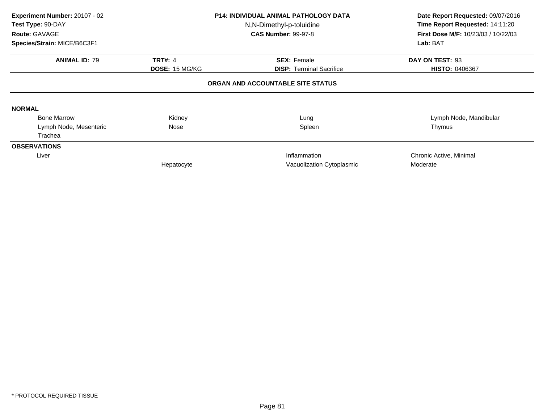| Experiment Number: 20107 - 02<br>Test Type: 90-DAY<br>Route: GAVAGE<br>Species/Strain: MICE/B6C3F1 |                       | <b>P14: INDIVIDUAL ANIMAL PATHOLOGY DATA</b><br>N,N-Dimethyl-p-toluidine<br><b>CAS Number: 99-97-8</b> | Date Report Requested: 09/07/2016<br>Time Report Requested: 14:11:20<br>First Dose M/F: 10/23/03 / 10/22/03<br>Lab: BAT |
|----------------------------------------------------------------------------------------------------|-----------------------|--------------------------------------------------------------------------------------------------------|-------------------------------------------------------------------------------------------------------------------------|
|                                                                                                    |                       |                                                                                                        |                                                                                                                         |
| <b>ANIMAL ID: 79</b>                                                                               | <b>TRT#: 4</b>        | <b>SEX: Female</b>                                                                                     | DAY ON TEST: 93                                                                                                         |
|                                                                                                    | <b>DOSE: 15 MG/KG</b> | <b>DISP: Terminal Sacrifice</b>                                                                        | <b>HISTO: 0406367</b>                                                                                                   |
| <b>NORMAL</b>                                                                                      |                       | ORGAN AND ACCOUNTABLE SITE STATUS                                                                      |                                                                                                                         |
| <b>Bone Marrow</b>                                                                                 | Kidney                | Lung                                                                                                   | Lymph Node, Mandibular                                                                                                  |
| Lymph Node, Mesenteric                                                                             | Nose                  | Spleen                                                                                                 | Thymus                                                                                                                  |
| Trachea                                                                                            |                       |                                                                                                        |                                                                                                                         |
| <b>OBSERVATIONS</b>                                                                                |                       |                                                                                                        |                                                                                                                         |
| Liver                                                                                              |                       | Inflammation                                                                                           | Chronic Active, Minimal                                                                                                 |
|                                                                                                    | Hepatocyte            | Vacuolization Cytoplasmic                                                                              | Moderate                                                                                                                |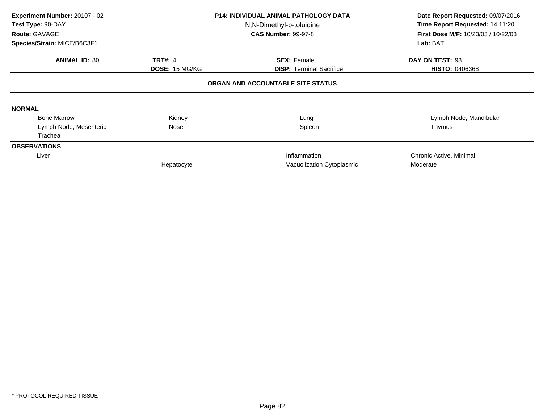| Experiment Number: 20107 - 02<br>Test Type: 90-DAY<br>Route: GAVAGE<br>Species/Strain: MICE/B6C3F1 |                       | <b>P14: INDIVIDUAL ANIMAL PATHOLOGY DATA</b><br>N,N-Dimethyl-p-toluidine<br><b>CAS Number: 99-97-8</b> | Date Report Requested: 09/07/2016<br>Time Report Requested: 14:11:20<br>First Dose M/F: 10/23/03 / 10/22/03<br>Lab: BAT |
|----------------------------------------------------------------------------------------------------|-----------------------|--------------------------------------------------------------------------------------------------------|-------------------------------------------------------------------------------------------------------------------------|
| <b>ANIMAL ID: 80</b>                                                                               | <b>TRT#: 4</b>        | <b>SEX: Female</b>                                                                                     | DAY ON TEST: 93                                                                                                         |
|                                                                                                    | <b>DOSE: 15 MG/KG</b> | <b>DISP: Terminal Sacrifice</b><br>ORGAN AND ACCOUNTABLE SITE STATUS                                   | <b>HISTO: 0406368</b>                                                                                                   |
|                                                                                                    |                       |                                                                                                        |                                                                                                                         |
| <b>NORMAL</b>                                                                                      |                       |                                                                                                        |                                                                                                                         |
| <b>Bone Marrow</b>                                                                                 | Kidney                | Lung                                                                                                   | Lymph Node, Mandibular                                                                                                  |
| Lymph Node, Mesenteric                                                                             | Nose                  | Spleen                                                                                                 | Thymus                                                                                                                  |
| Trachea                                                                                            |                       |                                                                                                        |                                                                                                                         |
| <b>OBSERVATIONS</b>                                                                                |                       |                                                                                                        |                                                                                                                         |
| Liver                                                                                              |                       | Inflammation                                                                                           | Chronic Active, Minimal                                                                                                 |
|                                                                                                    | Hepatocyte            | Vacuolization Cytoplasmic                                                                              | Moderate                                                                                                                |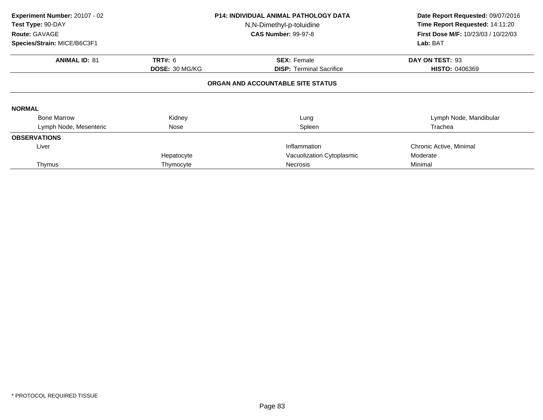| Experiment Number: 20107 - 02<br>Test Type: 90-DAY<br>Route: GAVAGE |                | <b>P14: INDIVIDUAL ANIMAL PATHOLOGY DATA</b><br>N,N-Dimethyl-p-toluidine<br><b>CAS Number: 99-97-8</b> | Date Report Requested: 09/07/2016<br>Time Report Requested: 14:11:20<br><b>First Dose M/F: 10/23/03 / 10/22/03</b> |
|---------------------------------------------------------------------|----------------|--------------------------------------------------------------------------------------------------------|--------------------------------------------------------------------------------------------------------------------|
| Species/Strain: MICE/B6C3F1                                         |                |                                                                                                        | Lab: BAT                                                                                                           |
| <b>ANIMAL ID: 81</b>                                                | <b>TRT#: 6</b> | <b>SEX: Female</b>                                                                                     | DAY ON TEST: 93                                                                                                    |
|                                                                     | DOSE: 30 MG/KG | <b>DISP:</b> Terminal Sacrifice                                                                        | <b>HISTO: 0406369</b>                                                                                              |
|                                                                     |                | ORGAN AND ACCOUNTABLE SITE STATUS                                                                      |                                                                                                                    |
| <b>NORMAL</b>                                                       |                |                                                                                                        |                                                                                                                    |
| <b>Bone Marrow</b>                                                  | Kidney         | Lung                                                                                                   | Lymph Node, Mandibular                                                                                             |
| Lymph Node, Mesenteric                                              | Nose           | Spleen                                                                                                 | Trachea                                                                                                            |
| <b>OBSERVATIONS</b>                                                 |                |                                                                                                        |                                                                                                                    |
| Liver                                                               |                | Inflammation                                                                                           | Chronic Active, Minimal                                                                                            |
|                                                                     | Hepatocyte     | Vacuolization Cytoplasmic                                                                              | Moderate                                                                                                           |
| Thymus                                                              | Thymocyte      | <b>Necrosis</b>                                                                                        | Minimal                                                                                                            |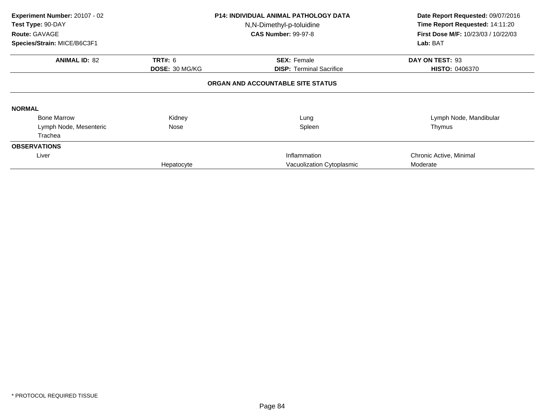| Experiment Number: 20107 - 02<br>Test Type: 90-DAY<br>Route: GAVAGE<br>Species/Strain: MICE/B6C3F1 |                                         | <b>P14: INDIVIDUAL ANIMAL PATHOLOGY DATA</b><br>N,N-Dimethyl-p-toluidine<br><b>CAS Number: 99-97-8</b> | Date Report Requested: 09/07/2016<br>Time Report Requested: 14:11:20<br>First Dose M/F: 10/23/03 / 10/22/03<br>Lab: BAT |
|----------------------------------------------------------------------------------------------------|-----------------------------------------|--------------------------------------------------------------------------------------------------------|-------------------------------------------------------------------------------------------------------------------------|
|                                                                                                    |                                         |                                                                                                        |                                                                                                                         |
| <b>ANIMAL ID: 82</b>                                                                               | <b>TRT#: 6</b><br><b>DOSE: 30 MG/KG</b> | <b>SEX: Female</b><br><b>DISP: Terminal Sacrifice</b>                                                  | DAY ON TEST: 93<br><b>HISTO: 0406370</b>                                                                                |
|                                                                                                    |                                         | ORGAN AND ACCOUNTABLE SITE STATUS                                                                      |                                                                                                                         |
| <b>NORMAL</b>                                                                                      |                                         |                                                                                                        |                                                                                                                         |
| <b>Bone Marrow</b>                                                                                 | Kidney                                  | Lung                                                                                                   | Lymph Node, Mandibular                                                                                                  |
| Lymph Node, Mesenteric                                                                             | Nose                                    | Spleen                                                                                                 | Thymus                                                                                                                  |
| Trachea                                                                                            |                                         |                                                                                                        |                                                                                                                         |
| <b>OBSERVATIONS</b>                                                                                |                                         |                                                                                                        |                                                                                                                         |
| Liver                                                                                              |                                         | Inflammation                                                                                           | Chronic Active, Minimal                                                                                                 |
|                                                                                                    | Hepatocyte                              | Vacuolization Cytoplasmic                                                                              | Moderate                                                                                                                |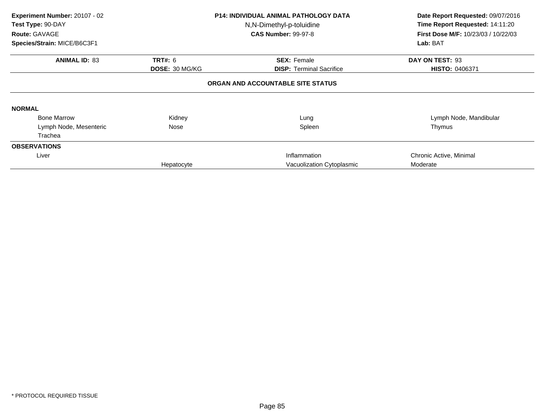| Experiment Number: 20107 - 02<br>Test Type: 90-DAY<br>Route: GAVAGE<br>Species/Strain: MICE/B6C3F1 |                       | <b>P14: INDIVIDUAL ANIMAL PATHOLOGY DATA</b><br>N,N-Dimethyl-p-toluidine<br><b>CAS Number: 99-97-8</b> | Date Report Requested: 09/07/2016<br>Time Report Requested: 14:11:20<br>First Dose M/F: 10/23/03 / 10/22/03<br>Lab: BAT |
|----------------------------------------------------------------------------------------------------|-----------------------|--------------------------------------------------------------------------------------------------------|-------------------------------------------------------------------------------------------------------------------------|
|                                                                                                    |                       |                                                                                                        |                                                                                                                         |
| <b>ANIMAL ID: 83</b>                                                                               | <b>TRT#: 6</b>        | <b>SEX: Female</b>                                                                                     | DAY ON TEST: 93                                                                                                         |
|                                                                                                    | <b>DOSE: 30 MG/KG</b> | <b>DISP: Terminal Sacrifice</b>                                                                        | <b>HISTO: 0406371</b>                                                                                                   |
|                                                                                                    |                       | ORGAN AND ACCOUNTABLE SITE STATUS                                                                      |                                                                                                                         |
| <b>NORMAL</b>                                                                                      |                       |                                                                                                        |                                                                                                                         |
| <b>Bone Marrow</b>                                                                                 | Kidney                | Lung                                                                                                   | Lymph Node, Mandibular                                                                                                  |
| Lymph Node, Mesenteric                                                                             | Nose                  | Spleen                                                                                                 | Thymus                                                                                                                  |
| Trachea                                                                                            |                       |                                                                                                        |                                                                                                                         |
| <b>OBSERVATIONS</b>                                                                                |                       |                                                                                                        |                                                                                                                         |
| Liver                                                                                              |                       | Inflammation                                                                                           | Chronic Active, Minimal                                                                                                 |
|                                                                                                    | Hepatocyte            | Vacuolization Cytoplasmic                                                                              | Moderate                                                                                                                |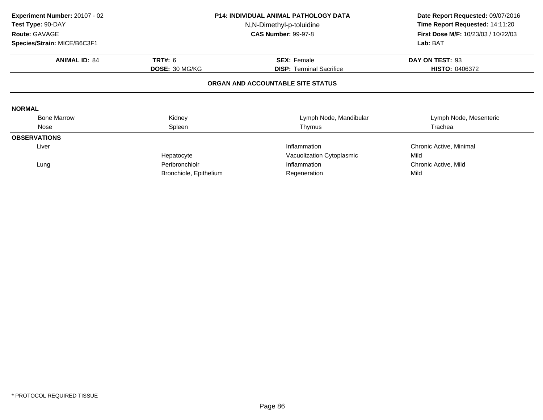| Experiment Number: 20107 - 02<br>Test Type: 90-DAY<br>Route: GAVAGE |                        | <b>P14: INDIVIDUAL ANIMAL PATHOLOGY DATA</b><br>N,N-Dimethyl-p-toluidine<br><b>CAS Number: 99-97-8</b> | Date Report Requested: 09/07/2016<br>Time Report Requested: 14:11:20<br>First Dose M/F: 10/23/03 / 10/22/03<br>Lab: BAT |
|---------------------------------------------------------------------|------------------------|--------------------------------------------------------------------------------------------------------|-------------------------------------------------------------------------------------------------------------------------|
| Species/Strain: MICE/B6C3F1                                         |                        |                                                                                                        |                                                                                                                         |
| <b>ANIMAL ID: 84</b>                                                | <b>TRT#: 6</b>         | <b>SEX: Female</b>                                                                                     | DAY ON TEST: 93                                                                                                         |
|                                                                     | DOSE: 30 MG/KG         | <b>DISP:</b> Terminal Sacrifice                                                                        | <b>HISTO: 0406372</b>                                                                                                   |
|                                                                     |                        | ORGAN AND ACCOUNTABLE SITE STATUS                                                                      |                                                                                                                         |
| <b>NORMAL</b>                                                       |                        |                                                                                                        |                                                                                                                         |
| <b>Bone Marrow</b>                                                  | Kidney                 | Lymph Node, Mandibular                                                                                 | Lymph Node, Mesenteric                                                                                                  |
| Nose                                                                | Spleen                 | Thymus                                                                                                 | Trachea                                                                                                                 |
| <b>OBSERVATIONS</b>                                                 |                        |                                                                                                        |                                                                                                                         |
| Liver                                                               |                        | Inflammation                                                                                           | Chronic Active, Minimal                                                                                                 |
|                                                                     | Hepatocyte             | Vacuolization Cytoplasmic                                                                              | Mild                                                                                                                    |
| Lung                                                                | Peribronchiolr         | Inflammation                                                                                           | Chronic Active, Mild                                                                                                    |
|                                                                     | Bronchiole, Epithelium | Regeneration                                                                                           | Mild                                                                                                                    |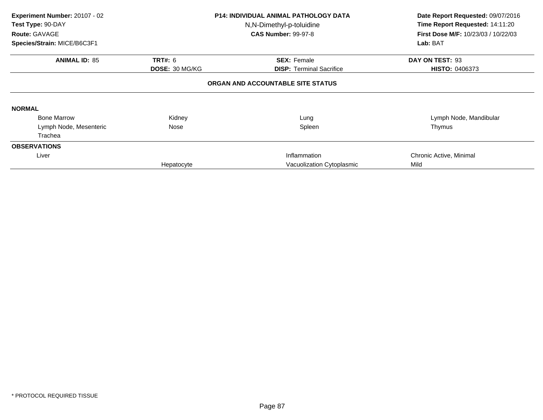| Experiment Number: 20107 - 02<br>Test Type: 90-DAY<br>Route: GAVAGE<br>Species/Strain: MICE/B6C3F1 |                                         | <b>P14: INDIVIDUAL ANIMAL PATHOLOGY DATA</b><br>N,N-Dimethyl-p-toluidine<br><b>CAS Number: 99-97-8</b> | Date Report Requested: 09/07/2016<br>Time Report Requested: 14:11:20<br>First Dose M/F: 10/23/03 / 10/22/03<br>Lab: BAT |
|----------------------------------------------------------------------------------------------------|-----------------------------------------|--------------------------------------------------------------------------------------------------------|-------------------------------------------------------------------------------------------------------------------------|
| <b>ANIMAL ID: 85</b>                                                                               | <b>TRT#: 6</b><br><b>DOSE: 30 MG/KG</b> | <b>SEX: Female</b><br><b>DISP: Terminal Sacrifice</b>                                                  | DAY ON TEST: 93<br><b>HISTO: 0406373</b>                                                                                |
|                                                                                                    |                                         | ORGAN AND ACCOUNTABLE SITE STATUS                                                                      |                                                                                                                         |
| <b>NORMAL</b>                                                                                      |                                         |                                                                                                        |                                                                                                                         |
| <b>Bone Marrow</b>                                                                                 | Kidney                                  | Lung                                                                                                   | Lymph Node, Mandibular                                                                                                  |
| Lymph Node, Mesenteric                                                                             | Nose                                    | Spleen                                                                                                 | Thymus                                                                                                                  |
| Trachea                                                                                            |                                         |                                                                                                        |                                                                                                                         |
| <b>OBSERVATIONS</b>                                                                                |                                         |                                                                                                        |                                                                                                                         |
| Liver                                                                                              |                                         | Inflammation                                                                                           | Chronic Active, Minimal                                                                                                 |
|                                                                                                    | Hepatocyte                              | Vacuolization Cytoplasmic                                                                              | Mild                                                                                                                    |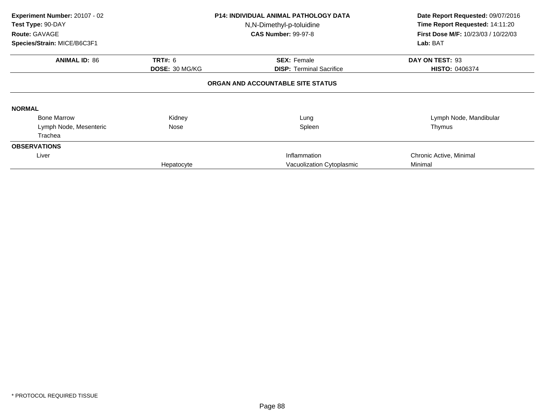| Experiment Number: 20107 - 02<br>Test Type: 90-DAY<br>Route: GAVAGE<br>Species/Strain: MICE/B6C3F1 |                                         | <b>P14: INDIVIDUAL ANIMAL PATHOLOGY DATA</b><br>N,N-Dimethyl-p-toluidine<br><b>CAS Number: 99-97-8</b> | Date Report Requested: 09/07/2016<br>Time Report Requested: 14:11:20<br>First Dose M/F: 10/23/03 / 10/22/03<br>Lab: BAT |
|----------------------------------------------------------------------------------------------------|-----------------------------------------|--------------------------------------------------------------------------------------------------------|-------------------------------------------------------------------------------------------------------------------------|
|                                                                                                    |                                         |                                                                                                        |                                                                                                                         |
| <b>ANIMAL ID: 86</b>                                                                               | <b>TRT#: 6</b><br><b>DOSE: 30 MG/KG</b> | <b>SEX: Female</b><br><b>DISP: Terminal Sacrifice</b>                                                  | DAY ON TEST: 93<br><b>HISTO: 0406374</b>                                                                                |
|                                                                                                    |                                         | ORGAN AND ACCOUNTABLE SITE STATUS                                                                      |                                                                                                                         |
| <b>NORMAL</b>                                                                                      |                                         |                                                                                                        |                                                                                                                         |
| <b>Bone Marrow</b>                                                                                 | Kidney                                  | Lung                                                                                                   | Lymph Node, Mandibular                                                                                                  |
| Lymph Node, Mesenteric                                                                             | Nose                                    | Spleen                                                                                                 | Thymus                                                                                                                  |
| Trachea                                                                                            |                                         |                                                                                                        |                                                                                                                         |
| <b>OBSERVATIONS</b>                                                                                |                                         |                                                                                                        |                                                                                                                         |
| Liver                                                                                              |                                         | Inflammation                                                                                           | Chronic Active, Minimal                                                                                                 |
|                                                                                                    | Hepatocyte                              | Vacuolization Cytoplasmic                                                                              | Minimal                                                                                                                 |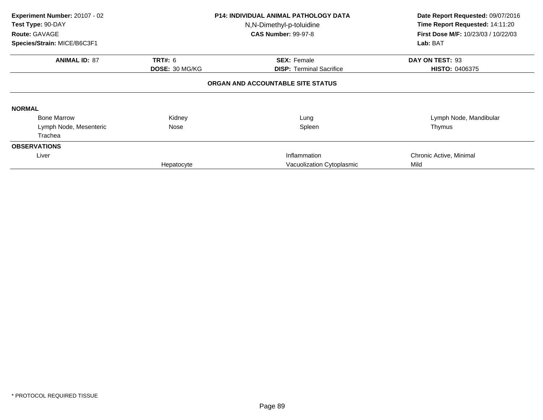| Experiment Number: 20107 - 02<br>Test Type: 90-DAY<br>Route: GAVAGE<br>Species/Strain: MICE/B6C3F1 |                       | <b>P14: INDIVIDUAL ANIMAL PATHOLOGY DATA</b><br>N,N-Dimethyl-p-toluidine<br><b>CAS Number: 99-97-8</b> | Date Report Requested: 09/07/2016<br>Time Report Requested: 14:11:20<br>First Dose M/F: 10/23/03 / 10/22/03<br>Lab: BAT |
|----------------------------------------------------------------------------------------------------|-----------------------|--------------------------------------------------------------------------------------------------------|-------------------------------------------------------------------------------------------------------------------------|
|                                                                                                    |                       |                                                                                                        |                                                                                                                         |
| <b>ANIMAL ID: 87</b>                                                                               | <b>TRT#: 6</b>        | <b>SEX: Female</b>                                                                                     | DAY ON TEST: 93                                                                                                         |
|                                                                                                    | <b>DOSE: 30 MG/KG</b> | <b>DISP: Terminal Sacrifice</b>                                                                        | <b>HISTO: 0406375</b>                                                                                                   |
| <b>NORMAL</b>                                                                                      |                       | ORGAN AND ACCOUNTABLE SITE STATUS                                                                      |                                                                                                                         |
| <b>Bone Marrow</b>                                                                                 | Kidney                | Lung                                                                                                   | Lymph Node, Mandibular                                                                                                  |
| Lymph Node, Mesenteric                                                                             | Nose                  | Spleen                                                                                                 | Thymus                                                                                                                  |
| Trachea                                                                                            |                       |                                                                                                        |                                                                                                                         |
| <b>OBSERVATIONS</b>                                                                                |                       |                                                                                                        |                                                                                                                         |
| Liver                                                                                              |                       | Inflammation                                                                                           | Chronic Active, Minimal                                                                                                 |
|                                                                                                    | Hepatocyte            | Vacuolization Cytoplasmic                                                                              | Mild                                                                                                                    |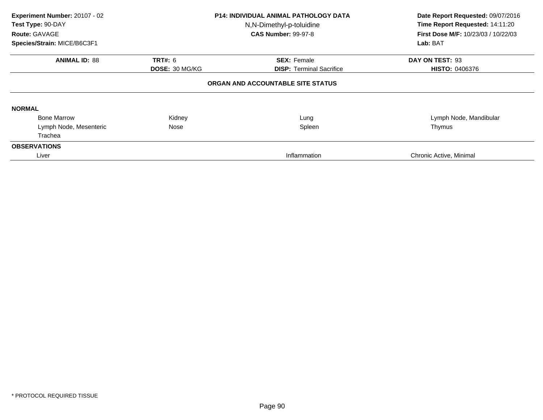| Experiment Number: 20107 - 02<br><b>P14: INDIVIDUAL ANIMAL PATHOLOGY DATA</b><br>Test Type: 90-DAY<br>N,N-Dimethyl-p-toluidine<br><b>CAS Number: 99-97-8</b><br>Route: GAVAGE<br>Species/Strain: MICE/B6C3F1 |                | Date Report Requested: 09/07/2016<br>Time Report Requested: 14:11:20<br><b>First Dose M/F: 10/23/03 / 10/22/03</b><br>Lab: BAT |                         |
|--------------------------------------------------------------------------------------------------------------------------------------------------------------------------------------------------------------|----------------|--------------------------------------------------------------------------------------------------------------------------------|-------------------------|
| <b>ANIMAL ID: 88</b>                                                                                                                                                                                         | <b>TRT#:</b> 6 | <b>SEX: Female</b>                                                                                                             | DAY ON TEST: 93         |
|                                                                                                                                                                                                              | DOSE: 30 MG/KG | <b>DISP:</b> Terminal Sacrifice                                                                                                | <b>HISTO: 0406376</b>   |
|                                                                                                                                                                                                              |                | ORGAN AND ACCOUNTABLE SITE STATUS                                                                                              |                         |
| <b>NORMAL</b>                                                                                                                                                                                                |                |                                                                                                                                |                         |
| <b>Bone Marrow</b>                                                                                                                                                                                           | Kidney         | Lung                                                                                                                           | Lymph Node, Mandibular  |
| Lymph Node, Mesenteric                                                                                                                                                                                       | Nose           | Spleen                                                                                                                         | Thymus                  |
| Trachea                                                                                                                                                                                                      |                |                                                                                                                                |                         |
| <b>OBSERVATIONS</b>                                                                                                                                                                                          |                |                                                                                                                                |                         |
| Liver                                                                                                                                                                                                        |                | Inflammation                                                                                                                   | Chronic Active, Minimal |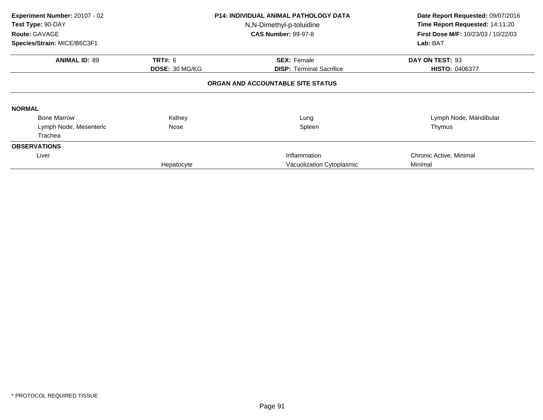| Experiment Number: 20107 - 02<br>Test Type: 90-DAY<br>Route: GAVAGE<br>Species/Strain: MICE/B6C3F1 |                                         | <b>P14: INDIVIDUAL ANIMAL PATHOLOGY DATA</b><br>N,N-Dimethyl-p-toluidine<br><b>CAS Number: 99-97-8</b> | Date Report Requested: 09/07/2016<br>Time Report Requested: 14:11:20<br>First Dose M/F: 10/23/03 / 10/22/03<br>Lab: BAT |
|----------------------------------------------------------------------------------------------------|-----------------------------------------|--------------------------------------------------------------------------------------------------------|-------------------------------------------------------------------------------------------------------------------------|
| <b>ANIMAL ID: 89</b>                                                                               | <b>TRT#: 6</b><br><b>DOSE: 30 MG/KG</b> | <b>SEX: Female</b><br><b>DISP: Terminal Sacrifice</b>                                                  | DAY ON TEST: 93<br><b>HISTO: 0406377</b>                                                                                |
|                                                                                                    |                                         | ORGAN AND ACCOUNTABLE SITE STATUS                                                                      |                                                                                                                         |
| <b>NORMAL</b>                                                                                      |                                         |                                                                                                        |                                                                                                                         |
| <b>Bone Marrow</b>                                                                                 | Kidney                                  | Lung                                                                                                   | Lymph Node, Mandibular                                                                                                  |
| Lymph Node, Mesenteric                                                                             | Nose                                    | Spleen                                                                                                 | Thymus                                                                                                                  |
| Trachea                                                                                            |                                         |                                                                                                        |                                                                                                                         |
| <b>OBSERVATIONS</b>                                                                                |                                         |                                                                                                        |                                                                                                                         |
| Liver                                                                                              |                                         | Inflammation                                                                                           | Chronic Active, Minimal                                                                                                 |
|                                                                                                    | Hepatocyte                              | Vacuolization Cytoplasmic                                                                              | Minimal                                                                                                                 |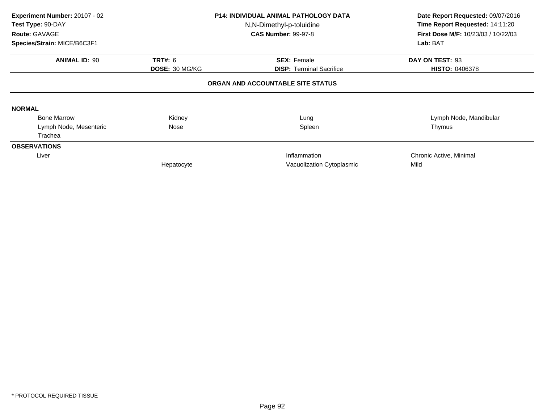| Experiment Number: 20107 - 02<br>Test Type: 90-DAY<br>Route: GAVAGE<br>Species/Strain: MICE/B6C3F1 |                       | <b>P14: INDIVIDUAL ANIMAL PATHOLOGY DATA</b><br>N,N-Dimethyl-p-toluidine<br><b>CAS Number: 99-97-8</b> | Date Report Requested: 09/07/2016<br>Time Report Requested: 14:11:20<br>First Dose M/F: 10/23/03 / 10/22/03<br>Lab: BAT |
|----------------------------------------------------------------------------------------------------|-----------------------|--------------------------------------------------------------------------------------------------------|-------------------------------------------------------------------------------------------------------------------------|
| <b>ANIMAL ID: 90</b>                                                                               | <b>TRT#: 6</b>        | <b>SEX: Female</b>                                                                                     | DAY ON TEST: 93                                                                                                         |
|                                                                                                    | <b>DOSE: 30 MG/KG</b> | <b>DISP: Terminal Sacrifice</b>                                                                        | <b>HISTO: 0406378</b>                                                                                                   |
|                                                                                                    |                       | ORGAN AND ACCOUNTABLE SITE STATUS                                                                      |                                                                                                                         |
| <b>NORMAL</b>                                                                                      |                       |                                                                                                        |                                                                                                                         |
| <b>Bone Marrow</b>                                                                                 | Kidney                | Lung                                                                                                   | Lymph Node, Mandibular                                                                                                  |
| Lymph Node, Mesenteric                                                                             | Nose                  | Spleen                                                                                                 | Thymus                                                                                                                  |
| Trachea                                                                                            |                       |                                                                                                        |                                                                                                                         |
| <b>OBSERVATIONS</b>                                                                                |                       |                                                                                                        |                                                                                                                         |
| Liver                                                                                              |                       | Inflammation                                                                                           | Chronic Active, Minimal                                                                                                 |
|                                                                                                    | Hepatocyte            | Vacuolization Cytoplasmic                                                                              | Mild                                                                                                                    |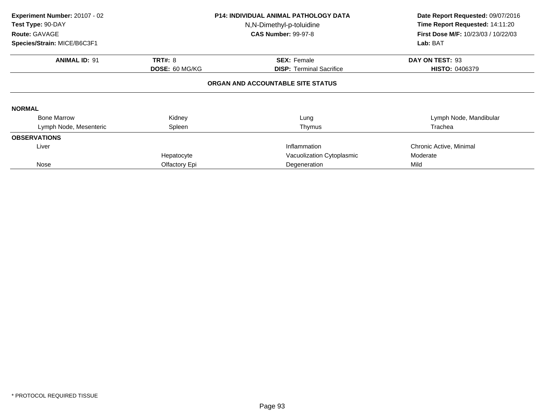| Experiment Number: 20107 - 02<br>Test Type: 90-DAY<br>Route: GAVAGE<br>Species/Strain: MICE/B6C3F1 |                       | <b>P14: INDIVIDUAL ANIMAL PATHOLOGY DATA</b><br>N,N-Dimethyl-p-toluidine<br><b>CAS Number: 99-97-8</b> | Date Report Requested: 09/07/2016<br>Time Report Requested: 14:11:20<br><b>First Dose M/F: 10/23/03 / 10/22/03</b><br>Lab: BAT |
|----------------------------------------------------------------------------------------------------|-----------------------|--------------------------------------------------------------------------------------------------------|--------------------------------------------------------------------------------------------------------------------------------|
| <b>ANIMAL ID: 91</b>                                                                               | <b>TRT#: 8</b>        | <b>SEX: Female</b>                                                                                     | DAY ON TEST: 93                                                                                                                |
|                                                                                                    | <b>DOSE: 60 MG/KG</b> | <b>DISP: Terminal Sacrifice</b>                                                                        | <b>HISTO: 0406379</b>                                                                                                          |
|                                                                                                    |                       | ORGAN AND ACCOUNTABLE SITE STATUS                                                                      |                                                                                                                                |
| <b>NORMAL</b>                                                                                      |                       |                                                                                                        |                                                                                                                                |
| <b>Bone Marrow</b>                                                                                 | Kidney                | Lung                                                                                                   | Lymph Node, Mandibular                                                                                                         |
| Lymph Node, Mesenteric                                                                             | Spleen                | Thymus                                                                                                 | Trachea                                                                                                                        |
| <b>OBSERVATIONS</b>                                                                                |                       |                                                                                                        |                                                                                                                                |
| Liver                                                                                              |                       | Inflammation                                                                                           | Chronic Active, Minimal                                                                                                        |
|                                                                                                    | Hepatocyte            | Vacuolization Cytoplasmic                                                                              | Moderate                                                                                                                       |
| Nose                                                                                               | Olfactory Epi         | Degeneration                                                                                           | Mild                                                                                                                           |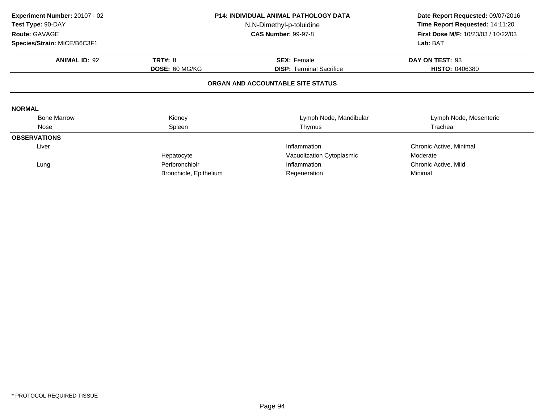| Experiment Number: 20107 - 02<br>Test Type: 90-DAY<br>Route: GAVAGE<br>Species/Strain: MICE/B6C3F1 |                                  | <b>P14: INDIVIDUAL ANIMAL PATHOLOGY DATA</b><br>N,N-Dimethyl-p-toluidine<br><b>CAS Number: 99-97-8</b> |                                                      |
|----------------------------------------------------------------------------------------------------|----------------------------------|--------------------------------------------------------------------------------------------------------|------------------------------------------------------|
| <b>ANIMAL ID: 92</b>                                                                               | <b>TRT#: 8</b><br>DOSE: 60 MG/KG | <b>SEX: Female</b><br><b>DISP: Terminal Sacrifice</b>                                                  | Lab: BAT<br>DAY ON TEST: 93<br><b>HISTO: 0406380</b> |
|                                                                                                    |                                  | ORGAN AND ACCOUNTABLE SITE STATUS                                                                      |                                                      |
| <b>NORMAL</b>                                                                                      |                                  |                                                                                                        |                                                      |
| <b>Bone Marrow</b>                                                                                 | Kidney                           | Lymph Node, Mandibular                                                                                 | Lymph Node, Mesenteric                               |
| Nose                                                                                               | Spleen                           | Thymus                                                                                                 | Trachea                                              |
| <b>OBSERVATIONS</b>                                                                                |                                  |                                                                                                        |                                                      |
| Liver                                                                                              |                                  | Inflammation                                                                                           | Chronic Active, Minimal                              |
|                                                                                                    | Hepatocyte                       | Vacuolization Cytoplasmic                                                                              | Moderate                                             |
| Lung                                                                                               | Peribronchiolr                   | Inflammation                                                                                           | Chronic Active, Mild                                 |
|                                                                                                    | Bronchiole, Epithelium           | Regeneration                                                                                           | Minimal                                              |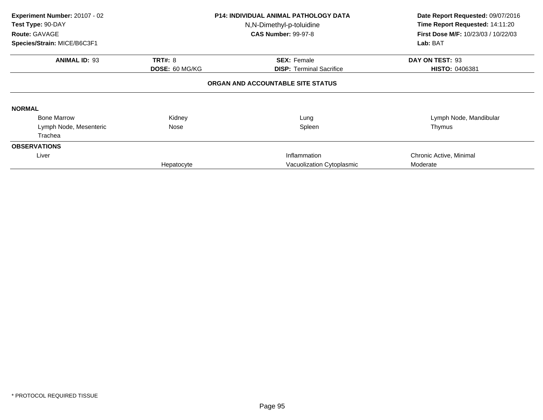| Experiment Number: 20107 - 02<br>Test Type: 90-DAY<br>Route: GAVAGE<br>Species/Strain: MICE/B6C3F1 |                       | <b>P14: INDIVIDUAL ANIMAL PATHOLOGY DATA</b><br>N,N-Dimethyl-p-toluidine<br><b>CAS Number: 99-97-8</b> | Date Report Requested: 09/07/2016<br>Time Report Requested: 14:11:20<br>First Dose M/F: 10/23/03 / 10/22/03<br>Lab: BAT |
|----------------------------------------------------------------------------------------------------|-----------------------|--------------------------------------------------------------------------------------------------------|-------------------------------------------------------------------------------------------------------------------------|
| <b>ANIMAL ID: 93</b>                                                                               | <b>TRT#: 8</b>        | <b>SEX: Female</b>                                                                                     | DAY ON TEST: 93                                                                                                         |
|                                                                                                    | <b>DOSE: 60 MG/KG</b> | <b>DISP: Terminal Sacrifice</b>                                                                        | <b>HISTO: 0406381</b>                                                                                                   |
|                                                                                                    |                       | ORGAN AND ACCOUNTABLE SITE STATUS                                                                      |                                                                                                                         |
| <b>NORMAL</b>                                                                                      |                       |                                                                                                        |                                                                                                                         |
| <b>Bone Marrow</b>                                                                                 | Kidney                | Lung                                                                                                   | Lymph Node, Mandibular                                                                                                  |
| Lymph Node, Mesenteric                                                                             | Nose                  | Spleen                                                                                                 | Thymus                                                                                                                  |
| Trachea                                                                                            |                       |                                                                                                        |                                                                                                                         |
| <b>OBSERVATIONS</b>                                                                                |                       |                                                                                                        |                                                                                                                         |
| Liver                                                                                              |                       | Inflammation                                                                                           | Chronic Active, Minimal                                                                                                 |
|                                                                                                    | Hepatocyte            | Vacuolization Cytoplasmic                                                                              | Moderate                                                                                                                |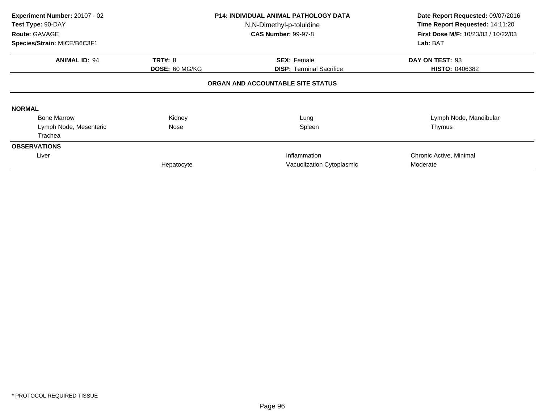| Experiment Number: 20107 - 02<br>Test Type: 90-DAY<br>Route: GAVAGE<br>Species/Strain: MICE/B6C3F1 |                                         | <b>P14: INDIVIDUAL ANIMAL PATHOLOGY DATA</b><br>N,N-Dimethyl-p-toluidine<br><b>CAS Number: 99-97-8</b> | Date Report Requested: 09/07/2016<br>Time Report Requested: 14:11:20<br>First Dose M/F: 10/23/03 / 10/22/03<br>Lab: BAT |
|----------------------------------------------------------------------------------------------------|-----------------------------------------|--------------------------------------------------------------------------------------------------------|-------------------------------------------------------------------------------------------------------------------------|
|                                                                                                    |                                         |                                                                                                        |                                                                                                                         |
| <b>ANIMAL ID: 94</b>                                                                               | <b>TRT#: 8</b><br><b>DOSE: 60 MG/KG</b> | <b>SEX: Female</b><br><b>DISP: Terminal Sacrifice</b>                                                  | DAY ON TEST: 93<br><b>HISTO: 0406382</b>                                                                                |
|                                                                                                    |                                         | ORGAN AND ACCOUNTABLE SITE STATUS                                                                      |                                                                                                                         |
| <b>NORMAL</b>                                                                                      |                                         |                                                                                                        |                                                                                                                         |
| <b>Bone Marrow</b>                                                                                 | Kidney                                  | Lung                                                                                                   | Lymph Node, Mandibular                                                                                                  |
| Lymph Node, Mesenteric                                                                             | Nose                                    | Spleen                                                                                                 | Thymus                                                                                                                  |
| Trachea                                                                                            |                                         |                                                                                                        |                                                                                                                         |
| <b>OBSERVATIONS</b>                                                                                |                                         |                                                                                                        |                                                                                                                         |
| Liver                                                                                              |                                         | Inflammation                                                                                           | Chronic Active, Minimal                                                                                                 |
|                                                                                                    | Hepatocyte                              | Vacuolization Cytoplasmic                                                                              | Moderate                                                                                                                |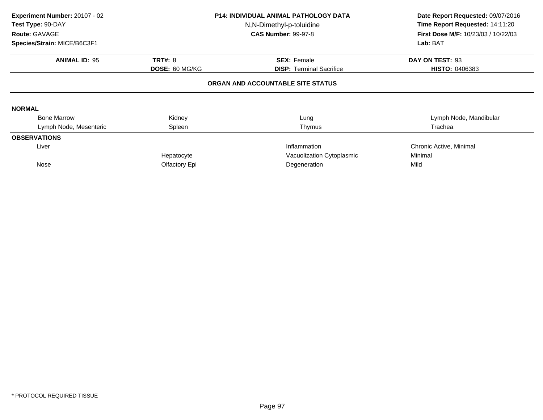| Experiment Number: 20107 - 02<br>Test Type: 90-DAY<br>Route: GAVAGE<br>Species/Strain: MICE/B6C3F1 |                                  | <b>P14: INDIVIDUAL ANIMAL PATHOLOGY DATA</b><br>N,N-Dimethyl-p-toluidine<br><b>CAS Number: 99-97-8</b> | Date Report Requested: 09/07/2016<br>Time Report Requested: 14:11:20<br>First Dose M/F: 10/23/03 / 10/22/03<br>Lab: BAT |  |  |  |
|----------------------------------------------------------------------------------------------------|----------------------------------|--------------------------------------------------------------------------------------------------------|-------------------------------------------------------------------------------------------------------------------------|--|--|--|
| <b>ANIMAL ID: 95</b>                                                                               | <b>TRT#: 8</b><br>DOSE: 60 MG/KG | <b>SEX: Female</b><br><b>DISP: Terminal Sacrifice</b>                                                  | DAY ON TEST: 93<br><b>HISTO: 0406383</b>                                                                                |  |  |  |
| ORGAN AND ACCOUNTABLE SITE STATUS                                                                  |                                  |                                                                                                        |                                                                                                                         |  |  |  |
| <b>NORMAL</b>                                                                                      |                                  |                                                                                                        |                                                                                                                         |  |  |  |
| <b>Bone Marrow</b>                                                                                 | Kidney                           | Lung                                                                                                   | Lymph Node, Mandibular                                                                                                  |  |  |  |
| Lymph Node, Mesenteric                                                                             | Spleen                           | Thymus                                                                                                 | Trachea                                                                                                                 |  |  |  |
| <b>OBSERVATIONS</b>                                                                                |                                  |                                                                                                        |                                                                                                                         |  |  |  |
| Liver                                                                                              |                                  | Inflammation                                                                                           | Chronic Active, Minimal                                                                                                 |  |  |  |
|                                                                                                    | Hepatocyte                       | Vacuolization Cytoplasmic                                                                              | Minimal                                                                                                                 |  |  |  |
| Nose                                                                                               | Olfactory Epi                    | Degeneration                                                                                           | Mild                                                                                                                    |  |  |  |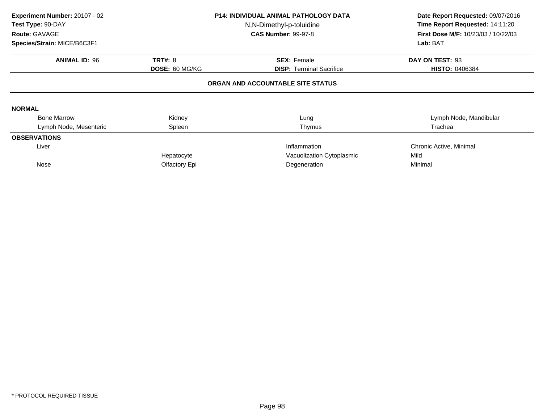| Experiment Number: 20107 - 02<br>Test Type: 90-DAY<br>Route: GAVAGE<br>Species/Strain: MICE/B6C3F1 |                       | <b>P14: INDIVIDUAL ANIMAL PATHOLOGY DATA</b><br>N,N-Dimethyl-p-toluidine<br><b>CAS Number: 99-97-8</b> | Date Report Requested: 09/07/2016<br>Time Report Requested: 14:11:20<br><b>First Dose M/F: 10/23/03 / 10/22/03</b><br>Lab: BAT |
|----------------------------------------------------------------------------------------------------|-----------------------|--------------------------------------------------------------------------------------------------------|--------------------------------------------------------------------------------------------------------------------------------|
| <b>ANIMAL ID: 96</b>                                                                               | <b>TRT#: 8</b>        | <b>SEX: Female</b>                                                                                     | DAY ON TEST: 93                                                                                                                |
|                                                                                                    | <b>DOSE: 60 MG/KG</b> |                                                                                                        | <b>HISTO: 0406384</b>                                                                                                          |
|                                                                                                    |                       | ORGAN AND ACCOUNTABLE SITE STATUS                                                                      |                                                                                                                                |
| <b>NORMAL</b>                                                                                      |                       |                                                                                                        |                                                                                                                                |
| <b>Bone Marrow</b>                                                                                 | Kidney                | Lung                                                                                                   | Lymph Node, Mandibular                                                                                                         |
| Lymph Node, Mesenteric                                                                             | Spleen                | Thymus                                                                                                 | Trachea                                                                                                                        |
| <b>OBSERVATIONS</b>                                                                                |                       |                                                                                                        |                                                                                                                                |
| Liver                                                                                              |                       | Inflammation                                                                                           | Chronic Active, Minimal                                                                                                        |
|                                                                                                    | Hepatocyte            | Vacuolization Cytoplasmic                                                                              | Mild                                                                                                                           |
| Nose                                                                                               | Olfactory Epi         | Degeneration                                                                                           | Minimal                                                                                                                        |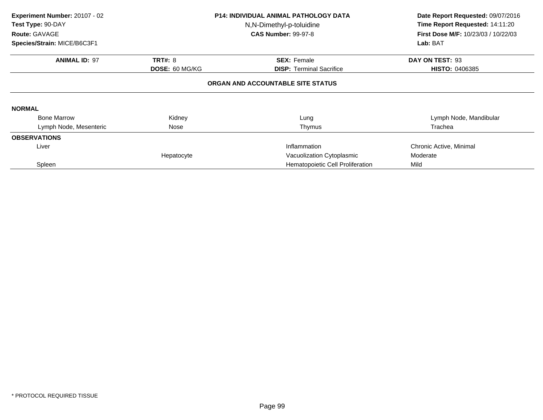| Experiment Number: 20107 - 02<br>Test Type: 90-DAY<br>Route: GAVAGE |                                   | <b>P14: INDIVIDUAL ANIMAL PATHOLOGY DATA</b><br>N,N-Dimethyl-p-toluidine<br><b>CAS Number: 99-97-8</b> | Date Report Requested: 09/07/2016<br>Time Report Requested: 14:11:20<br><b>First Dose M/F: 10/23/03 / 10/22/03</b> |  |  |  |  |
|---------------------------------------------------------------------|-----------------------------------|--------------------------------------------------------------------------------------------------------|--------------------------------------------------------------------------------------------------------------------|--|--|--|--|
| Species/Strain: MICE/B6C3F1                                         |                                   |                                                                                                        | Lab: BAT                                                                                                           |  |  |  |  |
| <b>ANIMAL ID: 97</b>                                                | <b>TRT#: 8</b>                    | <b>SEX: Female</b>                                                                                     | DAY ON TEST: 93                                                                                                    |  |  |  |  |
|                                                                     | <b>DOSE: 60 MG/KG</b>             | <b>DISP:</b> Terminal Sacrifice                                                                        | <b>HISTO: 0406385</b>                                                                                              |  |  |  |  |
|                                                                     | ORGAN AND ACCOUNTABLE SITE STATUS |                                                                                                        |                                                                                                                    |  |  |  |  |
| <b>NORMAL</b>                                                       |                                   |                                                                                                        |                                                                                                                    |  |  |  |  |
| <b>Bone Marrow</b>                                                  | Kidney                            | Lung                                                                                                   | Lymph Node, Mandibular                                                                                             |  |  |  |  |
| Lymph Node, Mesenteric                                              | Nose                              | Thymus                                                                                                 | Trachea                                                                                                            |  |  |  |  |
| <b>OBSERVATIONS</b>                                                 |                                   |                                                                                                        |                                                                                                                    |  |  |  |  |
| Liver                                                               | Inflammation                      |                                                                                                        | Chronic Active, Minimal                                                                                            |  |  |  |  |
|                                                                     | Hepatocyte                        | Vacuolization Cytoplasmic                                                                              | Moderate                                                                                                           |  |  |  |  |
| Spleen                                                              |                                   | Hematopoietic Cell Proliferation                                                                       | Mild                                                                                                               |  |  |  |  |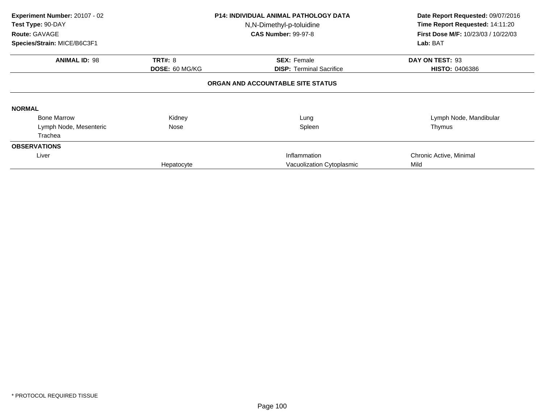| Experiment Number: 20107 - 02<br>Test Type: 90-DAY<br>Route: GAVAGE<br>Species/Strain: MICE/B6C3F1 |                                         | <b>P14: INDIVIDUAL ANIMAL PATHOLOGY DATA</b><br>N,N-Dimethyl-p-toluidine<br><b>CAS Number: 99-97-8</b> | Date Report Requested: 09/07/2016<br>Time Report Requested: 14:11:20<br>First Dose M/F: 10/23/03 / 10/22/03<br>Lab: BAT |  |  |
|----------------------------------------------------------------------------------------------------|-----------------------------------------|--------------------------------------------------------------------------------------------------------|-------------------------------------------------------------------------------------------------------------------------|--|--|
| <b>ANIMAL ID: 98</b>                                                                               | <b>TRT#: 8</b><br><b>DOSE: 60 MG/KG</b> | <b>SEX: Female</b><br><b>DISP: Terminal Sacrifice</b>                                                  | DAY ON TEST: 93<br><b>HISTO: 0406386</b>                                                                                |  |  |
| ORGAN AND ACCOUNTABLE SITE STATUS                                                                  |                                         |                                                                                                        |                                                                                                                         |  |  |
| <b>NORMAL</b>                                                                                      |                                         |                                                                                                        |                                                                                                                         |  |  |
| <b>Bone Marrow</b>                                                                                 | Kidney                                  | Lung                                                                                                   | Lymph Node, Mandibular                                                                                                  |  |  |
| Lymph Node, Mesenteric                                                                             | Nose                                    | Spleen                                                                                                 | Thymus                                                                                                                  |  |  |
| Trachea                                                                                            |                                         |                                                                                                        |                                                                                                                         |  |  |
| <b>OBSERVATIONS</b>                                                                                |                                         |                                                                                                        |                                                                                                                         |  |  |
| Liver                                                                                              |                                         | Inflammation                                                                                           | Chronic Active, Minimal                                                                                                 |  |  |
|                                                                                                    | Hepatocyte                              | Vacuolization Cytoplasmic                                                                              | Mild                                                                                                                    |  |  |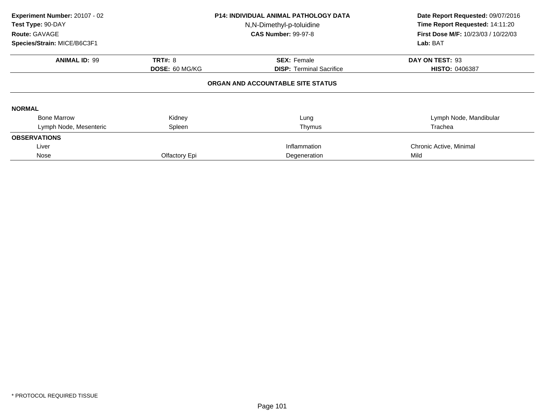| Experiment Number: 20107 - 02<br>Test Type: 90-DAY<br>Route: GAVAGE<br>Species/Strain: MICE/B6C3F1 |                       | P14: INDIVIDUAL ANIMAL PATHOLOGY DATA<br>N,N-Dimethyl-p-toluidine<br><b>CAS Number: 99-97-8</b> | Date Report Requested: 09/07/2016<br>Time Report Requested: 14:11:20<br><b>First Dose M/F: 10/23/03 / 10/22/03</b><br>Lab: BAT |  |
|----------------------------------------------------------------------------------------------------|-----------------------|-------------------------------------------------------------------------------------------------|--------------------------------------------------------------------------------------------------------------------------------|--|
|                                                                                                    |                       |                                                                                                 |                                                                                                                                |  |
| <b>ANIMAL ID: 99</b>                                                                               | <b>TRT#: 8</b>        | <b>SEX: Female</b>                                                                              | DAY ON TEST: 93                                                                                                                |  |
|                                                                                                    | <b>DOSE: 60 MG/KG</b> | <b>DISP:</b> Terminal Sacrifice                                                                 | <b>HISTO: 0406387</b>                                                                                                          |  |
|                                                                                                    |                       | ORGAN AND ACCOUNTABLE SITE STATUS                                                               |                                                                                                                                |  |
| <b>NORMAL</b>                                                                                      |                       |                                                                                                 |                                                                                                                                |  |
| <b>Bone Marrow</b>                                                                                 | Kidney                | Lung                                                                                            | Lymph Node, Mandibular                                                                                                         |  |
| Lymph Node, Mesenteric                                                                             | Spleen                | Thymus                                                                                          | Trachea                                                                                                                        |  |
| <b>OBSERVATIONS</b>                                                                                |                       |                                                                                                 |                                                                                                                                |  |
| Liver                                                                                              |                       | Inflammation                                                                                    | Chronic Active, Minimal                                                                                                        |  |
| Nose                                                                                               | Olfactory Epi         | Degeneration                                                                                    | Mild                                                                                                                           |  |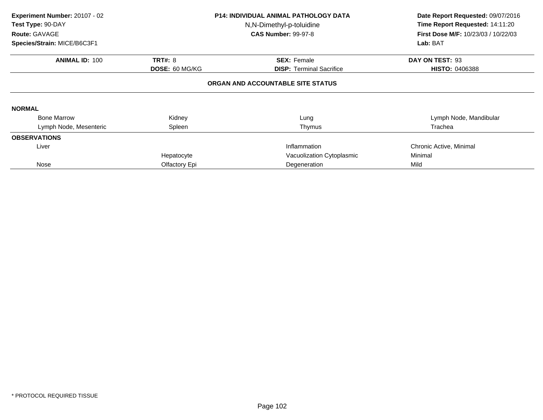| Experiment Number: 20107 - 02<br>Test Type: 90-DAY<br>Route: GAVAGE<br>Species/Strain: MICE/B6C3F1 |                       | <b>P14: INDIVIDUAL ANIMAL PATHOLOGY DATA</b><br>N,N-Dimethyl-p-toluidine<br><b>CAS Number: 99-97-8</b> | Date Report Requested: 09/07/2016<br>Time Report Requested: 14:11:20<br><b>First Dose M/F: 10/23/03 / 10/22/03</b><br>Lab: BAT |
|----------------------------------------------------------------------------------------------------|-----------------------|--------------------------------------------------------------------------------------------------------|--------------------------------------------------------------------------------------------------------------------------------|
|                                                                                                    |                       |                                                                                                        |                                                                                                                                |
| <b>ANIMAL ID: 100</b>                                                                              | <b>TRT#: 8</b>        | <b>SEX: Female</b>                                                                                     | DAY ON TEST: 93                                                                                                                |
|                                                                                                    | <b>DOSE: 60 MG/KG</b> | <b>DISP:</b> Terminal Sacrifice                                                                        | <b>HISTO: 0406388</b>                                                                                                          |
|                                                                                                    |                       | ORGAN AND ACCOUNTABLE SITE STATUS                                                                      |                                                                                                                                |
| <b>NORMAL</b>                                                                                      |                       |                                                                                                        |                                                                                                                                |
| <b>Bone Marrow</b>                                                                                 | Kidney                | Lung                                                                                                   | Lymph Node, Mandibular                                                                                                         |
| Lymph Node, Mesenteric                                                                             | Spleen                | Thymus                                                                                                 | Trachea                                                                                                                        |
| <b>OBSERVATIONS</b>                                                                                |                       |                                                                                                        |                                                                                                                                |
| Liver                                                                                              |                       | Inflammation                                                                                           | Chronic Active, Minimal                                                                                                        |
|                                                                                                    | Hepatocyte            | Vacuolization Cytoplasmic                                                                              | Minimal                                                                                                                        |
| Nose                                                                                               | Olfactory Epi         | Degeneration                                                                                           | Mild                                                                                                                           |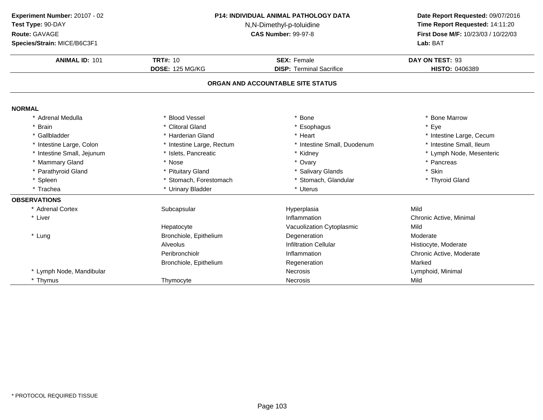| Experiment Number: 20107 - 02<br>Test Type: 90-DAY<br>Route: GAVAGE<br>Species/Strain: MICE/B6C3F1 | <b>P14: INDIVIDUAL ANIMAL PATHOLOGY DATA</b><br>N,N-Dimethyl-p-toluidine<br><b>CAS Number: 99-97-8</b> |                                                       | Date Report Requested: 09/07/2016<br>Time Report Requested: 14:11:20<br>First Dose M/F: 10/23/03 / 10/22/03<br>Lab: BAT |
|----------------------------------------------------------------------------------------------------|--------------------------------------------------------------------------------------------------------|-------------------------------------------------------|-------------------------------------------------------------------------------------------------------------------------|
| <b>ANIMAL ID: 101</b>                                                                              | <b>TRT#: 10</b><br><b>DOSE: 125 MG/KG</b>                                                              | <b>SEX: Female</b><br><b>DISP: Terminal Sacrifice</b> | DAY ON TEST: 93<br>HISTO: 0406389                                                                                       |
|                                                                                                    |                                                                                                        | ORGAN AND ACCOUNTABLE SITE STATUS                     |                                                                                                                         |
| <b>NORMAL</b>                                                                                      |                                                                                                        |                                                       |                                                                                                                         |
| * Adrenal Medulla                                                                                  | * Blood Vessel                                                                                         | * Bone                                                | * Bone Marrow                                                                                                           |
| <b>Brain</b>                                                                                       | * Clitoral Gland                                                                                       | * Esophagus                                           | * Eye                                                                                                                   |
| * Gallbladder                                                                                      | * Harderian Gland                                                                                      | * Heart                                               | * Intestine Large, Cecum                                                                                                |
| * Intestine Large, Colon                                                                           | * Intestine Large, Rectum                                                                              | * Intestine Small, Duodenum                           | * Intestine Small, Ileum                                                                                                |
| * Intestine Small, Jejunum                                                                         | * Islets, Pancreatic                                                                                   | * Kidney                                              | * Lymph Node, Mesenteric                                                                                                |
| * Mammary Gland                                                                                    | * Nose                                                                                                 | * Ovary                                               | * Pancreas                                                                                                              |
| * Parathyroid Gland                                                                                | * Pituitary Gland                                                                                      | * Salivary Glands                                     | * Skin                                                                                                                  |
| * Spleen                                                                                           | * Stomach, Forestomach                                                                                 | * Stomach, Glandular                                  | * Thyroid Gland                                                                                                         |
| * Trachea                                                                                          | * Urinary Bladder                                                                                      | * Uterus                                              |                                                                                                                         |
| <b>OBSERVATIONS</b>                                                                                |                                                                                                        |                                                       |                                                                                                                         |
| * Adrenal Cortex                                                                                   | Subcapsular                                                                                            | Hyperplasia                                           | Mild                                                                                                                    |
| * Liver                                                                                            |                                                                                                        | Inflammation                                          | Chronic Active, Minimal                                                                                                 |
|                                                                                                    | Hepatocyte                                                                                             | Vacuolization Cytoplasmic                             | Mild                                                                                                                    |
| * Lung                                                                                             | Bronchiole, Epithelium                                                                                 | Degeneration                                          | Moderate                                                                                                                |
|                                                                                                    | Alveolus                                                                                               | <b>Infiltration Cellular</b>                          | Histiocyte, Moderate                                                                                                    |
|                                                                                                    | Peribronchiolr                                                                                         | Inflammation                                          | Chronic Active, Moderate                                                                                                |
|                                                                                                    | Bronchiole, Epithelium                                                                                 | Regeneration                                          | Marked                                                                                                                  |
| * Lymph Node, Mandibular                                                                           |                                                                                                        | Necrosis                                              | Lymphoid, Minimal                                                                                                       |
| * Thymus                                                                                           | Thymocyte                                                                                              | <b>Necrosis</b>                                       | Mild                                                                                                                    |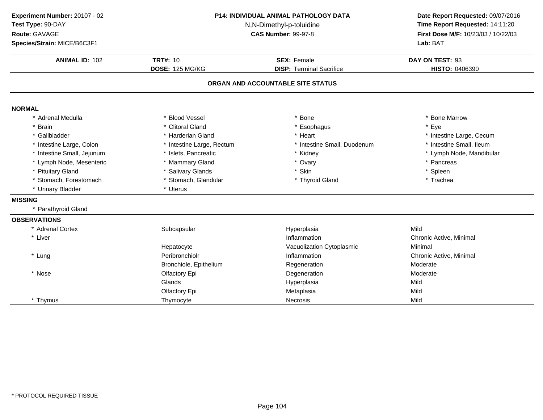| Experiment Number: 20107 - 02<br>Test Type: 90-DAY<br>Route: GAVAGE<br>Species/Strain: MICE/B6C3F1 | <b>P14: INDIVIDUAL ANIMAL PATHOLOGY DATA</b><br>N,N-Dimethyl-p-toluidine<br><b>CAS Number: 99-97-8</b><br><b>TRT#: 10</b><br><b>SEX: Female</b><br><b>DOSE: 125 MG/KG</b><br><b>DISP: Terminal Sacrifice</b> |                                   | Date Report Requested: 09/07/2016<br>Time Report Requested: 14:11:20<br>First Dose M/F: 10/23/03 / 10/22/03<br>Lab: BAT |
|----------------------------------------------------------------------------------------------------|--------------------------------------------------------------------------------------------------------------------------------------------------------------------------------------------------------------|-----------------------------------|-------------------------------------------------------------------------------------------------------------------------|
| <b>ANIMAL ID: 102</b>                                                                              |                                                                                                                                                                                                              |                                   | DAY ON TEST: 93<br>HISTO: 0406390                                                                                       |
|                                                                                                    |                                                                                                                                                                                                              | ORGAN AND ACCOUNTABLE SITE STATUS |                                                                                                                         |
| <b>NORMAL</b>                                                                                      |                                                                                                                                                                                                              |                                   |                                                                                                                         |
| * Adrenal Medulla                                                                                  | * Blood Vessel                                                                                                                                                                                               | * Bone                            | * Bone Marrow                                                                                                           |
| <b>Brain</b>                                                                                       | * Clitoral Gland                                                                                                                                                                                             | * Esophagus                       | * Eye                                                                                                                   |
| Gallbladder                                                                                        | * Harderian Gland                                                                                                                                                                                            | * Heart                           | * Intestine Large, Cecum                                                                                                |
| Intestine Large, Colon                                                                             | * Intestine Large, Rectum                                                                                                                                                                                    | * Intestine Small, Duodenum       | * Intestine Small, Ileum                                                                                                |
| Intestine Small, Jejunum                                                                           | * Islets, Pancreatic                                                                                                                                                                                         | * Kidney                          | * Lymph Node, Mandibular                                                                                                |
| * Lymph Node, Mesenteric                                                                           | * Mammary Gland                                                                                                                                                                                              | * Ovary                           | * Pancreas                                                                                                              |
| * Pituitary Gland                                                                                  | * Salivary Glands                                                                                                                                                                                            | * Skin                            | * Spleen                                                                                                                |
| * Stomach, Forestomach                                                                             | * Stomach, Glandular                                                                                                                                                                                         | * Thyroid Gland                   | * Trachea                                                                                                               |
| * Urinary Bladder                                                                                  | * Uterus                                                                                                                                                                                                     |                                   |                                                                                                                         |
| <b>MISSING</b>                                                                                     |                                                                                                                                                                                                              |                                   |                                                                                                                         |
| Parathyroid Gland                                                                                  |                                                                                                                                                                                                              |                                   |                                                                                                                         |
| <b>OBSERVATIONS</b>                                                                                |                                                                                                                                                                                                              |                                   |                                                                                                                         |
| * Adrenal Cortex                                                                                   | Subcapsular                                                                                                                                                                                                  | Hyperplasia                       | Mild                                                                                                                    |
| * Liver                                                                                            |                                                                                                                                                                                                              | Inflammation                      | Chronic Active, Minimal                                                                                                 |
|                                                                                                    | Hepatocyte                                                                                                                                                                                                   | Vacuolization Cytoplasmic         | Minimal                                                                                                                 |
| * Lung                                                                                             | Peribronchiolr                                                                                                                                                                                               | Inflammation                      | Chronic Active, Minimal                                                                                                 |
|                                                                                                    | Bronchiole, Epithelium                                                                                                                                                                                       | Regeneration                      | Moderate                                                                                                                |
| * Nose                                                                                             | Olfactory Epi                                                                                                                                                                                                | Degeneration                      | Moderate                                                                                                                |
|                                                                                                    | Glands                                                                                                                                                                                                       | Hyperplasia                       | Mild                                                                                                                    |
|                                                                                                    | Olfactory Epi                                                                                                                                                                                                | Metaplasia                        | Mild                                                                                                                    |
| * Thymus                                                                                           | Thymocyte                                                                                                                                                                                                    | <b>Necrosis</b>                   | Mild                                                                                                                    |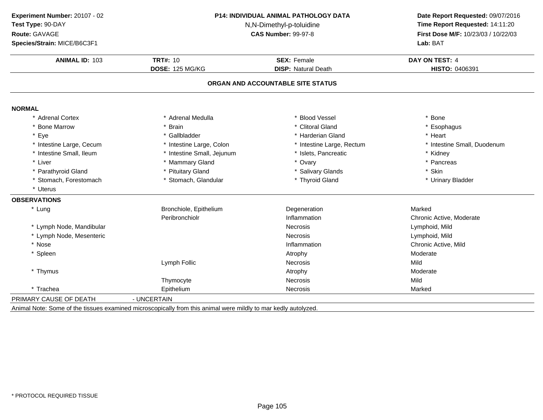| Experiment Number: 20107 - 02<br>Test Type: 90-DAY<br>Route: GAVAGE<br>Species/Strain: MICE/B6C3F1 | P14: INDIVIDUAL ANIMAL PATHOLOGY DATA<br>N,N-Dimethyl-p-toluidine<br><b>CAS Number: 99-97-8</b> |                                                  | Date Report Requested: 09/07/2016<br>Time Report Requested: 14:11:20<br>First Dose M/F: 10/23/03 / 10/22/03<br>Lab: BAT |
|----------------------------------------------------------------------------------------------------|-------------------------------------------------------------------------------------------------|--------------------------------------------------|-------------------------------------------------------------------------------------------------------------------------|
| <b>ANIMAL ID: 103</b>                                                                              | <b>TRT#: 10</b><br><b>DOSE: 125 MG/KG</b>                                                       | <b>SEX: Female</b><br><b>DISP: Natural Death</b> | DAY ON TEST: 4<br>HISTO: 0406391                                                                                        |
|                                                                                                    |                                                                                                 | ORGAN AND ACCOUNTABLE SITE STATUS                |                                                                                                                         |
| <b>NORMAL</b>                                                                                      |                                                                                                 |                                                  |                                                                                                                         |
| * Adrenal Cortex                                                                                   | * Adrenal Medulla                                                                               | <b>Blood Vessel</b>                              | * Bone                                                                                                                  |
| * Bone Marrow                                                                                      | * Brain                                                                                         | * Clitoral Gland                                 | * Esophagus                                                                                                             |
| * Eye                                                                                              | * Gallbladder                                                                                   | * Harderian Gland                                | * Heart                                                                                                                 |
| * Intestine Large, Cecum                                                                           | * Intestine Large, Colon                                                                        | * Intestine Large, Rectum                        | * Intestine Small, Duodenum                                                                                             |
| * Intestine Small, Ileum                                                                           | * Intestine Small, Jejunum                                                                      | * Islets, Pancreatic                             | * Kidney                                                                                                                |
| * Liver                                                                                            | * Mammary Gland                                                                                 | * Ovary                                          | * Pancreas                                                                                                              |
| * Parathyroid Gland                                                                                | * Pituitary Gland                                                                               | * Salivary Glands                                | * Skin                                                                                                                  |
| * Stomach, Forestomach                                                                             | * Stomach, Glandular                                                                            | * Thyroid Gland                                  | * Urinary Bladder                                                                                                       |
| * Uterus                                                                                           |                                                                                                 |                                                  |                                                                                                                         |
| <b>OBSERVATIONS</b>                                                                                |                                                                                                 |                                                  |                                                                                                                         |
| * Lung                                                                                             | Bronchiole, Epithelium                                                                          | Degeneration                                     | Marked                                                                                                                  |
|                                                                                                    | Peribronchiolr                                                                                  | Inflammation                                     | Chronic Active, Moderate                                                                                                |
| * Lymph Node, Mandibular                                                                           |                                                                                                 | Necrosis                                         | Lymphoid, Mild                                                                                                          |
| * Lymph Node, Mesenteric                                                                           |                                                                                                 | Necrosis                                         | Lymphoid, Mild                                                                                                          |
| * Nose                                                                                             |                                                                                                 | Inflammation                                     | Chronic Active, Mild                                                                                                    |
| * Spleen                                                                                           |                                                                                                 | Atrophy                                          | Moderate                                                                                                                |
|                                                                                                    | Lymph Follic                                                                                    | Necrosis                                         | Mild                                                                                                                    |
| * Thymus                                                                                           |                                                                                                 | Atrophy                                          | Moderate                                                                                                                |
|                                                                                                    | Thymocyte                                                                                       | Necrosis                                         | Mild                                                                                                                    |
| * Trachea                                                                                          | Epithelium                                                                                      | <b>Necrosis</b>                                  | Marked                                                                                                                  |
| PRIMARY CAUSE OF DEATH                                                                             | - UNCERTAIN                                                                                     |                                                  |                                                                                                                         |

Animal Note: Some of the tissues examined microscopically from this animal were mildly to mar kedly autolyzed.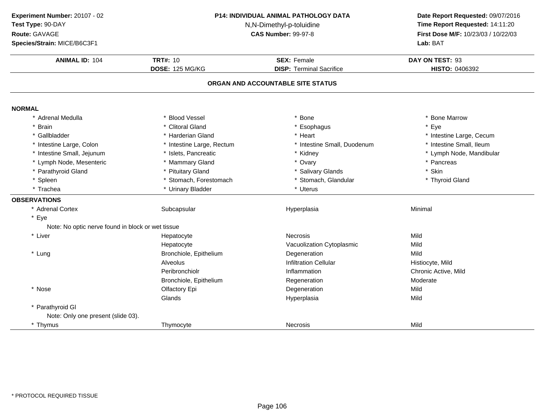| Experiment Number: 20107 - 02<br>Test Type: 90-DAY<br>Route: GAVAGE<br>Species/Strain: MICE/B6C3F1 | P14: INDIVIDUAL ANIMAL PATHOLOGY DATA<br>N,N-Dimethyl-p-toluidine<br><b>CAS Number: 99-97-8</b> |                                                                      | Date Report Requested: 09/07/2016<br>Time Report Requested: 14:11:20<br>First Dose M/F: 10/23/03 / 10/22/03<br>Lab: BAT |
|----------------------------------------------------------------------------------------------------|-------------------------------------------------------------------------------------------------|----------------------------------------------------------------------|-------------------------------------------------------------------------------------------------------------------------|
| <b>ANIMAL ID: 104</b>                                                                              | <b>TRT#: 10</b>                                                                                 | <b>SEX: Female</b>                                                   | DAY ON TEST: 93                                                                                                         |
|                                                                                                    | <b>DOSE: 125 MG/KG</b>                                                                          | <b>DISP: Terminal Sacrifice</b><br>ORGAN AND ACCOUNTABLE SITE STATUS | HISTO: 0406392                                                                                                          |
|                                                                                                    |                                                                                                 |                                                                      |                                                                                                                         |
| <b>NORMAL</b>                                                                                      |                                                                                                 |                                                                      |                                                                                                                         |
| * Adrenal Medulla                                                                                  | * Blood Vessel                                                                                  | * Bone                                                               | * Bone Marrow                                                                                                           |
| <b>Brain</b>                                                                                       | * Clitoral Gland                                                                                | * Esophagus                                                          | * Eye                                                                                                                   |
| * Gallbladder                                                                                      | * Harderian Gland                                                                               | * Heart                                                              | * Intestine Large, Cecum                                                                                                |
| * Intestine Large, Colon                                                                           | * Intestine Large, Rectum                                                                       | * Intestine Small, Duodenum                                          | * Intestine Small, Ileum                                                                                                |
| * Intestine Small, Jejunum                                                                         | * Islets, Pancreatic                                                                            | * Kidney                                                             | * Lymph Node, Mandibular                                                                                                |
| * Lymph Node, Mesenteric                                                                           | * Mammary Gland                                                                                 | * Ovary                                                              | * Pancreas                                                                                                              |
| * Parathyroid Gland                                                                                | * Pituitary Gland                                                                               | * Salivary Glands                                                    | * Skin                                                                                                                  |
| * Spleen                                                                                           | * Stomach, Forestomach                                                                          | * Stomach, Glandular                                                 | * Thyroid Gland                                                                                                         |
| * Trachea                                                                                          | * Urinary Bladder                                                                               | * Uterus                                                             |                                                                                                                         |
| <b>OBSERVATIONS</b>                                                                                |                                                                                                 |                                                                      |                                                                                                                         |
| * Adrenal Cortex                                                                                   | Subcapsular                                                                                     | Hyperplasia                                                          | Minimal                                                                                                                 |
| * Eye                                                                                              |                                                                                                 |                                                                      |                                                                                                                         |
| Note: No optic nerve found in block or wet tissue                                                  |                                                                                                 |                                                                      |                                                                                                                         |
| * Liver                                                                                            | Hepatocyte                                                                                      | <b>Necrosis</b>                                                      | Mild                                                                                                                    |
|                                                                                                    | Hepatocyte                                                                                      | Vacuolization Cytoplasmic                                            | Mild                                                                                                                    |
| * Lung                                                                                             | Bronchiole, Epithelium                                                                          | Degeneration                                                         | Mild                                                                                                                    |
|                                                                                                    | Alveolus                                                                                        | <b>Infiltration Cellular</b>                                         | Histiocyte, Mild                                                                                                        |
|                                                                                                    | Peribronchiolr                                                                                  | Inflammation                                                         | Chronic Active, Mild                                                                                                    |
|                                                                                                    | Bronchiole, Epithelium                                                                          | Regeneration                                                         | Moderate                                                                                                                |
| * Nose                                                                                             | Olfactory Epi                                                                                   | Degeneration                                                         | Mild                                                                                                                    |
|                                                                                                    | Glands                                                                                          | Hyperplasia                                                          | Mild                                                                                                                    |
| * Parathyroid GI                                                                                   |                                                                                                 |                                                                      |                                                                                                                         |
| Note: Only one present (slide 03).                                                                 |                                                                                                 |                                                                      |                                                                                                                         |
| * Thymus                                                                                           | Thymocyte                                                                                       | Necrosis                                                             | Mild                                                                                                                    |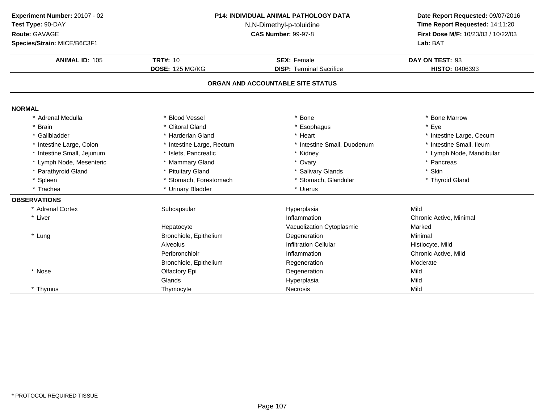| Experiment Number: 20107 - 02 | <b>P14: INDIVIDUAL ANIMAL PATHOLOGY DATA</b> |                                   | Date Report Requested: 09/07/2016   |
|-------------------------------|----------------------------------------------|-----------------------------------|-------------------------------------|
| Test Type: 90-DAY             | N,N-Dimethyl-p-toluidine                     | Time Report Requested: 14:11:20   |                                     |
| Route: GAVAGE                 |                                              | <b>CAS Number: 99-97-8</b>        | First Dose M/F: 10/23/03 / 10/22/03 |
| Species/Strain: MICE/B6C3F1   |                                              |                                   | Lab: BAT                            |
| <b>ANIMAL ID: 105</b>         | <b>TRT#: 10</b>                              | <b>SEX: Female</b>                | DAY ON TEST: 93                     |
|                               | <b>DOSE: 125 MG/KG</b>                       | <b>DISP: Terminal Sacrifice</b>   | HISTO: 0406393                      |
|                               |                                              | ORGAN AND ACCOUNTABLE SITE STATUS |                                     |
| <b>NORMAL</b>                 |                                              |                                   |                                     |
| <b>Adrenal Medulla</b>        | <b>Blood Vessel</b>                          | Bone                              | * Bone Marrow                       |
| <b>Brain</b>                  | * Clitoral Gland                             | * Esophagus                       | * Eye                               |
| Gallbladder                   | * Harderian Gland                            | * Heart                           | * Intestine Large, Cecum            |
| * Intestine Large, Colon      | * Intestine Large, Rectum                    | * Intestine Small, Duodenum       | * Intestine Small, Ileum            |
| * Intestine Small, Jejunum    | * Islets, Pancreatic                         | * Kidney                          | * Lymph Node, Mandibular            |
| * Lymph Node, Mesenteric      | * Mammary Gland                              | * Ovary                           | * Pancreas                          |
| * Parathyroid Gland           | * Pituitary Gland                            | * Salivary Glands                 | * Skin                              |
| * Spleen                      | * Stomach, Forestomach                       | * Stomach, Glandular              | * Thyroid Gland                     |
| * Trachea                     | * Urinary Bladder                            | * Uterus                          |                                     |
| <b>OBSERVATIONS</b>           |                                              |                                   |                                     |
| * Adrenal Cortex              | Subcapsular                                  | Hyperplasia                       | Mild                                |
| * Liver                       |                                              | Inflammation                      | Chronic Active, Minimal             |
|                               | Hepatocyte                                   | Vacuolization Cytoplasmic         | Marked                              |
| * Lung                        | Bronchiole, Epithelium                       | Degeneration                      | Minimal                             |
|                               | Alveolus                                     | <b>Infiltration Cellular</b>      | Histiocyte, Mild                    |
|                               | Peribronchiolr                               | Inflammation                      | Chronic Active, Mild                |
|                               | Bronchiole, Epithelium                       | Regeneration                      | Moderate                            |
| * Nose                        | Olfactory Epi                                | Degeneration                      | Mild                                |
|                               | Glands                                       | Hyperplasia                       | Mild                                |
| * Thymus                      | Thymocyte                                    | <b>Necrosis</b>                   | Mild                                |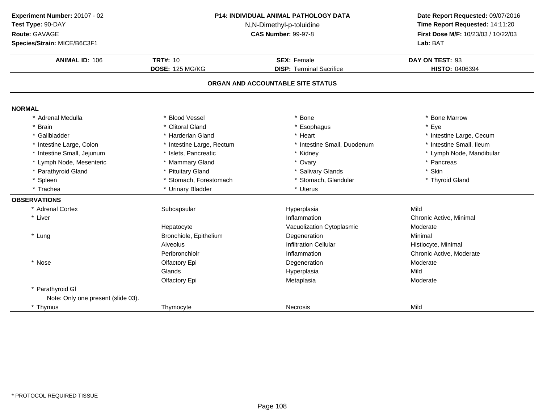| Experiment Number: 20107 - 02<br>Test Type: 90-DAY<br>Route: GAVAGE<br>Species/Strain: MICE/B6C3F1 | P14: INDIVIDUAL ANIMAL PATHOLOGY DATA<br>N,N-Dimethyl-p-toluidine<br><b>CAS Number: 99-97-8</b><br><b>TRT#: 10</b><br><b>SEX: Female</b><br><b>DOSE: 125 MG/KG</b><br><b>DISP: Terminal Sacrifice</b> |                                   | Date Report Requested: 09/07/2016<br>Time Report Requested: 14:11:20<br>First Dose M/F: 10/23/03 / 10/22/03<br>Lab: BAT |
|----------------------------------------------------------------------------------------------------|-------------------------------------------------------------------------------------------------------------------------------------------------------------------------------------------------------|-----------------------------------|-------------------------------------------------------------------------------------------------------------------------|
| <b>ANIMAL ID: 106</b>                                                                              |                                                                                                                                                                                                       |                                   | DAY ON TEST: 93<br>HISTO: 0406394                                                                                       |
|                                                                                                    |                                                                                                                                                                                                       | ORGAN AND ACCOUNTABLE SITE STATUS |                                                                                                                         |
| <b>NORMAL</b>                                                                                      |                                                                                                                                                                                                       |                                   |                                                                                                                         |
| * Adrenal Medulla                                                                                  | * Blood Vessel                                                                                                                                                                                        | * Bone                            | * Bone Marrow                                                                                                           |
| <b>Brain</b>                                                                                       | * Clitoral Gland                                                                                                                                                                                      | * Esophagus                       | * Eye                                                                                                                   |
| * Gallbladder                                                                                      | * Harderian Gland                                                                                                                                                                                     | * Heart                           | * Intestine Large, Cecum                                                                                                |
| * Intestine Large, Colon                                                                           | * Intestine Large, Rectum                                                                                                                                                                             | * Intestine Small, Duodenum       | * Intestine Small, Ileum                                                                                                |
| * Intestine Small, Jejunum                                                                         | * Islets, Pancreatic                                                                                                                                                                                  | * Kidney                          | * Lymph Node, Mandibular                                                                                                |
| * Lymph Node, Mesenteric                                                                           | * Mammary Gland                                                                                                                                                                                       | * Ovary                           | * Pancreas                                                                                                              |
| * Parathyroid Gland                                                                                | * Pituitary Gland                                                                                                                                                                                     | * Salivary Glands                 | * Skin                                                                                                                  |
| * Spleen                                                                                           | * Stomach, Forestomach                                                                                                                                                                                | * Stomach, Glandular              | * Thyroid Gland                                                                                                         |
| * Trachea                                                                                          | * Urinary Bladder                                                                                                                                                                                     | * Uterus                          |                                                                                                                         |
| <b>OBSERVATIONS</b>                                                                                |                                                                                                                                                                                                       |                                   |                                                                                                                         |
| * Adrenal Cortex                                                                                   | Subcapsular                                                                                                                                                                                           | Hyperplasia                       | Mild                                                                                                                    |
| * Liver                                                                                            |                                                                                                                                                                                                       | Inflammation                      | Chronic Active, Minimal                                                                                                 |
|                                                                                                    | Hepatocyte                                                                                                                                                                                            | Vacuolization Cytoplasmic         | Moderate                                                                                                                |
| * Lung                                                                                             | Bronchiole, Epithelium                                                                                                                                                                                | Degeneration                      | Minimal                                                                                                                 |
|                                                                                                    | Alveolus                                                                                                                                                                                              | <b>Infiltration Cellular</b>      | Histiocyte, Minimal                                                                                                     |
|                                                                                                    | Peribronchiolr                                                                                                                                                                                        | Inflammation                      | Chronic Active, Moderate                                                                                                |
| * Nose                                                                                             | Olfactory Epi                                                                                                                                                                                         | Degeneration                      | Moderate                                                                                                                |
|                                                                                                    | Glands                                                                                                                                                                                                | Hyperplasia                       | Mild                                                                                                                    |
|                                                                                                    | Olfactory Epi                                                                                                                                                                                         | Metaplasia                        | Moderate                                                                                                                |
| * Parathyroid GI                                                                                   |                                                                                                                                                                                                       |                                   |                                                                                                                         |
| Note: Only one present (slide 03).                                                                 |                                                                                                                                                                                                       |                                   |                                                                                                                         |
| * Thymus                                                                                           | Thymocyte                                                                                                                                                                                             | <b>Necrosis</b>                   | Mild                                                                                                                    |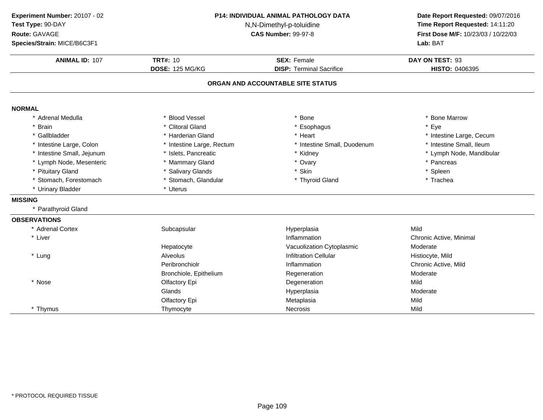| Experiment Number: 20107 - 02<br>Test Type: 90-DAY<br>Route: GAVAGE<br>Species/Strain: MICE/B6C3F1 | <b>P14: INDIVIDUAL ANIMAL PATHOLOGY DATA</b><br>N,N-Dimethyl-p-toluidine<br><b>CAS Number: 99-97-8</b> |                                                                      | Date Report Requested: 09/07/2016<br>Time Report Requested: 14:11:20<br>First Dose M/F: 10/23/03 / 10/22/03<br>Lab: BAT |
|----------------------------------------------------------------------------------------------------|--------------------------------------------------------------------------------------------------------|----------------------------------------------------------------------|-------------------------------------------------------------------------------------------------------------------------|
| <b>ANIMAL ID: 107</b>                                                                              | <b>TRT#: 10</b>                                                                                        | <b>SEX: Female</b>                                                   | DAY ON TEST: 93                                                                                                         |
|                                                                                                    | <b>DOSE: 125 MG/KG</b>                                                                                 | <b>DISP: Terminal Sacrifice</b><br>ORGAN AND ACCOUNTABLE SITE STATUS | HISTO: 0406395                                                                                                          |
|                                                                                                    |                                                                                                        |                                                                      |                                                                                                                         |
| <b>NORMAL</b>                                                                                      |                                                                                                        |                                                                      |                                                                                                                         |
| * Adrenal Medulla                                                                                  | * Blood Vessel                                                                                         | * Bone                                                               | * Bone Marrow                                                                                                           |
| <b>Brain</b>                                                                                       | * Clitoral Gland                                                                                       | * Esophagus                                                          | * Eye                                                                                                                   |
| Gallbladder                                                                                        | * Harderian Gland                                                                                      | * Heart                                                              | * Intestine Large, Cecum                                                                                                |
| Intestine Large, Colon                                                                             | * Intestine Large, Rectum                                                                              | * Intestine Small, Duodenum                                          | * Intestine Small, Ileum                                                                                                |
| Intestine Small, Jejunum                                                                           | * Islets, Pancreatic                                                                                   | * Kidney                                                             | * Lymph Node, Mandibular                                                                                                |
| * Lymph Node, Mesenteric                                                                           | * Mammary Gland                                                                                        | * Ovary                                                              | * Pancreas                                                                                                              |
| * Pituitary Gland                                                                                  | * Salivary Glands                                                                                      | * Skin                                                               | * Spleen                                                                                                                |
| * Stomach, Forestomach                                                                             | * Stomach, Glandular                                                                                   | * Thyroid Gland                                                      | * Trachea                                                                                                               |
| * Urinary Bladder                                                                                  | * Uterus                                                                                               |                                                                      |                                                                                                                         |
| <b>MISSING</b>                                                                                     |                                                                                                        |                                                                      |                                                                                                                         |
| Parathyroid Gland                                                                                  |                                                                                                        |                                                                      |                                                                                                                         |
| <b>OBSERVATIONS</b>                                                                                |                                                                                                        |                                                                      |                                                                                                                         |
| * Adrenal Cortex                                                                                   | Subcapsular                                                                                            | Hyperplasia                                                          | Mild                                                                                                                    |
| * Liver                                                                                            |                                                                                                        | Inflammation                                                         | Chronic Active, Minimal                                                                                                 |
|                                                                                                    | Hepatocyte                                                                                             | Vacuolization Cytoplasmic                                            | Moderate                                                                                                                |
| * Lung                                                                                             | Alveolus                                                                                               | <b>Infiltration Cellular</b>                                         | Histiocyte, Mild                                                                                                        |
|                                                                                                    | Peribronchiolr                                                                                         | Inflammation                                                         | Chronic Active, Mild                                                                                                    |
|                                                                                                    | Bronchiole, Epithelium                                                                                 | Regeneration                                                         | Moderate                                                                                                                |
| * Nose                                                                                             | Olfactory Epi                                                                                          | Degeneration                                                         | Mild                                                                                                                    |
|                                                                                                    | Glands                                                                                                 | Hyperplasia                                                          | Moderate                                                                                                                |
|                                                                                                    | Olfactory Epi                                                                                          | Metaplasia                                                           | Mild                                                                                                                    |
| * Thymus                                                                                           | Thymocyte                                                                                              | <b>Necrosis</b>                                                      | Mild                                                                                                                    |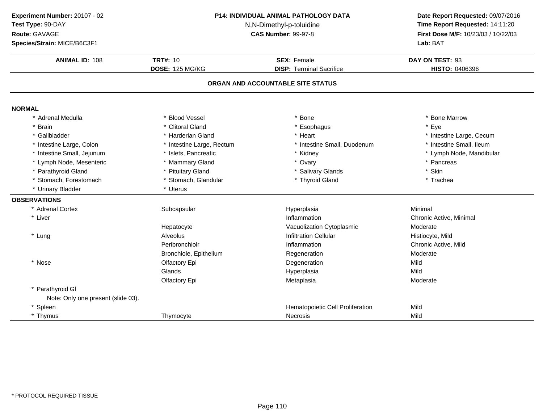| Experiment Number: 20107 - 02<br>Test Type: 90-DAY<br>Route: GAVAGE<br>Species/Strain: MICE/B6C3F1 | <b>P14: INDIVIDUAL ANIMAL PATHOLOGY DATA</b><br>N,N-Dimethyl-p-toluidine<br><b>CAS Number: 99-97-8</b> |                                                       | Date Report Requested: 09/07/2016<br>Time Report Requested: 14:11:20<br>First Dose M/F: 10/23/03 / 10/22/03<br>Lab: BAT |
|----------------------------------------------------------------------------------------------------|--------------------------------------------------------------------------------------------------------|-------------------------------------------------------|-------------------------------------------------------------------------------------------------------------------------|
| <b>ANIMAL ID: 108</b>                                                                              | <b>TRT#: 10</b><br><b>DOSE: 125 MG/KG</b>                                                              | <b>SEX: Female</b><br><b>DISP: Terminal Sacrifice</b> | DAY ON TEST: 93<br>HISTO: 0406396                                                                                       |
|                                                                                                    |                                                                                                        | ORGAN AND ACCOUNTABLE SITE STATUS                     |                                                                                                                         |
| <b>NORMAL</b>                                                                                      |                                                                                                        |                                                       |                                                                                                                         |
| * Adrenal Medulla                                                                                  | * Blood Vessel                                                                                         | Bone                                                  | * Bone Marrow                                                                                                           |
| * Brain                                                                                            | * Clitoral Gland                                                                                       | * Esophagus                                           | Eye                                                                                                                     |
| * Gallbladder                                                                                      | * Harderian Gland                                                                                      | * Heart                                               | * Intestine Large, Cecum                                                                                                |
| * Intestine Large, Colon                                                                           | * Intestine Large, Rectum                                                                              | * Intestine Small, Duodenum                           | * Intestine Small, Ileum                                                                                                |
| * Intestine Small, Jejunum                                                                         | * Islets, Pancreatic                                                                                   | * Kidney                                              | * Lymph Node, Mandibular                                                                                                |
| * Lymph Node, Mesenteric                                                                           | * Mammary Gland                                                                                        | * Ovary                                               | * Pancreas                                                                                                              |
| * Parathyroid Gland                                                                                | * Pituitary Gland                                                                                      | * Salivary Glands                                     | * Skin                                                                                                                  |
| * Stomach, Forestomach                                                                             | * Stomach, Glandular                                                                                   | * Thyroid Gland                                       | * Trachea                                                                                                               |
| * Urinary Bladder                                                                                  | * Uterus                                                                                               |                                                       |                                                                                                                         |
| <b>OBSERVATIONS</b>                                                                                |                                                                                                        |                                                       |                                                                                                                         |
| * Adrenal Cortex                                                                                   | Subcapsular                                                                                            | Hyperplasia                                           | Minimal                                                                                                                 |
| * Liver                                                                                            |                                                                                                        | Inflammation                                          | Chronic Active, Minimal                                                                                                 |
|                                                                                                    | Hepatocyte                                                                                             | Vacuolization Cytoplasmic                             | Moderate                                                                                                                |
| * Lung                                                                                             | Alveolus                                                                                               | <b>Infiltration Cellular</b>                          | Histiocyte, Mild                                                                                                        |
|                                                                                                    | Peribronchiolr                                                                                         | Inflammation                                          | Chronic Active, Mild                                                                                                    |
|                                                                                                    | Bronchiole, Epithelium                                                                                 | Regeneration                                          | Moderate                                                                                                                |
| * Nose                                                                                             | Olfactory Epi                                                                                          | Degeneration                                          | Mild                                                                                                                    |
|                                                                                                    | Glands                                                                                                 | Hyperplasia                                           | Mild                                                                                                                    |
|                                                                                                    | Olfactory Epi                                                                                          | Metaplasia                                            | Moderate                                                                                                                |
| * Parathyroid GI                                                                                   |                                                                                                        |                                                       |                                                                                                                         |
| Note: Only one present (slide 03).                                                                 |                                                                                                        |                                                       |                                                                                                                         |
| * Spleen                                                                                           |                                                                                                        | Hematopoietic Cell Proliferation                      | Mild                                                                                                                    |
| * Thymus                                                                                           | Thymocyte                                                                                              | <b>Necrosis</b>                                       | Mild                                                                                                                    |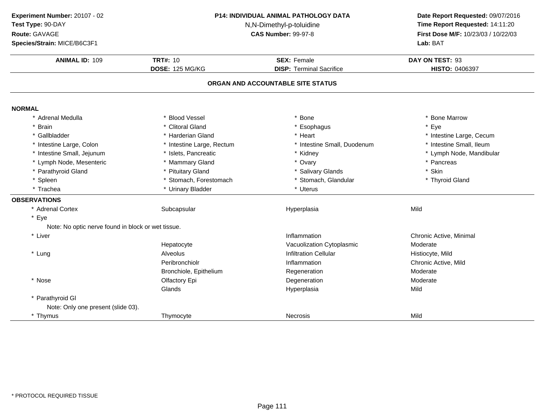| Experiment Number: 20107 - 02<br>Test Type: 90-DAY<br>Route: GAVAGE<br>Species/Strain: MICE/B6C3F1 | P14: INDIVIDUAL ANIMAL PATHOLOGY DATA<br>N,N-Dimethyl-p-toluidine<br><b>CAS Number: 99-97-8</b> |                                   | Date Report Requested: 09/07/2016<br>Time Report Requested: 14:11:20<br>First Dose M/F: 10/23/03 / 10/22/03<br>Lab: BAT |
|----------------------------------------------------------------------------------------------------|-------------------------------------------------------------------------------------------------|-----------------------------------|-------------------------------------------------------------------------------------------------------------------------|
| <b>ANIMAL ID: 109</b>                                                                              | <b>TRT#: 10</b>                                                                                 | <b>SEX: Female</b>                | DAY ON TEST: 93                                                                                                         |
|                                                                                                    | <b>DOSE: 125 MG/KG</b>                                                                          | <b>DISP: Terminal Sacrifice</b>   | HISTO: 0406397                                                                                                          |
|                                                                                                    |                                                                                                 | ORGAN AND ACCOUNTABLE SITE STATUS |                                                                                                                         |
| <b>NORMAL</b>                                                                                      |                                                                                                 |                                   |                                                                                                                         |
| * Adrenal Medulla                                                                                  | * Blood Vessel                                                                                  | * Bone                            | * Bone Marrow                                                                                                           |
| <b>Brain</b>                                                                                       | * Clitoral Gland                                                                                | * Esophagus                       | * Eye                                                                                                                   |
| * Gallbladder                                                                                      | * Harderian Gland                                                                               | * Heart                           | * Intestine Large, Cecum                                                                                                |
| * Intestine Large, Colon                                                                           | * Intestine Large, Rectum                                                                       | * Intestine Small, Duodenum       | * Intestine Small, Ileum                                                                                                |
| * Intestine Small, Jejunum                                                                         | * Islets, Pancreatic                                                                            | * Kidney                          | * Lymph Node, Mandibular                                                                                                |
| * Lymph Node, Mesenteric                                                                           | * Mammary Gland                                                                                 | * Ovary                           | * Pancreas                                                                                                              |
| * Parathyroid Gland                                                                                | * Pituitary Gland                                                                               | * Salivary Glands                 | * Skin                                                                                                                  |
| * Spleen                                                                                           | * Stomach, Forestomach                                                                          | * Stomach, Glandular              | * Thyroid Gland                                                                                                         |
| * Trachea                                                                                          | * Urinary Bladder                                                                               | * Uterus                          |                                                                                                                         |
| <b>OBSERVATIONS</b>                                                                                |                                                                                                 |                                   |                                                                                                                         |
| * Adrenal Cortex                                                                                   | Subcapsular                                                                                     | Hyperplasia                       | Mild                                                                                                                    |
| * Eye                                                                                              |                                                                                                 |                                   |                                                                                                                         |
| Note: No optic nerve found in block or wet tissue.                                                 |                                                                                                 |                                   |                                                                                                                         |
| * Liver                                                                                            |                                                                                                 | Inflammation                      | Chronic Active, Minimal                                                                                                 |
|                                                                                                    | Hepatocyte                                                                                      | Vacuolization Cytoplasmic         | Moderate                                                                                                                |
| * Lung                                                                                             | Alveolus                                                                                        | <b>Infiltration Cellular</b>      | Histiocyte, Mild                                                                                                        |
|                                                                                                    | Peribronchiolr                                                                                  | Inflammation                      | Chronic Active, Mild                                                                                                    |
|                                                                                                    | Bronchiole, Epithelium                                                                          | Regeneration                      | Moderate                                                                                                                |
| * Nose                                                                                             | Olfactory Epi                                                                                   | Degeneration                      | Moderate                                                                                                                |
|                                                                                                    | Glands                                                                                          | Hyperplasia                       | Mild                                                                                                                    |
| * Parathyroid GI                                                                                   |                                                                                                 |                                   |                                                                                                                         |
| Note: Only one present (slide 03).                                                                 |                                                                                                 |                                   |                                                                                                                         |
| * Thymus                                                                                           | Thymocyte                                                                                       | <b>Necrosis</b>                   | Mild                                                                                                                    |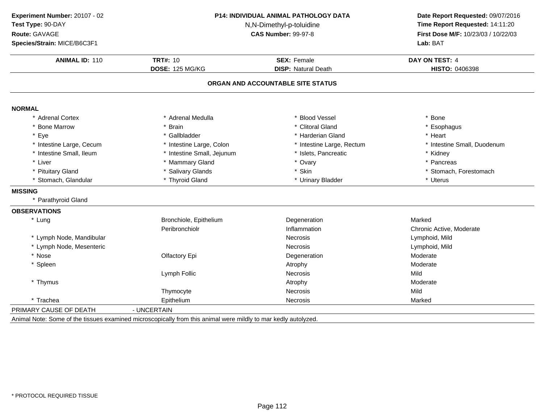| Experiment Number: 20107 - 02 |                                                        | <b>P14: INDIVIDUAL ANIMAL PATHOLOGY DATA</b> | Date Report Requested: 09/07/2016   |
|-------------------------------|--------------------------------------------------------|----------------------------------------------|-------------------------------------|
| Test Type: 90-DAY             | N,N-Dimethyl-p-toluidine<br><b>CAS Number: 99-97-8</b> |                                              | Time Report Requested: 14:11:20     |
| Route: GAVAGE                 |                                                        |                                              | First Dose M/F: 10/23/03 / 10/22/03 |
| Species/Strain: MICE/B6C3F1   |                                                        |                                              | Lab: BAT                            |
| <b>ANIMAL ID: 110</b>         | <b>TRT#: 10</b>                                        | <b>SEX: Female</b>                           | DAY ON TEST: 4                      |
|                               | <b>DOSE: 125 MG/KG</b>                                 | <b>DISP: Natural Death</b>                   | HISTO: 0406398                      |
|                               |                                                        | ORGAN AND ACCOUNTABLE SITE STATUS            |                                     |
| <b>NORMAL</b>                 |                                                        |                                              |                                     |
| * Adrenal Cortex              | * Adrenal Medulla                                      | <b>Blood Vessel</b>                          | * Bone                              |
| * Bone Marrow                 | * Brain                                                | * Clitoral Gland                             | * Esophagus                         |
| * Eye                         | * Gallbladder                                          | * Harderian Gland                            | * Heart                             |
| * Intestine Large, Cecum      | * Intestine Large, Colon                               | * Intestine Large, Rectum                    | * Intestine Small, Duodenum         |
| * Intestine Small, Ileum      | * Intestine Small, Jejunum                             | * Islets, Pancreatic                         | * Kidney                            |
| * Liver                       | * Mammary Gland                                        | * Ovary                                      | * Pancreas                          |
| * Pituitary Gland             | * Salivary Glands                                      | * Skin                                       | * Stomach, Forestomach              |
| * Stomach, Glandular          | * Thyroid Gland                                        | * Urinary Bladder                            | * Uterus                            |
| <b>MISSING</b>                |                                                        |                                              |                                     |
| * Parathyroid Gland           |                                                        |                                              |                                     |
| <b>OBSERVATIONS</b>           |                                                        |                                              |                                     |
| * Lung                        | Bronchiole, Epithelium                                 | Degeneration                                 | Marked                              |
|                               | Peribronchiolr                                         | Inflammation                                 | Chronic Active, Moderate            |
| * Lymph Node, Mandibular      |                                                        | <b>Necrosis</b>                              | Lymphoid, Mild                      |
| * Lymph Node, Mesenteric      |                                                        | Necrosis                                     | Lymphoid, Mild                      |
| * Nose                        | Olfactory Epi                                          | Degeneration                                 | Moderate                            |
| * Spleen                      |                                                        | Atrophy                                      | Moderate                            |
|                               | Lymph Follic                                           | <b>Necrosis</b>                              | Mild                                |
| * Thymus                      |                                                        | Atrophy                                      | Moderate                            |
|                               | Thymocyte                                              | <b>Necrosis</b>                              | Mild                                |
| * Trachea                     | Epithelium                                             | <b>Necrosis</b>                              | Marked                              |
| PRIMARY CAUSE OF DEATH        | - UNCERTAIN                                            |                                              |                                     |
|                               |                                                        |                                              |                                     |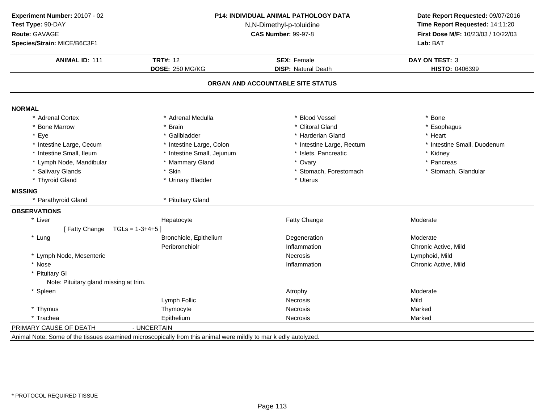| Experiment Number: 20107 - 02<br>Test Type: 90-DAY<br>Route: GAVAGE<br>Species/Strain: MICE/B6C3F1 | <b>P14: INDIVIDUAL ANIMAL PATHOLOGY DATA</b><br>N,N-Dimethyl-p-toluidine<br><b>CAS Number: 99-97-8</b>          |                                   | Date Report Requested: 09/07/2016<br>Time Report Requested: 14:11:20<br>First Dose M/F: 10/23/03 / 10/22/03<br>Lab: BAT |
|----------------------------------------------------------------------------------------------------|-----------------------------------------------------------------------------------------------------------------|-----------------------------------|-------------------------------------------------------------------------------------------------------------------------|
| <b>ANIMAL ID: 111</b>                                                                              | <b>TRT#: 12</b>                                                                                                 | <b>SEX: Female</b>                | <b>DAY ON TEST: 3</b>                                                                                                   |
|                                                                                                    | DOSE: 250 MG/KG                                                                                                 | <b>DISP: Natural Death</b>        | HISTO: 0406399                                                                                                          |
|                                                                                                    |                                                                                                                 | ORGAN AND ACCOUNTABLE SITE STATUS |                                                                                                                         |
| <b>NORMAL</b>                                                                                      |                                                                                                                 |                                   |                                                                                                                         |
| * Adrenal Cortex                                                                                   | * Adrenal Medulla                                                                                               | * Blood Vessel                    | * Bone                                                                                                                  |
| * Bone Marrow                                                                                      | * Brain                                                                                                         | * Clitoral Gland                  | * Esophagus                                                                                                             |
| * Eye                                                                                              | * Gallbladder                                                                                                   | * Harderian Gland                 | * Heart                                                                                                                 |
| * Intestine Large, Cecum                                                                           | * Intestine Large, Colon                                                                                        | * Intestine Large, Rectum         | * Intestine Small, Duodenum                                                                                             |
| * Intestine Small, Ileum                                                                           | * Intestine Small, Jejunum                                                                                      | * Islets, Pancreatic              | * Kidney                                                                                                                |
| * Lymph Node, Mandibular                                                                           | * Mammary Gland                                                                                                 | * Ovary                           | * Pancreas                                                                                                              |
| * Salivary Glands                                                                                  | * Skin                                                                                                          | * Stomach, Forestomach            | * Stomach, Glandular                                                                                                    |
| * Thyroid Gland                                                                                    | * Urinary Bladder                                                                                               | * Uterus                          |                                                                                                                         |
| <b>MISSING</b>                                                                                     |                                                                                                                 |                                   |                                                                                                                         |
| * Parathyroid Gland                                                                                | * Pituitary Gland                                                                                               |                                   |                                                                                                                         |
| <b>OBSERVATIONS</b>                                                                                |                                                                                                                 |                                   |                                                                                                                         |
| * Liver                                                                                            | Hepatocyte                                                                                                      | Fatty Change                      | Moderate                                                                                                                |
| [Fatty Change                                                                                      | $TGLs = 1-3+4+5$                                                                                                |                                   |                                                                                                                         |
| * Lung                                                                                             | Bronchiole, Epithelium                                                                                          | Degeneration                      | Moderate                                                                                                                |
|                                                                                                    | Peribronchiolr                                                                                                  | Inflammation                      | Chronic Active, Mild                                                                                                    |
| * Lymph Node, Mesenteric                                                                           |                                                                                                                 | <b>Necrosis</b>                   | Lymphoid, Mild                                                                                                          |
| * Nose                                                                                             |                                                                                                                 | Inflammation                      | Chronic Active, Mild                                                                                                    |
| * Pituitary GI                                                                                     |                                                                                                                 |                                   |                                                                                                                         |
| Note: Pituitary gland missing at trim.                                                             |                                                                                                                 |                                   |                                                                                                                         |
| * Spleen                                                                                           |                                                                                                                 | Atrophy                           | Moderate                                                                                                                |
|                                                                                                    | Lymph Follic                                                                                                    | <b>Necrosis</b>                   | Mild                                                                                                                    |
| * Thymus                                                                                           | Thymocyte                                                                                                       | <b>Necrosis</b>                   | Marked                                                                                                                  |
| * Trachea                                                                                          | Epithelium                                                                                                      | <b>Necrosis</b>                   | Marked                                                                                                                  |
| PRIMARY CAUSE OF DEATH                                                                             | - UNCERTAIN                                                                                                     |                                   |                                                                                                                         |
|                                                                                                    | Animal Note: Some of the tissues examined microscopically from this animal were mildly to mar k edly autolyzed. |                                   |                                                                                                                         |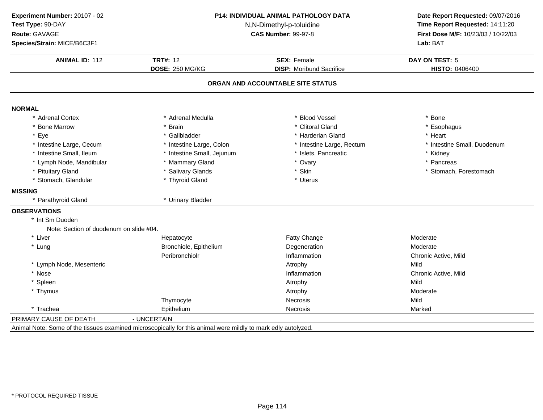| Experiment Number: 20107 - 02           | P14: INDIVIDUAL ANIMAL PATHOLOGY DATA<br>N,N-Dimethyl-p-toluidine<br><b>CAS Number: 99-97-8</b>               |                                   | Date Report Requested: 09/07/2016<br>Time Report Requested: 14:11:20 |
|-----------------------------------------|---------------------------------------------------------------------------------------------------------------|-----------------------------------|----------------------------------------------------------------------|
| Test Type: 90-DAY                       |                                                                                                               |                                   |                                                                      |
| Route: GAVAGE                           |                                                                                                               |                                   | First Dose M/F: 10/23/03 / 10/22/03                                  |
| Species/Strain: MICE/B6C3F1             |                                                                                                               |                                   | Lab: BAT                                                             |
| <b>ANIMAL ID: 112</b>                   | <b>TRT#: 12</b>                                                                                               | <b>SEX: Female</b>                | <b>DAY ON TEST: 5</b>                                                |
|                                         | <b>DOSE: 250 MG/KG</b>                                                                                        | <b>DISP:</b> Moribund Sacrifice   | <b>HISTO: 0406400</b>                                                |
|                                         |                                                                                                               | ORGAN AND ACCOUNTABLE SITE STATUS |                                                                      |
| <b>NORMAL</b>                           |                                                                                                               |                                   |                                                                      |
| * Adrenal Cortex                        | * Adrenal Medulla                                                                                             | * Blood Vessel                    | * Bone                                                               |
| * Bone Marrow                           | * Brain                                                                                                       | * Clitoral Gland                  | * Esophagus                                                          |
| * Eye                                   | * Gallbladder                                                                                                 | * Harderian Gland                 | * Heart                                                              |
| * Intestine Large, Cecum                | * Intestine Large, Colon                                                                                      | * Intestine Large, Rectum         | * Intestine Small, Duodenum                                          |
| * Intestine Small, Ileum                | * Intestine Small, Jejunum                                                                                    | Islets, Pancreatic                | * Kidney                                                             |
| * Lymph Node, Mandibular                | * Mammary Gland                                                                                               | * Ovary                           | * Pancreas                                                           |
| * Pituitary Gland                       | * Salivary Glands                                                                                             | * Skin                            | * Stomach, Forestomach                                               |
| * Stomach, Glandular                    | * Thyroid Gland                                                                                               | * Uterus                          |                                                                      |
| <b>MISSING</b>                          |                                                                                                               |                                   |                                                                      |
| * Parathyroid Gland                     | * Urinary Bladder                                                                                             |                                   |                                                                      |
| <b>OBSERVATIONS</b>                     |                                                                                                               |                                   |                                                                      |
| * Int Sm Duoden                         |                                                                                                               |                                   |                                                                      |
| Note: Section of duodenum on slide #04. |                                                                                                               |                                   |                                                                      |
| * Liver                                 | Hepatocyte                                                                                                    | Fatty Change                      | Moderate                                                             |
| * Lung                                  | Bronchiole, Epithelium                                                                                        | Degeneration                      | Moderate                                                             |
|                                         | Peribronchiolr                                                                                                | Inflammation                      | Chronic Active, Mild                                                 |
| * Lymph Node, Mesenteric                |                                                                                                               | Atrophy                           | Mild                                                                 |
| * Nose                                  |                                                                                                               | Inflammation                      | Chronic Active, Mild                                                 |
| * Spleen                                |                                                                                                               | Atrophy                           | Mild                                                                 |
| * Thymus                                |                                                                                                               | Atrophy                           | Moderate                                                             |
|                                         | Thymocyte                                                                                                     | <b>Necrosis</b>                   | Mild                                                                 |
| * Trachea                               | Epithelium                                                                                                    | <b>Necrosis</b>                   | Marked                                                               |
| PRIMARY CAUSE OF DEATH                  | - UNCERTAIN                                                                                                   |                                   |                                                                      |
|                                         | Animal Note: Some of the tissues examined microscopically for this animal were mildly to mark edly autolyzed. |                                   |                                                                      |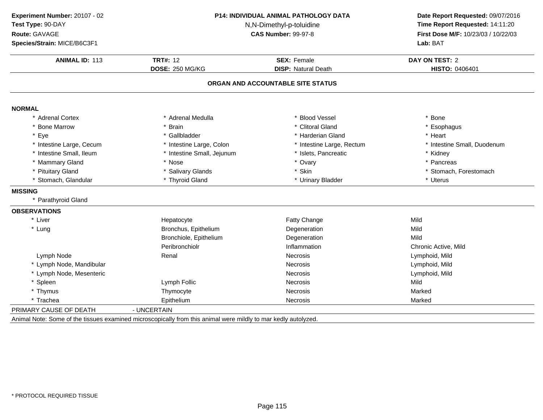| Experiment Number: 20107 - 02 | P14: INDIVIDUAL ANIMAL PATHOLOGY DATA<br>N,N-Dimethyl-p-toluidine<br><b>CAS Number: 99-97-8</b> |                                   | Date Report Requested: 09/07/2016<br>Time Report Requested: 14:11:20 |
|-------------------------------|-------------------------------------------------------------------------------------------------|-----------------------------------|----------------------------------------------------------------------|
| Test Type: 90-DAY             |                                                                                                 |                                   |                                                                      |
| <b>Route: GAVAGE</b>          |                                                                                                 |                                   | First Dose M/F: 10/23/03 / 10/22/03                                  |
| Species/Strain: MICE/B6C3F1   |                                                                                                 |                                   | Lab: BAT                                                             |
| <b>ANIMAL ID: 113</b>         | <b>TRT#: 12</b>                                                                                 | <b>SEX: Female</b>                | <b>DAY ON TEST: 2</b>                                                |
|                               | <b>DOSE: 250 MG/KG</b>                                                                          | <b>DISP: Natural Death</b>        | HISTO: 0406401                                                       |
|                               |                                                                                                 | ORGAN AND ACCOUNTABLE SITE STATUS |                                                                      |
| <b>NORMAL</b>                 |                                                                                                 |                                   |                                                                      |
| * Adrenal Cortex              | * Adrenal Medulla                                                                               | * Blood Vessel                    | * Bone                                                               |
| * Bone Marrow                 | * Brain                                                                                         | * Clitoral Gland                  | * Esophagus                                                          |
| * Eye                         | * Gallbladder                                                                                   | * Harderian Gland                 | * Heart                                                              |
| * Intestine Large, Cecum      | * Intestine Large, Colon                                                                        | * Intestine Large, Rectum         | * Intestine Small, Duodenum                                          |
| * Intestine Small, Ileum      | * Intestine Small, Jejunum                                                                      | * Islets, Pancreatic              | * Kidney                                                             |
| * Mammary Gland               | * Nose                                                                                          | * Ovary                           | * Pancreas                                                           |
| * Pituitary Gland             | * Salivary Glands                                                                               | * Skin                            | * Stomach, Forestomach                                               |
| * Stomach, Glandular          | * Thyroid Gland                                                                                 | * Urinary Bladder                 | * Uterus                                                             |
| <b>MISSING</b>                |                                                                                                 |                                   |                                                                      |
| * Parathyroid Gland           |                                                                                                 |                                   |                                                                      |
| <b>OBSERVATIONS</b>           |                                                                                                 |                                   |                                                                      |
| * Liver                       | Hepatocyte                                                                                      | Fatty Change                      | Mild                                                                 |
| * Lung                        | Bronchus, Epithelium                                                                            | Degeneration                      | Mild                                                                 |
|                               | Bronchiole, Epithelium                                                                          | Degeneration                      | Mild                                                                 |
|                               | Peribronchiolr                                                                                  | Inflammation                      | Chronic Active, Mild                                                 |
| Lymph Node                    | Renal                                                                                           | <b>Necrosis</b>                   | Lymphoid, Mild                                                       |
| * Lymph Node, Mandibular      |                                                                                                 | <b>Necrosis</b>                   | Lymphoid, Mild                                                       |
| * Lymph Node, Mesenteric      |                                                                                                 | <b>Necrosis</b>                   | Lymphoid, Mild                                                       |
| * Spleen                      | Lymph Follic                                                                                    | <b>Necrosis</b>                   | Mild                                                                 |
| * Thymus                      | Thymocyte                                                                                       | <b>Necrosis</b>                   | Marked                                                               |
| * Trachea                     | Epithelium                                                                                      | <b>Necrosis</b>                   | Marked                                                               |
| PRIMARY CAUSE OF DEATH        | - UNCERTAIN                                                                                     |                                   |                                                                      |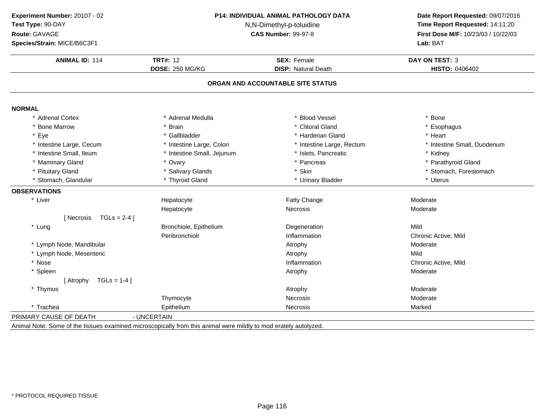| Experiment Number: 20107 - 02       | P14: INDIVIDUAL ANIMAL PATHOLOGY DATA<br>N,N-Dimethyl-p-toluidine<br><b>CAS Number: 99-97-8</b> |                                   | Date Report Requested: 09/07/2016   |
|-------------------------------------|-------------------------------------------------------------------------------------------------|-----------------------------------|-------------------------------------|
| Test Type: 90-DAY                   |                                                                                                 |                                   | Time Report Requested: 14:11:20     |
| Route: GAVAGE                       |                                                                                                 |                                   | First Dose M/F: 10/23/03 / 10/22/03 |
| Species/Strain: MICE/B6C3F1         |                                                                                                 |                                   | Lab: BAT                            |
| <b>ANIMAL ID: 114</b>               | <b>TRT#: 12</b>                                                                                 | <b>SEX: Female</b>                | <b>DAY ON TEST: 3</b>               |
|                                     | <b>DOSE: 250 MG/KG</b>                                                                          | <b>DISP: Natural Death</b>        | <b>HISTO: 0406402</b>               |
|                                     |                                                                                                 | ORGAN AND ACCOUNTABLE SITE STATUS |                                     |
| <b>NORMAL</b>                       |                                                                                                 |                                   |                                     |
| * Adrenal Cortex                    | * Adrenal Medulla                                                                               | * Blood Vessel                    | * Bone                              |
| * Bone Marrow                       | * Brain                                                                                         | * Clitoral Gland                  | * Esophagus                         |
| * Eye                               | * Gallbladder                                                                                   | * Harderian Gland                 | * Heart                             |
| * Intestine Large, Cecum            | * Intestine Large, Colon                                                                        | * Intestine Large, Rectum         | * Intestine Small, Duodenum         |
| * Intestine Small, Ileum            | * Intestine Small, Jejunum                                                                      | * Islets, Pancreatic              | * Kidney                            |
| * Mammary Gland                     | * Ovary                                                                                         | * Pancreas                        | * Parathyroid Gland                 |
| * Pituitary Gland                   | * Salivary Glands                                                                               | * Skin                            | * Stomach, Forestomach              |
| * Stomach, Glandular                | * Thyroid Gland                                                                                 | * Urinary Bladder                 | * Uterus                            |
| <b>OBSERVATIONS</b>                 |                                                                                                 |                                   |                                     |
| * Liver                             | Hepatocyte                                                                                      | Fatty Change                      | Moderate                            |
|                                     | Hepatocyte                                                                                      | Necrosis                          | Moderate                            |
| $TGLs = 2-4$ ]<br><b>I</b> Necrosis |                                                                                                 |                                   |                                     |
| * Lung                              | Bronchiole, Epithelium                                                                          | Degeneration                      | Mild                                |
|                                     | Peribronchiolr                                                                                  | Inflammation                      | Chronic Active, Mild                |
| * Lymph Node, Mandibular            |                                                                                                 | Atrophy                           | Moderate                            |
| * Lymph Node, Mesenteric            |                                                                                                 | Atrophy                           | Mild                                |
| * Nose                              |                                                                                                 | Inflammation                      | Chronic Active, Mild                |
| * Spleen                            |                                                                                                 | Atrophy                           | Moderate                            |
| $TGLs = 1-4$ ]<br>[ Atrophy         |                                                                                                 |                                   |                                     |
| * Thymus                            |                                                                                                 | Atrophy                           | Moderate                            |
|                                     | Thymocyte                                                                                       | Necrosis                          | Moderate                            |
| * Trachea                           | Epithelium                                                                                      | Necrosis                          | Marked                              |
| PRIMARY CAUSE OF DEATH              | - UNCERTAIN                                                                                     |                                   |                                     |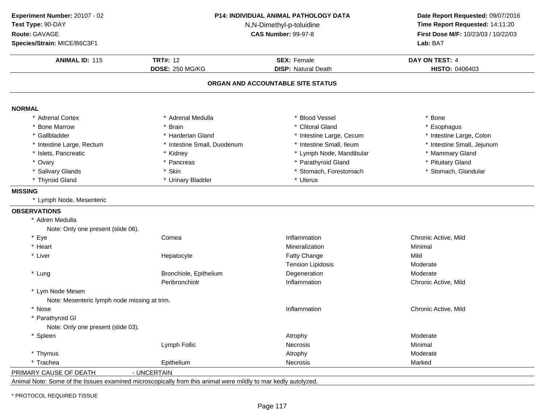| Experiment Number: 20107 - 02                |                                                                                                                | P14: INDIVIDUAL ANIMAL PATHOLOGY DATA | Date Report Requested: 09/07/2016                                      |
|----------------------------------------------|----------------------------------------------------------------------------------------------------------------|---------------------------------------|------------------------------------------------------------------------|
| Test Type: 90-DAY                            |                                                                                                                | N,N-Dimethyl-p-toluidine              |                                                                        |
| Route: GAVAGE                                |                                                                                                                | <b>CAS Number: 99-97-8</b>            | Time Report Requested: 14:11:20<br>First Dose M/F: 10/23/03 / 10/22/03 |
| Species/Strain: MICE/B6C3F1                  |                                                                                                                |                                       | Lab: BAT                                                               |
| <b>ANIMAL ID: 115</b>                        | <b>TRT#: 12</b>                                                                                                | <b>SEX: Female</b>                    | DAY ON TEST: 4                                                         |
|                                              | <b>DOSE: 250 MG/KG</b>                                                                                         | <b>DISP: Natural Death</b>            | HISTO: 0406403                                                         |
|                                              |                                                                                                                | ORGAN AND ACCOUNTABLE SITE STATUS     |                                                                        |
| <b>NORMAL</b>                                |                                                                                                                |                                       |                                                                        |
| * Adrenal Cortex                             | * Adrenal Medulla                                                                                              | * Blood Vessel                        | * Bone                                                                 |
| * Bone Marrow                                | * Brain                                                                                                        | * Clitoral Gland                      | * Esophagus                                                            |
| * Gallbladder                                | * Harderian Gland                                                                                              | * Intestine Large, Cecum              | * Intestine Large, Colon                                               |
| * Intestine Large, Rectum                    | * Intestine Small, Duodenum                                                                                    | * Intestine Small, Ileum              | * Intestine Small, Jejunum                                             |
| * Islets, Pancreatic                         | * Kidney                                                                                                       | * Lymph Node, Mandibular              | * Mammary Gland                                                        |
| * Ovary                                      | * Pancreas                                                                                                     | Parathyroid Gland                     | * Pituitary Gland                                                      |
| * Salivary Glands                            | * Skin                                                                                                         | * Stomach, Forestomach                | * Stomach, Glandular                                                   |
| * Thyroid Gland                              | * Urinary Bladder                                                                                              | * Uterus                              |                                                                        |
| <b>MISSING</b>                               |                                                                                                                |                                       |                                                                        |
| * Lymph Node, Mesenteric                     |                                                                                                                |                                       |                                                                        |
| <b>OBSERVATIONS</b>                          |                                                                                                                |                                       |                                                                        |
| * Adren Medulla                              |                                                                                                                |                                       |                                                                        |
| Note: Only one present (slide 06).           |                                                                                                                |                                       |                                                                        |
| * Eye                                        | Cornea                                                                                                         | Inflammation                          | Chronic Active, Mild                                                   |
| * Heart                                      |                                                                                                                | Mineralization                        | Minimal                                                                |
| * Liver                                      | Hepatocyte                                                                                                     | <b>Fatty Change</b>                   | Mild                                                                   |
|                                              |                                                                                                                | <b>Tension Lipidosis</b>              | Moderate                                                               |
| * Lung                                       | Bronchiole, Epithelium                                                                                         | Degeneration                          | Moderate                                                               |
|                                              | Peribronchiolr                                                                                                 | Inflammation                          | Chronic Active, Mild                                                   |
| * Lym Node Mesen                             |                                                                                                                |                                       |                                                                        |
| Note: Mesenteric lymph node missing at trim. |                                                                                                                |                                       |                                                                        |
| * Nose                                       |                                                                                                                | Inflammation                          | Chronic Active, Mild                                                   |
| * Parathyroid GI                             |                                                                                                                |                                       |                                                                        |
| Note: Only one present (slide 03).           |                                                                                                                |                                       |                                                                        |
| * Spleen                                     |                                                                                                                | Atrophy                               | Moderate                                                               |
|                                              | Lymph Follic                                                                                                   | Necrosis                              | Minimal                                                                |
| * Thymus                                     |                                                                                                                | Atrophy                               | Moderate                                                               |
| * Trachea                                    | Epithelium                                                                                                     | Necrosis                              | Marked                                                                 |
| PRIMARY CAUSE OF DEATH                       | - UNCERTAIN                                                                                                    |                                       |                                                                        |
|                                              | Animal Note: Some of the tissues examined microscopically from this animal were mildly to mar kedly autolyzed. |                                       |                                                                        |

\* PROTOCOL REQUIRED TISSUE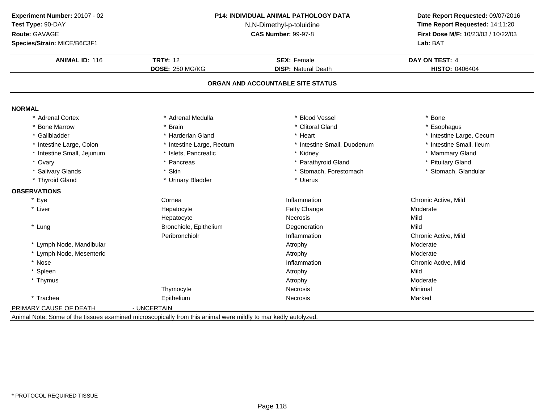| Experiment Number: 20107 - 02<br>Test Type: 90-DAY | <b>P14: INDIVIDUAL ANIMAL PATHOLOGY DATA</b><br>N,N-Dimethyl-p-toluidine<br><b>CAS Number: 99-97-8</b> |                                   | Date Report Requested: 09/07/2016<br>Time Report Requested: 14:11:20 |
|----------------------------------------------------|--------------------------------------------------------------------------------------------------------|-----------------------------------|----------------------------------------------------------------------|
| Route: GAVAGE                                      |                                                                                                        |                                   | First Dose M/F: 10/23/03 / 10/22/03                                  |
| Species/Strain: MICE/B6C3F1                        |                                                                                                        |                                   | Lab: BAT                                                             |
| <b>ANIMAL ID: 116</b>                              | <b>TRT#: 12</b>                                                                                        | <b>SEX: Female</b>                | DAY ON TEST: 4                                                       |
|                                                    | DOSE: 250 MG/KG                                                                                        | <b>DISP: Natural Death</b>        | HISTO: 0406404                                                       |
|                                                    |                                                                                                        | ORGAN AND ACCOUNTABLE SITE STATUS |                                                                      |
| <b>NORMAL</b>                                      |                                                                                                        |                                   |                                                                      |
| * Adrenal Cortex                                   | * Adrenal Medulla                                                                                      | * Blood Vessel                    | * Bone                                                               |
| <b>Bone Marrow</b>                                 | * Brain                                                                                                | * Clitoral Gland                  | * Esophagus                                                          |
| * Gallbladder                                      | * Harderian Gland                                                                                      | * Heart                           | * Intestine Large, Cecum                                             |
| * Intestine Large, Colon                           | * Intestine Large, Rectum                                                                              | * Intestine Small, Duodenum       | * Intestine Small, Ileum                                             |
| * Intestine Small, Jejunum                         | * Islets, Pancreatic                                                                                   | * Kidney                          | * Mammary Gland                                                      |
| * Ovary                                            | * Pancreas                                                                                             | * Parathyroid Gland               | * Pituitary Gland                                                    |
| * Salivary Glands                                  | * Skin                                                                                                 | * Stomach, Forestomach            | * Stomach, Glandular                                                 |
| * Thyroid Gland                                    | * Urinary Bladder                                                                                      | * Uterus                          |                                                                      |
| <b>OBSERVATIONS</b>                                |                                                                                                        |                                   |                                                                      |
| * Eye                                              | Cornea                                                                                                 | Inflammation                      | Chronic Active, Mild                                                 |
| * Liver                                            | Hepatocyte                                                                                             | Fatty Change                      | Moderate                                                             |
|                                                    | Hepatocyte                                                                                             | Necrosis                          | Mild                                                                 |
| * Lung                                             | Bronchiole, Epithelium                                                                                 | Degeneration                      | Mild                                                                 |
|                                                    | Peribronchiolr                                                                                         | Inflammation                      | Chronic Active, Mild                                                 |
| * Lymph Node, Mandibular                           |                                                                                                        | Atrophy                           | Moderate                                                             |
| * Lymph Node, Mesenteric                           |                                                                                                        | Atrophy                           | Moderate                                                             |
| * Nose                                             |                                                                                                        | Inflammation                      | Chronic Active, Mild                                                 |
| * Spleen                                           |                                                                                                        | Atrophy                           | Mild                                                                 |
| * Thymus                                           |                                                                                                        | Atrophy                           | Moderate                                                             |
|                                                    | Thymocyte                                                                                              | <b>Necrosis</b>                   | Minimal                                                              |
| * Trachea                                          | Epithelium                                                                                             | Necrosis                          | Marked                                                               |
| PRIMARY CAUSE OF DEATH                             | - UNCERTAIN                                                                                            |                                   |                                                                      |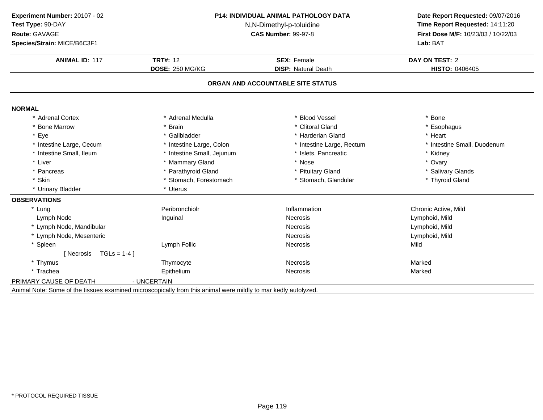| Time Report Requested: 14:11:20<br>First Dose M/F: 10/23/03 / 10/22/03<br>Lab: BAT<br>DAY ON TEST: 2<br>HISTO: 0406405<br>* Bone<br>* Esophagus |
|-------------------------------------------------------------------------------------------------------------------------------------------------|
|                                                                                                                                                 |
|                                                                                                                                                 |
|                                                                                                                                                 |
|                                                                                                                                                 |
|                                                                                                                                                 |
|                                                                                                                                                 |
|                                                                                                                                                 |
|                                                                                                                                                 |
|                                                                                                                                                 |
| * Heart                                                                                                                                         |
| * Intestine Small, Duodenum                                                                                                                     |
| * Kidney                                                                                                                                        |
| * Ovary                                                                                                                                         |
| * Salivary Glands                                                                                                                               |
| * Thyroid Gland                                                                                                                                 |
|                                                                                                                                                 |
|                                                                                                                                                 |
| Chronic Active, Mild                                                                                                                            |
| Lymphoid, Mild                                                                                                                                  |
| Lymphoid, Mild                                                                                                                                  |
| Lymphoid, Mild                                                                                                                                  |
| Mild                                                                                                                                            |
|                                                                                                                                                 |
| Marked                                                                                                                                          |
| Marked                                                                                                                                          |
|                                                                                                                                                 |
|                                                                                                                                                 |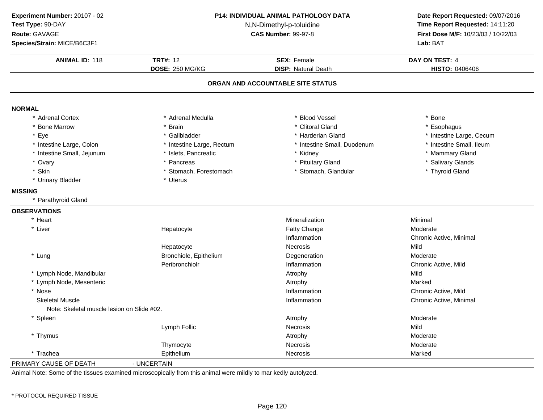| Experiment Number: 20107 - 02              |                           | P14: INDIVIDUAL ANIMAL PATHOLOGY DATA<br>Date Report Requested: 09/07/2016<br>Time Report Requested: 14:11:20<br>N,N-Dimethyl-p-toluidine |                                     |
|--------------------------------------------|---------------------------|-------------------------------------------------------------------------------------------------------------------------------------------|-------------------------------------|
| Test Type: 90-DAY                          |                           |                                                                                                                                           |                                     |
| Route: GAVAGE                              |                           | <b>CAS Number: 99-97-8</b>                                                                                                                | First Dose M/F: 10/23/03 / 10/22/03 |
| Species/Strain: MICE/B6C3F1                |                           |                                                                                                                                           | Lab: BAT                            |
| <b>ANIMAL ID: 118</b>                      | <b>TRT#: 12</b>           | <b>SEX: Female</b>                                                                                                                        | DAY ON TEST: 4                      |
|                                            | <b>DOSE: 250 MG/KG</b>    | <b>DISP: Natural Death</b>                                                                                                                | HISTO: 0406406                      |
|                                            |                           | ORGAN AND ACCOUNTABLE SITE STATUS                                                                                                         |                                     |
| <b>NORMAL</b>                              |                           |                                                                                                                                           |                                     |
| * Adrenal Cortex                           | * Adrenal Medulla         | <b>Blood Vessel</b>                                                                                                                       | * Bone                              |
| * Bone Marrow                              | * Brain                   | * Clitoral Gland                                                                                                                          | * Esophagus                         |
| * Eye                                      | * Gallbladder             | * Harderian Gland                                                                                                                         | * Intestine Large, Cecum            |
| * Intestine Large, Colon                   | * Intestine Large, Rectum | * Intestine Small, Duodenum                                                                                                               | * Intestine Small, Ileum            |
| * Intestine Small, Jejunum                 | * Islets, Pancreatic      | * Kidney                                                                                                                                  | * Mammary Gland                     |
| * Ovary                                    | * Pancreas                | * Pituitary Gland                                                                                                                         | * Salivary Glands                   |
| * Skin                                     | * Stomach, Forestomach    | * Stomach, Glandular                                                                                                                      | * Thyroid Gland                     |
| * Urinary Bladder                          | * Uterus                  |                                                                                                                                           |                                     |
| <b>MISSING</b>                             |                           |                                                                                                                                           |                                     |
| * Parathyroid Gland                        |                           |                                                                                                                                           |                                     |
| <b>OBSERVATIONS</b>                        |                           |                                                                                                                                           |                                     |
| * Heart                                    |                           | Mineralization                                                                                                                            | Minimal                             |
| * Liver                                    | Hepatocyte                | Fatty Change                                                                                                                              | Moderate                            |
|                                            |                           | Inflammation                                                                                                                              | Chronic Active, Minimal             |
|                                            | Hepatocyte                | <b>Necrosis</b>                                                                                                                           | Mild                                |
| * Lung                                     | Bronchiole, Epithelium    | Degeneration                                                                                                                              | Moderate                            |
|                                            | Peribronchiolr            | Inflammation                                                                                                                              | Chronic Active, Mild                |
| * Lymph Node, Mandibular                   |                           | Atrophy                                                                                                                                   | Mild                                |
| * Lymph Node, Mesenteric                   |                           | Atrophy                                                                                                                                   | Marked                              |
| * Nose                                     |                           | Inflammation                                                                                                                              | Chronic Active, Mild                |
| <b>Skeletal Muscle</b>                     |                           | Inflammation                                                                                                                              | Chronic Active, Minimal             |
| Note: Skeletal muscle lesion on Slide #02. |                           |                                                                                                                                           |                                     |
| * Spleen                                   |                           | Atrophy                                                                                                                                   | Moderate                            |
|                                            | Lymph Follic              | Necrosis                                                                                                                                  | Mild                                |
| * Thymus                                   |                           | Atrophy                                                                                                                                   | Moderate                            |
|                                            | Thymocyte                 | Necrosis                                                                                                                                  | Moderate                            |
| * Trachea                                  | Epithelium                | Necrosis                                                                                                                                  | Marked                              |
| PRIMARY CAUSE OF DEATH                     | - UNCERTAIN               |                                                                                                                                           |                                     |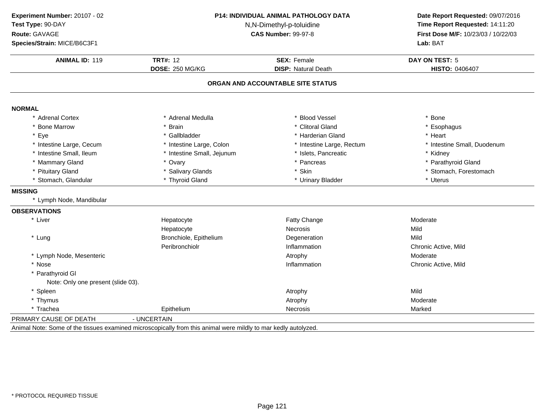| Experiment Number: 20107 - 02                                                                                  | P14: INDIVIDUAL ANIMAL PATHOLOGY DATA<br>N,N-Dimethyl-p-toluidine<br><b>CAS Number: 99-97-8</b> |                                   | Date Report Requested: 09/07/2016<br>Time Report Requested: 14:11:20<br>First Dose M/F: 10/23/03 / 10/22/03 |
|----------------------------------------------------------------------------------------------------------------|-------------------------------------------------------------------------------------------------|-----------------------------------|-------------------------------------------------------------------------------------------------------------|
| Test Type: 90-DAY                                                                                              |                                                                                                 |                                   |                                                                                                             |
| Route: GAVAGE                                                                                                  |                                                                                                 |                                   |                                                                                                             |
| Species/Strain: MICE/B6C3F1                                                                                    |                                                                                                 |                                   | Lab: BAT                                                                                                    |
| <b>ANIMAL ID: 119</b>                                                                                          | <b>TRT#: 12</b>                                                                                 | <b>SEX: Female</b>                | <b>DAY ON TEST: 5</b>                                                                                       |
|                                                                                                                | <b>DOSE: 250 MG/KG</b>                                                                          | <b>DISP: Natural Death</b>        | <b>HISTO: 0406407</b>                                                                                       |
|                                                                                                                |                                                                                                 | ORGAN AND ACCOUNTABLE SITE STATUS |                                                                                                             |
| <b>NORMAL</b>                                                                                                  |                                                                                                 |                                   |                                                                                                             |
| * Adrenal Cortex                                                                                               | * Adrenal Medulla                                                                               | <b>Blood Vessel</b>               | * Bone                                                                                                      |
| * Bone Marrow                                                                                                  | * Brain                                                                                         | * Clitoral Gland                  | * Esophagus                                                                                                 |
| * Eye                                                                                                          | * Gallbladder                                                                                   | * Harderian Gland                 | * Heart                                                                                                     |
| * Intestine Large, Cecum                                                                                       | * Intestine Large, Colon                                                                        | * Intestine Large, Rectum         | * Intestine Small, Duodenum                                                                                 |
| * Intestine Small, Ileum                                                                                       | * Intestine Small, Jejunum                                                                      | * Islets, Pancreatic              | * Kidney                                                                                                    |
| * Mammary Gland                                                                                                | * Ovary                                                                                         | * Pancreas                        | * Parathyroid Gland                                                                                         |
| * Pituitary Gland                                                                                              | * Salivary Glands                                                                               | * Skin                            | * Stomach, Forestomach                                                                                      |
| * Stomach, Glandular                                                                                           | * Thyroid Gland                                                                                 | * Urinary Bladder                 | * Uterus                                                                                                    |
| <b>MISSING</b>                                                                                                 |                                                                                                 |                                   |                                                                                                             |
| * Lymph Node, Mandibular                                                                                       |                                                                                                 |                                   |                                                                                                             |
| <b>OBSERVATIONS</b>                                                                                            |                                                                                                 |                                   |                                                                                                             |
| * Liver                                                                                                        | Hepatocyte                                                                                      | Fatty Change                      | Moderate                                                                                                    |
|                                                                                                                | Hepatocyte                                                                                      | Necrosis                          | Mild                                                                                                        |
| * Lung                                                                                                         | Bronchiole, Epithelium                                                                          | Degeneration                      | Mild                                                                                                        |
|                                                                                                                | Peribronchiolr                                                                                  | Inflammation                      | Chronic Active, Mild                                                                                        |
| * Lymph Node, Mesenteric                                                                                       |                                                                                                 | Atrophy                           | Moderate                                                                                                    |
| * Nose                                                                                                         |                                                                                                 | Inflammation                      | Chronic Active, Mild                                                                                        |
| * Parathyroid GI                                                                                               |                                                                                                 |                                   |                                                                                                             |
| Note: Only one present (slide 03).                                                                             |                                                                                                 |                                   |                                                                                                             |
| * Spleen                                                                                                       |                                                                                                 | Atrophy                           | Mild                                                                                                        |
| * Thymus                                                                                                       |                                                                                                 | Atrophy                           | Moderate                                                                                                    |
| * Trachea                                                                                                      | Epithelium                                                                                      | <b>Necrosis</b>                   | Marked                                                                                                      |
| PRIMARY CAUSE OF DEATH                                                                                         | - UNCERTAIN                                                                                     |                                   |                                                                                                             |
| Animal Note: Some of the tissues examined microscopically from this animal were mildly to mar kedly autolyzed. |                                                                                                 |                                   |                                                                                                             |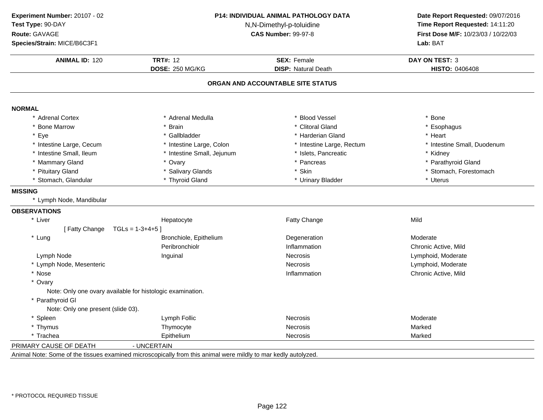| Experiment Number: 20107 - 02                                                                                  | <b>P14: INDIVIDUAL ANIMAL PATHOLOGY DATA</b><br>N,N-Dimethyl-p-toluidine<br><b>CAS Number: 99-97-8</b> |                                   | Date Report Requested: 09/07/2016<br>Time Report Requested: 14:11:20<br>First Dose M/F: 10/23/03 / 10/22/03<br>Lab: BAT |  |
|----------------------------------------------------------------------------------------------------------------|--------------------------------------------------------------------------------------------------------|-----------------------------------|-------------------------------------------------------------------------------------------------------------------------|--|
| Test Type: 90-DAY                                                                                              |                                                                                                        |                                   |                                                                                                                         |  |
| Route: GAVAGE                                                                                                  |                                                                                                        |                                   |                                                                                                                         |  |
| Species/Strain: MICE/B6C3F1                                                                                    |                                                                                                        |                                   |                                                                                                                         |  |
| <b>ANIMAL ID: 120</b>                                                                                          | <b>TRT#: 12</b>                                                                                        | <b>SEX: Female</b>                | DAY ON TEST: 3                                                                                                          |  |
|                                                                                                                | DOSE: 250 MG/KG                                                                                        | <b>DISP: Natural Death</b>        | <b>HISTO: 0406408</b>                                                                                                   |  |
|                                                                                                                |                                                                                                        | ORGAN AND ACCOUNTABLE SITE STATUS |                                                                                                                         |  |
|                                                                                                                |                                                                                                        |                                   |                                                                                                                         |  |
| <b>NORMAL</b>                                                                                                  |                                                                                                        |                                   |                                                                                                                         |  |
| * Adrenal Cortex                                                                                               | * Adrenal Medulla                                                                                      | * Blood Vessel                    | * Bone                                                                                                                  |  |
| * Bone Marrow                                                                                                  | * Brain                                                                                                | * Clitoral Gland                  | * Esophagus                                                                                                             |  |
| * Eye                                                                                                          | * Gallbladder                                                                                          | * Harderian Gland                 | * Heart                                                                                                                 |  |
| * Intestine Large, Cecum                                                                                       | * Intestine Large, Colon                                                                               | * Intestine Large, Rectum         | * Intestine Small, Duodenum                                                                                             |  |
| * Intestine Small, Ileum                                                                                       | * Intestine Small, Jejunum                                                                             | * Islets, Pancreatic              | * Kidney                                                                                                                |  |
| * Mammary Gland                                                                                                | * Ovary                                                                                                | * Pancreas                        | * Parathyroid Gland                                                                                                     |  |
| * Pituitary Gland                                                                                              | * Salivary Glands                                                                                      | * Skin                            | * Stomach, Forestomach                                                                                                  |  |
| * Stomach, Glandular                                                                                           | * Thyroid Gland                                                                                        | * Urinary Bladder                 | * Uterus                                                                                                                |  |
| <b>MISSING</b>                                                                                                 |                                                                                                        |                                   |                                                                                                                         |  |
| * Lymph Node, Mandibular                                                                                       |                                                                                                        |                                   |                                                                                                                         |  |
| <b>OBSERVATIONS</b>                                                                                            |                                                                                                        |                                   |                                                                                                                         |  |
| * Liver                                                                                                        | Hepatocyte                                                                                             | <b>Fatty Change</b>               | Mild                                                                                                                    |  |
| [Fatty Change                                                                                                  | $TGLs = 1-3+4+5$ ]                                                                                     |                                   |                                                                                                                         |  |
| * Lung                                                                                                         | Bronchiole, Epithelium                                                                                 | Degeneration                      | Moderate                                                                                                                |  |
|                                                                                                                | Peribronchiolr                                                                                         | Inflammation                      | Chronic Active, Mild                                                                                                    |  |
| Lymph Node                                                                                                     | Inguinal                                                                                               | <b>Necrosis</b>                   | Lymphoid, Moderate                                                                                                      |  |
| * Lymph Node, Mesenteric                                                                                       |                                                                                                        | <b>Necrosis</b>                   | Lymphoid, Moderate                                                                                                      |  |
| * Nose                                                                                                         |                                                                                                        | Inflammation                      | Chronic Active, Mild                                                                                                    |  |
| * Ovary                                                                                                        |                                                                                                        |                                   |                                                                                                                         |  |
| Note: Only one ovary available for histologic examination.                                                     |                                                                                                        |                                   |                                                                                                                         |  |
| * Parathyroid GI                                                                                               |                                                                                                        |                                   |                                                                                                                         |  |
| Note: Only one present (slide 03).                                                                             |                                                                                                        |                                   |                                                                                                                         |  |
| * Spleen                                                                                                       | Lymph Follic                                                                                           | <b>Necrosis</b>                   | Moderate                                                                                                                |  |
| * Thymus                                                                                                       | Thymocyte                                                                                              | <b>Necrosis</b>                   | Marked                                                                                                                  |  |
| * Trachea                                                                                                      | Epithelium                                                                                             | <b>Necrosis</b>                   | Marked                                                                                                                  |  |
| PRIMARY CAUSE OF DEATH                                                                                         | - UNCERTAIN                                                                                            |                                   |                                                                                                                         |  |
| Animal Note: Some of the tissues examined microscopically from this animal were mildly to mar kedly autolyzed. |                                                                                                        |                                   |                                                                                                                         |  |